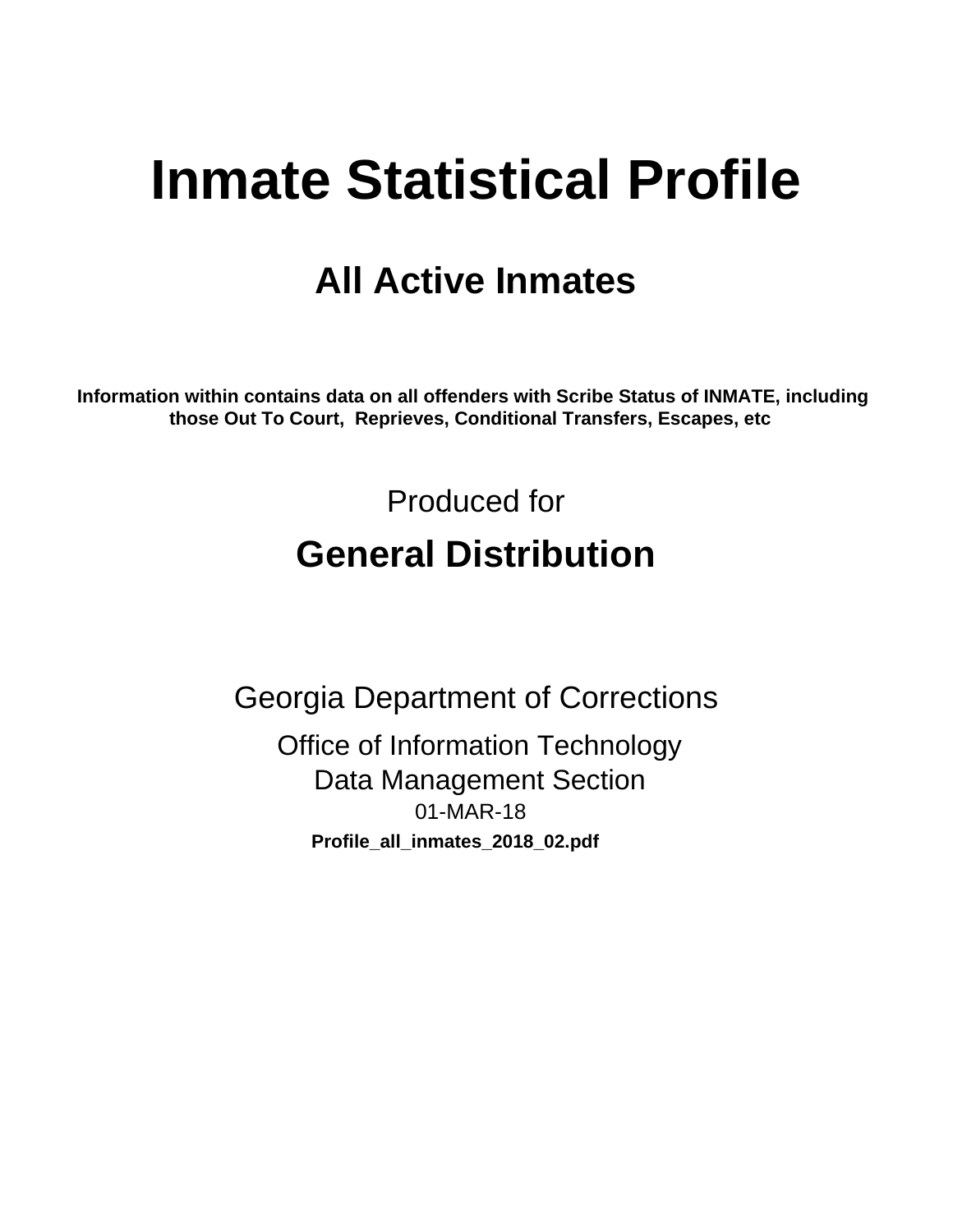# **Inmate Statistical Profile**

# **All Active Inmates**

Information within contains data on all offenders with Scribe Status of INMATE, including those Out To Court, Reprieves, Conditional Transfers, Escapes, etc

> Produced for **General Distribution**

**Georgia Department of Corrections Office of Information Technology Data Management Section** 01-MAR-18 Profile\_all\_inmates\_2018\_02.pdf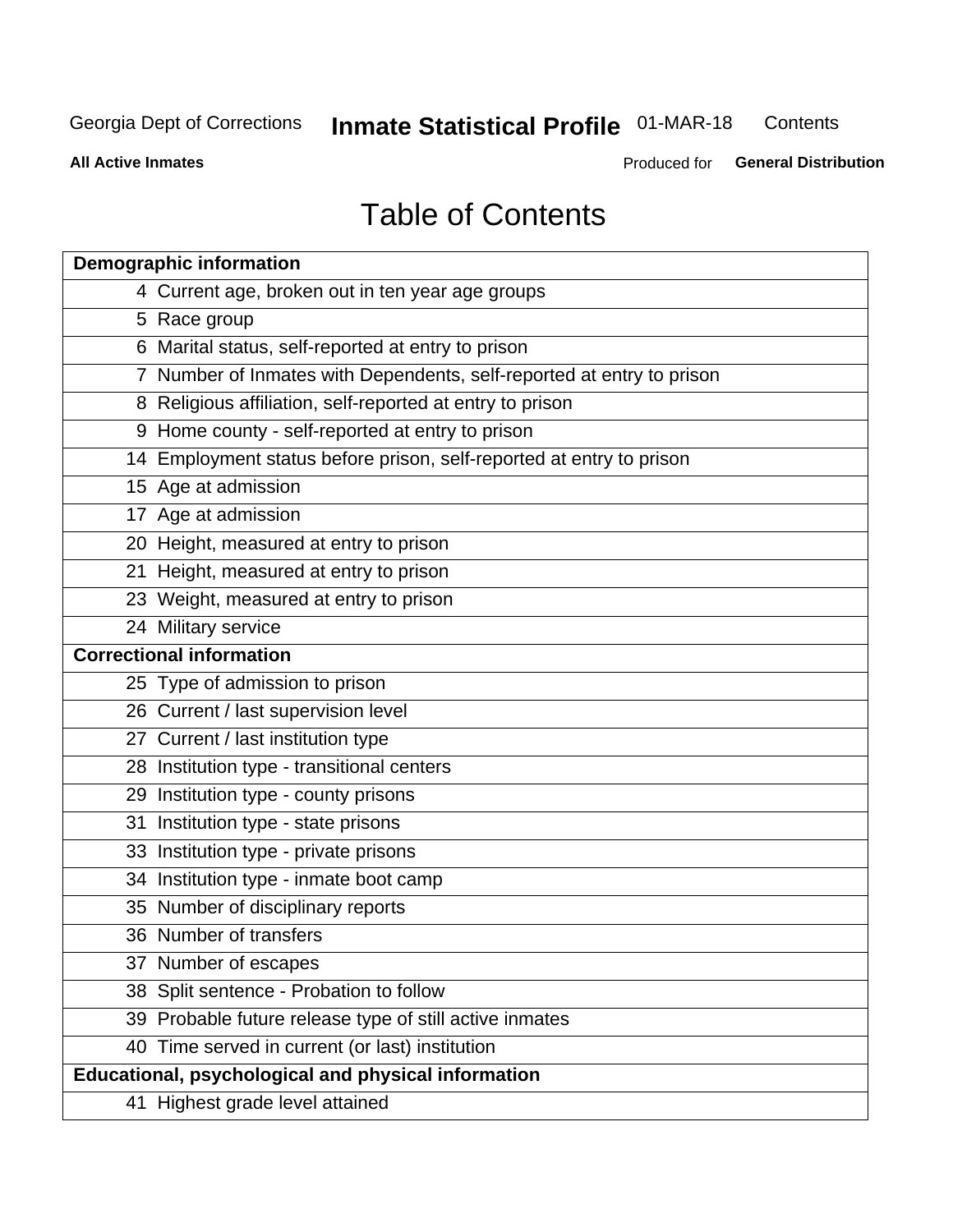#### **Inmate Statistical Profile 01-MAR-18** Contents

**All Active Inmates** 

Produced for General Distribution

# **Table of Contents**

|    | <b>Demographic information</b>                                        |
|----|-----------------------------------------------------------------------|
|    | 4 Current age, broken out in ten year age groups                      |
|    | 5 Race group                                                          |
|    | 6 Marital status, self-reported at entry to prison                    |
|    | 7 Number of Inmates with Dependents, self-reported at entry to prison |
|    | 8 Religious affiliation, self-reported at entry to prison             |
|    | 9 Home county - self-reported at entry to prison                      |
|    | 14 Employment status before prison, self-reported at entry to prison  |
|    | 15 Age at admission                                                   |
|    | 17 Age at admission                                                   |
|    | 20 Height, measured at entry to prison                                |
|    | 21 Height, measured at entry to prison                                |
|    | 23 Weight, measured at entry to prison                                |
|    | 24 Military service                                                   |
|    | <b>Correctional information</b>                                       |
|    | 25 Type of admission to prison                                        |
|    | 26 Current / last supervision level                                   |
|    | 27 Current / last institution type                                    |
|    | 28 Institution type - transitional centers                            |
|    | 29 Institution type - county prisons                                  |
| 31 | Institution type - state prisons                                      |
|    | 33 Institution type - private prisons                                 |
|    | 34 Institution type - inmate boot camp                                |
|    | 35 Number of disciplinary reports                                     |
|    | 36 Number of transfers                                                |
|    | 37 Number of escapes                                                  |
|    | 38 Split sentence - Probation to follow                               |
|    | 39 Probable future release type of still active inmates               |
|    | 40 Time served in current (or last) institution                       |
|    | Educational, psychological and physical information                   |
|    | 41 Highest grade level attained                                       |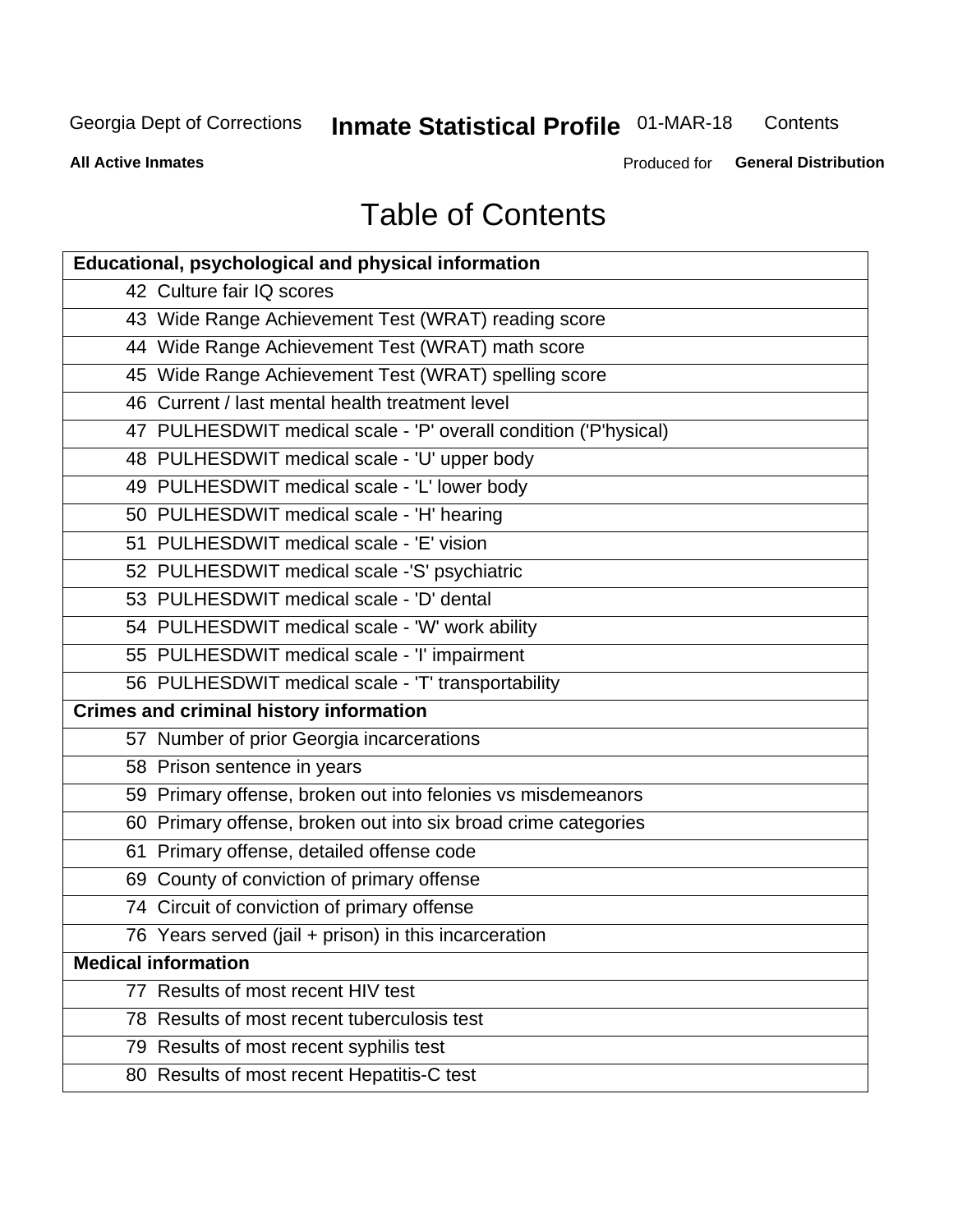#### **Inmate Statistical Profile 01-MAR-18** Contents

**All Active Inmates** 

Produced for General Distribution

# **Table of Contents**

| <b>Educational, psychological and physical information</b>       |
|------------------------------------------------------------------|
| 42 Culture fair IQ scores                                        |
| 43 Wide Range Achievement Test (WRAT) reading score              |
| 44 Wide Range Achievement Test (WRAT) math score                 |
| 45 Wide Range Achievement Test (WRAT) spelling score             |
| 46 Current / last mental health treatment level                  |
| 47 PULHESDWIT medical scale - 'P' overall condition ('P'hysical) |
| 48 PULHESDWIT medical scale - 'U' upper body                     |
| 49 PULHESDWIT medical scale - 'L' lower body                     |
| 50 PULHESDWIT medical scale - 'H' hearing                        |
| 51 PULHESDWIT medical scale - 'E' vision                         |
| 52 PULHESDWIT medical scale -'S' psychiatric                     |
| 53 PULHESDWIT medical scale - 'D' dental                         |
| 54 PULHESDWIT medical scale - 'W' work ability                   |
| 55 PULHESDWIT medical scale - 'I' impairment                     |
| 56 PULHESDWIT medical scale - 'T' transportability               |
| <b>Crimes and criminal history information</b>                   |
| 57 Number of prior Georgia incarcerations                        |
| 58 Prison sentence in years                                      |
| 59 Primary offense, broken out into felonies vs misdemeanors     |
| 60 Primary offense, broken out into six broad crime categories   |
| 61 Primary offense, detailed offense code                        |
| 69 County of conviction of primary offense                       |
| 74 Circuit of conviction of primary offense                      |
| 76 Years served (jail + prison) in this incarceration            |
| <b>Medical information</b>                                       |
| 77 Results of most recent HIV test                               |
| 78 Results of most recent tuberculosis test                      |
| 79 Results of most recent syphilis test                          |
| 80 Results of most recent Hepatitis-C test                       |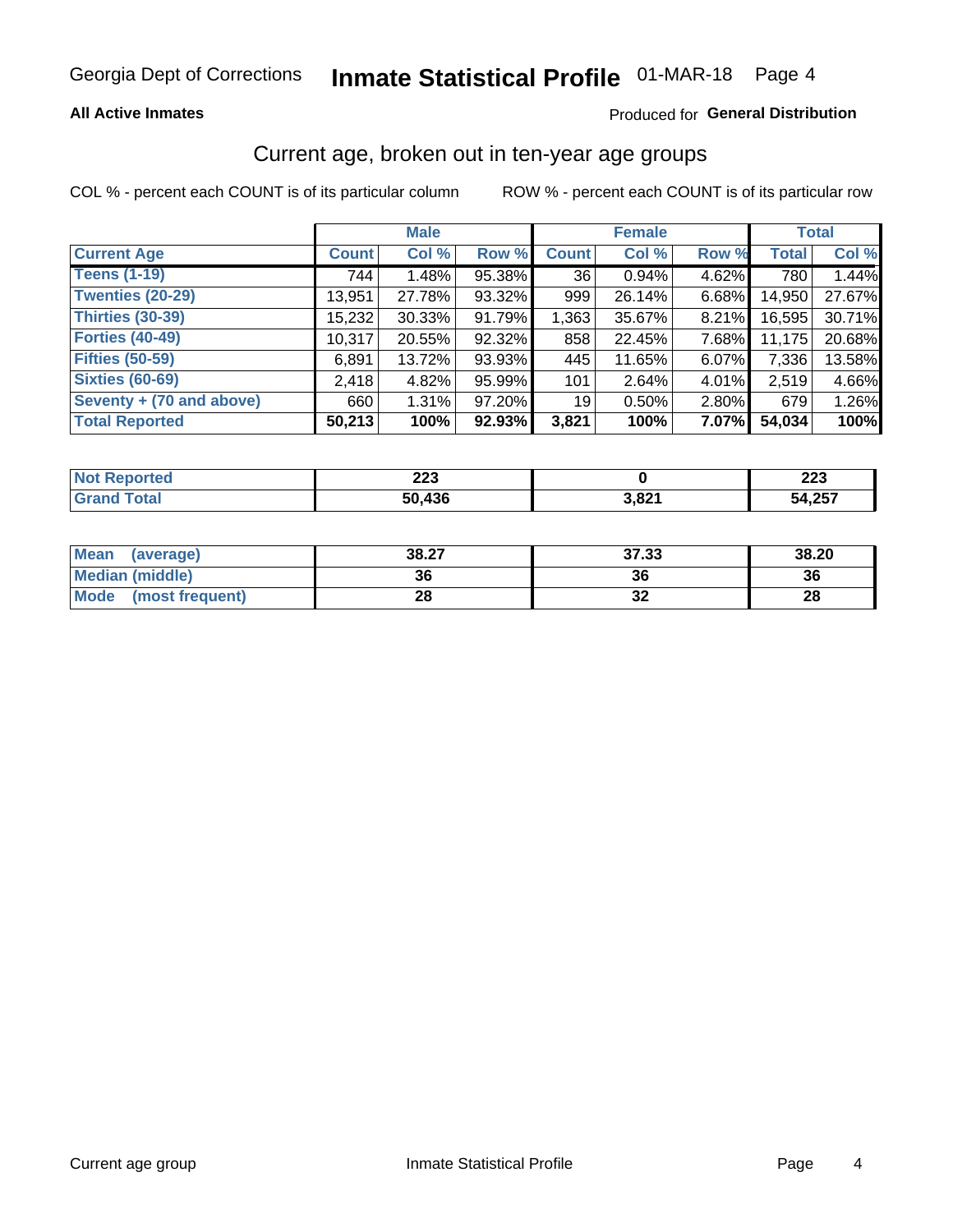#### **All Active Inmates**

#### Produced for General Distribution

### Current age, broken out in ten-year age groups

COL % - percent each COUNT is of its particular column

|                          |              | <b>Male</b> |        |              | <b>Female</b> | <b>Total</b> |              |        |
|--------------------------|--------------|-------------|--------|--------------|---------------|--------------|--------------|--------|
| <b>Current Age</b>       | <b>Count</b> | Col %       | Row %  | <b>Count</b> | Col %         | Row %        | <b>Total</b> | Col %  |
| <b>Teens (1-19)</b>      | 744          | 1.48%       | 95.38% | 36           | 0.94%         | 4.62%        | 780          | 1.44%  |
| <b>Twenties (20-29)</b>  | 13,951       | 27.78%      | 93.32% | 999          | 26.14%        | 6.68%        | 14,950       | 27.67% |
| <b>Thirties (30-39)</b>  | 15,232       | $30.33\%$   | 91.79% | 1,363        | 35.67%        | 8.21%        | 16,595       | 30.71% |
| <b>Forties (40-49)</b>   | 10,317       | 20.55%      | 92.32% | 858          | 22.45%        | 7.68%        | 11,175       | 20.68% |
| <b>Fifties (50-59)</b>   | 6,891        | 13.72%      | 93.93% | 445          | 11.65%        | 6.07%        | 7,336        | 13.58% |
| <b>Sixties (60-69)</b>   | 2,418        | 4.82%       | 95.99% | 101          | 2.64%         | 4.01%        | 2,519        | 4.66%  |
| Seventy + (70 and above) | 660          | 1.31%       | 97.20% | 19           | 0.50%         | 2.80%        | 679          | 1.26%  |
| <b>Total Reported</b>    | 50,213       | 100%        | 92.93% | 3,821        | 100%          | 7.07%        | 54,034       | 100%   |

| <b>Not Reported</b>  | ິດດດ<br>ZZJ |       | המה<br>ZZJ |
|----------------------|-------------|-------|------------|
| <b>Total</b><br>Cror | 50,436      | 3,821 | 54,257     |

| <b>Mean</b><br>(average) | 38.27 | 37.33    | 38.20 |
|--------------------------|-------|----------|-------|
| Median (middle)          | 36    |          | 36    |
| Mode<br>(most frequent)  | 28    | n,<br>◡▵ | 28    |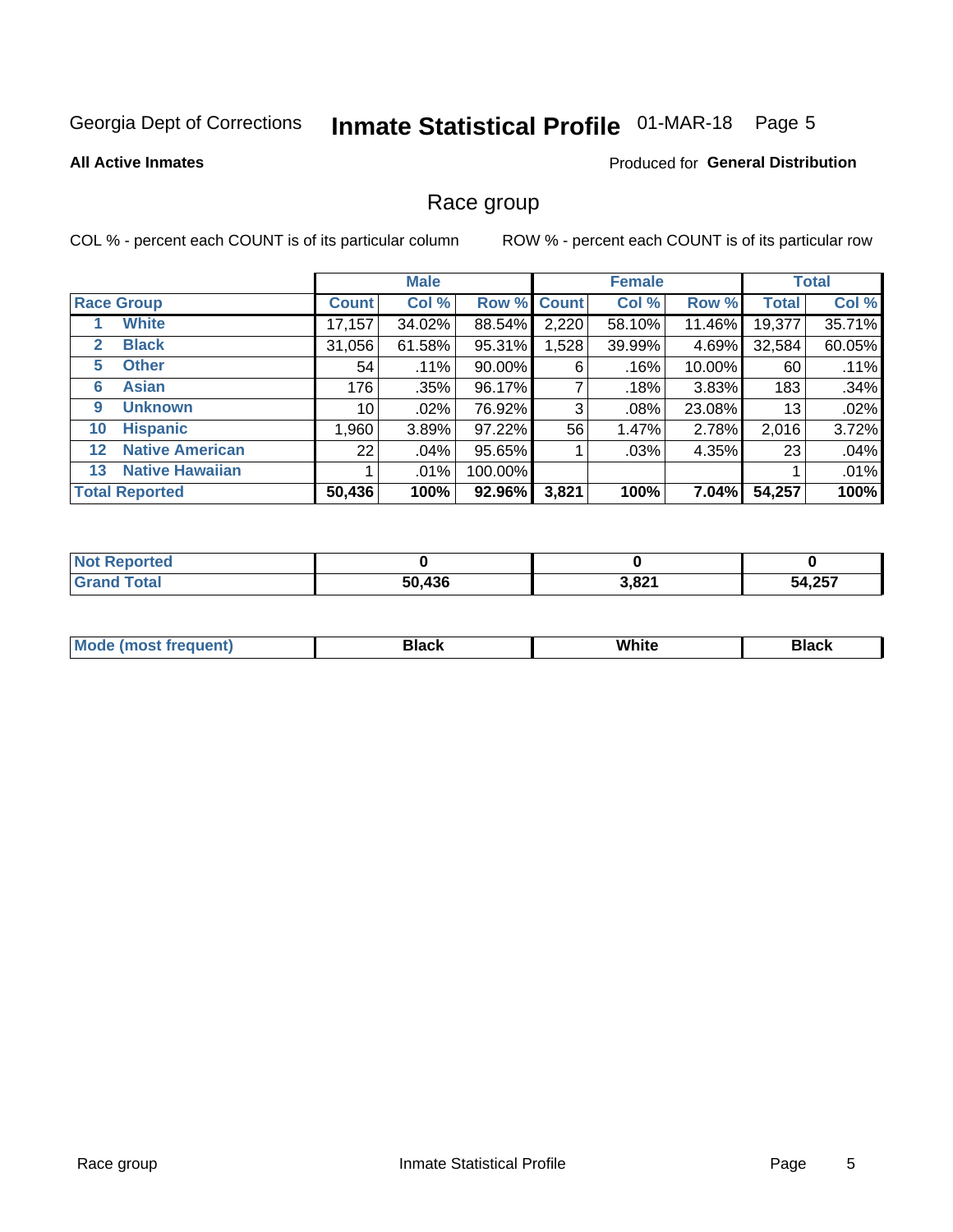# Inmate Statistical Profile 01-MAR-18 Page 5

#### **All Active Inmates**

#### Produced for General Distribution

### Race group

COL % - percent each COUNT is of its particular column

|                   |                        | <b>Male</b>  |         |         | <b>Female</b> |        |        | <b>Total</b> |        |
|-------------------|------------------------|--------------|---------|---------|---------------|--------|--------|--------------|--------|
|                   | <b>Race Group</b>      | <b>Count</b> | Col %   |         | Row % Count   | Col %  | Row %  | <b>Total</b> | Col %  |
|                   | <b>White</b>           | 17,157       | 34.02%  | 88.54%  | 2,220         | 58.10% | 11.46% | 19,377       | 35.71% |
| 2                 | <b>Black</b>           | 31,056       | 61.58%  | 95.31%  | ,528          | 39.99% | 4.69%  | 32,584       | 60.05% |
| 5                 | <b>Other</b>           | 54           | .11%    | 90.00%  | 6             | .16%   | 10.00% | 60           | .11%   |
| 6                 | <b>Asian</b>           | 176          | $.35\%$ | 96.17%  |               | .18%   | 3.83%  | 183          | .34%   |
| 9                 | <b>Unknown</b>         | 10           | $.02\%$ | 76.92%  | 3             | .08%   | 23.08% | 13           | .02%   |
| 10                | <b>Hispanic</b>        | .960         | 3.89%   | 97.22%  | 56            | 1.47%  | 2.78%  | 2,016        | 3.72%  |
| $12 \overline{ }$ | <b>Native American</b> | 22           | .04%    | 95.65%  |               | .03%   | 4.35%  | 23           | .04%   |
| 13                | <b>Native Hawaiian</b> |              | $.01\%$ | 100.00% |               |        |        |              | .01%   |
|                   | <b>Total Reported</b>  | 50,436       | 100%    | 92.96%  | 3,821         | 100%   | 7.04%  | 54,257       | 100%   |

| <b>Not Reported</b> |        |       |        |
|---------------------|--------|-------|--------|
| <b>Grand Total</b>  | 50,436 | 3,821 | 54,257 |

| <b>Mode</b><br>---<br>most frequent) | Black | White | <b>Black</b> |
|--------------------------------------|-------|-------|--------------|
|                                      |       |       |              |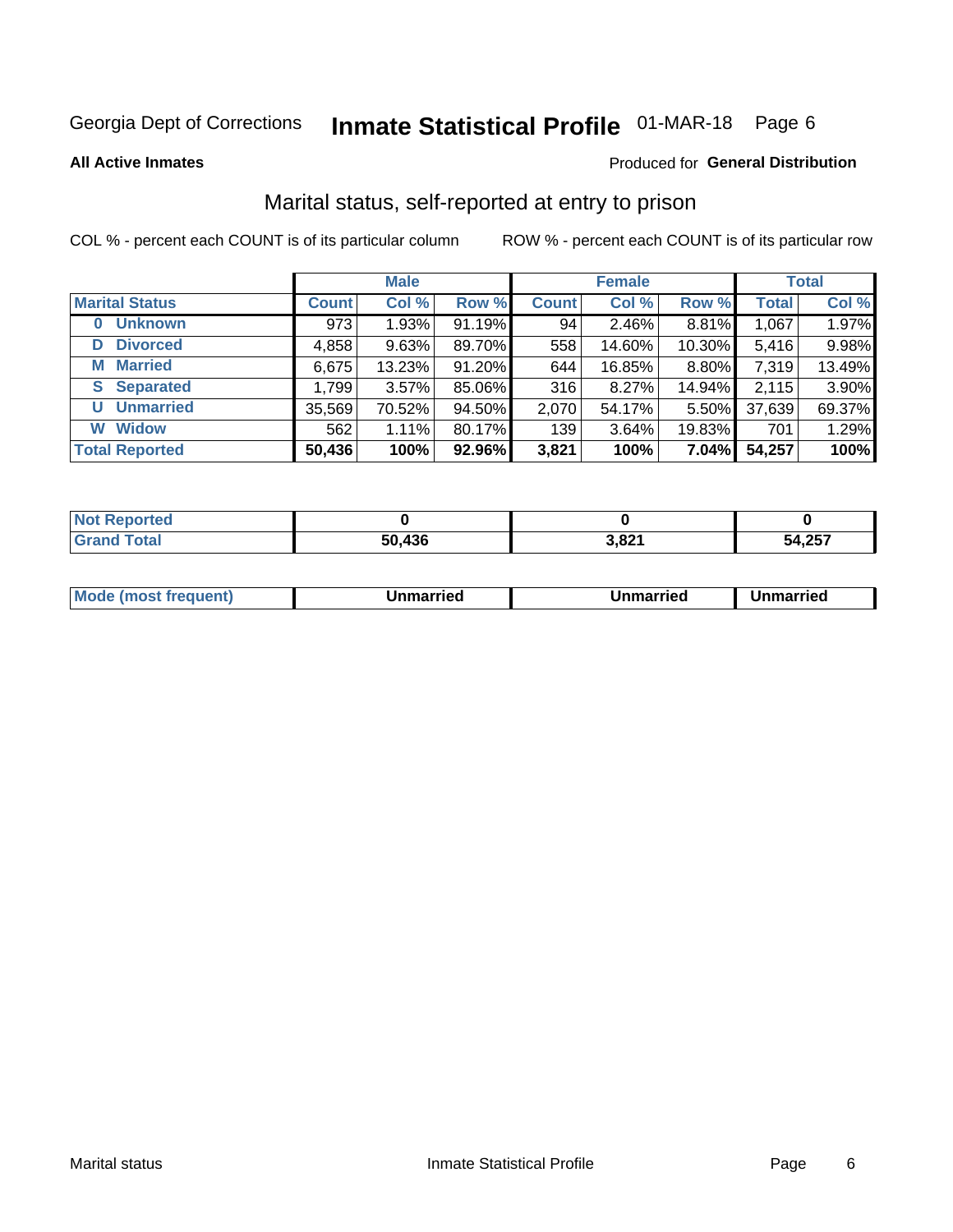# Inmate Statistical Profile 01-MAR-18 Page 6

**All Active Inmates** 

#### Produced for General Distribution

### Marital status, self-reported at entry to prison

COL % - percent each COUNT is of its particular column

|                            | <b>Male</b>  |        |        |              | <b>Female</b> | <b>Total</b> |              |        |
|----------------------------|--------------|--------|--------|--------------|---------------|--------------|--------------|--------|
| <b>Marital Status</b>      | <b>Count</b> | Col %  | Row %  | <b>Count</b> | Col %         | Row %        | <b>Total</b> | Col %  |
| <b>Unknown</b><br>$\bf{0}$ | 973          | 1.93%  | 91.19% | 94           | $2.46\%$      | 8.81%        | 1,067        | 1.97%  |
| <b>Divorced</b><br>D       | 4,858        | 9.63%  | 89.70% | 558          | 14.60%        | 10.30%       | 5,416        | 9.98%  |
| <b>Married</b><br>М        | 6,675        | 13.23% | 91.20% | 644          | 16.85%        | 8.80%        | 7,319        | 13.49% |
| <b>Separated</b><br>S.     | 1,799        | 3.57%  | 85.06% | 316          | 8.27%         | 14.94%       | 2,115        | 3.90%  |
| <b>Unmarried</b><br>U      | 35,569       | 70.52% | 94.50% | 2,070        | 54.17%        | 5.50%        | 37,639       | 69.37% |
| <b>Widow</b><br>W          | 562          | 1.11%  | 80.17% | 139          | 3.64%         | 19.83%       | 701          | 1.29%  |
| <b>Total Reported</b>      | 50,436       | 100%   | 92.96% | 3,821        | 100%          | 7.04%        | 54,257       | 100%   |

| $^{\dagger}$ Not $\cdot$<br><b>Anorted</b> |      |               |              |
|--------------------------------------------|------|---------------|--------------|
| <b>Total</b>                               | .436 | ാറ⁄<br>ו ∡ס,כ | 4,257<br>ы л |

|--|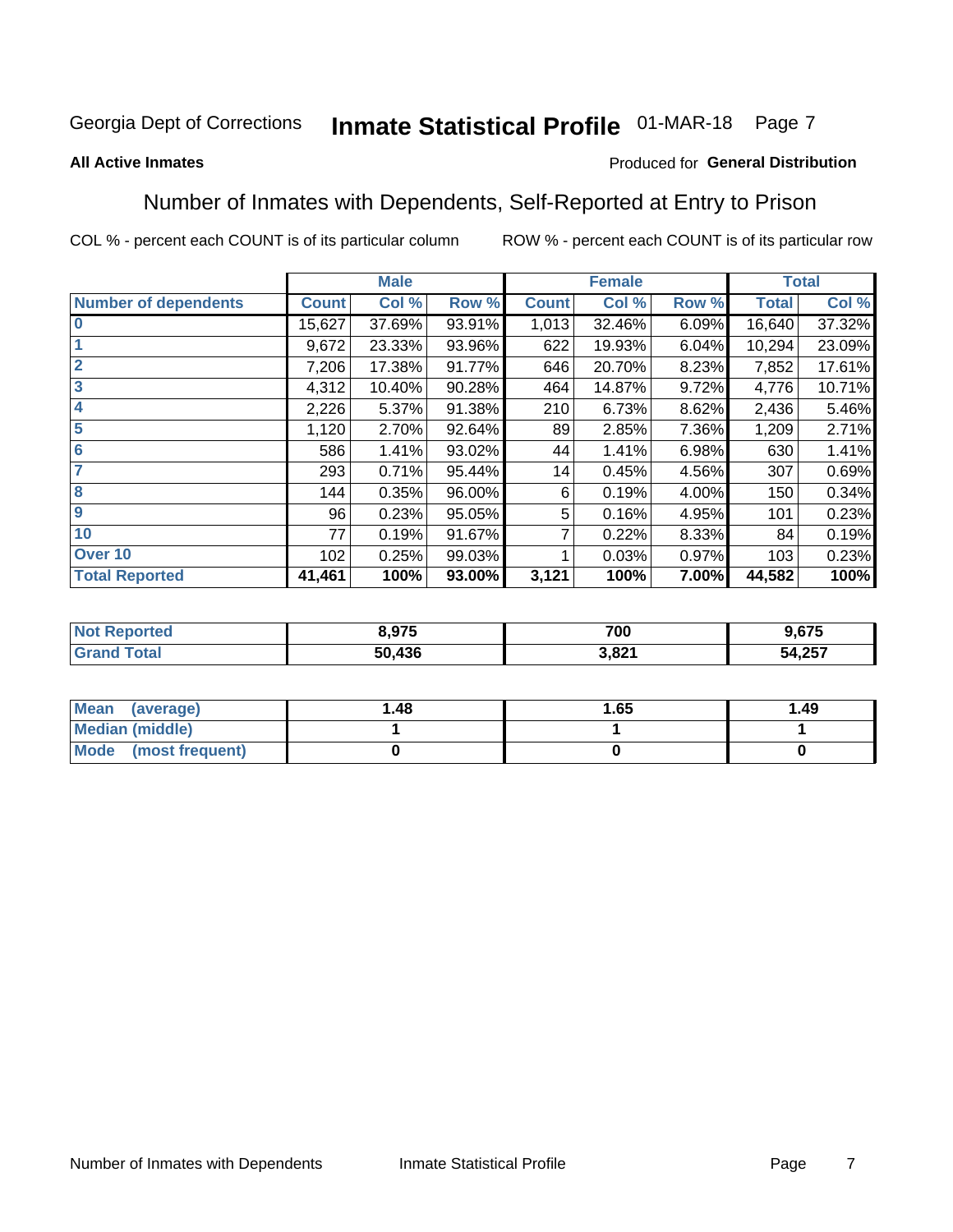# Inmate Statistical Profile 01-MAR-18 Page 7

#### **All Active Inmates**

#### Produced for General Distribution

### Number of Inmates with Dependents, Self-Reported at Entry to Prison

COL % - percent each COUNT is of its particular column

|                             |              | <b>Male</b> |        |              | <b>Female</b> |       |              | <b>Total</b> |
|-----------------------------|--------------|-------------|--------|--------------|---------------|-------|--------------|--------------|
| <b>Number of dependents</b> | <b>Count</b> | Col %       | Row %  | <b>Count</b> | Col %         | Row % | <b>Total</b> | Col %        |
| l 0                         | 15,627       | 37.69%      | 93.91% | 1,013        | 32.46%        | 6.09% | 16,640       | 37.32%       |
|                             | 9,672        | 23.33%      | 93.96% | 622          | 19.93%        | 6.04% | 10,294       | 23.09%       |
| $\overline{2}$              | 7,206        | 17.38%      | 91.77% | 646          | 20.70%        | 8.23% | 7,852        | 17.61%       |
| $\overline{\mathbf{3}}$     | 4,312        | 10.40%      | 90.28% | 464          | 14.87%        | 9.72% | 4,776        | 10.71%       |
| 4                           | 2,226        | 5.37%       | 91.38% | 210          | 6.73%         | 8.62% | 2,436        | 5.46%        |
| 5                           | 1,120        | 2.70%       | 92.64% | 89           | 2.85%         | 7.36% | 1,209        | 2.71%        |
| 6                           | 586          | 1.41%       | 93.02% | 44           | 1.41%         | 6.98% | 630          | 1.41%        |
| 7                           | 293          | 0.71%       | 95.44% | 14           | 0.45%         | 4.56% | 307          | 0.69%        |
| 8                           | 144          | 0.35%       | 96.00% | 6            | 0.19%         | 4.00% | 150          | 0.34%        |
| 9                           | 96           | 0.23%       | 95.05% | 5            | 0.16%         | 4.95% | 101          | 0.23%        |
| 10                          | 77           | 0.19%       | 91.67% |              | 0.22%         | 8.33% | 84           | 0.19%        |
| Over 10                     | 102          | 0.25%       | 99.03% |              | 0.03%         | 0.97% | 103          | 0.23%        |
| <b>Total Reported</b>       | 41,461       | 100%        | 93.00% | 3,121        | 100%          | 7.00% | 44,582       | 100%         |

|      | 2 Q75<br>J.J I J | 700     | $\sim$<br>כ ו ס               |
|------|------------------|---------|-------------------------------|
| υιαι | 50.436           | 001<br> | クドフ<br>- 5Δ<br>ວ4.∠ວ <i>ເ</i> |

| Mean (average)         | 1.48 | 1.65 | 1.49 |
|------------------------|------|------|------|
| <b>Median (middle)</b> |      |      |      |
| Mode (most frequent)   |      |      |      |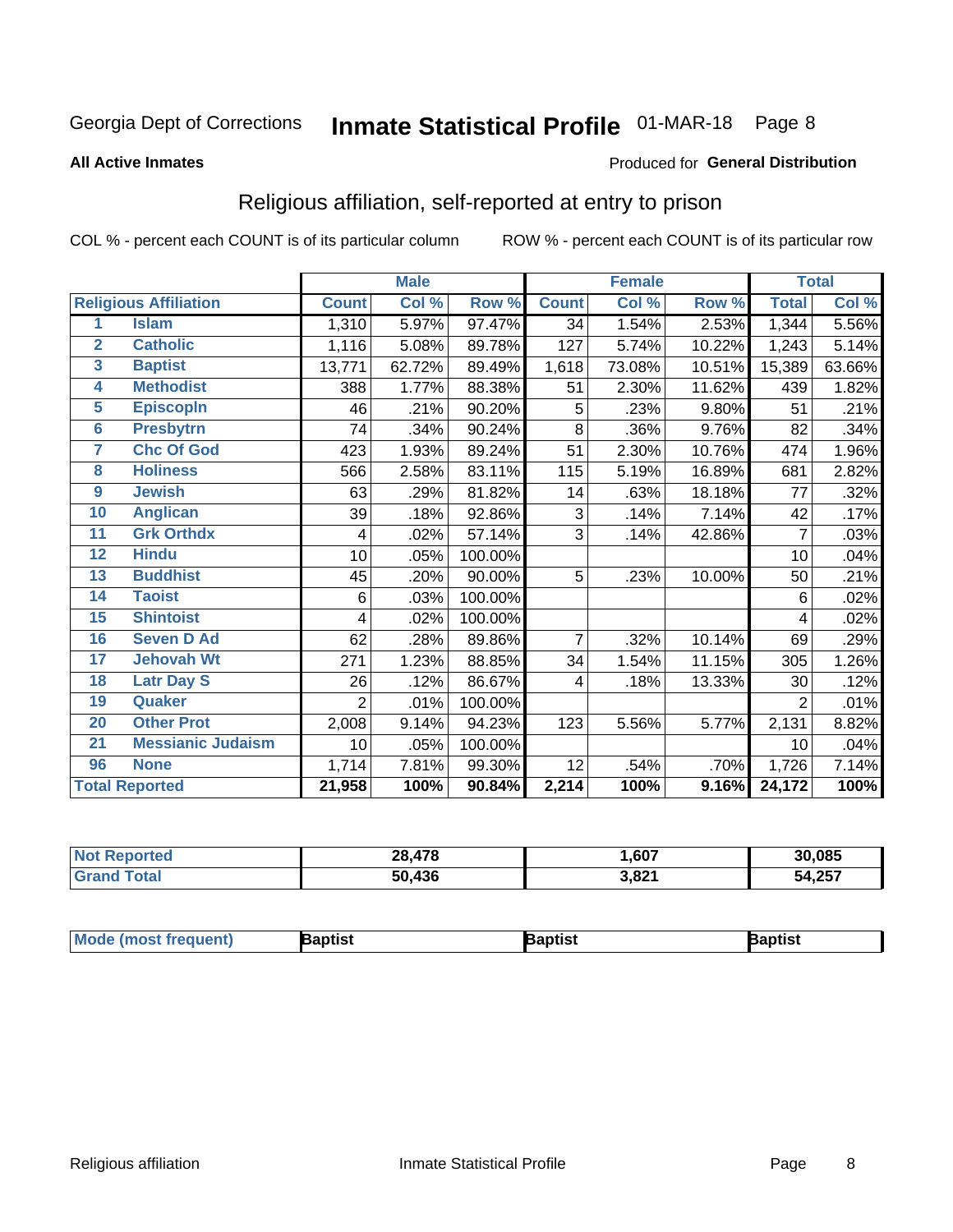# Inmate Statistical Profile 01-MAR-18 Page 8

#### **All Active Inmates**

#### Produced for General Distribution

### Religious affiliation, self-reported at entry to prison

COL % - percent each COUNT is of its particular column

|                |                              |                | <b>Male</b> |         |              | <b>Female</b> |        |              | <b>Total</b> |
|----------------|------------------------------|----------------|-------------|---------|--------------|---------------|--------|--------------|--------------|
|                | <b>Religious Affiliation</b> | <b>Count</b>   | Col %       | Row %   | <b>Count</b> | Col %         | Row %  | <b>Total</b> | Col %        |
| 1              | <b>Islam</b>                 | 1,310          | 5.97%       | 97.47%  | 34           | 1.54%         | 2.53%  | 1,344        | 5.56%        |
| $\overline{2}$ | <b>Catholic</b>              | 1,116          | 5.08%       | 89.78%  | 127          | 5.74%         | 10.22% | 1,243        | 5.14%        |
| 3              | <b>Baptist</b>               | 13,771         | 62.72%      | 89.49%  | 1,618        | 73.08%        | 10.51% | 15,389       | 63.66%       |
| 4              | <b>Methodist</b>             | 388            | 1.77%       | 88.38%  | 51           | 2.30%         | 11.62% | 439          | 1.82%        |
| 5              | <b>EpiscopIn</b>             | 46             | .21%        | 90.20%  | 5            | .23%          | 9.80%  | 51           | .21%         |
| 6              | <b>Presbytrn</b>             | 74             | .34%        | 90.24%  | 8            | .36%          | 9.76%  | 82           | .34%         |
| 7              | <b>Chc Of God</b>            | 423            | 1.93%       | 89.24%  | 51           | 2.30%         | 10.76% | 474          | 1.96%        |
| 8              | <b>Holiness</b>              | 566            | 2.58%       | 83.11%  | 115          | 5.19%         | 16.89% | 681          | 2.82%        |
| 9              | <b>Jewish</b>                | 63             | .29%        | 81.82%  | 14           | .63%          | 18.18% | 77           | .32%         |
| 10             | <b>Anglican</b>              | 39             | .18%        | 92.86%  | 3            | .14%          | 7.14%  | 42           | .17%         |
| 11             | <b>Grk Orthdx</b>            | 4              | .02%        | 57.14%  | 3            | .14%          | 42.86% | 7            | .03%         |
| 12             | <b>Hindu</b>                 | 10             | .05%        | 100.00% |              |               |        | 10           | .04%         |
| 13             | <b>Buddhist</b>              | 45             | .20%        | 90.00%  | 5            | .23%          | 10.00% | 50           | .21%         |
| 14             | <b>Taoist</b>                | 6              | .03%        | 100.00% |              |               |        | 6            | .02%         |
| 15             | <b>Shintoist</b>             | 4              | .02%        | 100.00% |              |               |        | 4            | .02%         |
| 16             | <b>Seven D Ad</b>            | 62             | .28%        | 89.86%  | 7            | .32%          | 10.14% | 69           | .29%         |
| 17             | <b>Jehovah Wt</b>            | 271            | 1.23%       | 88.85%  | 34           | 1.54%         | 11.15% | 305          | 1.26%        |
| 18             | <b>Latr Day S</b>            | 26             | .12%        | 86.67%  | 4            | .18%          | 13.33% | 30           | .12%         |
| 19             | Quaker                       | $\overline{2}$ | .01%        | 100.00% |              |               |        | 2            | .01%         |
| 20             | <b>Other Prot</b>            | 2,008          | 9.14%       | 94.23%  | 123          | 5.56%         | 5.77%  | 2,131        | 8.82%        |
| 21             | <b>Messianic Judaism</b>     | 10             | .05%        | 100.00% |              |               |        | 10           | .04%         |
| 96             | <b>None</b>                  | 1,714          | 7.81%       | 99.30%  | 12           | .54%          | .70%   | 1,726        | 7.14%        |
|                | <b>Total Reported</b>        | 21,958         | 100%        | 90.84%  | 2,214        | 100%          | 9.16%  | 24,172       | 100%         |

| <b>rteo</b><br>NA | . 478<br>28, | ,607           | 30.085 |
|-------------------|--------------|----------------|--------|
| ' Gra             | .436<br>50   | 2001<br>ו ∡ס,כ | 54,257 |

| <b>Mode (most frequent)</b> | <b>Japtist</b> | Baptist | Baptist |
|-----------------------------|----------------|---------|---------|
|-----------------------------|----------------|---------|---------|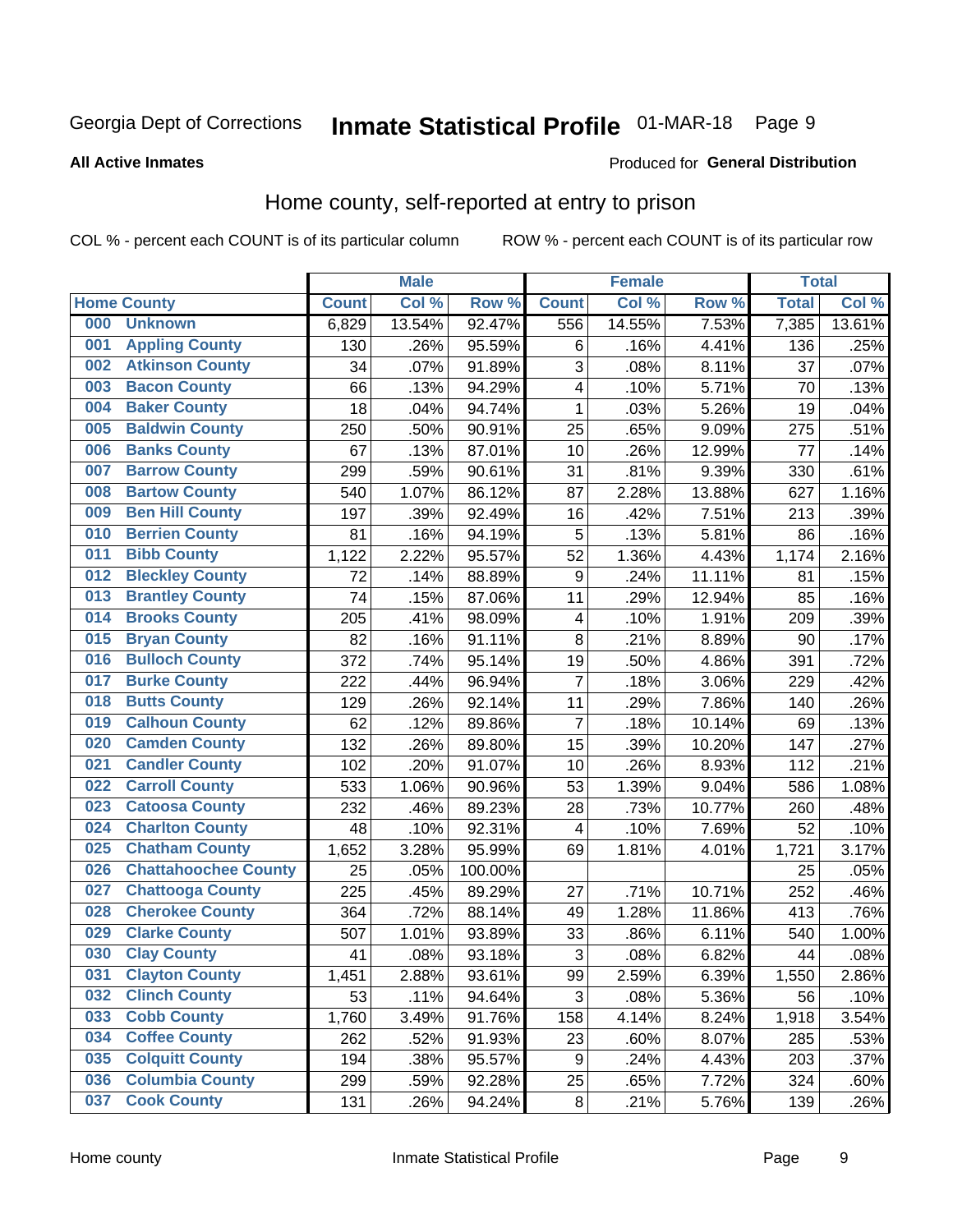# Inmate Statistical Profile 01-MAR-18 Page 9

#### **All Active Inmates**

#### Produced for General Distribution

### Home county, self-reported at entry to prison

COL % - percent each COUNT is of its particular column

|     |                             |              | <b>Male</b> |                  |                         | <b>Female</b> |        | <b>Total</b> |        |
|-----|-----------------------------|--------------|-------------|------------------|-------------------------|---------------|--------|--------------|--------|
|     | <b>Home County</b>          | <b>Count</b> | Col %       | Row <sup>%</sup> | <b>Count</b>            | Col %         | Row %  | <b>Total</b> | Col %  |
| 000 | <b>Unknown</b>              | 6,829        | 13.54%      | 92.47%           | 556                     | 14.55%        | 7.53%  | 7,385        | 13.61% |
| 001 | <b>Appling County</b>       | 130          | .26%        | 95.59%           | 6                       | .16%          | 4.41%  | 136          | .25%   |
| 002 | <b>Atkinson County</b>      | 34           | .07%        | 91.89%           | 3                       | .08%          | 8.11%  | 37           | .07%   |
| 003 | <b>Bacon County</b>         | 66           | .13%        | 94.29%           | $\overline{\mathbf{4}}$ | .10%          | 5.71%  | 70           | .13%   |
| 004 | <b>Baker County</b>         | 18           | .04%        | 94.74%           | 1                       | .03%          | 5.26%  | 19           | .04%   |
| 005 | <b>Baldwin County</b>       | 250          | .50%        | 90.91%           | 25                      | .65%          | 9.09%  | 275          | .51%   |
| 006 | <b>Banks County</b>         | 67           | .13%        | 87.01%           | 10                      | .26%          | 12.99% | 77           | .14%   |
| 007 | <b>Barrow County</b>        | 299          | .59%        | 90.61%           | 31                      | .81%          | 9.39%  | 330          | .61%   |
| 008 | <b>Bartow County</b>        | 540          | 1.07%       | 86.12%           | 87                      | 2.28%         | 13.88% | 627          | 1.16%  |
| 009 | <b>Ben Hill County</b>      | 197          | .39%        | 92.49%           | 16                      | .42%          | 7.51%  | 213          | .39%   |
| 010 | <b>Berrien County</b>       | 81           | .16%        | 94.19%           | 5                       | .13%          | 5.81%  | 86           | .16%   |
| 011 | <b>Bibb County</b>          | 1,122        | 2.22%       | 95.57%           | 52                      | 1.36%         | 4.43%  | 1,174        | 2.16%  |
| 012 | <b>Bleckley County</b>      | 72           | .14%        | 88.89%           | 9                       | .24%          | 11.11% | 81           | .15%   |
| 013 | <b>Brantley County</b>      | 74           | .15%        | 87.06%           | 11                      | .29%          | 12.94% | 85           | .16%   |
| 014 | <b>Brooks County</b>        | 205          | .41%        | 98.09%           | 4                       | .10%          | 1.91%  | 209          | .39%   |
| 015 | <b>Bryan County</b>         | 82           | .16%        | 91.11%           | 8                       | .21%          | 8.89%  | 90           | .17%   |
| 016 | <b>Bulloch County</b>       | 372          | .74%        | 95.14%           | 19                      | .50%          | 4.86%  | 391          | .72%   |
| 017 | <b>Burke County</b>         | 222          | .44%        | 96.94%           | $\overline{7}$          | .18%          | 3.06%  | 229          | .42%   |
| 018 | <b>Butts County</b>         | 129          | .26%        | 92.14%           | 11                      | .29%          | 7.86%  | 140          | .26%   |
| 019 | <b>Calhoun County</b>       | 62           | .12%        | 89.86%           | $\overline{7}$          | .18%          | 10.14% | 69           | .13%   |
| 020 | <b>Camden County</b>        | 132          | .26%        | 89.80%           | 15                      | .39%          | 10.20% | 147          | .27%   |
| 021 | <b>Candler County</b>       | 102          | .20%        | 91.07%           | 10                      | .26%          | 8.93%  | 112          | .21%   |
| 022 | <b>Carroll County</b>       | 533          | 1.06%       | 90.96%           | 53                      | 1.39%         | 9.04%  | 586          | 1.08%  |
| 023 | <b>Catoosa County</b>       | 232          | .46%        | 89.23%           | 28                      | .73%          | 10.77% | 260          | .48%   |
| 024 | <b>Charlton County</b>      | 48           | .10%        | 92.31%           | 4                       | .10%          | 7.69%  | 52           | .10%   |
| 025 | <b>Chatham County</b>       | 1,652        | 3.28%       | 95.99%           | 69                      | 1.81%         | 4.01%  | 1,721        | 3.17%  |
| 026 | <b>Chattahoochee County</b> | 25           | .05%        | 100.00%          |                         |               |        | 25           | .05%   |
| 027 | <b>Chattooga County</b>     | 225          | .45%        | 89.29%           | 27                      | .71%          | 10.71% | 252          | .46%   |
| 028 | <b>Cherokee County</b>      | 364          | .72%        | 88.14%           | 49                      | 1.28%         | 11.86% | 413          | .76%   |
| 029 | <b>Clarke County</b>        | 507          | 1.01%       | 93.89%           | 33                      | .86%          | 6.11%  | 540          | 1.00%  |
| 030 | <b>Clay County</b>          | 41           | .08%        | 93.18%           | 3                       | .08%          | 6.82%  | 44           | .08%   |
| 031 | <b>Clayton County</b>       | 1,451        | 2.88%       | 93.61%           | 99                      | 2.59%         | 6.39%  | 1,550        | 2.86%  |
| 032 | <b>Clinch County</b>        | 53           | .11%        | 94.64%           | 3                       | .08%          | 5.36%  | 56           | .10%   |
| 033 | <b>Cobb County</b>          | 1,760        | 3.49%       | 91.76%           | 158                     | 4.14%         | 8.24%  | 1,918        | 3.54%  |
| 034 | <b>Coffee County</b>        | 262          | .52%        | 91.93%           | 23                      | .60%          | 8.07%  | 285          | .53%   |
| 035 | <b>Colquitt County</b>      | 194          | .38%        | 95.57%           | 9                       | .24%          | 4.43%  | 203          | .37%   |
| 036 | <b>Columbia County</b>      | 299          | .59%        | 92.28%           | 25                      | .65%          | 7.72%  | 324          | .60%   |
| 037 | <b>Cook County</b>          | 131          | .26%        | 94.24%           | $\bf 8$                 | .21%          | 5.76%  | 139          | .26%   |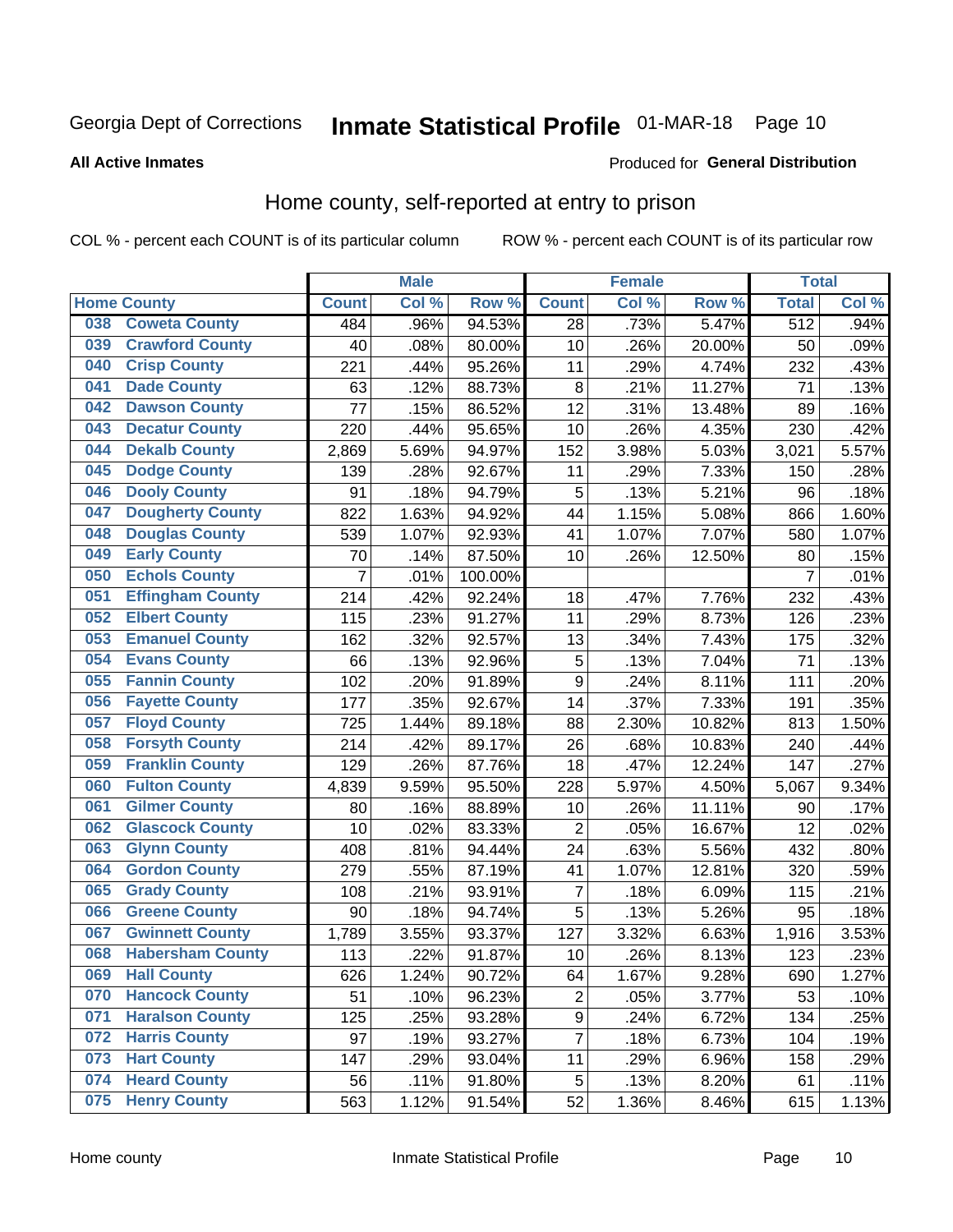# Inmate Statistical Profile 01-MAR-18 Page 10

#### **All Active Inmates**

#### Produced for General Distribution

### Home county, self-reported at entry to prison

COL % - percent each COUNT is of its particular column

|     |                         |                  | <b>Male</b> |         |                 | <b>Female</b> |        | <b>Total</b>     |       |
|-----|-------------------------|------------------|-------------|---------|-----------------|---------------|--------|------------------|-------|
|     | <b>Home County</b>      | <b>Count</b>     | Col %       | Row %   | <b>Count</b>    | Col %         | Row %  | <b>Total</b>     | Col % |
| 038 | <b>Coweta County</b>    | 484              | .96%        | 94.53%  | $\overline{28}$ | .73%          | 5.47%  | $\overline{512}$ | .94%  |
| 039 | <b>Crawford County</b>  | 40               | .08%        | 80.00%  | 10              | .26%          | 20.00% | 50               | .09%  |
| 040 | <b>Crisp County</b>     | 221              | .44%        | 95.26%  | 11              | .29%          | 4.74%  | 232              | .43%  |
| 041 | <b>Dade County</b>      | 63               | .12%        | 88.73%  | 8               | .21%          | 11.27% | 71               | .13%  |
| 042 | <b>Dawson County</b>    | 77               | .15%        | 86.52%  | 12              | .31%          | 13.48% | 89               | .16%  |
| 043 | <b>Decatur County</b>   | 220              | .44%        | 95.65%  | 10              | .26%          | 4.35%  | 230              | .42%  |
| 044 | <b>Dekalb County</b>    | 2,869            | 5.69%       | 94.97%  | 152             | 3.98%         | 5.03%  | 3,021            | 5.57% |
| 045 | <b>Dodge County</b>     | 139              | .28%        | 92.67%  | 11              | .29%          | 7.33%  | 150              | .28%  |
| 046 | <b>Dooly County</b>     | 91               | .18%        | 94.79%  | 5               | .13%          | 5.21%  | 96               | .18%  |
| 047 | <b>Dougherty County</b> | 822              | 1.63%       | 94.92%  | 44              | 1.15%         | 5.08%  | 866              | 1.60% |
| 048 | <b>Douglas County</b>   | 539              | 1.07%       | 92.93%  | 41              | 1.07%         | 7.07%  | 580              | 1.07% |
| 049 | <b>Early County</b>     | 70               | .14%        | 87.50%  | 10              | .26%          | 12.50% | 80               | .15%  |
| 050 | <b>Echols County</b>    | $\overline{7}$   | .01%        | 100.00% |                 |               |        | $\overline{7}$   | .01%  |
| 051 | <b>Effingham County</b> | $\overline{2}14$ | .42%        | 92.24%  | 18              | .47%          | 7.76%  | 232              | .43%  |
| 052 | <b>Elbert County</b>    | 115              | .23%        | 91.27%  | 11              | .29%          | 8.73%  | 126              | .23%  |
| 053 | <b>Emanuel County</b>   | 162              | .32%        | 92.57%  | 13              | .34%          | 7.43%  | 175              | .32%  |
| 054 | <b>Evans County</b>     | 66               | .13%        | 92.96%  | 5               | .13%          | 7.04%  | 71               | .13%  |
| 055 | <b>Fannin County</b>    | 102              | .20%        | 91.89%  | 9               | .24%          | 8.11%  | 111              | .20%  |
| 056 | <b>Fayette County</b>   | 177              | .35%        | 92.67%  | 14              | .37%          | 7.33%  | 191              | .35%  |
| 057 | <b>Floyd County</b>     | 725              | 1.44%       | 89.18%  | 88              | 2.30%         | 10.82% | 813              | 1.50% |
| 058 | <b>Forsyth County</b>   | 214              | .42%        | 89.17%  | 26              | .68%          | 10.83% | 240              | .44%  |
| 059 | <b>Franklin County</b>  | 129              | .26%        | 87.76%  | 18              | .47%          | 12.24% | 147              | .27%  |
| 060 | <b>Fulton County</b>    | 4,839            | 9.59%       | 95.50%  | 228             | 5.97%         | 4.50%  | 5,067            | 9.34% |
| 061 | <b>Gilmer County</b>    | 80               | .16%        | 88.89%  | 10              | .26%          | 11.11% | 90               | .17%  |
| 062 | <b>Glascock County</b>  | 10               | .02%        | 83.33%  | $\overline{2}$  | .05%          | 16.67% | 12               | .02%  |
| 063 | <b>Glynn County</b>     | 408              | .81%        | 94.44%  | 24              | .63%          | 5.56%  | 432              | .80%  |
| 064 | <b>Gordon County</b>    | 279              | .55%        | 87.19%  | 41              | 1.07%         | 12.81% | 320              | .59%  |
| 065 | <b>Grady County</b>     | 108              | .21%        | 93.91%  | $\overline{7}$  | .18%          | 6.09%  | 115              | .21%  |
| 066 | <b>Greene County</b>    | 90               | .18%        | 94.74%  | 5               | .13%          | 5.26%  | 95               | .18%  |
| 067 | <b>Gwinnett County</b>  | 1,789            | 3.55%       | 93.37%  | 127             | 3.32%         | 6.63%  | 1,916            | 3.53% |
| 068 | <b>Habersham County</b> | 113              | .22%        | 91.87%  | 10              | .26%          | 8.13%  | 123              | .23%  |
| 069 | <b>Hall County</b>      | 626              | 1.24%       | 90.72%  | 64              | 1.67%         | 9.28%  | 690              | 1.27% |
| 070 | <b>Hancock County</b>   | 51               | .10%        | 96.23%  | $\mathbf 2$     | .05%          | 3.77%  | 53               | .10%  |
| 071 | <b>Haralson County</b>  | 125              | .25%        | 93.28%  | 9               | .24%          | 6.72%  | 134              | .25%  |
| 072 | <b>Harris County</b>    | 97               | .19%        | 93.27%  | 7               | .18%          | 6.73%  | 104              | .19%  |
| 073 | <b>Hart County</b>      | 147              | .29%        | 93.04%  | 11              | .29%          | 6.96%  | 158              | .29%  |
| 074 | <b>Heard County</b>     | 56               | .11%        | 91.80%  | 5               | .13%          | 8.20%  | 61               | .11%  |
| 075 | <b>Henry County</b>     | 563              | 1.12%       | 91.54%  | 52              | 1.36%         | 8.46%  | 615              | 1.13% |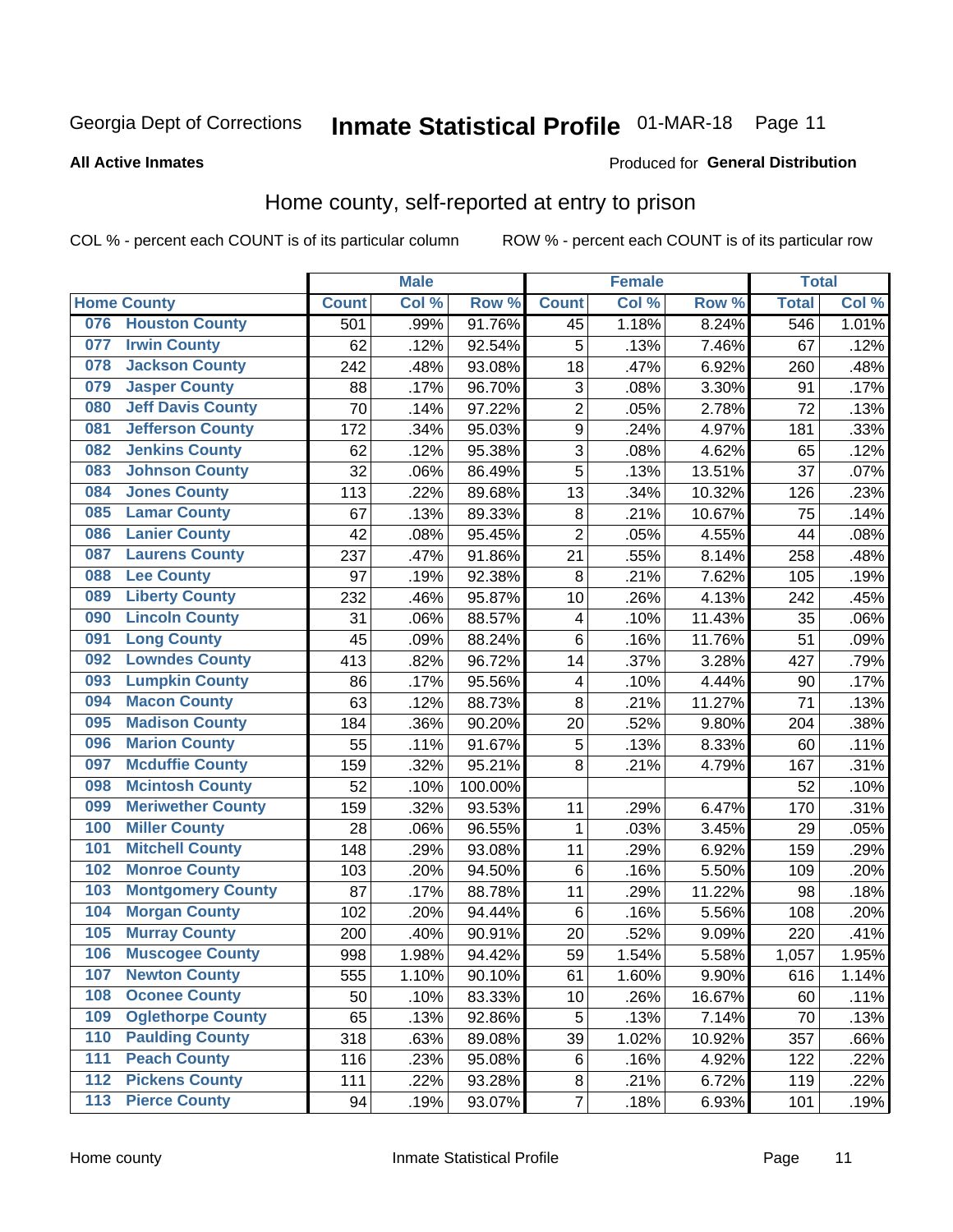# Inmate Statistical Profile 01-MAR-18 Page 11

#### **All Active Inmates**

#### Produced for General Distribution

### Home county, self-reported at entry to prison

COL % - percent each COUNT is of its particular column

|                  |                          |              | <b>Male</b> |                  |                | <b>Female</b> |        | <b>Total</b> |       |
|------------------|--------------------------|--------------|-------------|------------------|----------------|---------------|--------|--------------|-------|
|                  | <b>Home County</b>       | <b>Count</b> | Col %       | Row <sup>%</sup> | <b>Count</b>   | Col %         | Row %  | <b>Total</b> | Col % |
| 076              | <b>Houston County</b>    | 501          | .99%        | 91.76%           | 45             | 1.18%         | 8.24%  | 546          | 1.01% |
| 077              | <b>Irwin County</b>      | 62           | .12%        | 92.54%           | 5              | .13%          | 7.46%  | 67           | .12%  |
| 078              | <b>Jackson County</b>    | 242          | .48%        | 93.08%           | 18             | .47%          | 6.92%  | 260          | .48%  |
| 079              | <b>Jasper County</b>     | 88           | .17%        | 96.70%           | 3              | .08%          | 3.30%  | 91           | .17%  |
| 080              | <b>Jeff Davis County</b> | 70           | .14%        | 97.22%           | $\overline{2}$ | .05%          | 2.78%  | 72           | .13%  |
| 081              | <b>Jefferson County</b>  | 172          | .34%        | 95.03%           | $\mathsf 9$    | .24%          | 4.97%  | 181          | .33%  |
| 082              | <b>Jenkins County</b>    | 62           | .12%        | 95.38%           | 3              | .08%          | 4.62%  | 65           | .12%  |
| 083              | <b>Johnson County</b>    | 32           | .06%        | 86.49%           | 5              | .13%          | 13.51% | 37           | .07%  |
| 084              | <b>Jones County</b>      | 113          | .22%        | 89.68%           | 13             | .34%          | 10.32% | 126          | .23%  |
| 085              | <b>Lamar County</b>      | 67           | .13%        | 89.33%           | $\bf 8$        | .21%          | 10.67% | 75           | .14%  |
| 086              | <b>Lanier County</b>     | 42           | .08%        | 95.45%           | $\overline{2}$ | .05%          | 4.55%  | 44           | .08%  |
| 087              | <b>Laurens County</b>    | 237          | .47%        | 91.86%           | 21             | .55%          | 8.14%  | 258          | .48%  |
| 088              | <b>Lee County</b>        | 97           | .19%        | 92.38%           | 8              | .21%          | 7.62%  | 105          | .19%  |
| 089              | <b>Liberty County</b>    | 232          | .46%        | 95.87%           | 10             | .26%          | 4.13%  | 242          | .45%  |
| 090              | <b>Lincoln County</b>    | 31           | .06%        | 88.57%           | 4              | .10%          | 11.43% | 35           | .06%  |
| 091              | <b>Long County</b>       | 45           | .09%        | 88.24%           | 6              | .16%          | 11.76% | 51           | .09%  |
| 092              | <b>Lowndes County</b>    | 413          | .82%        | 96.72%           | 14             | .37%          | 3.28%  | 427          | .79%  |
| 093              | <b>Lumpkin County</b>    | 86           | .17%        | 95.56%           | 4              | .10%          | 4.44%  | 90           | .17%  |
| 094              | <b>Macon County</b>      | 63           | .12%        | 88.73%           | 8              | .21%          | 11.27% | 71           | .13%  |
| 095              | <b>Madison County</b>    | 184          | .36%        | 90.20%           | 20             | .52%          | 9.80%  | 204          | .38%  |
| 096              | <b>Marion County</b>     | 55           | .11%        | 91.67%           | 5              | .13%          | 8.33%  | 60           | .11%  |
| 097              | <b>Mcduffie County</b>   | 159          | .32%        | 95.21%           | 8              | .21%          | 4.79%  | 167          | .31%  |
| 098              | <b>Mcintosh County</b>   | 52           | .10%        | 100.00%          |                |               |        | 52           | .10%  |
| 099              | <b>Meriwether County</b> | 159          | .32%        | 93.53%           | 11             | .29%          | 6.47%  | 170          | .31%  |
| 100              | <b>Miller County</b>     | 28           | .06%        | 96.55%           | 1              | .03%          | 3.45%  | 29           | .05%  |
| 101              | <b>Mitchell County</b>   | 148          | .29%        | 93.08%           | 11             | .29%          | 6.92%  | 159          | .29%  |
| 102              | <b>Monroe County</b>     | 103          | .20%        | 94.50%           | $\,6$          | .16%          | 5.50%  | 109          | .20%  |
| 103              | <b>Montgomery County</b> | 87           | .17%        | 88.78%           | 11             | .29%          | 11.22% | 98           | .18%  |
| 104              | <b>Morgan County</b>     | 102          | .20%        | 94.44%           | $\,6$          | .16%          | 5.56%  | 108          | .20%  |
| 105              | <b>Murray County</b>     | 200          | .40%        | 90.91%           | 20             | .52%          | 9.09%  | 220          | .41%  |
| 106              | <b>Muscogee County</b>   | 998          | 1.98%       | 94.42%           | 59             | 1.54%         | 5.58%  | 1,057        | 1.95% |
| 107              | <b>Newton County</b>     | 555          | 1.10%       | 90.10%           | 61             | 1.60%         | 9.90%  | 616          | 1.14% |
| 108              | <b>Oconee County</b>     | 50           | .10%        | 83.33%           | 10             | .26%          | 16.67% | 60           | .11%  |
| 109              | <b>Oglethorpe County</b> | 65           | .13%        | 92.86%           | 5              | .13%          | 7.14%  | 70           | .13%  |
| 110              | <b>Paulding County</b>   | 318          | .63%        | 89.08%           | 39             | 1.02%         | 10.92% | 357          | .66%  |
| 111              | <b>Peach County</b>      | 116          | .23%        | 95.08%           | 6              | .16%          | 4.92%  | 122          | .22%  |
| $\overline{112}$ | <b>Pickens County</b>    | 111          | .22%        | 93.28%           | $\,8\,$        | .21%          | 6.72%  | 119          | .22%  |
| 113              | <b>Pierce County</b>     | 94           | .19%        | 93.07%           | $\overline{7}$ | .18%          | 6.93%  | 101          | .19%  |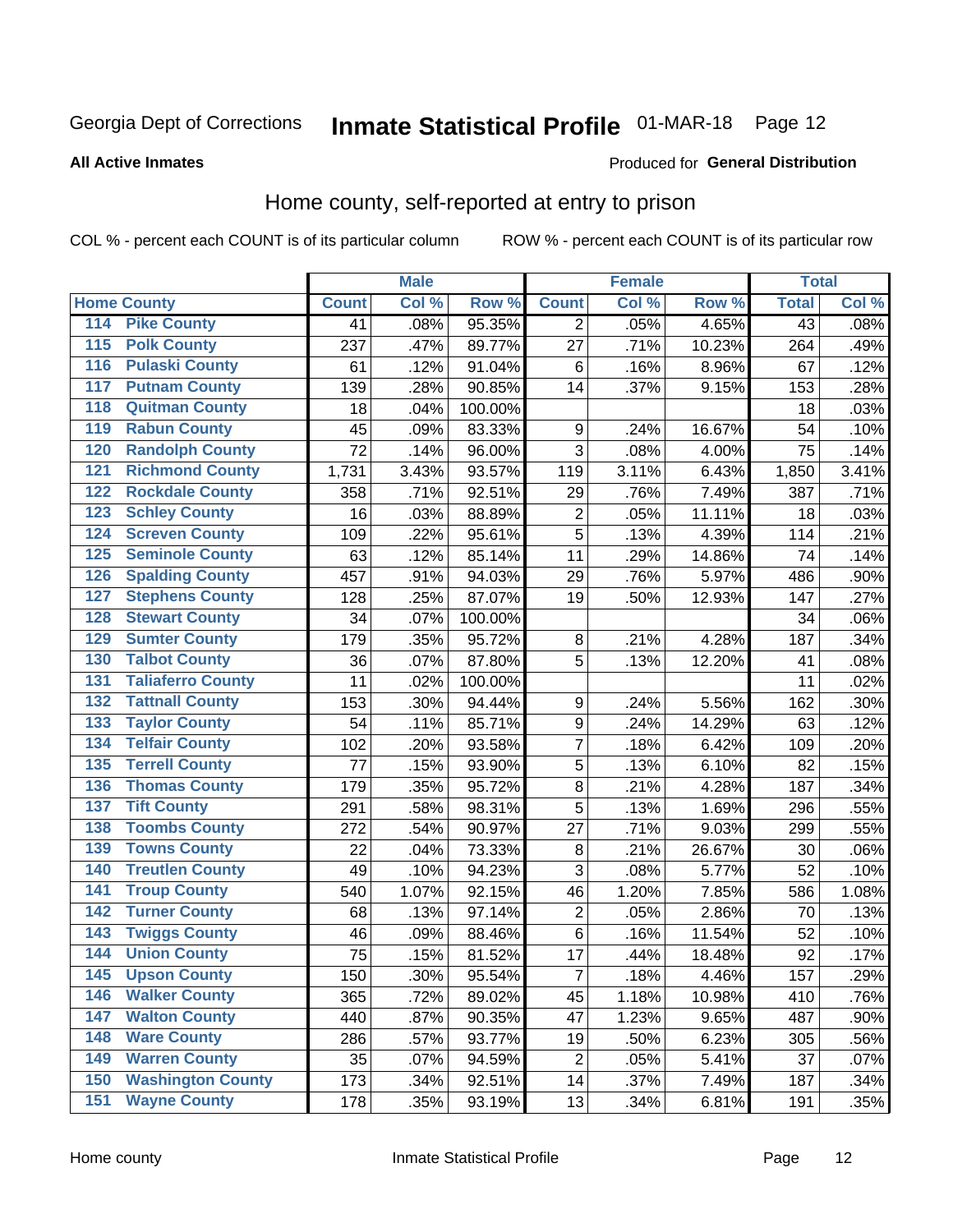# Inmate Statistical Profile 01-MAR-18 Page 12

#### **All Active Inmates**

#### Produced for General Distribution

### Home county, self-reported at entry to prison

COL % - percent each COUNT is of its particular column

|                  |                          |              | <b>Male</b> |         |                  | <b>Female</b> |        | <b>Total</b>    |       |
|------------------|--------------------------|--------------|-------------|---------|------------------|---------------|--------|-----------------|-------|
|                  | <b>Home County</b>       | <b>Count</b> | Col %       | Row %   | <b>Count</b>     | Col %         | Row %  | <b>Total</b>    | Col % |
| 114              | <b>Pike County</b>       | 41           | .08%        | 95.35%  | $\overline{2}$   | .05%          | 4.65%  | $\overline{43}$ | .08%  |
| $\overline{115}$ | <b>Polk County</b>       | 237          | .47%        | 89.77%  | 27               | .71%          | 10.23% | 264             | .49%  |
| 116              | <b>Pulaski County</b>    | 61           | .12%        | 91.04%  | $\,6$            | .16%          | 8.96%  | 67              | .12%  |
| 117              | <b>Putnam County</b>     | 139          | .28%        | 90.85%  | 14               | .37%          | 9.15%  | 153             | .28%  |
| 118              | <b>Quitman County</b>    | 18           | .04%        | 100.00% |                  |               |        | 18              | .03%  |
| 119              | <b>Rabun County</b>      | 45           | .09%        | 83.33%  | $\boldsymbol{9}$ | .24%          | 16.67% | 54              | .10%  |
| 120              | <b>Randolph County</b>   | 72           | .14%        | 96.00%  | $\overline{3}$   | .08%          | 4.00%  | 75              | .14%  |
| 121              | <b>Richmond County</b>   | 1,731        | 3.43%       | 93.57%  | 119              | 3.11%         | 6.43%  | 1,850           | 3.41% |
| 122              | <b>Rockdale County</b>   | 358          | .71%        | 92.51%  | 29               | .76%          | 7.49%  | 387             | .71%  |
| 123              | <b>Schley County</b>     | 16           | .03%        | 88.89%  | $\mathbf 2$      | .05%          | 11.11% | 18              | .03%  |
| 124              | <b>Screven County</b>    | 109          | .22%        | 95.61%  | $\overline{5}$   | .13%          | 4.39%  | 114             | .21%  |
| 125              | <b>Seminole County</b>   | 63           | .12%        | 85.14%  | 11               | .29%          | 14.86% | 74              | .14%  |
| 126              | <b>Spalding County</b>   | 457          | .91%        | 94.03%  | 29               | .76%          | 5.97%  | 486             | .90%  |
| 127              | <b>Stephens County</b>   | 128          | .25%        | 87.07%  | 19               | .50%          | 12.93% | 147             | .27%  |
| 128              | <b>Stewart County</b>    | 34           | .07%        | 100.00% |                  |               |        | 34              | .06%  |
| 129              | <b>Sumter County</b>     | 179          | .35%        | 95.72%  | 8                | .21%          | 4.28%  | 187             | .34%  |
| 130              | <b>Talbot County</b>     | 36           | .07%        | 87.80%  | 5                | .13%          | 12.20% | 41              | .08%  |
| 131              | <b>Taliaferro County</b> | 11           | .02%        | 100.00% |                  |               |        | 11              | .02%  |
| 132              | <b>Tattnall County</b>   | 153          | .30%        | 94.44%  | $\boldsymbol{9}$ | .24%          | 5.56%  | 162             | .30%  |
| 133              | <b>Taylor County</b>     | 54           | .11%        | 85.71%  | $\boldsymbol{9}$ | .24%          | 14.29% | 63              | .12%  |
| 134              | <b>Telfair County</b>    | 102          | .20%        | 93.58%  | 7                | .18%          | 6.42%  | 109             | .20%  |
| 135              | <b>Terrell County</b>    | 77           | .15%        | 93.90%  | 5                | .13%          | 6.10%  | 82              | .15%  |
| 136              | <b>Thomas County</b>     | 179          | .35%        | 95.72%  | $\overline{8}$   | .21%          | 4.28%  | 187             | .34%  |
| 137              | <b>Tift County</b>       | 291          | .58%        | 98.31%  | 5                | .13%          | 1.69%  | 296             | .55%  |
| 138              | <b>Toombs County</b>     | 272          | .54%        | 90.97%  | 27               | .71%          | 9.03%  | 299             | .55%  |
| 139              | <b>Towns County</b>      | 22           | .04%        | 73.33%  | $\bf 8$          | .21%          | 26.67% | 30              | .06%  |
| 140              | <b>Treutlen County</b>   | 49           | .10%        | 94.23%  | $\overline{3}$   | .08%          | 5.77%  | 52              | .10%  |
| 141              | <b>Troup County</b>      | 540          | 1.07%       | 92.15%  | 46               | 1.20%         | 7.85%  | 586             | 1.08% |
| $\overline{142}$ | <b>Turner County</b>     | 68           | .13%        | 97.14%  | $\overline{c}$   | .05%          | 2.86%  | 70              | .13%  |
| 143              | <b>Twiggs County</b>     | 46           | .09%        | 88.46%  | $\,6$            | .16%          | 11.54% | 52              | .10%  |
| 144              | <b>Union County</b>      | 75           | .15%        | 81.52%  | 17               | .44%          | 18.48% | 92              | .17%  |
| 145              | <b>Upson County</b>      | 150          | .30%        | 95.54%  | $\overline{7}$   | .18%          | 4.46%  | 157             | .29%  |
| 146              | <b>Walker County</b>     | 365          | .72%        | 89.02%  | 45               | 1.18%         | 10.98% | 410             | .76%  |
| 147              | <b>Walton County</b>     | 440          | .87%        | 90.35%  | 47               | 1.23%         | 9.65%  | 487             | .90%  |
| 148              | <b>Ware County</b>       | 286          | .57%        | 93.77%  | 19               | .50%          | 6.23%  | 305             | .56%  |
| 149              | <b>Warren County</b>     | 35           | .07%        | 94.59%  | $\overline{2}$   | .05%          | 5.41%  | 37              | .07%  |
| 150              | <b>Washington County</b> | 173          | .34%        | 92.51%  | 14               | .37%          | 7.49%  | 187             | .34%  |
| 151              | <b>Wayne County</b>      | 178          | .35%        | 93.19%  | 13               | .34%          | 6.81%  | 191             | .35%  |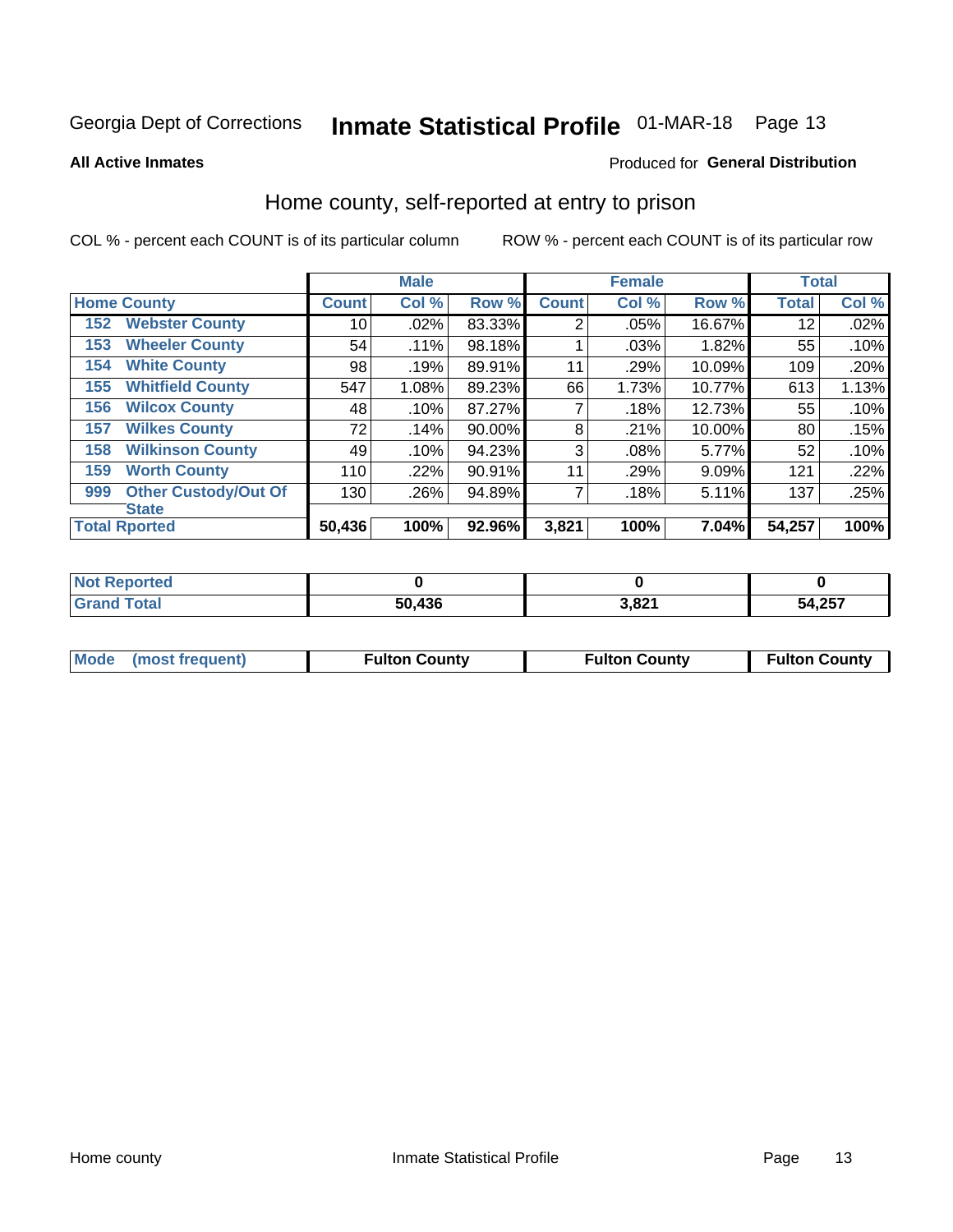# Inmate Statistical Profile 01-MAR-18 Page 13

**All Active Inmates** 

#### Produced for General Distribution

### Home county, self-reported at entry to prison

COL % - percent each COUNT is of its particular column

|     |                             |              | <b>Male</b> |        |                | <b>Female</b> |        | <b>Total</b> |       |
|-----|-----------------------------|--------------|-------------|--------|----------------|---------------|--------|--------------|-------|
|     | <b>Home County</b>          | <b>Count</b> | Col %       | Row %  | <b>Count</b>   | Col %         | Row %  | <b>Total</b> | Col % |
| 152 | <b>Webster County</b>       | 10           | .02%        | 83.33% | $\overline{2}$ | .05%          | 16.67% | 12           | .02%  |
| 153 | <b>Wheeler County</b>       | 54           | .11%        | 98.18% |                | .03%          | 1.82%  | 55           | .10%  |
| 154 | <b>White County</b>         | 98           | .19%        | 89.91% | 11             | .29%          | 10.09% | 109          | .20%  |
| 155 | <b>Whitfield County</b>     | 547          | 1.08%       | 89.23% | 66             | 1.73%         | 10.77% | 613          | 1.13% |
| 156 | <b>Wilcox County</b>        | 48           | .10%        | 87.27% | 7              | .18%          | 12.73% | 55           | .10%  |
| 157 | <b>Wilkes County</b>        | 72           | .14%        | 90.00% | 8              | .21%          | 10.00% | 80           | .15%  |
| 158 | <b>Wilkinson County</b>     | 49           | .10%        | 94.23% | 3              | .08%          | 5.77%  | 52           | .10%  |
| 159 | <b>Worth County</b>         | 110          | $.22\%$     | 90.91% | 11             | .29%          | 9.09%  | 121          | .22%  |
| 999 | <b>Other Custody/Out Of</b> | 130          | .26%        | 94.89% | 7              | .18%          | 5.11%  | 137          | .25%  |
|     | <b>State</b>                |              |             |        |                |               |        |              |       |
|     | <b>Total Rported</b>        | 50,436       | 100%        | 92.96% | 3,821          | 100%          | 7.04%  | 54,257       | 100%  |

| <b>Not</b><br>Reported |        |       |        |
|------------------------|--------|-------|--------|
| <b>Total</b>           | 50,436 | 3,821 | 54,257 |

| Mode (most frequent) | <b>Fulton County</b> | <b>Fulton County</b> | <b>Fulton County</b> |
|----------------------|----------------------|----------------------|----------------------|
|                      |                      |                      |                      |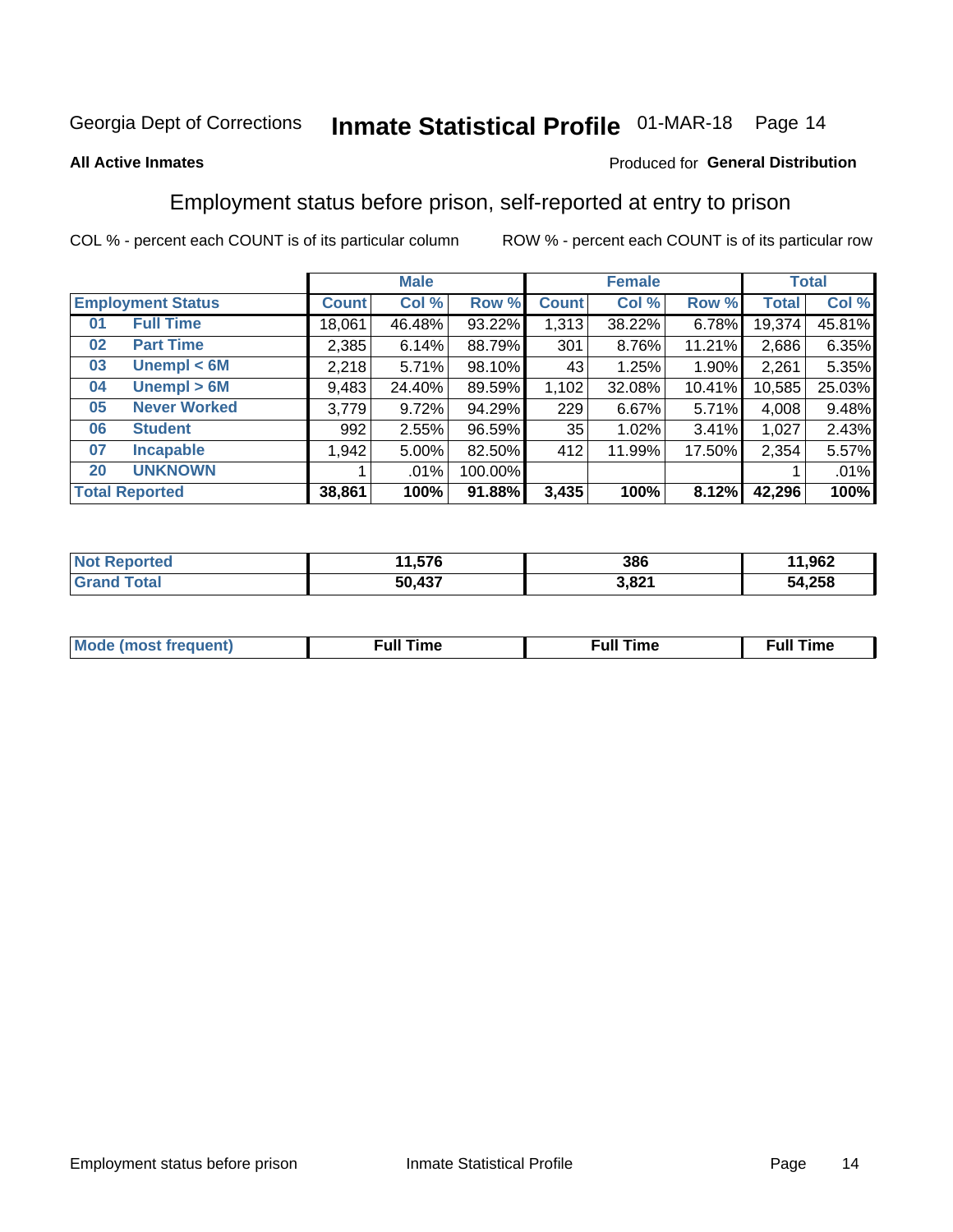# Inmate Statistical Profile 01-MAR-18 Page 14

#### **All Active Inmates**

#### Produced for General Distribution

### Employment status before prison, self-reported at entry to prison

COL % - percent each COUNT is of its particular column

|                           | <b>Male</b>  |        | <b>Female</b> |              |        | <b>Total</b> |        |        |
|---------------------------|--------------|--------|---------------|--------------|--------|--------------|--------|--------|
| <b>Employment Status</b>  | <b>Count</b> | Col %  | Row %         | <b>Count</b> | Col %  | Row %        | Total  | Col %  |
| <b>Full Time</b><br>01    | 18,061       | 46.48% | 93.22%        | 1,313        | 38.22% | 6.78%        | 19,374 | 45.81% |
| <b>Part Time</b><br>02    | 2,385        | 6.14%  | 88.79%        | 301          | 8.76%  | 11.21%       | 2,686  | 6.35%  |
| Unempl $<$ 6M<br>03       | 2,218        | 5.71%  | 98.10%        | 431          | 1.25%  | 1.90%        | 2,261  | 5.35%  |
| Unempl > 6M<br>04         | 9,483        | 24.40% | 89.59%        | 1,102        | 32.08% | 10.41%       | 10,585 | 25.03% |
| <b>Never Worked</b><br>05 | 3,779        | 9.72%  | 94.29%        | 229          | 6.67%  | 5.71%        | 4,008  | 9.48%  |
| <b>Student</b><br>06      | 992          | 2.55%  | 96.59%        | 35           | 1.02%  | 3.41%        | 1,027  | 2.43%  |
| <b>Incapable</b><br>07    | 1,942        | 5.00%  | 82.50%        | 412          | 11.99% | 17.50%       | 2,354  | 5.57%  |
| <b>UNKNOWN</b><br>20      |              | .01%   | 100.00%       |              |        |              |        | .01%   |
| <b>Total Reported</b>     | 38,861       | 100%   | 91.88%        | 3,435        | 100%   | 8.12%        | 42,296 | 100%   |

| <b>Not Reported</b> | 11,576 | 386   | 11,962 |
|---------------------|--------|-------|--------|
| <b>Grand Total</b>  | 50,437 | 3,821 | 54,258 |

| <b>Mode (most frequent)</b> | $^{\prime\prime}$ Time | <b>Time</b><br>rull i |
|-----------------------------|------------------------|-----------------------|
|                             |                        |                       |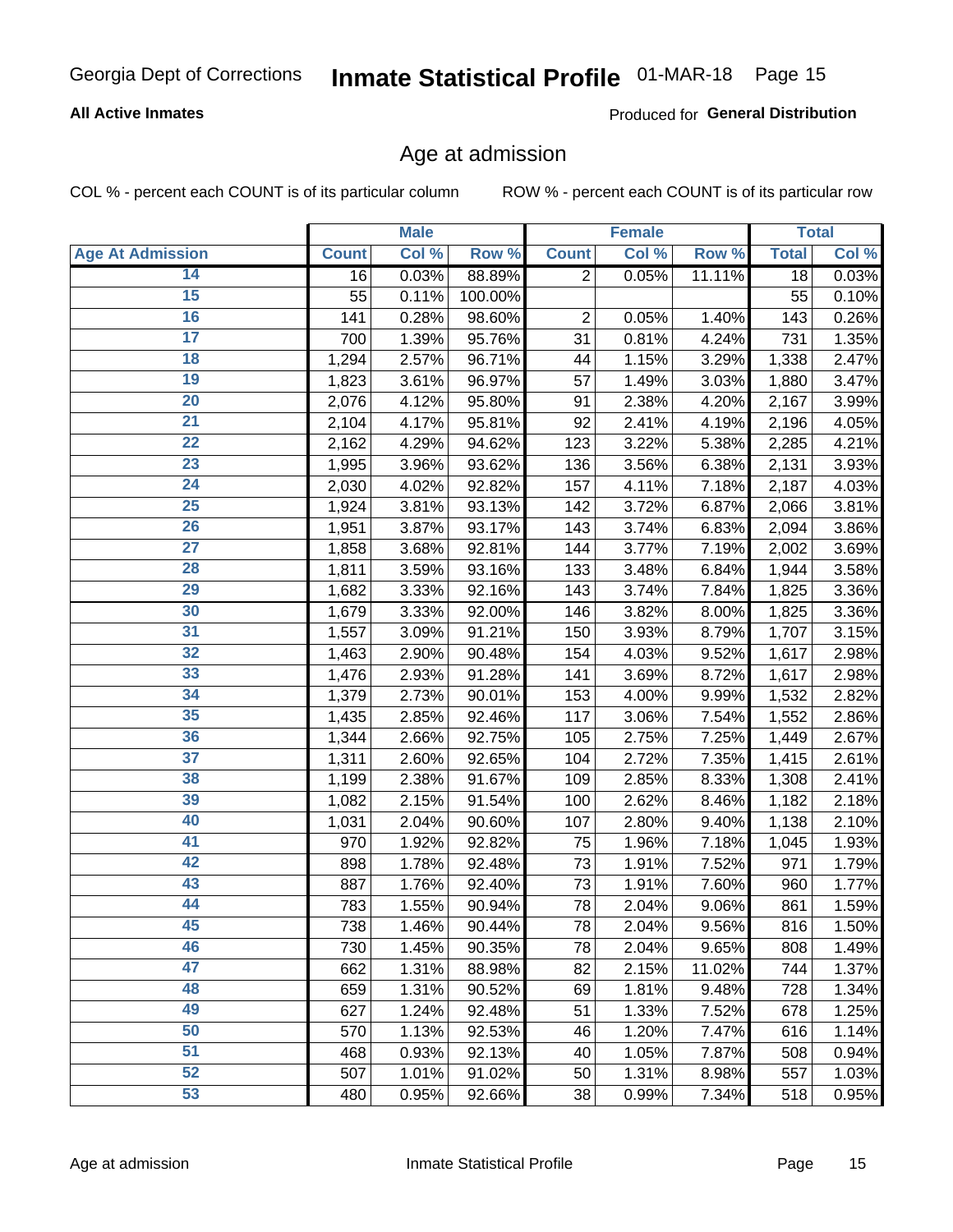#### **All Active Inmates**

Produced for General Distribution

### Age at admission

COL % - percent each COUNT is of its particular column

|                         |              | <b>Male</b> |         |                | <b>Female</b> |        |              | <b>Total</b> |
|-------------------------|--------------|-------------|---------|----------------|---------------|--------|--------------|--------------|
| <b>Age At Admission</b> | <b>Count</b> | Col %       | Row %   | <b>Count</b>   | Col %         | Row %  | <b>Total</b> | Col %        |
| 14                      | 16           | 0.03%       | 88.89%  | $\overline{2}$ | 0.05%         | 11.11% | 18           | 0.03%        |
| 15                      | 55           | 0.11%       | 100.00% |                |               |        | 55           | 0.10%        |
| 16                      | 141          | 0.28%       | 98.60%  | 2              | 0.05%         | 1.40%  | 143          | 0.26%        |
| $\overline{17}$         | 700          | 1.39%       | 95.76%  | 31             | 0.81%         | 4.24%  | 731          | 1.35%        |
| $\overline{18}$         | 1,294        | 2.57%       | 96.71%  | 44             | 1.15%         | 3.29%  | 1,338        | 2.47%        |
| 19                      | 1,823        | 3.61%       | 96.97%  | 57             | 1.49%         | 3.03%  | 1,880        | 3.47%        |
| 20                      | 2,076        | 4.12%       | 95.80%  | 91             | 2.38%         | 4.20%  | 2,167        | 3.99%        |
| $\overline{21}$         | 2,104        | 4.17%       | 95.81%  | 92             | 2.41%         | 4.19%  | 2,196        | 4.05%        |
| $\overline{22}$         | 2,162        | 4.29%       | 94.62%  | 123            | 3.22%         | 5.38%  | 2,285        | 4.21%        |
| 23                      | 1,995        | 3.96%       | 93.62%  | 136            | 3.56%         | 6.38%  | 2,131        | 3.93%        |
| 24                      | 2,030        | 4.02%       | 92.82%  | 157            | 4.11%         | 7.18%  | 2,187        | 4.03%        |
| $\overline{25}$         | 1,924        | 3.81%       | 93.13%  | 142            | 3.72%         | 6.87%  | 2,066        | 3.81%        |
| $\overline{26}$         | 1,951        | 3.87%       | 93.17%  | 143            | 3.74%         | 6.83%  | 2,094        | 3.86%        |
| $\overline{27}$         | 1,858        | 3.68%       | 92.81%  | 144            | 3.77%         | 7.19%  | 2,002        | 3.69%        |
| 28                      | 1,811        | 3.59%       | 93.16%  | 133            | 3.48%         | 6.84%  | 1,944        | 3.58%        |
| 29                      | 1,682        | 3.33%       | 92.16%  | 143            | 3.74%         | 7.84%  | 1,825        | 3.36%        |
| 30                      | 1,679        | 3.33%       | 92.00%  | 146            | 3.82%         | 8.00%  | 1,825        | 3.36%        |
| 31                      | 1,557        | 3.09%       | 91.21%  | 150            | 3.93%         | 8.79%  | 1,707        | 3.15%        |
| 32                      | 1,463        | 2.90%       | 90.48%  | 154            | 4.03%         | 9.52%  | 1,617        | 2.98%        |
| 33                      | 1,476        | 2.93%       | 91.28%  | 141            | 3.69%         | 8.72%  | 1,617        | 2.98%        |
| 34                      | 1,379        | 2.73%       | 90.01%  | 153            | 4.00%         | 9.99%  | 1,532        | 2.82%        |
| 35                      | 1,435        | 2.85%       | 92.46%  | 117            | 3.06%         | 7.54%  | 1,552        | 2.86%        |
| 36                      | 1,344        | 2.66%       | 92.75%  | 105            | 2.75%         | 7.25%  | 1,449        | 2.67%        |
| 37                      | 1,311        | 2.60%       | 92.65%  | 104            | 2.72%         | 7.35%  | 1,415        | 2.61%        |
| 38                      | 1,199        | 2.38%       | 91.67%  | 109            | 2.85%         | 8.33%  | 1,308        | 2.41%        |
| 39                      | 1,082        | 2.15%       | 91.54%  | 100            | 2.62%         | 8.46%  | 1,182        | 2.18%        |
| 40                      | 1,031        | 2.04%       | 90.60%  | 107            | 2.80%         | 9.40%  | 1,138        | 2.10%        |
| 41                      | 970          | 1.92%       | 92.82%  | 75             | 1.96%         | 7.18%  | 1,045        | 1.93%        |
| 42                      | 898          | 1.78%       | 92.48%  | 73             | 1.91%         | 7.52%  | 971          | 1.79%        |
| 43                      | 887          | 1.76%       | 92.40%  | 73             | 1.91%         | 7.60%  | 960          | 1.77%        |
| 44                      | 783          | 1.55%       | 90.94%  | 78             | 2.04%         | 9.06%  | 861          | 1.59%        |
| 45                      | 738          | 1.46%       | 90.44%  | 78             | 2.04%         | 9.56%  | 816          | 1.50%        |
| 46                      | 730          | 1.45%       | 90.35%  | 78             | 2.04%         | 9.65%  | 808          | 1.49%        |
| 47                      | 662          | 1.31%       | 88.98%  | 82             | 2.15%         | 11.02% | 744          | 1.37%        |
| 48                      | 659          | 1.31%       | 90.52%  | 69             | 1.81%         | 9.48%  | 728          | 1.34%        |
| 49                      | 627          | 1.24%       | 92.48%  | 51             | 1.33%         | 7.52%  | 678          | 1.25%        |
| 50                      | 570          | 1.13%       | 92.53%  | 46             | 1.20%         | 7.47%  | 616          | 1.14%        |
| 51                      | 468          | 0.93%       | 92.13%  | 40             | 1.05%         | 7.87%  | 508          | 0.94%        |
| 52                      | 507          | 1.01%       | 91.02%  | 50             | 1.31%         | 8.98%  | 557          | 1.03%        |
| 53                      | 480          | 0.95%       | 92.66%  | 38             | 0.99%         | 7.34%  | 518          | 0.95%        |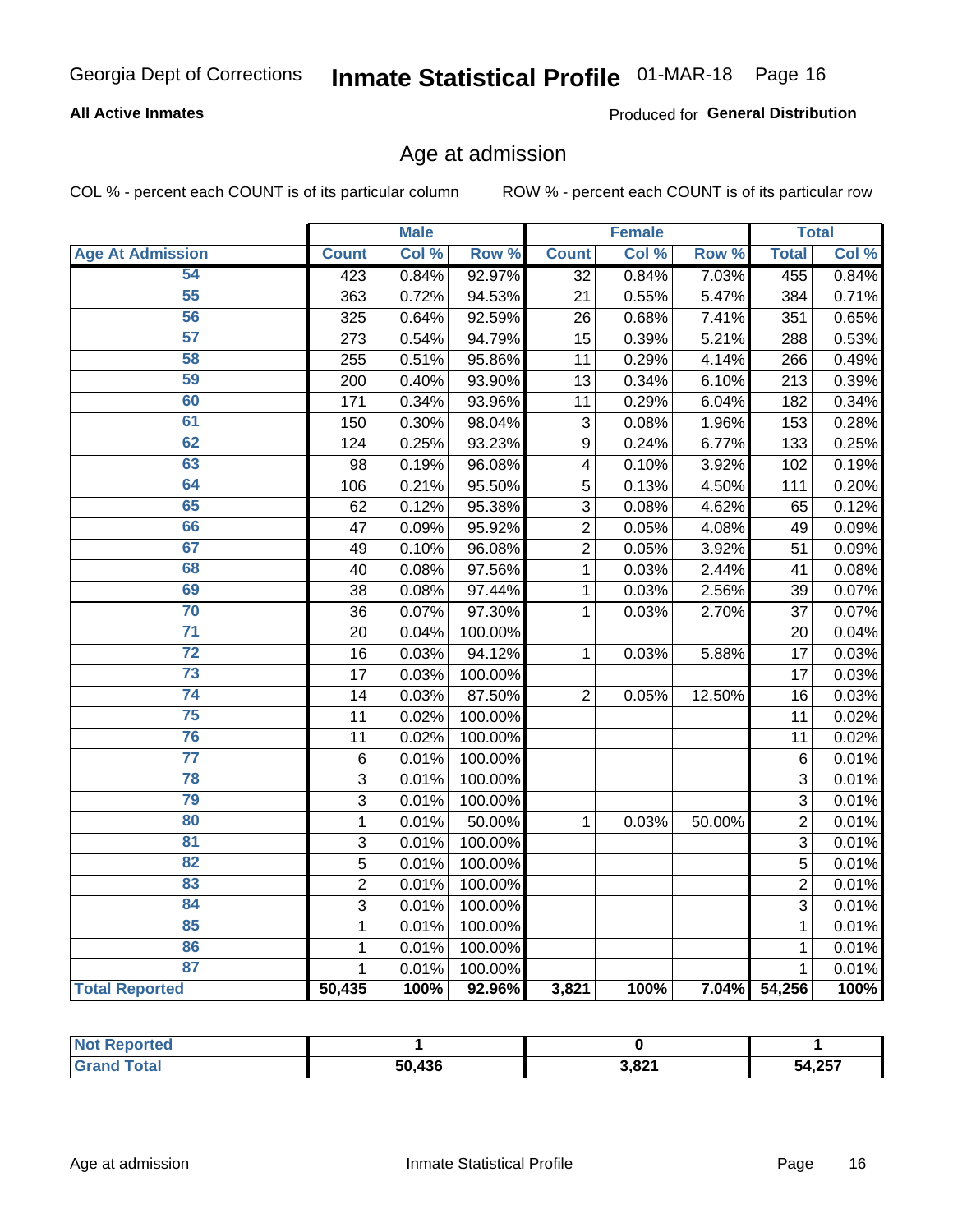#### **All Active Inmates**

Produced for General Distribution

### Age at admission

COL % - percent each COUNT is of its particular column

|                         |                | <b>Male</b> |         |                 | <b>Female</b> |        |                | <b>Total</b> |
|-------------------------|----------------|-------------|---------|-----------------|---------------|--------|----------------|--------------|
| <b>Age At Admission</b> | <b>Count</b>   | Col %       | Row %   | <b>Count</b>    | Col %         | Row %  | <b>Total</b>   | Col %        |
| 54                      | 423            | 0.84%       | 92.97%  | $\overline{32}$ | 0.84%         | 7.03%  | 455            | 0.84%        |
| 55                      | 363            | 0.72%       | 94.53%  | 21              | 0.55%         | 5.47%  | 384            | 0.71%        |
| 56                      | 325            | 0.64%       | 92.59%  | 26              | 0.68%         | 7.41%  | 351            | 0.65%        |
| 57                      | 273            | 0.54%       | 94.79%  | 15              | 0.39%         | 5.21%  | 288            | 0.53%        |
| 58                      | 255            | 0.51%       | 95.86%  | 11              | 0.29%         | 4.14%  | 266            | 0.49%        |
| 59                      | 200            | 0.40%       | 93.90%  | 13              | 0.34%         | 6.10%  | 213            | 0.39%        |
| 60                      | 171            | 0.34%       | 93.96%  | 11              | 0.29%         | 6.04%  | 182            | 0.34%        |
| 61                      | 150            | 0.30%       | 98.04%  | 3               | 0.08%         | 1.96%  | 153            | 0.28%        |
| 62                      | 124            | 0.25%       | 93.23%  | 9               | 0.24%         | 6.77%  | 133            | 0.25%        |
| 63                      | 98             | 0.19%       | 96.08%  | 4               | 0.10%         | 3.92%  | 102            | 0.19%        |
| 64                      | 106            | 0.21%       | 95.50%  | $\overline{5}$  | 0.13%         | 4.50%  | 111            | 0.20%        |
| 65                      | 62             | 0.12%       | 95.38%  | 3               | 0.08%         | 4.62%  | 65             | 0.12%        |
| 66                      | 47             | 0.09%       | 95.92%  | $\overline{c}$  | 0.05%         | 4.08%  | 49             | 0.09%        |
| 67                      | 49             | 0.10%       | 96.08%  | $\overline{2}$  | 0.05%         | 3.92%  | 51             | 0.09%        |
| 68                      | 40             | 0.08%       | 97.56%  | 1               | 0.03%         | 2.44%  | 41             | 0.08%        |
| 69                      | 38             | 0.08%       | 97.44%  | 1               | 0.03%         | 2.56%  | 39             | 0.07%        |
| 70                      | 36             | 0.07%       | 97.30%  | $\mathbf{1}$    | 0.03%         | 2.70%  | 37             | 0.07%        |
| $\overline{71}$         | 20             | 0.04%       | 100.00% |                 |               |        | 20             | 0.04%        |
| $\overline{72}$         | 16             | 0.03%       | 94.12%  | $\mathbf{1}$    | 0.03%         | 5.88%  | 17             | 0.03%        |
| 73                      | 17             | 0.03%       | 100.00% |                 |               |        | 17             | 0.03%        |
| $\overline{74}$         | 14             | 0.03%       | 87.50%  | $\overline{2}$  | 0.05%         | 12.50% | 16             | 0.03%        |
| 75                      | 11             | 0.02%       | 100.00% |                 |               |        | 11             | 0.02%        |
| 76                      | 11             | 0.02%       | 100.00% |                 |               |        | 11             | 0.02%        |
| $\overline{77}$         | 6              | 0.01%       | 100.00% |                 |               |        | 6              | 0.01%        |
| 78                      | 3              | 0.01%       | 100.00% |                 |               |        | 3              | 0.01%        |
| 79                      | 3              | 0.01%       | 100.00% |                 |               |        | 3              | 0.01%        |
| 80                      | $\mathbf 1$    | 0.01%       | 50.00%  | $\mathbf{1}$    | 0.03%         | 50.00% | $\overline{2}$ | 0.01%        |
| 81                      | $\mathbf{3}$   | 0.01%       | 100.00% |                 |               |        | 3              | 0.01%        |
| 82                      | 5              | 0.01%       | 100.00% |                 |               |        | 5              | 0.01%        |
| 83                      | $\overline{2}$ | 0.01%       | 100.00% |                 |               |        | $\overline{2}$ | 0.01%        |
| 84                      | 3              | 0.01%       | 100.00% |                 |               |        | 3              | 0.01%        |
| 85                      | $\mathbf 1$    | 0.01%       | 100.00% |                 |               |        | $\mathbf{1}$   | 0.01%        |
| 86                      | 1              | 0.01%       | 100.00% |                 |               |        | $\mathbf{1}$   | 0.01%        |
| 87                      | $\mathbf{1}$   | 0.01%       | 100.00% |                 |               |        | 1              | 0.01%        |
| <b>Total Reported</b>   | 50,435         | 100%        | 92.96%  | 3,821           | 100%          | 7.04%  | 54,256         | 100%         |

| <b>Not Reported</b> |        |                 |        |
|---------------------|--------|-----------------|--------|
| Total               | 50,436 | 001 כ<br>. גס,כ | 54,257 |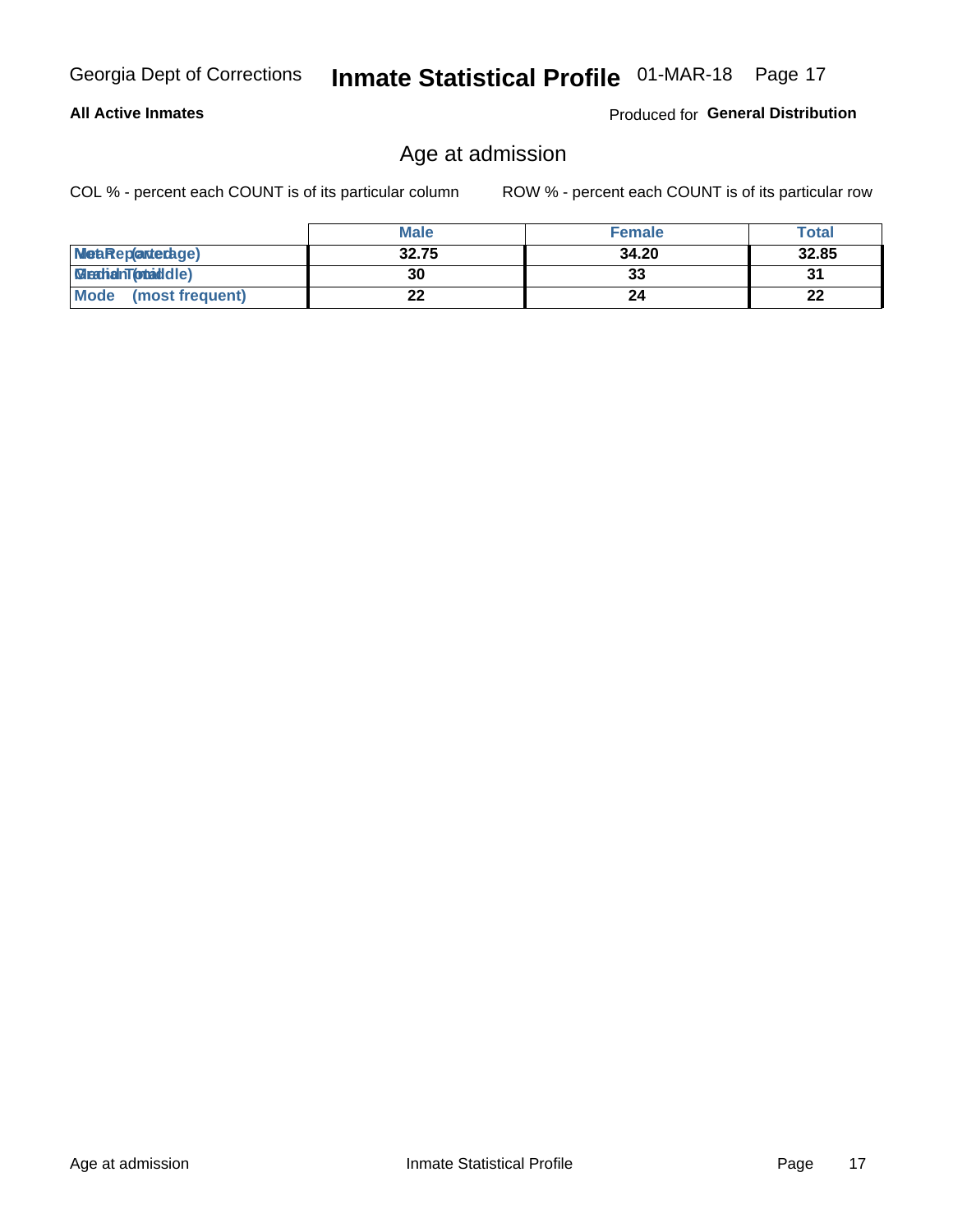#### **All Active Inmates**

Produced for General Distribution

## Age at admission

COL % - percent each COUNT is of its particular column

|                                | <b>Male</b> | <b>Female</b> | <b>Total</b> |
|--------------------------------|-------------|---------------|--------------|
| MetaRep(arterdage)             | 32.75       | 34.20         | 32.85        |
| <b>MeatianTotaddle)</b>        | 30          | 33            | 31           |
| <b>Mode</b><br>(most frequent) | 22          | 24            | 22           |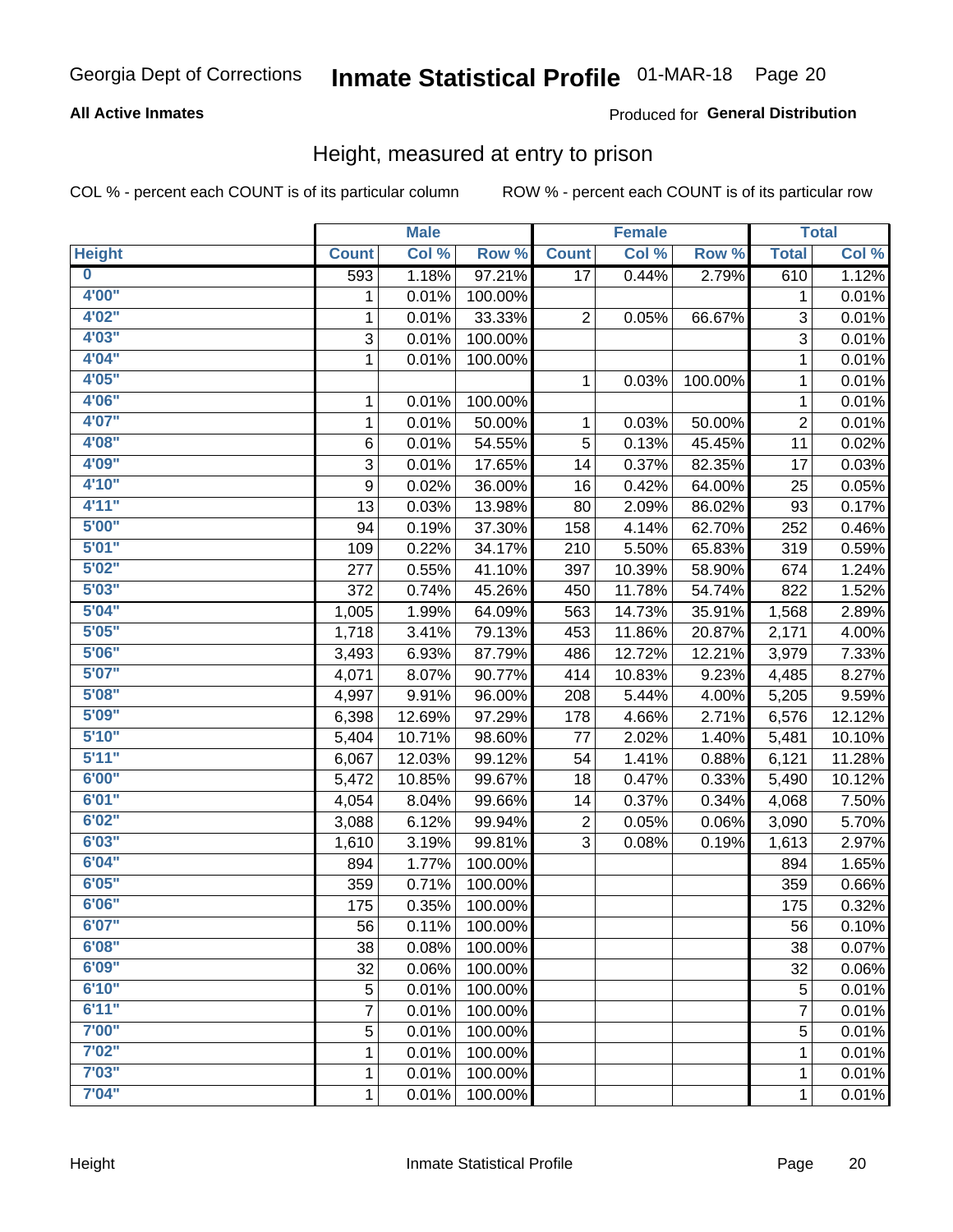#### **All Active Inmates**

#### Produced for General Distribution

### Height, measured at entry to prison

COL % - percent each COUNT is of its particular column

|                         |              | <b>Male</b> |         |              | <b>Female</b> |         |                | <b>Total</b> |
|-------------------------|--------------|-------------|---------|--------------|---------------|---------|----------------|--------------|
| <b>Height</b>           | <b>Count</b> | Col %       | Row %   | <b>Count</b> | Col %         | Row %   | <b>Total</b>   | Col %        |
| $\overline{\mathbf{0}}$ | 593          | 1.18%       | 97.21%  | 17           | 0.44%         | 2.79%   | 610            | 1.12%        |
| 4'00"                   | 1            | 0.01%       | 100.00% |              |               |         | 1              | 0.01%        |
| 4'02''                  | 1            | 0.01%       | 33.33%  | 2            | 0.05%         | 66.67%  | 3              | 0.01%        |
| 4'03''                  | 3            | 0.01%       | 100.00% |              |               |         | 3              | 0.01%        |
| 4'04"                   | $\mathbf{1}$ | 0.01%       | 100.00% |              |               |         | 1              | 0.01%        |
| 4'05"                   |              |             |         | 1            | 0.03%         | 100.00% | 1              | 0.01%        |
| 4'06"                   | 1            | 0.01%       | 100.00% |              |               |         | 1              | 0.01%        |
| 4'07"                   | 1            | 0.01%       | 50.00%  | 1            | 0.03%         | 50.00%  | $\overline{c}$ | 0.01%        |
| 4'08"                   | 6            | 0.01%       | 54.55%  | 5            | 0.13%         | 45.45%  | 11             | 0.02%        |
| 4'09"                   | 3            | 0.01%       | 17.65%  | 14           | 0.37%         | 82.35%  | 17             | 0.03%        |
| 4'10"                   | 9            | 0.02%       | 36.00%  | 16           | 0.42%         | 64.00%  | 25             | 0.05%        |
| 4'11''                  | 13           | 0.03%       | 13.98%  | 80           | 2.09%         | 86.02%  | 93             | 0.17%        |
| 5'00''                  | 94           | 0.19%       | 37.30%  | 158          | 4.14%         | 62.70%  | 252            | 0.46%        |
| 5'01"                   | 109          | 0.22%       | 34.17%  | 210          | 5.50%         | 65.83%  | 319            | 0.59%        |
| 5'02"                   | 277          | 0.55%       | 41.10%  | 397          | 10.39%        | 58.90%  | 674            | 1.24%        |
| 5'03''                  | 372          | 0.74%       | 45.26%  | 450          | 11.78%        | 54.74%  | 822            | 1.52%        |
| 5'04"                   | 1,005        | 1.99%       | 64.09%  | 563          | 14.73%        | 35.91%  | 1,568          | 2.89%        |
| 5'05"                   | 1,718        | 3.41%       | 79.13%  | 453          | 11.86%        | 20.87%  | 2,171          | 4.00%        |
| 5'06''                  | 3,493        | 6.93%       | 87.79%  | 486          | 12.72%        | 12.21%  | 3,979          | 7.33%        |
| 5'07''                  | 4,071        | 8.07%       | 90.77%  | 414          | 10.83%        | 9.23%   | 4,485          | 8.27%        |
| 5'08''                  | 4,997        | 9.91%       | 96.00%  | 208          | 5.44%         | 4.00%   | 5,205          | 9.59%        |
| 5'09''                  | 6,398        | 12.69%      | 97.29%  | 178          | 4.66%         | 2.71%   | 6,576          | 12.12%       |
| 5'10''                  | 5,404        | 10.71%      | 98.60%  | 77           | 2.02%         | 1.40%   | 5,481          | 10.10%       |
| 5'11"                   | 6,067        | 12.03%      | 99.12%  | 54           | 1.41%         | 0.88%   | 6,121          | 11.28%       |
| 6'00''                  | 5,472        | 10.85%      | 99.67%  | 18           | 0.47%         | 0.33%   | 5,490          | 10.12%       |
| 6'01''                  | 4,054        | 8.04%       | 99.66%  | 14           | 0.37%         | 0.34%   | 4,068          | 7.50%        |
| 6'02"                   | 3,088        | 6.12%       | 99.94%  | 2            | 0.05%         | 0.06%   | 3,090          | 5.70%        |
| 6'03''                  | 1,610        | 3.19%       | 99.81%  | 3            | 0.08%         | 0.19%   | 1,613          | 2.97%        |
| 6'04"                   | 894          | 1.77%       | 100.00% |              |               |         | 894            | 1.65%        |
| 6'05"                   | 359          | 0.71%       | 100.00% |              |               |         | 359            | 0.66%        |
| 6'06''                  | 175          | 0.35%       | 100.00% |              |               |         | 175            | 0.32%        |
| 6'07"                   | 56           | 0.11%       | 100.00% |              |               |         | 56             | 0.10%        |
| 6'08''                  | 38           | 0.08%       | 100.00% |              |               |         | 38             | 0.07%        |
| 6'09''                  | 32           | 0.06%       | 100.00% |              |               |         | 32             | 0.06%        |
| 6'10''                  | 5            | 0.01%       | 100.00% |              |               |         | 5              | 0.01%        |
| 6'11''                  | 7            | 0.01%       | 100.00% |              |               |         | $\overline{7}$ | 0.01%        |
| 7'00"                   | 5            | 0.01%       | 100.00% |              |               |         | 5              | 0.01%        |
| 7'02"                   | 1            | 0.01%       | 100.00% |              |               |         | 1              | 0.01%        |
| 7'03''                  | 1            | 0.01%       | 100.00% |              |               |         | 1              | 0.01%        |
| 7'04"                   | $\mathbf{1}$ | 0.01%       | 100.00% |              |               |         | $\mathbf{1}$   | 0.01%        |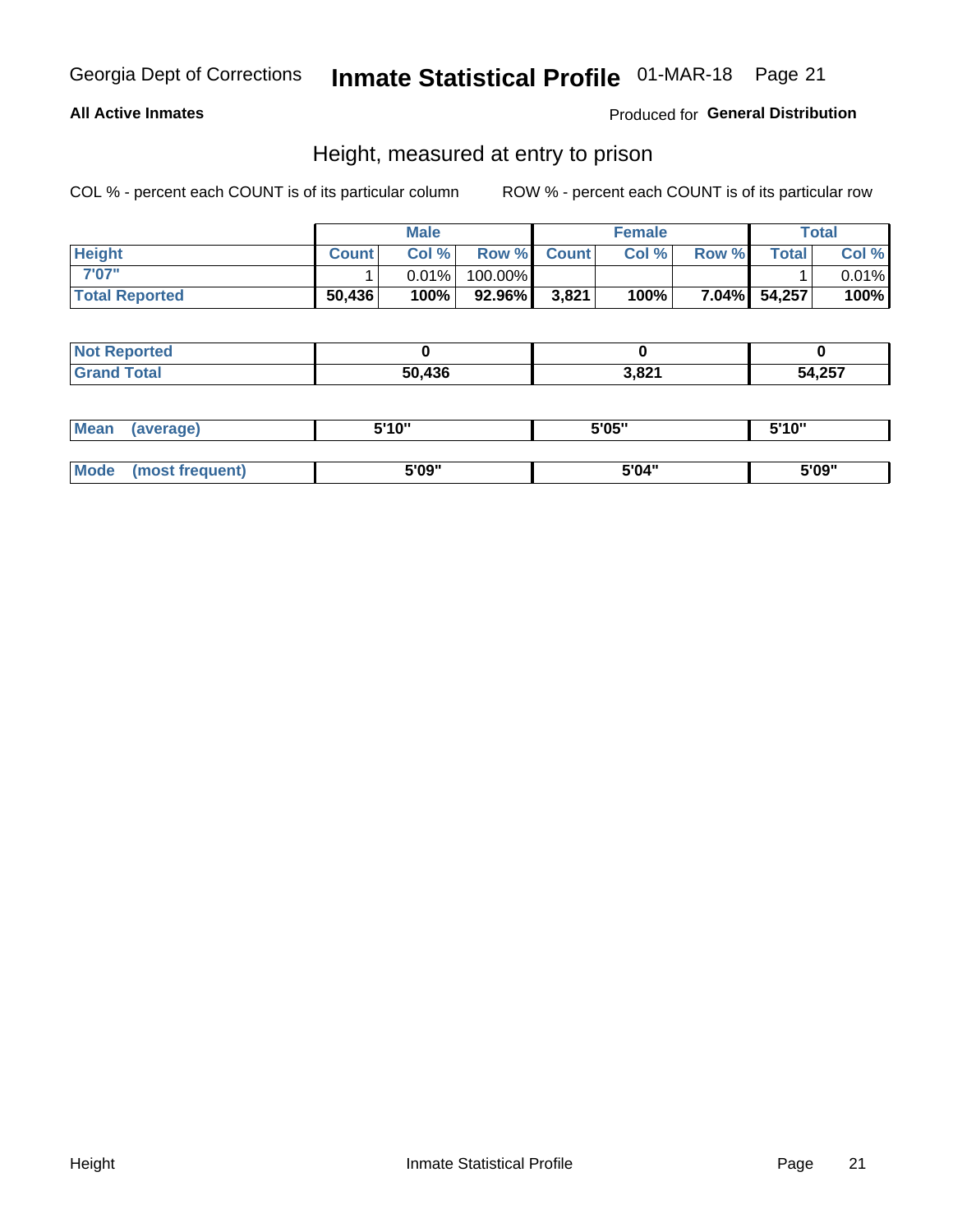#### **All Active Inmates**

#### Produced for General Distribution

### Height, measured at entry to prison

COL % - percent each COUNT is of its particular column

|                       | <b>Male</b>  |          | <b>Female</b>      |       |       | <b>Total</b> |              |       |
|-----------------------|--------------|----------|--------------------|-------|-------|--------------|--------------|-------|
| <b>Height</b>         | <b>Count</b> | Col %    | <b>Row % Count</b> |       | Col % | Row %        | <b>Total</b> | Col % |
| 7'07"                 |              | $0.01\%$ | 100.00%            |       |       |              |              | 0.01% |
| <b>Total Reported</b> | 50,436       | 100%     | 92.96%             | 3,821 | 100%  |              | 7.04% 54,257 | 100%  |

| <b>Not Reported</b> |        |       |        |
|---------------------|--------|-------|--------|
| <b>Grand Total</b>  | 50.436 | 3,821 | 54,257 |

| <b>Mean</b> | (average)       | 5'10" | 5'05" | 5'10" |
|-------------|-----------------|-------|-------|-------|
|             |                 |       |       |       |
| <b>Mode</b> | (most frequent) | 5'09" | 5'04" | 5'09" |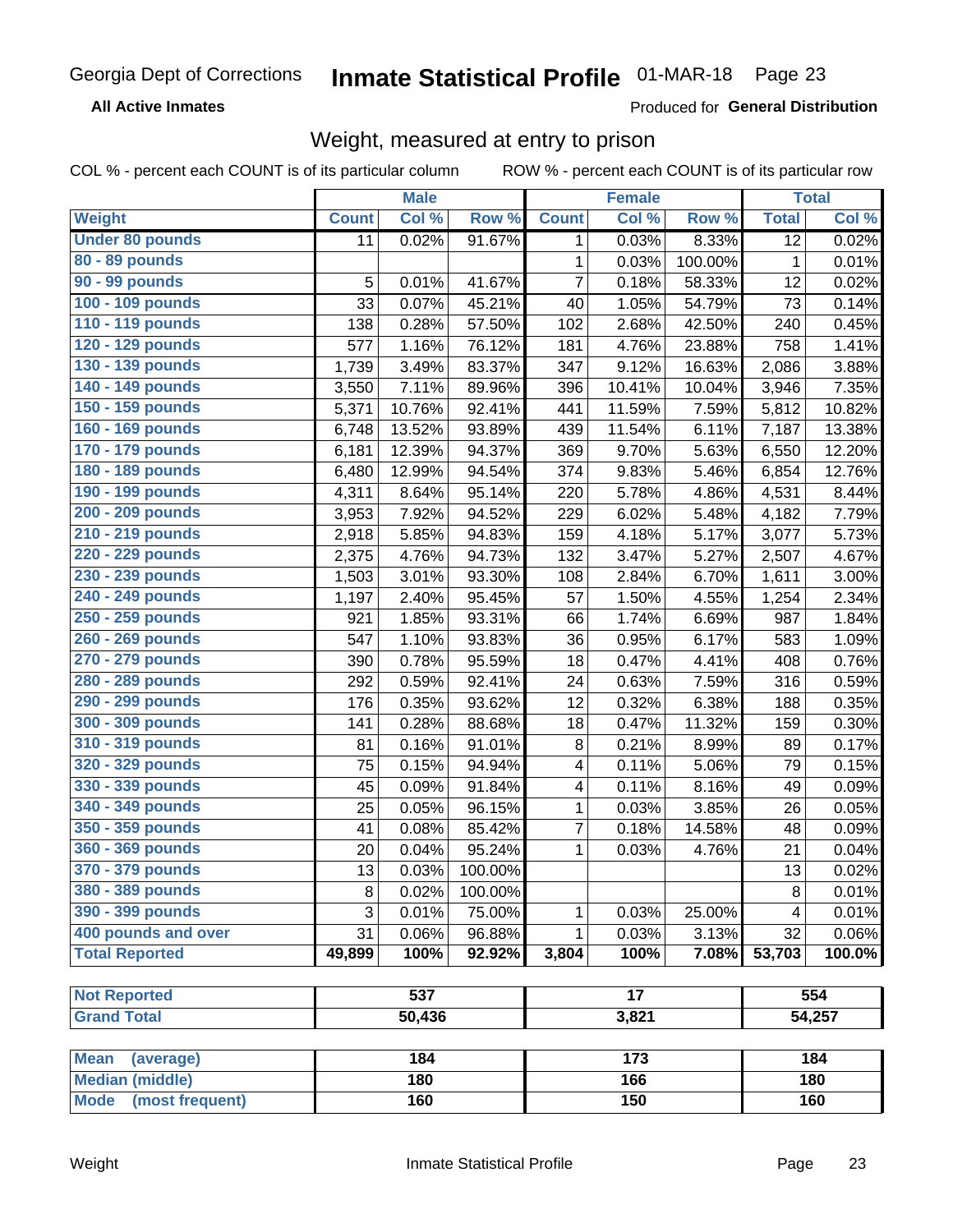**All Active Inmates** 

Produced for General Distribution

## Weight, measured at entry to prison

COL % - percent each COUNT is of its particular column

|                          |              | <b>Male</b>      |         |                         | <b>Female</b>   |         |                 | <b>Total</b> |
|--------------------------|--------------|------------------|---------|-------------------------|-----------------|---------|-----------------|--------------|
| Weight                   | <b>Count</b> | Col %            | Row %   | <b>Count</b>            | Col %           | Row %   | <b>Total</b>    | Col %        |
| <b>Under 80 pounds</b>   | 11           | 0.02%            | 91.67%  | 1                       | 0.03%           | 8.33%   | $\overline{12}$ | 0.02%        |
| 80 - 89 pounds           |              |                  |         | 1                       | 0.03%           | 100.00% | 1               | 0.01%        |
| 90 - 99 pounds           | 5            | 0.01%            | 41.67%  | $\overline{7}$          | 0.18%           | 58.33%  | 12              | 0.02%        |
| 100 - 109 pounds         | 33           | 0.07%            | 45.21%  | 40                      | 1.05%           | 54.79%  | 73              | 0.14%        |
| 110 - 119 pounds         | 138          | 0.28%            | 57.50%  | 102                     | 2.68%           | 42.50%  | 240             | 0.45%        |
| 120 - 129 pounds         | 577          | 1.16%            | 76.12%  | 181                     | 4.76%           | 23.88%  | 758             | 1.41%        |
| 130 - 139 pounds         | 1,739        | 3.49%            | 83.37%  | 347                     | 9.12%           | 16.63%  | 2,086           | 3.88%        |
| 140 - 149 pounds         | 3,550        | 7.11%            | 89.96%  | 396                     | 10.41%          | 10.04%  | 3,946           | 7.35%        |
| 150 - 159 pounds         | 5,371        | 10.76%           | 92.41%  | 441                     | 11.59%          | 7.59%   | 5,812           | 10.82%       |
| 160 - 169 pounds         | 6,748        | 13.52%           | 93.89%  | 439                     | 11.54%          | 6.11%   | 7,187           | 13.38%       |
| 170 - 179 pounds         | 6,181        | 12.39%           | 94.37%  | 369                     | 9.70%           | 5.63%   | 6,550           | 12.20%       |
| 180 - 189 pounds         | 6,480        | 12.99%           | 94.54%  | 374                     | 9.83%           | 5.46%   | 6,854           | 12.76%       |
| 190 - 199 pounds         | 4,311        | 8.64%            | 95.14%  | 220                     | 5.78%           | 4.86%   | 4,531           | 8.44%        |
| 200 - 209 pounds         | 3,953        | 7.92%            | 94.52%  | 229                     | 6.02%           | 5.48%   | 4,182           | 7.79%        |
| 210 - 219 pounds         | 2,918        | 5.85%            | 94.83%  | 159                     | 4.18%           | 5.17%   | 3,077           | 5.73%        |
| 220 - 229 pounds         | 2,375        | 4.76%            | 94.73%  | 132                     | 3.47%           | 5.27%   | 2,507           | 4.67%        |
| 230 - 239 pounds         | 1,503        | 3.01%            | 93.30%  | 108                     | 2.84%           | 6.70%   | 1,611           | 3.00%        |
| 240 - 249 pounds         | 1,197        | 2.40%            | 95.45%  | 57                      | 1.50%           | 4.55%   | 1,254           | 2.34%        |
| 250 - 259 pounds         | 921          | 1.85%            | 93.31%  | 66                      | 1.74%           | 6.69%   | 987             | 1.84%        |
| 260 - 269 pounds         | 547          | 1.10%            | 93.83%  | 36                      | 0.95%           | 6.17%   | 583             | 1.09%        |
| 270 - 279 pounds         | 390          | 0.78%            | 95.59%  | 18                      | 0.47%           | 4.41%   | 408             | 0.76%        |
| 280 - 289 pounds         | 292          | 0.59%            | 92.41%  | 24                      | 0.63%           | 7.59%   | 316             | 0.59%        |
| 290 - 299 pounds         | 176          | 0.35%            | 93.62%  | 12                      | 0.32%           | 6.38%   | 188             | 0.35%        |
| 300 - 309 pounds         | 141          | 0.28%            | 88.68%  | 18                      | 0.47%           | 11.32%  | 159             | 0.30%        |
| 310 - 319 pounds         | 81           | 0.16%            | 91.01%  | $\, 8$                  | 0.21%           | 8.99%   | 89              | 0.17%        |
| 320 - 329 pounds         | 75           | 0.15%            | 94.94%  | $\overline{\mathbf{4}}$ | 0.11%           | 5.06%   | 79              | 0.15%        |
| 330 - 339 pounds         | 45           | 0.09%            | 91.84%  | $\overline{\mathbf{4}}$ | 0.11%           | 8.16%   | 49              | 0.09%        |
| 340 - 349 pounds         | 25           | 0.05%            | 96.15%  | 1                       | 0.03%           | 3.85%   | 26              | 0.05%        |
| 350 - 359 pounds         | 41           | 0.08%            | 85.42%  | $\overline{7}$          | 0.18%           | 14.58%  | 48              | 0.09%        |
| 360 - 369 pounds         | 20           | 0.04%            | 95.24%  | 1                       | 0.03%           | 4.76%   | 21              | 0.04%        |
| 370 - 379 pounds         | 13           | 0.03%            | 100.00% |                         |                 |         | 13              | 0.02%        |
| 380 - 389 pounds         | 8            | 0.02%            | 100.00% |                         |                 |         | $\bf 8$         | 0.01%        |
| 390 - 399 pounds         | 3            | 0.01%            | 75.00%  | 1                       | 0.03%           | 25.00%  | 4               | 0.01%        |
| 400 pounds and over      | 31           | 0.06%            | 96.88%  | 1                       | 0.03%           | 3.13%   | 32              | 0.06%        |
| <b>Total Reported</b>    | 49,899       | 100%             | 92.92%  | 3,804                   | 100%            | 7.08%   | 53,703          | 100.0%       |
|                          |              |                  |         |                         |                 |         |                 |              |
| <b>Not Reported</b>      |              | $\overline{537}$ |         |                         | $\overline{17}$ |         |                 | 554          |
| <b>Grand Total</b>       |              | 50,436           |         |                         | 3,821           |         |                 | 54,257       |
|                          |              |                  |         |                         |                 |         |                 |              |
| <b>Mean</b><br>(average) |              | 184              |         |                         | 173             |         |                 | 184          |
| <b>Median (middle)</b>   |              | 180              |         |                         | 166             |         |                 | 180          |
| Mode (most frequent)     |              | 160              |         |                         | 150             |         |                 | 160          |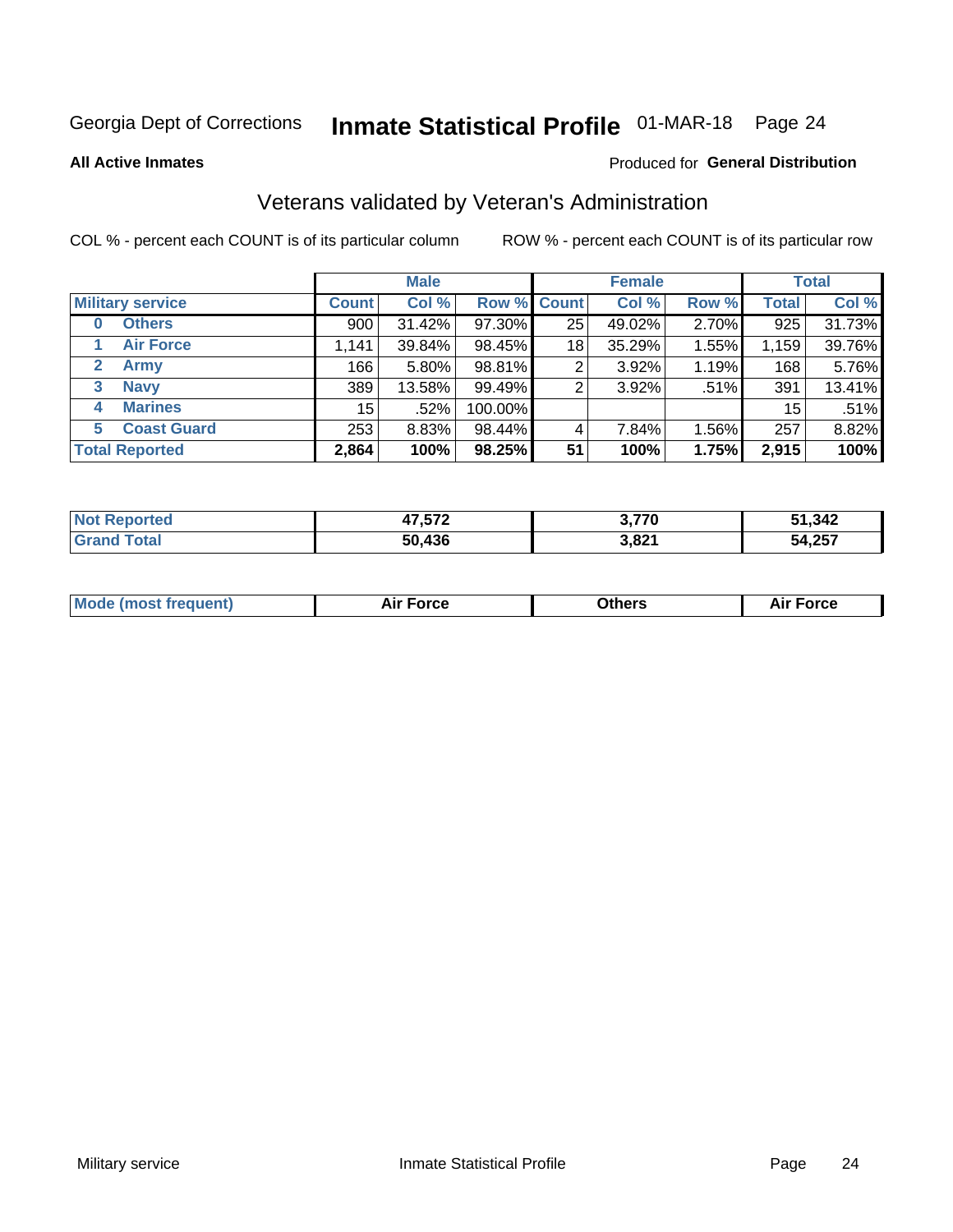# Inmate Statistical Profile 01-MAR-18 Page 24

**All Active Inmates** 

#### Produced for General Distribution

### Veterans validated by Veteran's Administration

COL % - percent each COUNT is of its particular column

|                         |                 | <b>Male</b> |                    |    | <b>Female</b> |       |              | <b>Total</b> |
|-------------------------|-----------------|-------------|--------------------|----|---------------|-------|--------------|--------------|
| <b>Military service</b> | <b>Count</b>    | Col %       | <b>Row % Count</b> |    | Col %         | Row % | <b>Total</b> | Col %        |
| <b>Others</b><br>0      | 900             | $31.42\%$   | 97.30%             | 25 | 49.02%        | 2.70% | 925          | 31.73%       |
| <b>Air Force</b>        | 1,141           | 39.84%      | 98.45%             | 18 | 35.29%        | 1.55% | 1,159        | 39.76%       |
| 2<br><b>Army</b>        | 166             | $5.80\%$    | 98.81%             | 2  | 3.92%         | 1.19% | 168          | 5.76%        |
| <b>Navy</b><br>3        | 389             | 13.58%      | 99.49%             | 2  | 3.92%         | .51%  | 391          | 13.41%       |
| <b>Marines</b><br>4     | 15 <sup>1</sup> | .52%        | 100.00%            |    |               |       | 15           | .51%         |
| <b>Coast Guard</b><br>5 | 253             | 8.83%       | 98.44%             | 4  | 7.84%         | 1.56% | 257          | 8.82%        |
| <b>Total Reported</b>   | 2,864           | 100%        | 98.25%             | 51 | 100%          | 1.75% | 2,915        | 100%         |

| rted<br>N. | ハフ につへ | 3.770 | 51,342                  |
|------------|--------|-------|-------------------------|
|            | 50.436 | 3,821 | <b>EA 257</b><br>54,257 |

|  |  | <b>Mode (most frequent)</b> | <b>Force</b><br>Aır | วthers | orce |
|--|--|-----------------------------|---------------------|--------|------|
|--|--|-----------------------------|---------------------|--------|------|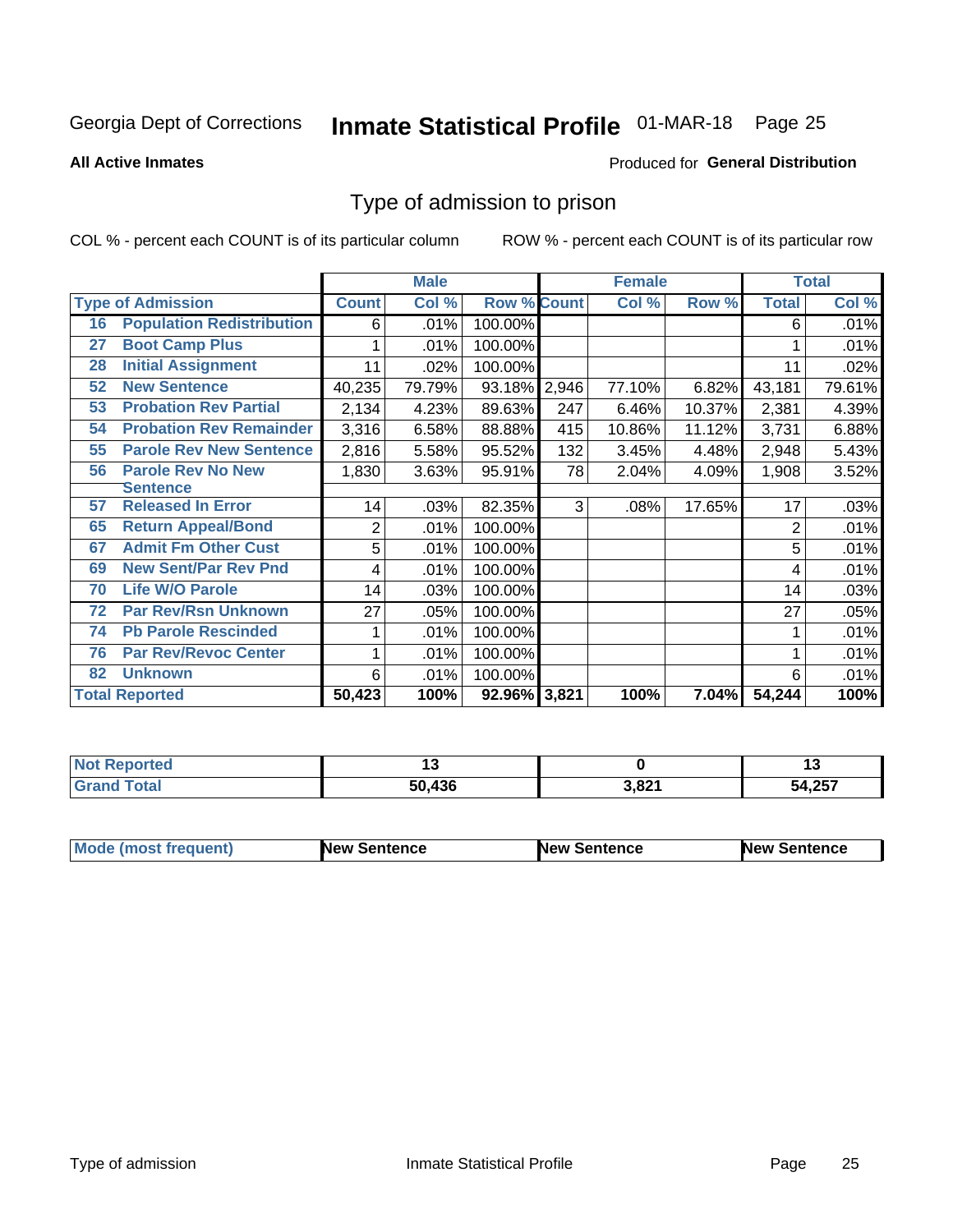# Inmate Statistical Profile 01-MAR-18 Page 25

**All Active Inmates** 

#### Produced for General Distribution

### Type of admission to prison

COL % - percent each COUNT is of its particular column

|    |                                  |              | <b>Male</b> |                    |     | <b>Female</b> |          |                | <b>Total</b> |
|----|----------------------------------|--------------|-------------|--------------------|-----|---------------|----------|----------------|--------------|
|    | <b>Type of Admission</b>         | <b>Count</b> | Col %       | <b>Row % Count</b> |     | Col %         | Row %    | <b>Total</b>   | Col %        |
| 16 | <b>Population Redistribution</b> | 6            | .01%        | 100.00%            |     |               |          | 6              | .01%         |
| 27 | <b>Boot Camp Plus</b>            |              | .01%        | 100.00%            |     |               |          |                | .01%         |
| 28 | <b>Initial Assignment</b>        | 11           | .02%        | 100.00%            |     |               |          | 11             | .02%         |
| 52 | <b>New Sentence</b>              | 40,235       | 79.79%      | 93.18% 2,946       |     | 77.10%        | 6.82%    | 43,181         | 79.61%       |
| 53 | <b>Probation Rev Partial</b>     | 2,134        | 4.23%       | 89.63%             | 247 | 6.46%         | 10.37%   | 2,381          | 4.39%        |
| 54 | <b>Probation Rev Remainder</b>   | 3,316        | 6.58%       | 88.88%             | 415 | 10.86%        | 11.12%   | 3,731          | 6.88%        |
| 55 | <b>Parole Rev New Sentence</b>   | 2,816        | 5.58%       | 95.52%             | 132 | 3.45%         | 4.48%    | 2,948          | 5.43%        |
| 56 | <b>Parole Rev No New</b>         | 1,830        | 3.63%       | 95.91%             | 78  | 2.04%         | 4.09%    | 1,908          | 3.52%        |
|    | <b>Sentence</b>                  |              |             |                    |     |               |          |                |              |
| 57 | <b>Released In Error</b>         | 14           | .03%        | 82.35%             | 3   | .08%          | 17.65%   | 17             | .03%         |
| 65 | <b>Return Appeal/Bond</b>        | 2            | .01%        | 100.00%            |     |               |          | $\overline{2}$ | .01%         |
| 67 | <b>Admit Fm Other Cust</b>       | 5            | .01%        | 100.00%            |     |               |          | 5              | .01%         |
| 69 | <b>New Sent/Par Rev Pnd</b>      | 4            | .01%        | 100.00%            |     |               |          | 4              | .01%         |
| 70 | <b>Life W/O Parole</b>           | 14           | .03%        | 100.00%            |     |               |          | 14             | .03%         |
| 72 | <b>Par Rev/Rsn Unknown</b>       | 27           | .05%        | 100.00%            |     |               |          | 27             | .05%         |
| 74 | <b>Pb Parole Rescinded</b>       |              | .01%        | 100.00%            |     |               |          |                | .01%         |
| 76 | <b>Par Rev/Revoc Center</b>      |              | .01%        | 100.00%            |     |               |          |                | .01%         |
| 82 | <b>Unknown</b>                   | 6            | .01%        | 100.00%            |     |               |          | 6              | .01%         |
|    | <b>Total Reported</b>            | 50,423       | 100%        | 92.96% 3,821       |     | 100%          | $7.04\%$ | 54,244         | 100%         |

| <b>Not</b><br><b>rted</b> |        |       | . .        |
|---------------------------|--------|-------|------------|
| int                       | 50.436 | 3,821 | ,257<br>54 |

| <b>Mode (most frequent)</b> | New Sentence | <b>New Sentence</b> | <b>New Sentence</b> |
|-----------------------------|--------------|---------------------|---------------------|
|                             |              |                     |                     |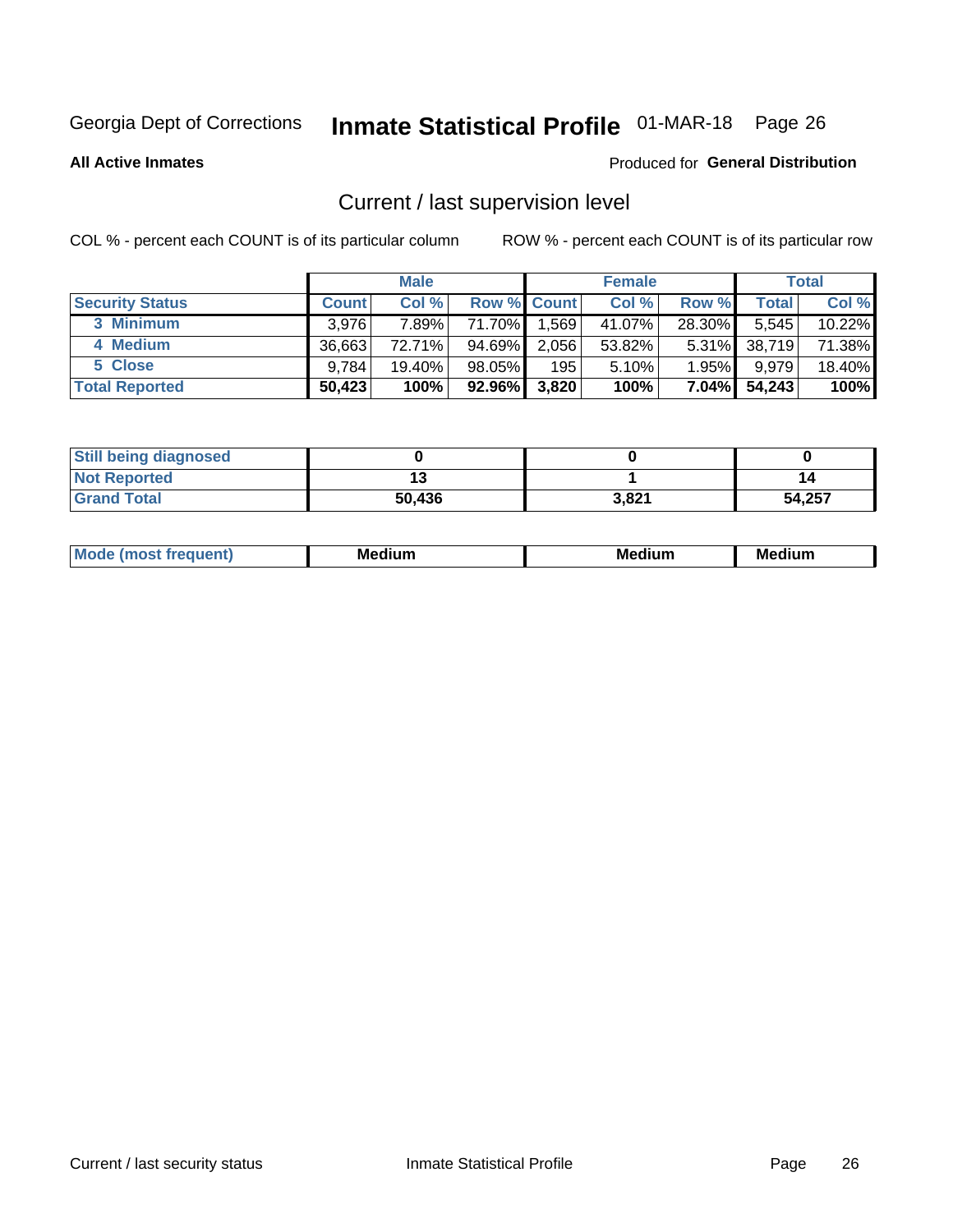# Inmate Statistical Profile 01-MAR-18 Page 26

**All Active Inmates** 

#### Produced for General Distribution

## Current / last supervision level

COL % - percent each COUNT is of its particular column

|                        |              | <b>Male</b> |                    |       | <b>Female</b> |          |        | <b>Total</b> |
|------------------------|--------------|-------------|--------------------|-------|---------------|----------|--------|--------------|
| <b>Security Status</b> | <b>Count</b> | Col %       | <b>Row % Count</b> |       | Col %         | Row %    | Total  | Col %        |
| 3 Minimum              | 3.976        | 7.89%       | 71.70% <b>I</b>    | 1,569 | 41.07%        | 28.30%   | 5,545  | 10.22%       |
| 4 Medium               | 36,663       | 72.71%      | 94.69%             | 2,056 | 53.82%        | $5.31\%$ | 38,719 | 71.38%       |
| 5 Close                | 9.784        | 19.40%      | 98.05%             | 195   | 5.10%         | 1.95%    | 9,979  | 18.40%       |
| <b>Total Reported</b>  | 50,423       | 100%        | 92.96%             | 3,820 | 100%          | $7.04\%$ | 54,243 | 100%         |

| <b>Still being diagnosed</b> |        |       |        |
|------------------------------|--------|-------|--------|
| <b>Not Reported</b>          |        |       | 14     |
| <b>Grand Total</b>           | 50,436 | 3,821 | 54,257 |

| M | M | . . |
|---|---|-----|
|   |   |     |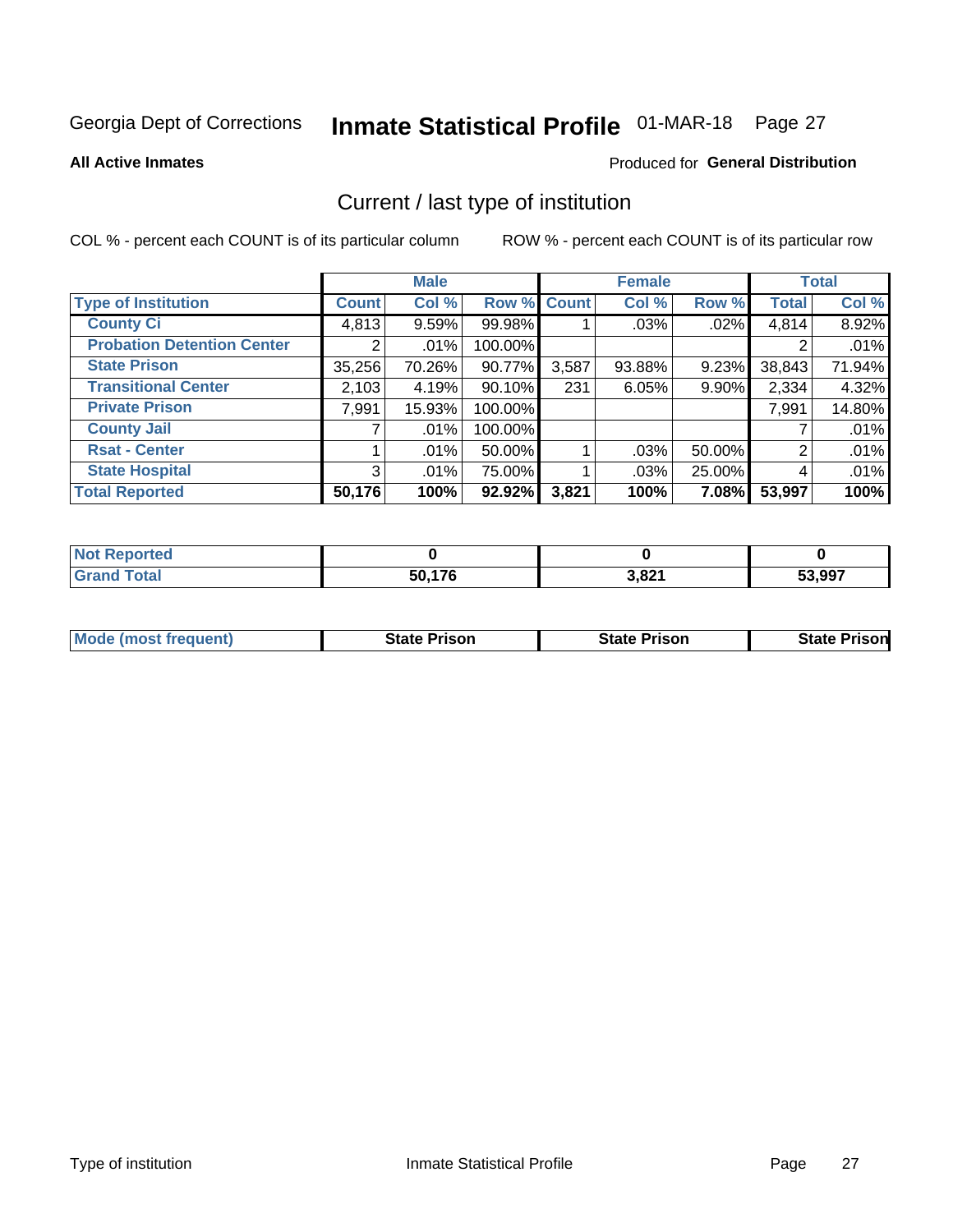# Inmate Statistical Profile 01-MAR-18 Page 27

**All Active Inmates** 

#### Produced for General Distribution

## Current / last type of institution

COL % - percent each COUNT is of its particular column

|                                   |                | <b>Male</b> |             |       | <b>Female</b> |        |              | <b>Total</b> |
|-----------------------------------|----------------|-------------|-------------|-------|---------------|--------|--------------|--------------|
| <b>Type of Institution</b>        | <b>Count</b>   | Col %       | Row % Count |       | Col %         | Row %  | <b>Total</b> | Col %        |
| <b>County Ci</b>                  | 4,813          | 9.59%       | 99.98%      |       | .03%          | .02%   | 4,814        | 8.92%        |
| <b>Probation Detention Center</b> |                | .01%        | 100.00%     |       |               |        |              | .01%         |
| <b>State Prison</b>               | 35,256         | 70.26%      | $90.77\%$   | 3,587 | 93.88%        | 9.23%  | 38,843       | 71.94%       |
| <b>Transitional Center</b>        | 2,103          | 4.19%       | $90.10\%$   | 231   | 6.05%         | 9.90%  | 2,334        | 4.32%        |
| <b>Private Prison</b>             | 7,991          | 15.93%      | 100.00%     |       |               |        | 7,991        | 14.80%       |
| <b>County Jail</b>                |                | .01%        | 100.00%     |       |               |        |              | .01%         |
| <b>Rsat - Center</b>              |                | .01%        | 50.00%      |       | $.03\%$       | 50.00% | 2            | .01%         |
| <b>State Hospital</b>             | 3 <sup>1</sup> | .01%        | 75.00%      |       | .03%          | 25.00% | 4            | .01%         |
| <b>Total Reported</b>             | 50,176         | 100%        | $92.92\%$   | 3,821 | 100%          | 7.08%  | 53,997       | 100%         |

| <b>Not</b><br><b>ported</b> |        |       |        |
|-----------------------------|--------|-------|--------|
| `otal<br>-Grat              | 50,176 | 3,821 | 53,997 |

| Mode (most frequent) | <b>State Prison</b> | <b>State Prison</b> | <b>State Prisonl</b> |
|----------------------|---------------------|---------------------|----------------------|
|                      |                     |                     |                      |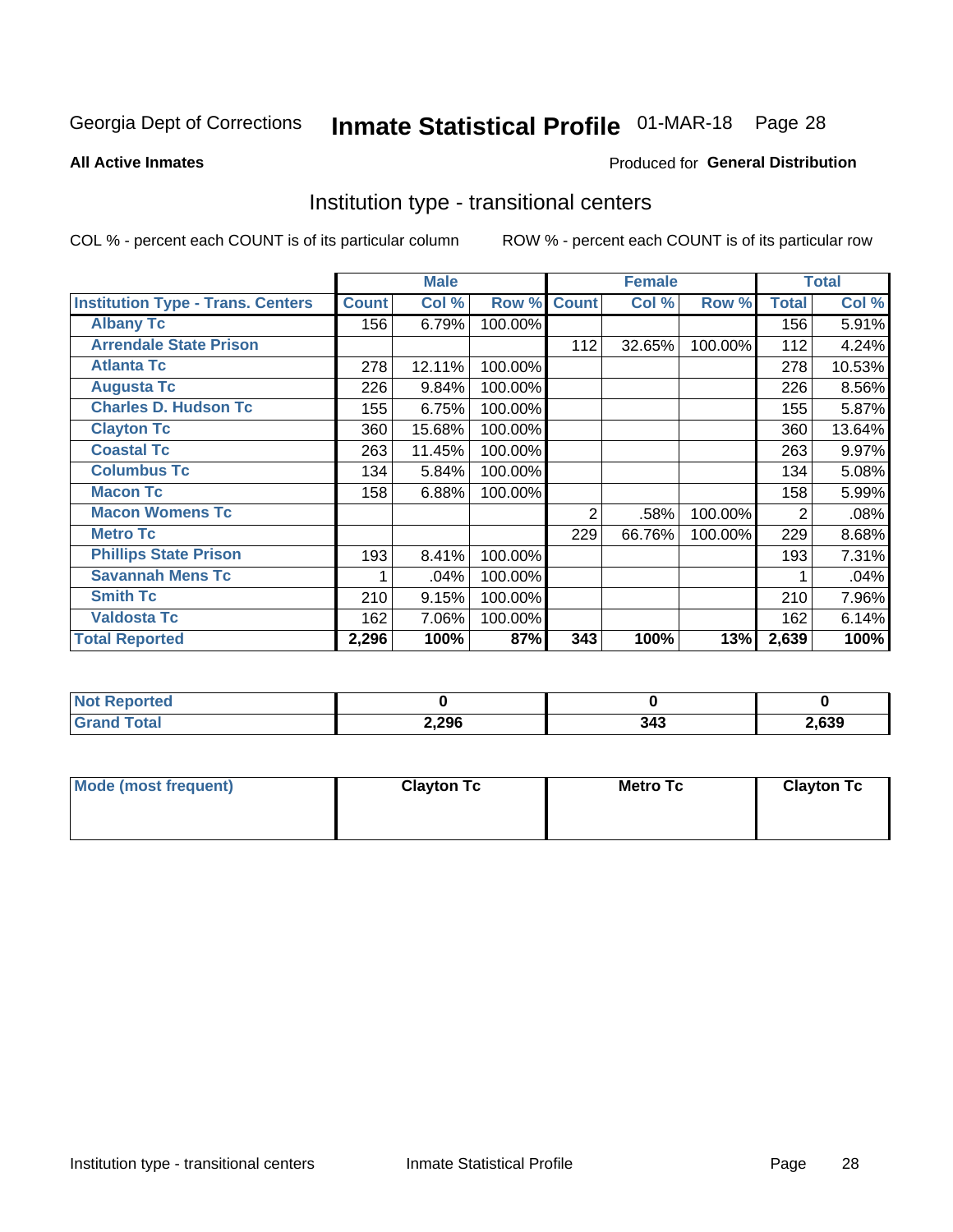# Inmate Statistical Profile 01-MAR-18 Page 28

**All Active Inmates** 

#### Produced for General Distribution

### Institution type - transitional centers

COL % - percent each COUNT is of its particular column

|                                          |              | <b>Male</b> |         |              | <b>Female</b> |         |              | <b>Total</b> |
|------------------------------------------|--------------|-------------|---------|--------------|---------------|---------|--------------|--------------|
| <b>Institution Type - Trans. Centers</b> | <b>Count</b> | Col %       | Row %   | <b>Count</b> | Col %         | Row %   | <b>Total</b> | Col %        |
| <b>Albany Tc</b>                         | 156          | 6.79%       | 100.00% |              |               |         | 156          | 5.91%        |
| <b>Arrendale State Prison</b>            |              |             |         | 112          | 32.65%        | 100.00% | 112          | 4.24%        |
| <b>Atlanta Tc</b>                        | 278          | 12.11%      | 100.00% |              |               |         | 278          | 10.53%       |
| <b>Augusta Tc</b>                        | 226          | 9.84%       | 100.00% |              |               |         | 226          | 8.56%        |
| <b>Charles D. Hudson Tc</b>              | 155          | 6.75%       | 100.00% |              |               |         | 155          | 5.87%        |
| <b>Clayton Tc</b>                        | 360          | 15.68%      | 100.00% |              |               |         | 360          | 13.64%       |
| <b>Coastal Tc</b>                        | 263          | 11.45%      | 100.00% |              |               |         | 263          | 9.97%        |
| <b>Columbus Tc</b>                       | 134          | 5.84%       | 100.00% |              |               |         | 134          | 5.08%        |
| <b>Macon Tc</b>                          | 158          | 6.88%       | 100.00% |              |               |         | 158          | 5.99%        |
| <b>Macon Womens Tc</b>                   |              |             |         | 2            | .58%          | 100.00% | 2            | .08%         |
| <b>Metro Tc</b>                          |              |             |         | 229          | 66.76%        | 100.00% | 229          | 8.68%        |
| <b>Phillips State Prison</b>             | 193          | 8.41%       | 100.00% |              |               |         | 193          | 7.31%        |
| <b>Savannah Mens Tc</b>                  |              | .04%        | 100.00% |              |               |         |              | .04%         |
| <b>Smith Tc</b>                          | 210          | 9.15%       | 100.00% |              |               |         | 210          | 7.96%        |
| <b>Valdosta Tc</b>                       | 162          | 7.06%       | 100.00% |              |               |         | 162          | 6.14%        |
| <b>Total Reported</b>                    | 2,296        | 100%        | 87%     | 343          | 100%          | 13%     | 2,639        | 100%         |

| τeα             |       |   |       |
|-----------------|-------|---|-------|
| $\sim$ - $\sim$ | 2,296 | . | 2,639 |

| Mode (most frequent) | <b>Clayton Tc</b> | Metro Tc | <b>Clayton Tc</b> |
|----------------------|-------------------|----------|-------------------|
|                      |                   |          |                   |
|                      |                   |          |                   |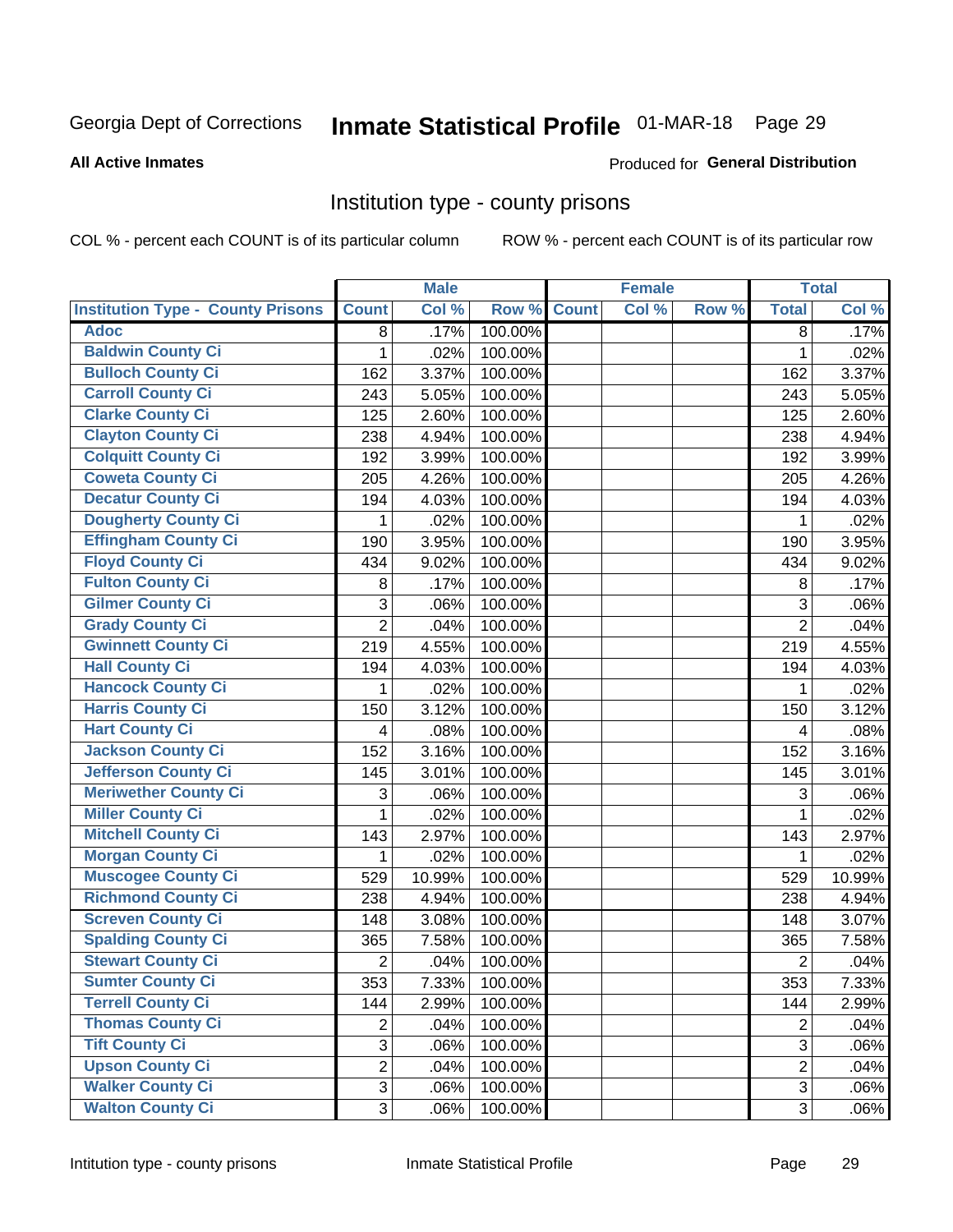# Inmate Statistical Profile 01-MAR-18 Page 29

#### **All Active Inmates**

#### Produced for General Distribution

### Institution type - county prisons

COL % - percent each COUNT is of its particular column

|                                          |                | <b>Male</b> |         |              | <b>Female</b> |       |                | <b>Total</b> |
|------------------------------------------|----------------|-------------|---------|--------------|---------------|-------|----------------|--------------|
| <b>Institution Type - County Prisons</b> | <b>Count</b>   | Col %       | Row %   | <b>Count</b> | Col %         | Row % | <b>Total</b>   | Col %        |
| <b>Adoc</b>                              | 8              | .17%        | 100.00% |              |               |       | 8              | .17%         |
| <b>Baldwin County Ci</b>                 | 1              | .02%        | 100.00% |              |               |       | 1              | .02%         |
| <b>Bulloch County Ci</b>                 | 162            | 3.37%       | 100.00% |              |               |       | 162            | 3.37%        |
| <b>Carroll County Ci</b>                 | 243            | 5.05%       | 100.00% |              |               |       | 243            | 5.05%        |
| <b>Clarke County Ci</b>                  | 125            | 2.60%       | 100.00% |              |               |       | 125            | 2.60%        |
| <b>Clayton County Ci</b>                 | 238            | 4.94%       | 100.00% |              |               |       | 238            | 4.94%        |
| <b>Colquitt County Ci</b>                | 192            | 3.99%       | 100.00% |              |               |       | 192            | 3.99%        |
| <b>Coweta County Ci</b>                  | 205            | 4.26%       | 100.00% |              |               |       | 205            | 4.26%        |
| <b>Decatur County Ci</b>                 | 194            | 4.03%       | 100.00% |              |               |       | 194            | 4.03%        |
| <b>Dougherty County Ci</b>               | 1              | .02%        | 100.00% |              |               |       | 1              | .02%         |
| <b>Effingham County Ci</b>               | 190            | 3.95%       | 100.00% |              |               |       | 190            | 3.95%        |
| <b>Floyd County Ci</b>                   | 434            | 9.02%       | 100.00% |              |               |       | 434            | 9.02%        |
| <b>Fulton County Ci</b>                  | 8              | .17%        | 100.00% |              |               |       | 8              | .17%         |
| <b>Gilmer County Ci</b>                  | 3              | .06%        | 100.00% |              |               |       | 3              | .06%         |
| <b>Grady County Ci</b>                   | $\overline{2}$ | .04%        | 100.00% |              |               |       | $\overline{2}$ | .04%         |
| <b>Gwinnett County Ci</b>                | 219            | 4.55%       | 100.00% |              |               |       | 219            | 4.55%        |
| <b>Hall County Ci</b>                    | 194            | 4.03%       | 100.00% |              |               |       | 194            | 4.03%        |
| <b>Hancock County Ci</b>                 | 1              | .02%        | 100.00% |              |               |       | 1              | .02%         |
| <b>Harris County Ci</b>                  | 150            | 3.12%       | 100.00% |              |               |       | 150            | 3.12%        |
| <b>Hart County Ci</b>                    | 4              | .08%        | 100.00% |              |               |       | 4              | .08%         |
| <b>Jackson County Ci</b>                 | 152            | 3.16%       | 100.00% |              |               |       | 152            | 3.16%        |
| <b>Jefferson County Ci</b>               | 145            | 3.01%       | 100.00% |              |               |       | 145            | 3.01%        |
| <b>Meriwether County Ci</b>              | 3              | .06%        | 100.00% |              |               |       | 3              | .06%         |
| <b>Miller County Ci</b>                  | 1              | .02%        | 100.00% |              |               |       | 1              | .02%         |
| <b>Mitchell County Ci</b>                | 143            | 2.97%       | 100.00% |              |               |       | 143            | 2.97%        |
| <b>Morgan County Ci</b>                  | 1              | .02%        | 100.00% |              |               |       | 1              | .02%         |
| <b>Muscogee County Ci</b>                | 529            | 10.99%      | 100.00% |              |               |       | 529            | 10.99%       |
| <b>Richmond County Ci</b>                | 238            | 4.94%       | 100.00% |              |               |       | 238            | 4.94%        |
| <b>Screven County Ci</b>                 | 148            | 3.08%       | 100.00% |              |               |       | 148            | 3.07%        |
| <b>Spalding County Ci</b>                | 365            | 7.58%       | 100.00% |              |               |       | 365            | 7.58%        |
| <b>Stewart County Ci</b>                 | $\overline{c}$ | .04%        | 100.00% |              |               |       | $\overline{2}$ | .04%         |
| <b>Sumter County Ci</b>                  | 353            | 7.33%       | 100.00% |              |               |       | 353            | 7.33%        |
| <b>Terrell County Ci</b>                 | 144            | 2.99%       | 100.00% |              |               |       | 144            | 2.99%        |
| <b>Thomas County Ci</b>                  | 2              | .04%        | 100.00% |              |               |       | $\overline{2}$ | .04%         |
| <b>Tift County Ci</b>                    | $\overline{3}$ | .06%        | 100.00% |              |               |       | $\overline{3}$ | .06%         |
| <b>Upson County Ci</b>                   | $\overline{2}$ | .04%        | 100.00% |              |               |       | $\overline{2}$ | .04%         |
| <b>Walker County Ci</b>                  | 3              | .06%        | 100.00% |              |               |       | 3              | .06%         |
| <b>Walton County Ci</b>                  | 3              | .06%        | 100.00% |              |               |       | 3              | .06%         |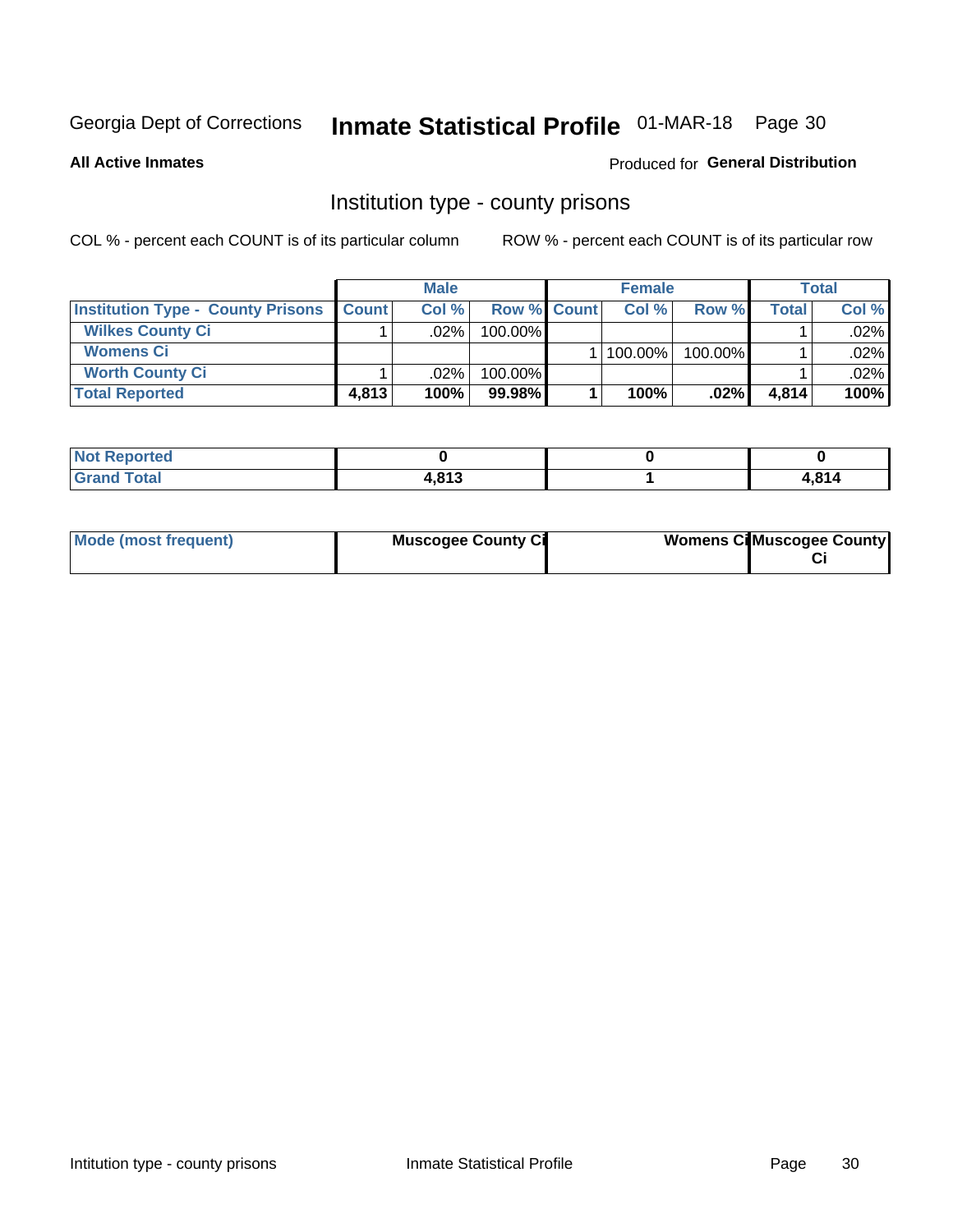# Inmate Statistical Profile 01-MAR-18 Page 30

**All Active Inmates** 

#### Produced for General Distribution

### Institution type - county prisons

COL % - percent each COUNT is of its particular column

|                                          |              | <b>Male</b> |                    | <b>Female</b> |         |       | <b>Total</b> |
|------------------------------------------|--------------|-------------|--------------------|---------------|---------|-------|--------------|
| <b>Institution Type - County Prisons</b> | <b>Count</b> | Col%        | <b>Row % Count</b> | Col%          | Row %   | Total | Col %        |
| <b>Wilkes County Ci</b>                  |              | .02%        | 100.00%            |               |         |       | $.02\%$      |
| <b>Womens Ci</b>                         |              |             |                    | 100.00%       | 100.00% |       | .02%         |
| <b>Worth County Ci</b>                   |              | $.02\%$     | 100.00%            |               |         |       | $.02\%$      |
| <b>Total Reported</b>                    | 4,813        | 100%        | $99.98\%$          | 100%          | .02%    | 4,814 | 100%         |

| <b>rea</b><br>119.11 |             |           |
|----------------------|-------------|-----------|
| _____                | <b>1042</b> | <b>OA</b> |

| Mode (most frequent) | <b>Muscogee County Ci</b> | <b>Womens Ci</b> Muscogee County |
|----------------------|---------------------------|----------------------------------|
|----------------------|---------------------------|----------------------------------|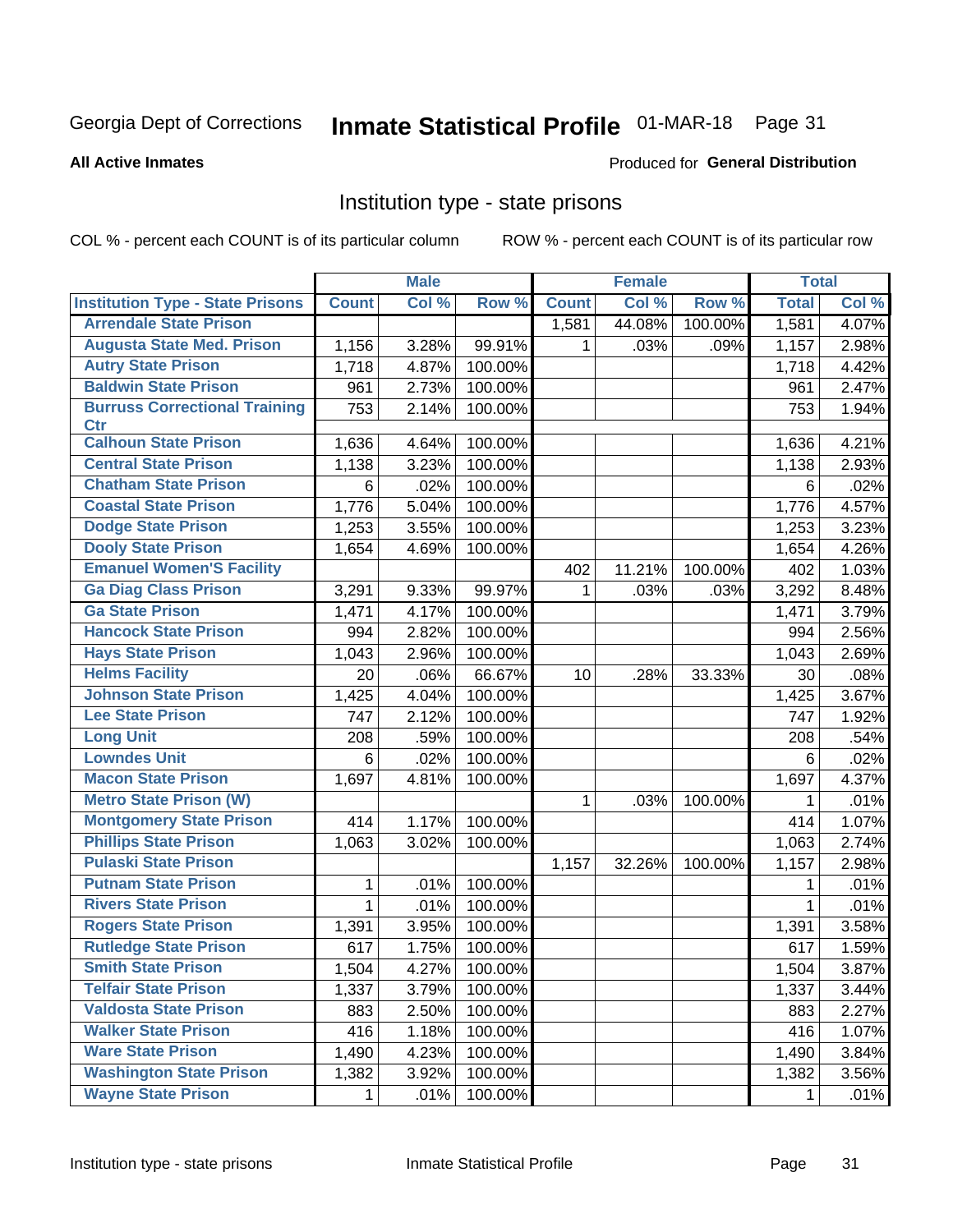# Inmate Statistical Profile 01-MAR-18 Page 31

#### **All Active Inmates**

#### Produced for General Distribution

### Institution type - state prisons

COL % - percent each COUNT is of its particular column

|                                         |              | <b>Male</b> |         |              | <b>Female</b> |         | <b>Total</b> |       |
|-----------------------------------------|--------------|-------------|---------|--------------|---------------|---------|--------------|-------|
| <b>Institution Type - State Prisons</b> | <b>Count</b> | Col %       | Row %   | <b>Count</b> | Col %         | Row %   | <b>Total</b> | Col % |
| <b>Arrendale State Prison</b>           |              |             |         | 1,581        | 44.08%        | 100.00% | 1,581        | 4.07% |
| <b>Augusta State Med. Prison</b>        | 1,156        | 3.28%       | 99.91%  | 1.           | .03%          | .09%    | 1,157        | 2.98% |
| <b>Autry State Prison</b>               | 1,718        | 4.87%       | 100.00% |              |               |         | 1,718        | 4.42% |
| <b>Baldwin State Prison</b>             | 961          | 2.73%       | 100.00% |              |               |         | 961          | 2.47% |
| <b>Burruss Correctional Training</b>    | 753          | 2.14%       | 100.00% |              |               |         | 753          | 1.94% |
| <b>Ctr</b>                              |              |             |         |              |               |         |              |       |
| <b>Calhoun State Prison</b>             | 1,636        | 4.64%       | 100.00% |              |               |         | 1,636        | 4.21% |
| <b>Central State Prison</b>             | 1,138        | 3.23%       | 100.00% |              |               |         | 1,138        | 2.93% |
| <b>Chatham State Prison</b>             | 6            | .02%        | 100.00% |              |               |         | 6            | .02%  |
| <b>Coastal State Prison</b>             | 1,776        | 5.04%       | 100.00% |              |               |         | 1,776        | 4.57% |
| <b>Dodge State Prison</b>               | 1,253        | 3.55%       | 100.00% |              |               |         | 1,253        | 3.23% |
| <b>Dooly State Prison</b>               | 1,654        | 4.69%       | 100.00% |              |               |         | 1,654        | 4.26% |
| <b>Emanuel Women'S Facility</b>         |              |             |         | 402          | 11.21%        | 100.00% | 402          | 1.03% |
| <b>Ga Diag Class Prison</b>             | 3,291        | 9.33%       | 99.97%  | 1            | .03%          | .03%    | 3,292        | 8.48% |
| <b>Ga State Prison</b>                  | 1,471        | 4.17%       | 100.00% |              |               |         | 1,471        | 3.79% |
| <b>Hancock State Prison</b>             | 994          | 2.82%       | 100.00% |              |               |         | 994          | 2.56% |
| <b>Hays State Prison</b>                | 1,043        | 2.96%       | 100.00% |              |               |         | 1,043        | 2.69% |
| <b>Helms Facility</b>                   | 20           | .06%        | 66.67%  | 10           | .28%          | 33.33%  | 30           | .08%  |
| <b>Johnson State Prison</b>             | 1,425        | 4.04%       | 100.00% |              |               |         | 1,425        | 3.67% |
| <b>Lee State Prison</b>                 | 747          | 2.12%       | 100.00% |              |               |         | 747          | 1.92% |
| <b>Long Unit</b>                        | 208          | .59%        | 100.00% |              |               |         | 208          | .54%  |
| <b>Lowndes Unit</b>                     | 6            | .02%        | 100.00% |              |               |         | 6            | .02%  |
| <b>Macon State Prison</b>               | 1,697        | 4.81%       | 100.00% |              |               |         | 1,697        | 4.37% |
| <b>Metro State Prison (W)</b>           |              |             |         | 1            | .03%          | 100.00% | 1            | .01%  |
| <b>Montgomery State Prison</b>          | 414          | 1.17%       | 100.00% |              |               |         | 414          | 1.07% |
| <b>Phillips State Prison</b>            | 1,063        | 3.02%       | 100.00% |              |               |         | 1,063        | 2.74% |
| <b>Pulaski State Prison</b>             |              |             |         | 1,157        | 32.26%        | 100.00% | 1,157        | 2.98% |
| <b>Putnam State Prison</b>              | 1            | .01%        | 100.00% |              |               |         | 1            | .01%  |
| <b>Rivers State Prison</b>              | 1            | .01%        | 100.00% |              |               |         | 1            | .01%  |
| <b>Rogers State Prison</b>              | 1,391        | 3.95%       | 100.00% |              |               |         | 1,391        | 3.58% |
| <b>Rutledge State Prison</b>            | 617          | 1.75%       | 100.00% |              |               |         | 617          | 1.59% |
| <b>Smith State Prison</b>               | 1,504        | $4.27\%$    | 100.00% |              |               |         | 1,504        | 3.87% |
| <b>Telfair State Prison</b>             | 1,337        | 3.79%       | 100.00% |              |               |         | 1,337        | 3.44% |
| <b>Valdosta State Prison</b>            | 883          | 2.50%       | 100.00% |              |               |         | 883          | 2.27% |
| <b>Walker State Prison</b>              | 416          | 1.18%       | 100.00% |              |               |         | 416          | 1.07% |
| <b>Ware State Prison</b>                | 1,490        | 4.23%       | 100.00% |              |               |         | 1,490        | 3.84% |
| <b>Washington State Prison</b>          | 1,382        | 3.92%       | 100.00% |              |               |         | 1,382        | 3.56% |
| <b>Wayne State Prison</b>               | 1            | .01%        | 100.00% |              |               |         | 1            | .01%  |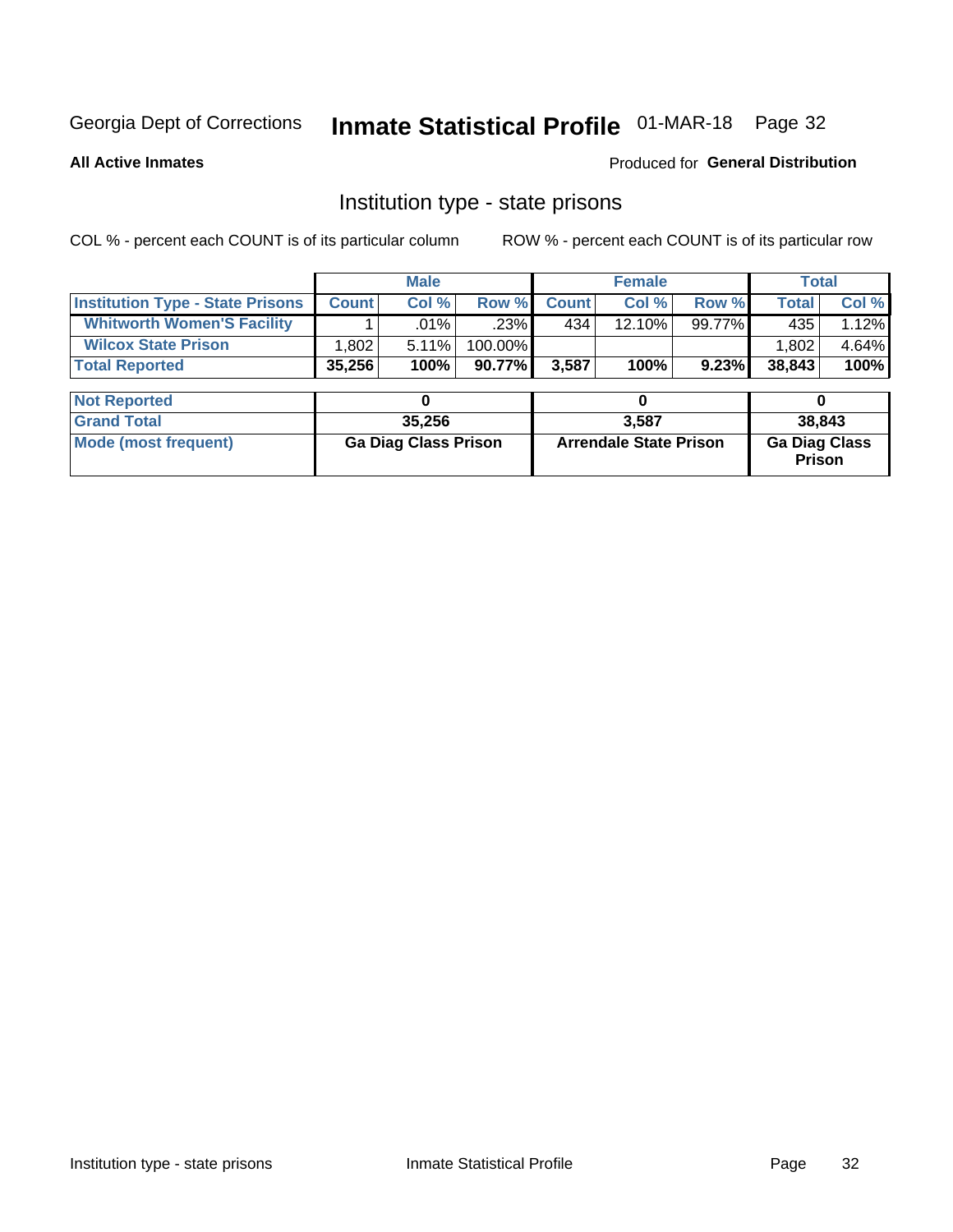# Inmate Statistical Profile 01-MAR-18 Page 32

**All Active Inmates** 

Produced for General Distribution

### Institution type - state prisons

COL % - percent each COUNT is of its particular column ROW % - percent each COUNT is of its particular row

|                                         |                             | <b>Male</b> |                               |              | <b>Female</b> |                                       | <b>Total</b> |       |
|-----------------------------------------|-----------------------------|-------------|-------------------------------|--------------|---------------|---------------------------------------|--------------|-------|
| <b>Institution Type - State Prisons</b> | <b>Count</b>                | Col %       | Row %                         | <b>Count</b> | Col %         | Row %                                 | <b>Total</b> | Col % |
| <b>Whitworth Women'S Facility</b>       |                             | $.01\%$     | .23%                          | 434          | $12.10\%$     | 99.77%                                | 435          | 1.12% |
| <b>Wilcox State Prison</b>              | .802                        | 5.11%       | 100.00%                       |              |               |                                       | 1,802        | 4.64% |
| <b>Total Reported</b>                   | 35,256                      | 100%        | 90.77%                        | 3,587        | 100%          | 9.23%                                 | 38,843       | 100%  |
|                                         |                             |             |                               |              |               |                                       |              |       |
| <b>Not Reported</b>                     |                             | 0           |                               |              | 0             |                                       | 0            |       |
| <b>Grand Total</b>                      |                             | 35,256      |                               | 3,587        |               |                                       | 38,843       |       |
| <b>Mode (most frequent)</b>             | <b>Ga Diag Class Prison</b> |             | <b>Arrendale State Prison</b> |              |               | <b>Ga Diag Class</b><br><b>Prison</b> |              |       |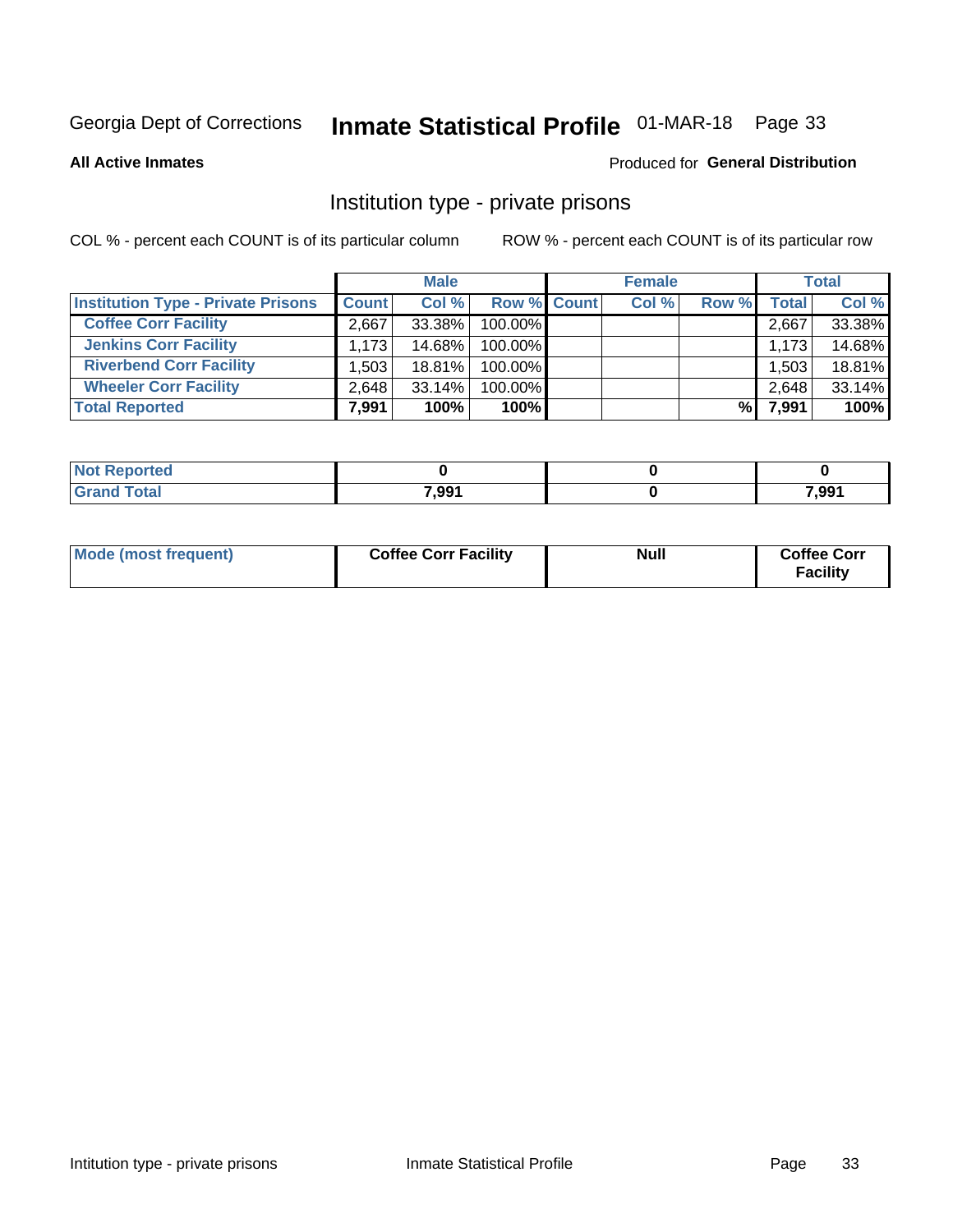# Inmate Statistical Profile 01-MAR-18 Page 33

**All Active Inmates** 

#### Produced for General Distribution

### Institution type - private prisons

COL % - percent each COUNT is of its particular column

|                                           |              | <b>Male</b> |                    | <b>Female</b> |       |       | <b>Total</b> |
|-------------------------------------------|--------------|-------------|--------------------|---------------|-------|-------|--------------|
| <b>Institution Type - Private Prisons</b> | <b>Count</b> | Col %       | <b>Row % Count</b> | Col %         | Row % | Total | Col %        |
| <b>Coffee Corr Facility</b>               | 2.667        | 33.38%      | 100.00%            |               |       | 2,667 | 33.38%       |
| <b>Jenkins Corr Facility</b>              | 1,173        | 14.68%      | 100.00%            |               |       | 1,173 | 14.68%       |
| <b>Riverbend Corr Facility</b>            | .503         | 18.81%      | 100.00%            |               |       | 1,503 | 18.81%       |
| <b>Wheeler Corr Facility</b>              | 2,648        | 33.14%      | 100.00%            |               |       | 2,648 | 33.14%       |
| <b>Total Reported</b>                     | 7,991        | 100%        | $100\%$            |               | %     | 7,991 | 100%         |

| <b>Not</b><br><b>Reported</b> |       |       |
|-------------------------------|-------|-------|
| <b>Total</b>                  | 7,991 | 7,991 |

| Mode (most frequent) | <b>Coffee Corr Facility</b> | <b>Null</b> | <b>Coffee Corr</b><br><b>Facility</b> |
|----------------------|-----------------------------|-------------|---------------------------------------|
|----------------------|-----------------------------|-------------|---------------------------------------|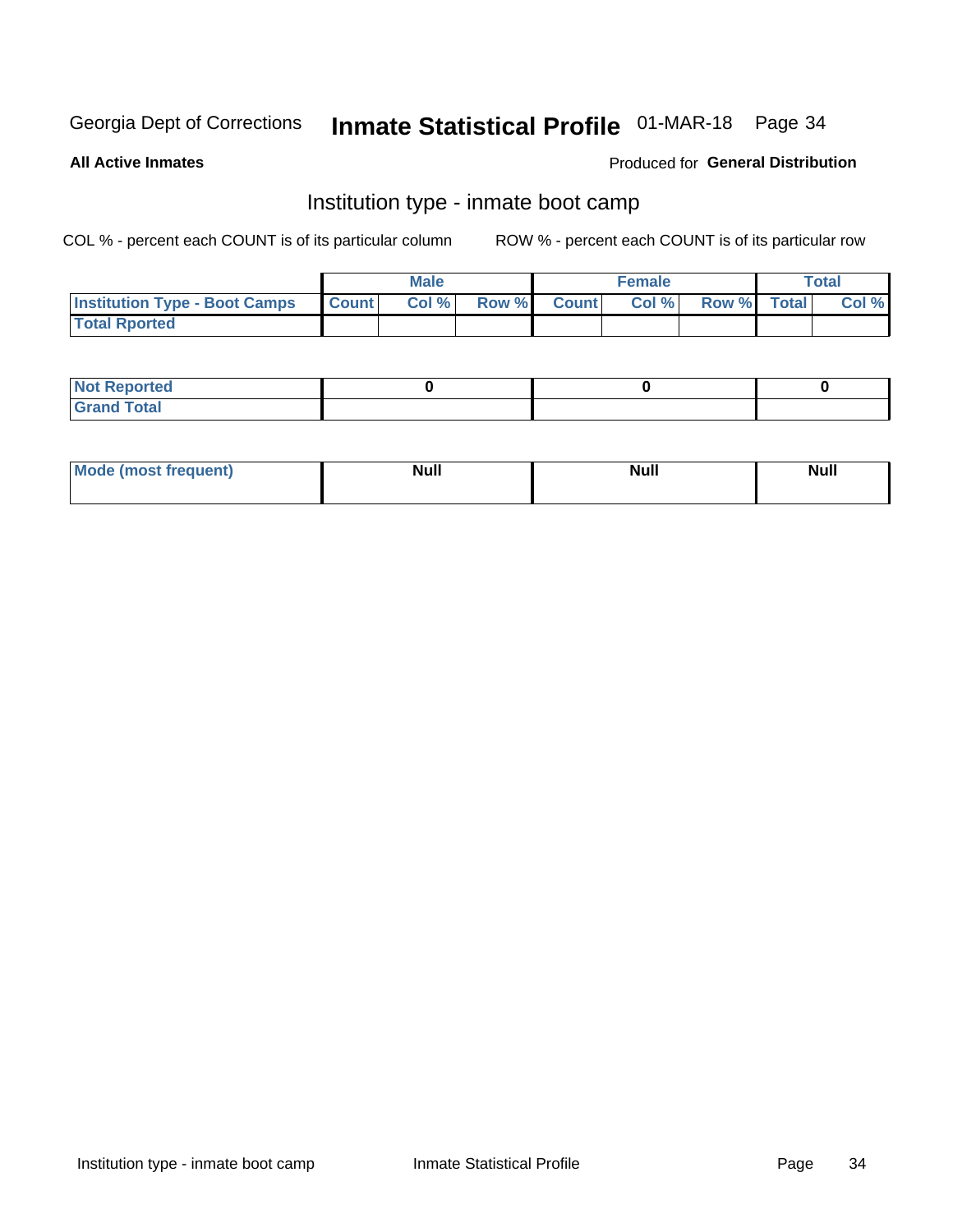# Inmate Statistical Profile 01-MAR-18 Page 34

**All Active Inmates** 

#### Produced for General Distribution

### Institution type - inmate boot camp

COL % - percent each COUNT is of its particular column

|                                      |              | <b>Male</b> |             | <b>Female</b> |                   | <b>Total</b> |
|--------------------------------------|--------------|-------------|-------------|---------------|-------------------|--------------|
| <b>Institution Type - Boot Camps</b> | <b>Count</b> | Col %       | Row % Count |               | Col % Row % Total | Col %        |
| <b>Total Rported</b>                 |              |             |             |               |                   |              |

| <b>Not Reported</b>            |  |  |
|--------------------------------|--|--|
| <b>Total</b><br>C <sub>r</sub> |  |  |

| Mod<br>uamo | Nul.<br>$- - - - - -$ | <b>Null</b> | . .<br>uu.<br>------ |
|-------------|-----------------------|-------------|----------------------|
|             |                       |             |                      |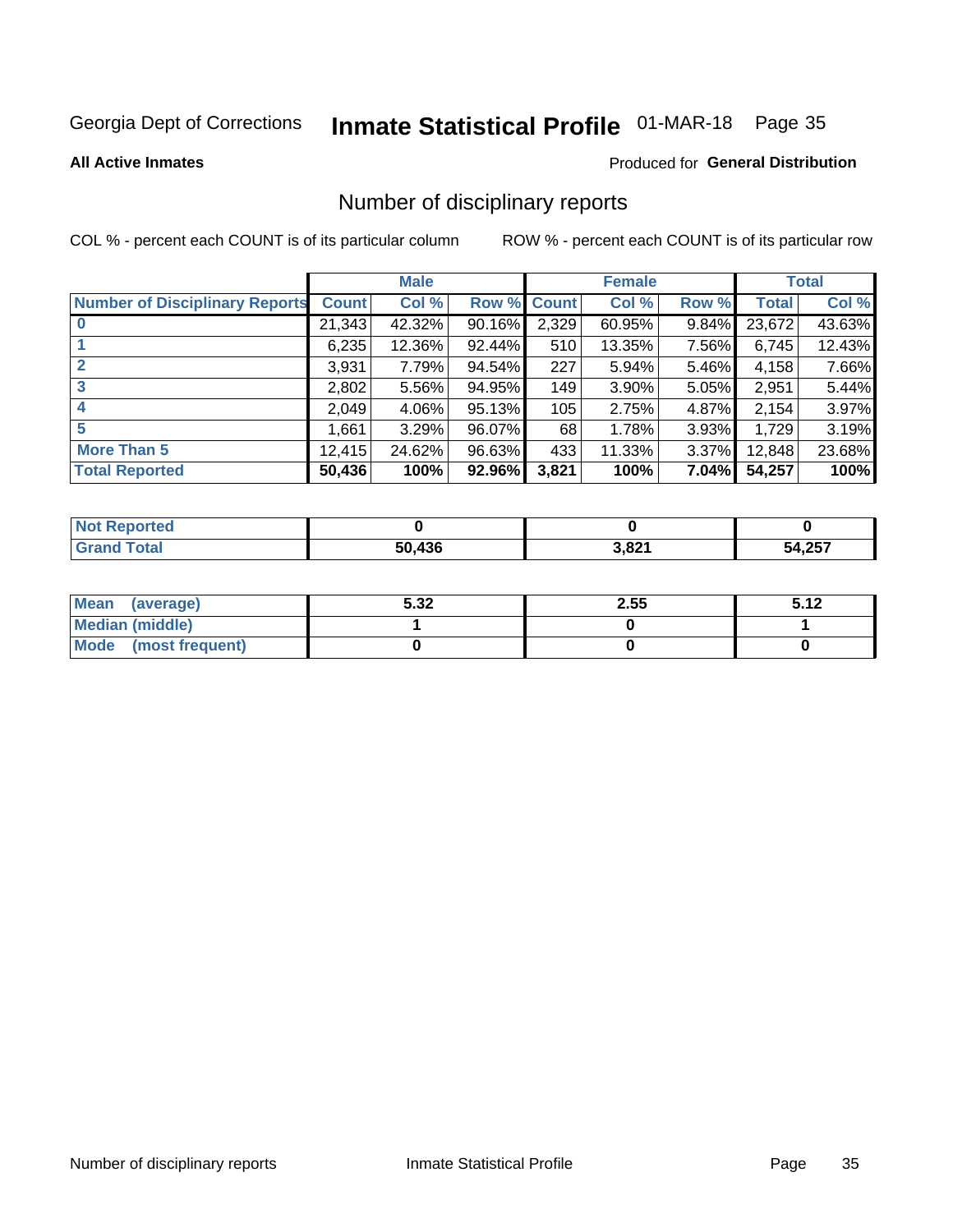# Inmate Statistical Profile 01-MAR-18 Page 35

#### **All Active Inmates**

#### Produced for General Distribution

### Number of disciplinary reports

COL % - percent each COUNT is of its particular column

|                                       |              | <b>Male</b> |        |             | <b>Female</b> |       |        | <b>Total</b> |
|---------------------------------------|--------------|-------------|--------|-------------|---------------|-------|--------|--------------|
| <b>Number of Disciplinary Reports</b> | <b>Count</b> | Col %       |        | Row % Count | Col %         | Row % | Total  | Col %        |
| $\bf{0}$                              | 21,343       | 42.32%      | 90.16% | 2,329       | 60.95%        | 9.84% | 23,672 | 43.63%       |
|                                       | 6,235        | 12.36%      | 92.44% | 510         | 13.35%        | 7.56% | 6,745  | 12.43%       |
| $\mathbf{2}$                          | 3,931        | 7.79%       | 94.54% | 227         | 5.94%         | 5.46% | 4,158  | 7.66%        |
| 3                                     | 2,802        | 5.56%       | 94.95% | 149         | 3.90%         | 5.05% | 2,951  | 5.44%        |
|                                       | 2,049        | 4.06%       | 95.13% | 105         | 2.75%         | 4.87% | 2,154  | 3.97%        |
| 5                                     | .661         | 3.29%       | 96.07% | 68          | 1.78%         | 3.93% | 1,729  | 3.19%        |
| <b>More Than 5</b>                    | 12,415       | 24.62%      | 96.63% | 433         | 11.33%        | 3.37% | 12,848 | 23.68%       |
| <b>Total Reported</b>                 | 50,436       | 100%        | 92.96% | 3,821       | 100%          | 7.04% | 54,257 | 100%         |

| orted<br>וחש |     |       |        |
|--------------|-----|-------|--------|
| Total        | 436 | 3,821 | 54,257 |

| Mean (average)       | 5.32 | 2.55 | 5.12 |
|----------------------|------|------|------|
| Median (middle)      |      |      |      |
| Mode (most frequent) |      |      |      |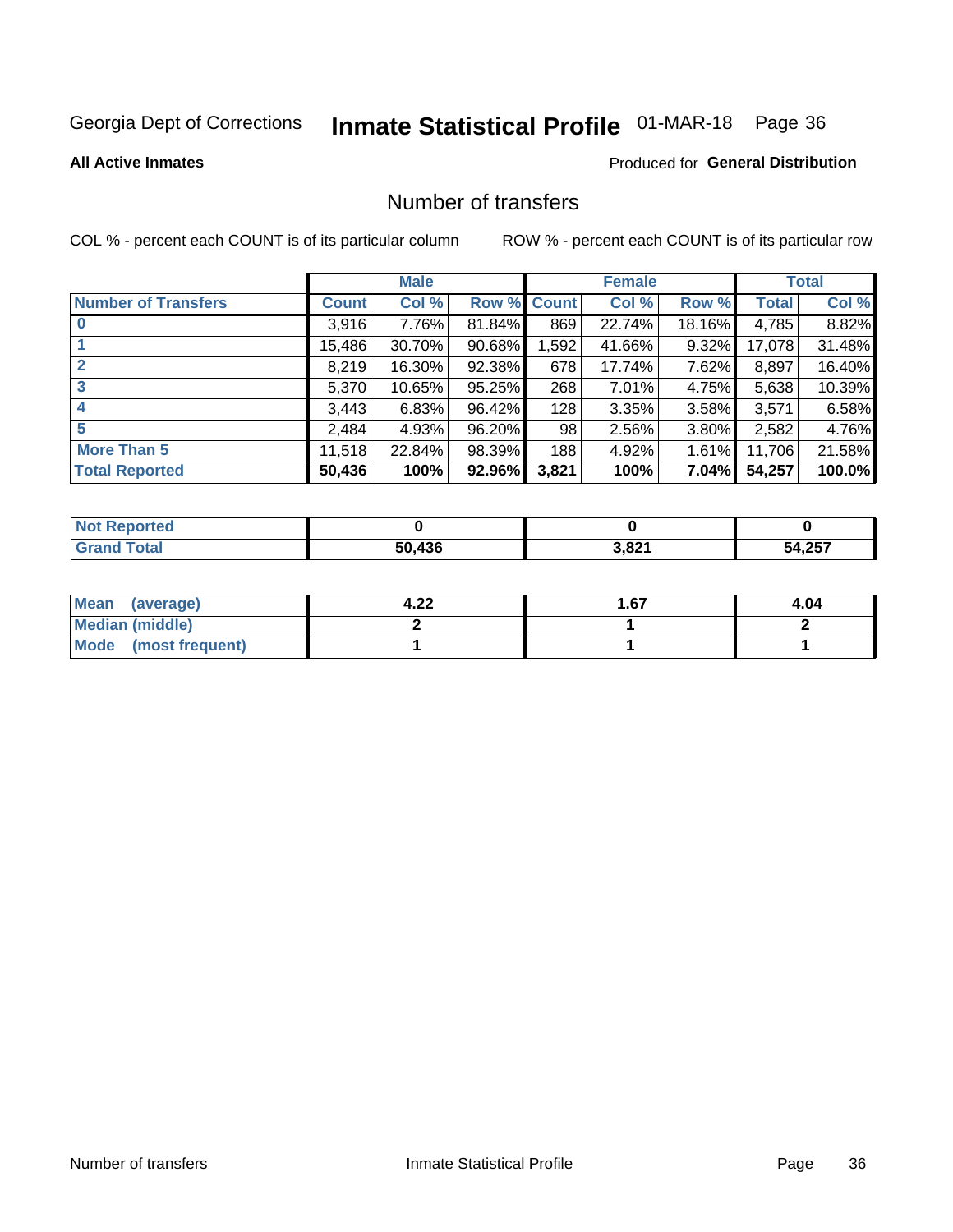# Inmate Statistical Profile 01-MAR-18 Page 36

**Produced for General Distribution** 

#### **All Active Inmates**

# Number of transfers

COL % - percent each COUNT is of its particular column

|                            |              | <b>Male</b> |        |              | <b>Female</b> |          |              | <b>Total</b> |
|----------------------------|--------------|-------------|--------|--------------|---------------|----------|--------------|--------------|
| <b>Number of Transfers</b> | <b>Count</b> | Col %       | Row %  | <b>Count</b> | Col %         | Row %    | <b>Total</b> | Col %        |
|                            | 3,916        | 7.76%       | 81.84% | 869          | 22.74%        | 18.16%   | 4,785        | 8.82%        |
|                            | 15,486       | 30.70%      | 90.68% | 1,592        | 41.66%        | 9.32%    | 17,078       | 31.48%       |
| $\mathbf{2}$               | 8,219        | 16.30%      | 92.38% | 678          | 17.74%        | 7.62%    | 8,897        | 16.40%       |
| 3                          | 5,370        | 10.65%      | 95.25% | 268          | $7.01\%$      | 4.75%    | 5,638        | 10.39%       |
| $\boldsymbol{4}$           | 3,443        | 6.83%       | 96.42% | 128          | 3.35%         | 3.58%    | 3,571        | 6.58%        |
| 5                          | 2,484        | 4.93%       | 96.20% | 98           | 2.56%         | 3.80%    | 2,582        | 4.76%        |
| <b>More Than 5</b>         | 11,518       | 22.84%      | 98.39% | 188          | 4.92%         | $1.61\%$ | 11,706       | 21.58%       |
| <b>Total Reported</b>      | 50,436       | 100%        | 92.96% | 3,821        | 100%          | 7.04%    | 54,257       | 100.0%       |

| Reported<br><b>Not</b> F |        |       |        |
|--------------------------|--------|-------|--------|
| ™otaï                    | 50.436 | 3,821 | 54,257 |

| Mean (average)         | ຸດາ<br>4.ZZ | 1.67 | 4.04 |
|------------------------|-------------|------|------|
| <b>Median (middle)</b> |             |      |      |
| Mode (most frequent)   |             |      |      |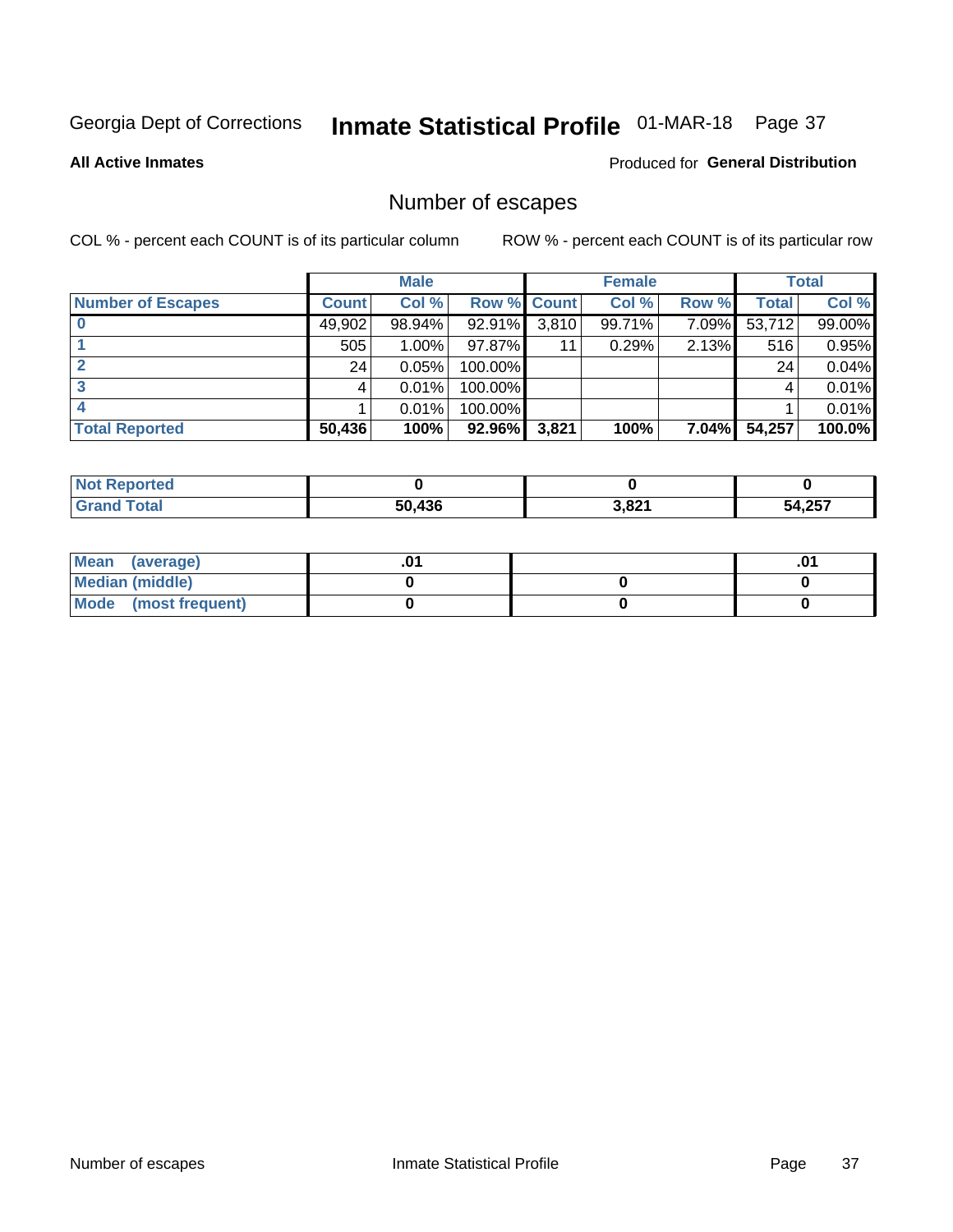# Inmate Statistical Profile 01-MAR-18 Page 37

**All Active Inmates** 

#### **Produced for General Distribution**

## Number of escapes

COL % - percent each COUNT is of its particular column

|                          |              | <b>Male</b> |             |       | <b>Female</b> |          |        | <b>Total</b> |
|--------------------------|--------------|-------------|-------------|-------|---------------|----------|--------|--------------|
| <b>Number of Escapes</b> | <b>Count</b> | Col %       | Row % Count |       | Col %         | Row %    | Total  | Col %        |
|                          | 49,902       | 98.94%      | 92.91%      | 3,810 | 99.71%        | 7.09%    | 53,712 | 99.00%       |
|                          | 505          | $1.00\%$    | 97.87%      | 11    | 0.29%         | 2.13%    | 516    | 0.95%        |
|                          | 24           | 0.05%       | 100.00%     |       |               |          | 24     | 0.04%        |
|                          |              | 0.01%       | 100.00%     |       |               |          |        | 0.01%        |
|                          |              | 0.01%       | 100.00%     |       |               |          |        | 0.01%        |
| <b>Total Reported</b>    | 50,436       | 100%        | 92.96%      | 3,821 | 100%          | $7.04\%$ | 54,257 | 100.0%       |

| prted        |        |       |             |
|--------------|--------|-------|-------------|
| <b>Total</b> | 50.436 | 3,821 | 4,257<br>ጎሳ |

| Mean (average)       |  | .01 |
|----------------------|--|-----|
| Median (middle)      |  |     |
| Mode (most frequent) |  |     |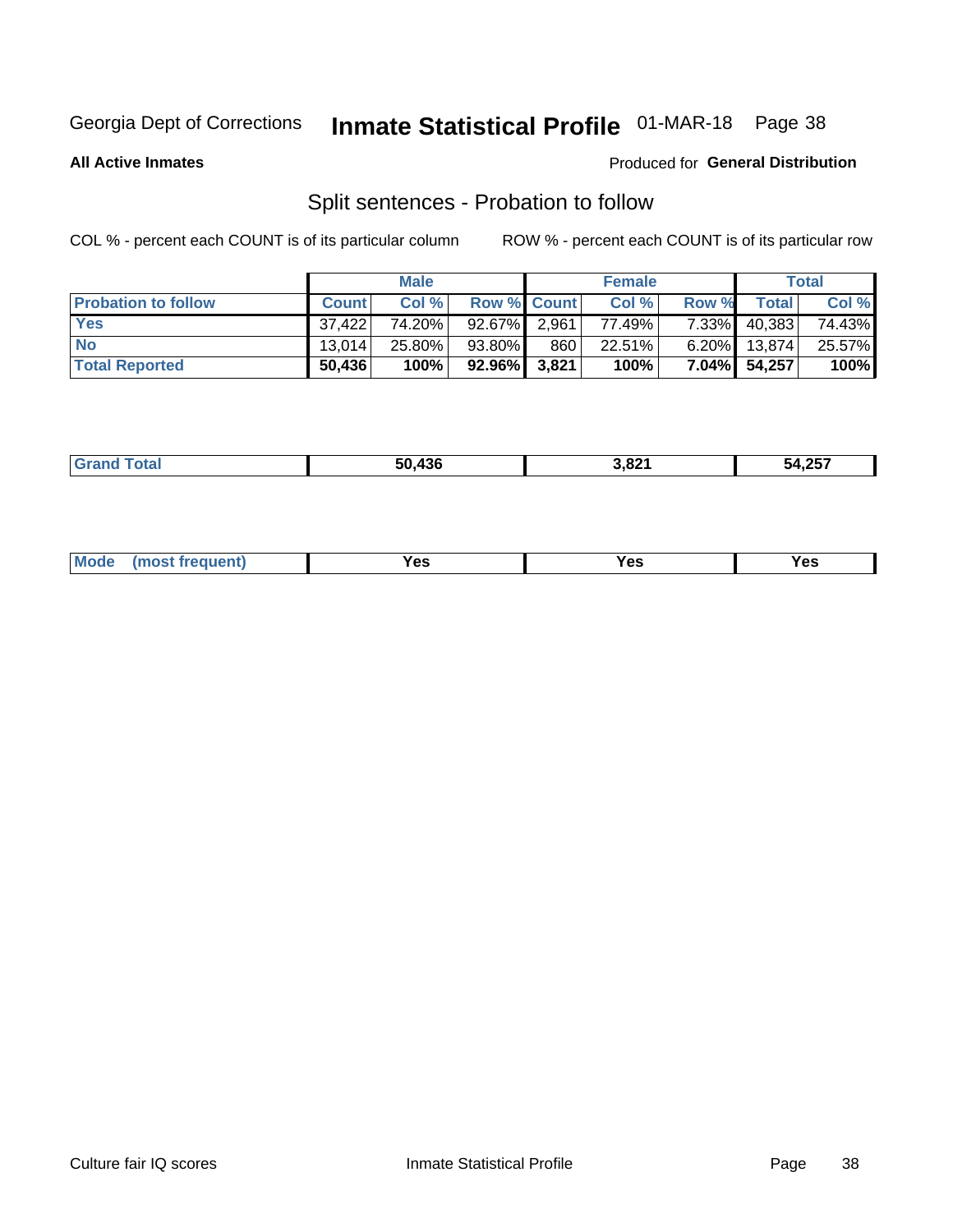# Inmate Statistical Profile 01-MAR-18 Page 38

**All Active Inmates** 

#### Produced for General Distribution

## Split sentences - Probation to follow

COL % - percent each COUNT is of its particular column

|                            |              | <b>Male</b> |                    |       | <b>Female</b> |          |                | <b>Total</b> |
|----------------------------|--------------|-------------|--------------------|-------|---------------|----------|----------------|--------------|
| <b>Probation to follow</b> | <b>Count</b> | Col%        | <b>Row % Count</b> |       | Col %         | Row %    | <b>Total</b> i | Col %        |
| <b>Yes</b>                 | 37.422       | 74.20%      | 92.67%             | 2,961 | 77.49%        | $7.33\%$ | 40,383         | 74.43%       |
| <b>No</b>                  | 13.014       | 25.80%      | 93.80%             | 860   | 22.51%        | $6.20\%$ | 13,874         | 25.57%       |
| <b>Total Reported</b>      | 50,436       | 100%        | $92.96\%$ 3,821    |       | 100%          |          | 7.04% 54,257   | 100%         |

|  | ________ | $\sim$ 100 | 1,821<br>$ -$ | 1.25<br>- 2<br>. LJ<br>___ |
|--|----------|------------|---------------|----------------------------|
|--|----------|------------|---------------|----------------------------|

| M <sub>o</sub><br>requent)<br>'es<br>res<br>$\sim$<br>$ -$ |
|------------------------------------------------------------|
|------------------------------------------------------------|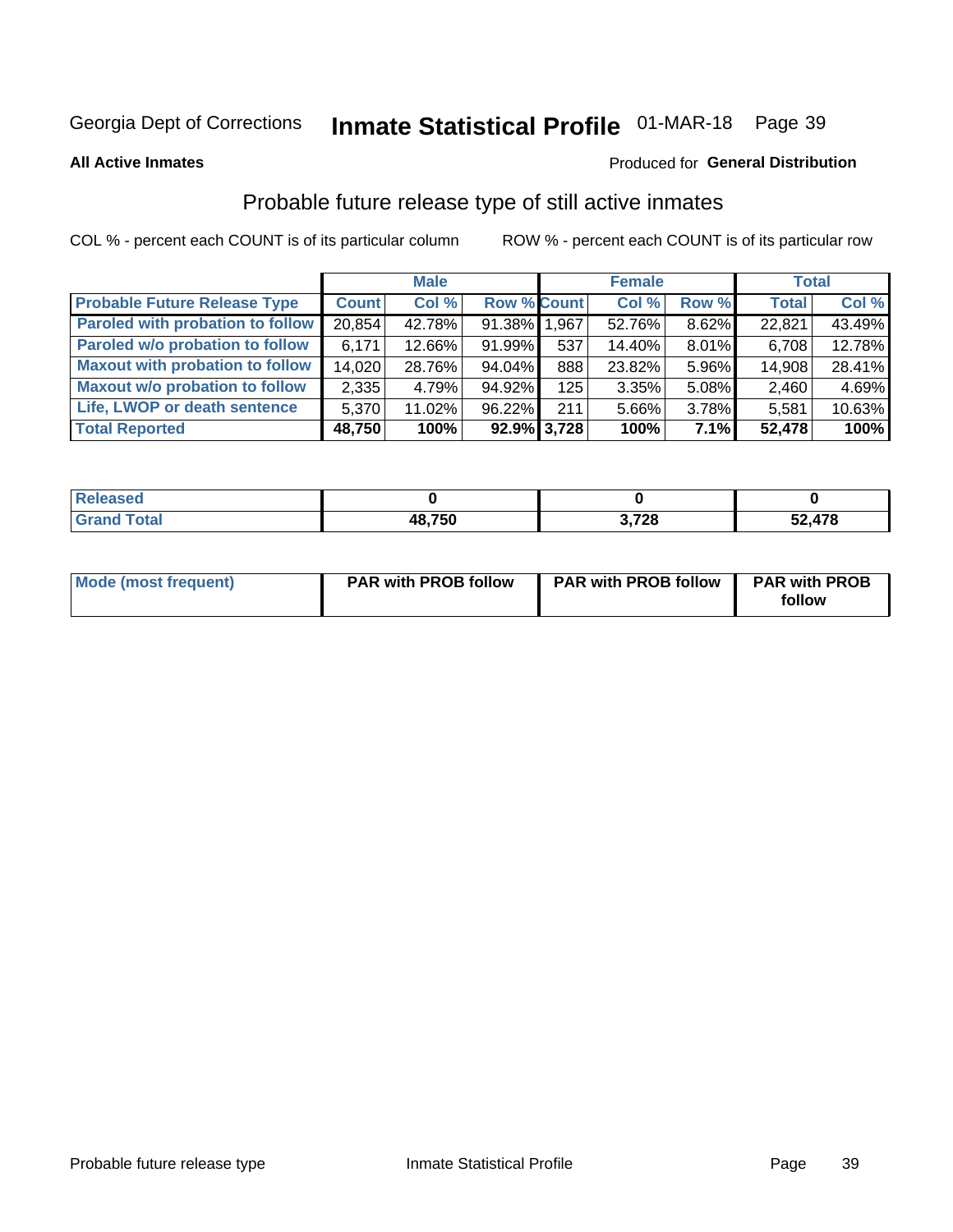# Inmate Statistical Profile 01-MAR-18 Page 39

**All Active Inmates** 

#### Produced for General Distribution

## Probable future release type of still active inmates

COL % - percent each COUNT is of its particular column

|                                        |              | <b>Male</b> |                    |                | <b>Female</b> |       | <b>Total</b> |        |
|----------------------------------------|--------------|-------------|--------------------|----------------|---------------|-------|--------------|--------|
| <b>Probable Future Release Type</b>    | <b>Count</b> | Col%        | <b>Row % Count</b> |                | Col %         | Row % | <b>Total</b> | Col %  |
| Paroled with probation to follow       | 20,854       | 42.78%      | 91.38% 1.967       |                | 52.76%        | 8.62% | 22,821       | 43.49% |
| Paroled w/o probation to follow        | 6.171        | 12.66%      | 91.99%             | 537            | 14.40%        | 8.01% | 6,708        | 12.78% |
| <b>Maxout with probation to follow</b> | 14,020       | 28.76%      | 94.04%             | 888            | 23.82%        | 5.96% | 14,908       | 28.41% |
| <b>Maxout w/o probation to follow</b>  | 2,335        | 4.79%       | 94.92%             | 125            | 3.35%         | 5.08% | 2,460        | 4.69%  |
| Life, LWOP or death sentence           | 5,370        | 11.02%      | 96.22%             | 211            | 5.66%         | 3.78% | 5,581        | 10.63% |
| <b>Total Reported</b>                  | 48,750       | 100%        |                    | $92.9\%$ 3,728 | 100%          | 7.1%  | 52,478       | 100%   |

| eleased     |        |                |                   |
|-------------|--------|----------------|-------------------|
| <b>otal</b> | 48,750 | 700<br>J, 1 ∠O | .478<br>г Л<br>JZ |

| Mode (most frequent) | <b>PAR with PROB follow</b> | <b>PAR with PROB follow</b> | <b>PAR with PROB</b><br>follow |
|----------------------|-----------------------------|-----------------------------|--------------------------------|
|                      |                             |                             |                                |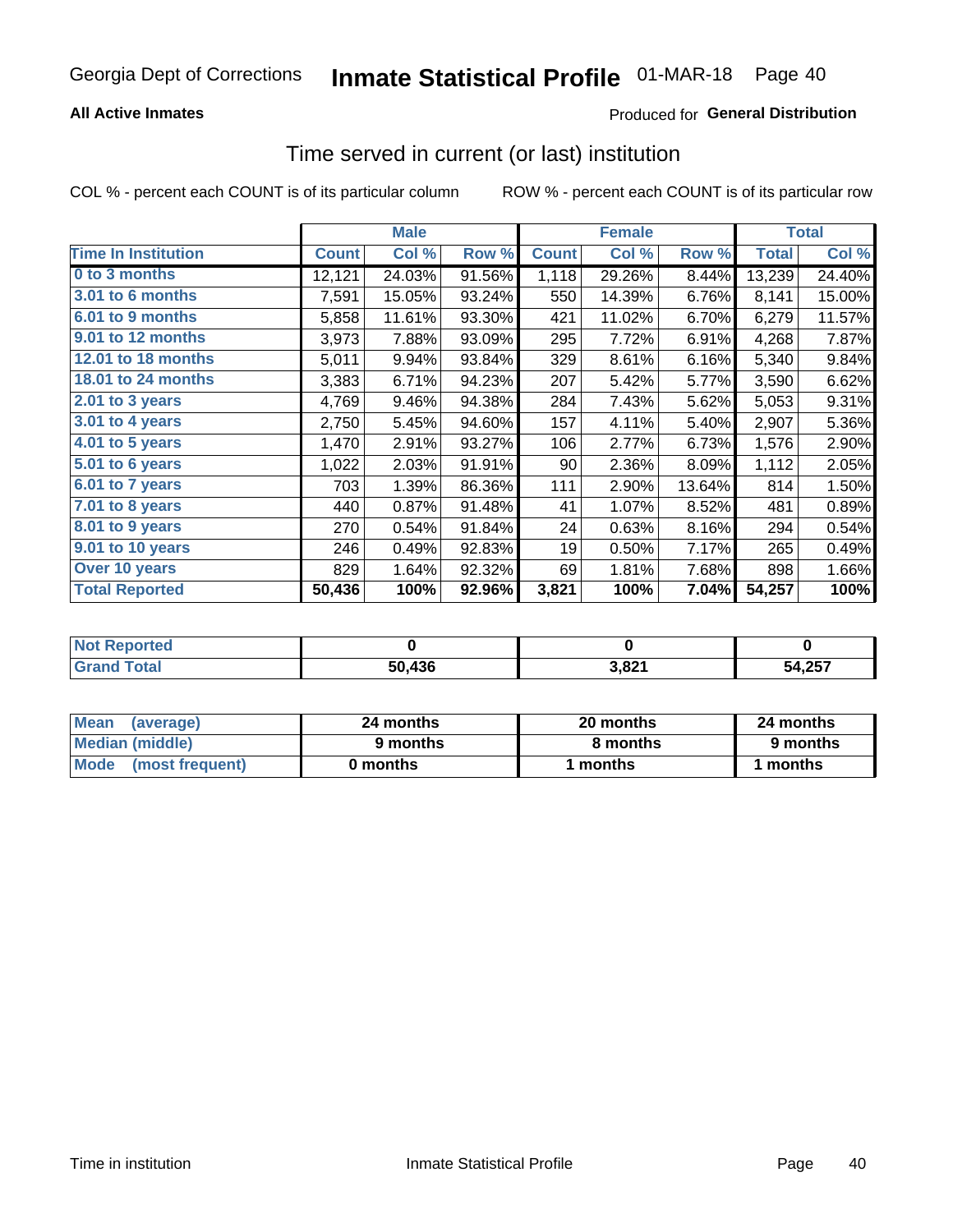### **All Active Inmates**

### **Produced for General Distribution**

### Time served in current (or last) institution

COL % - percent each COUNT is of its particular column

|                            |              | <b>Male</b> |        |              | <b>Female</b> |        |              | <b>Total</b> |
|----------------------------|--------------|-------------|--------|--------------|---------------|--------|--------------|--------------|
| <b>Time In Institution</b> | <b>Count</b> | Col %       | Row %  | <b>Count</b> | Col %         | Row %  | <b>Total</b> | Col %        |
| 0 to 3 months              | 12,121       | 24.03%      | 91.56% | 1,118        | 29.26%        | 8.44%  | 13,239       | 24.40%       |
| 3.01 to 6 months           | 7,591        | 15.05%      | 93.24% | 550          | 14.39%        | 6.76%  | 8,141        | 15.00%       |
| 6.01 to 9 months           | 5,858        | 11.61%      | 93.30% | 421          | 11.02%        | 6.70%  | 6,279        | 11.57%       |
| 9.01 to 12 months          | 3,973        | 7.88%       | 93.09% | 295          | 7.72%         | 6.91%  | 4,268        | 7.87%        |
| 12.01 to 18 months         | 5,011        | 9.94%       | 93.84% | 329          | 8.61%         | 6.16%  | 5,340        | 9.84%        |
| <b>18.01 to 24 months</b>  | 3,383        | 6.71%       | 94.23% | 207          | 5.42%         | 5.77%  | 3,590        | 6.62%        |
| $2.01$ to 3 years          | 4,769        | 9.46%       | 94.38% | 284          | 7.43%         | 5.62%  | 5,053        | 9.31%        |
| 3.01 to 4 years            | 2,750        | 5.45%       | 94.60% | 157          | 4.11%         | 5.40%  | 2,907        | 5.36%        |
| $4.01$ to 5 years          | 1,470        | 2.91%       | 93.27% | 106          | 2.77%         | 6.73%  | 1,576        | 2.90%        |
| 5.01 to 6 years            | 1,022        | 2.03%       | 91.91% | 90           | 2.36%         | 8.09%  | 1,112        | 2.05%        |
| $6.01$ to 7 years          | 703          | 1.39%       | 86.36% | 111          | 2.90%         | 13.64% | 814          | 1.50%        |
| 7.01 to 8 years            | 440          | 0.87%       | 91.48% | 41           | 1.07%         | 8.52%  | 481          | 0.89%        |
| $8.01$ to 9 years          | 270          | 0.54%       | 91.84% | 24           | 0.63%         | 8.16%  | 294          | 0.54%        |
| 9.01 to 10 years           | 246          | 0.49%       | 92.83% | 19           | 0.50%         | 7.17%  | 265          | 0.49%        |
| Over 10 years              | 829          | 1.64%       | 92.32% | 69           | 1.81%         | 7.68%  | 898          | 1.66%        |
| <b>Total Reported</b>      | 50,436       | 100%        | 92.96% | 3,821        | 100%          | 7.04%  | 54,257       | 100%         |

| neo<br><b>NOT</b> |        |              |                  |
|-------------------|--------|--------------|------------------|
|                   | 50,436 | റച<br>, JE 1 | 54 257<br>י ט∡,י |

| <b>Mean</b><br>(average) | 24 months | 20 months | 24 months |
|--------------------------|-----------|-----------|-----------|
| Median (middle)          | 9 months  | 8 months  | 9 months  |
| Mode<br>(most frequent)  | 0 months  | months    | months    |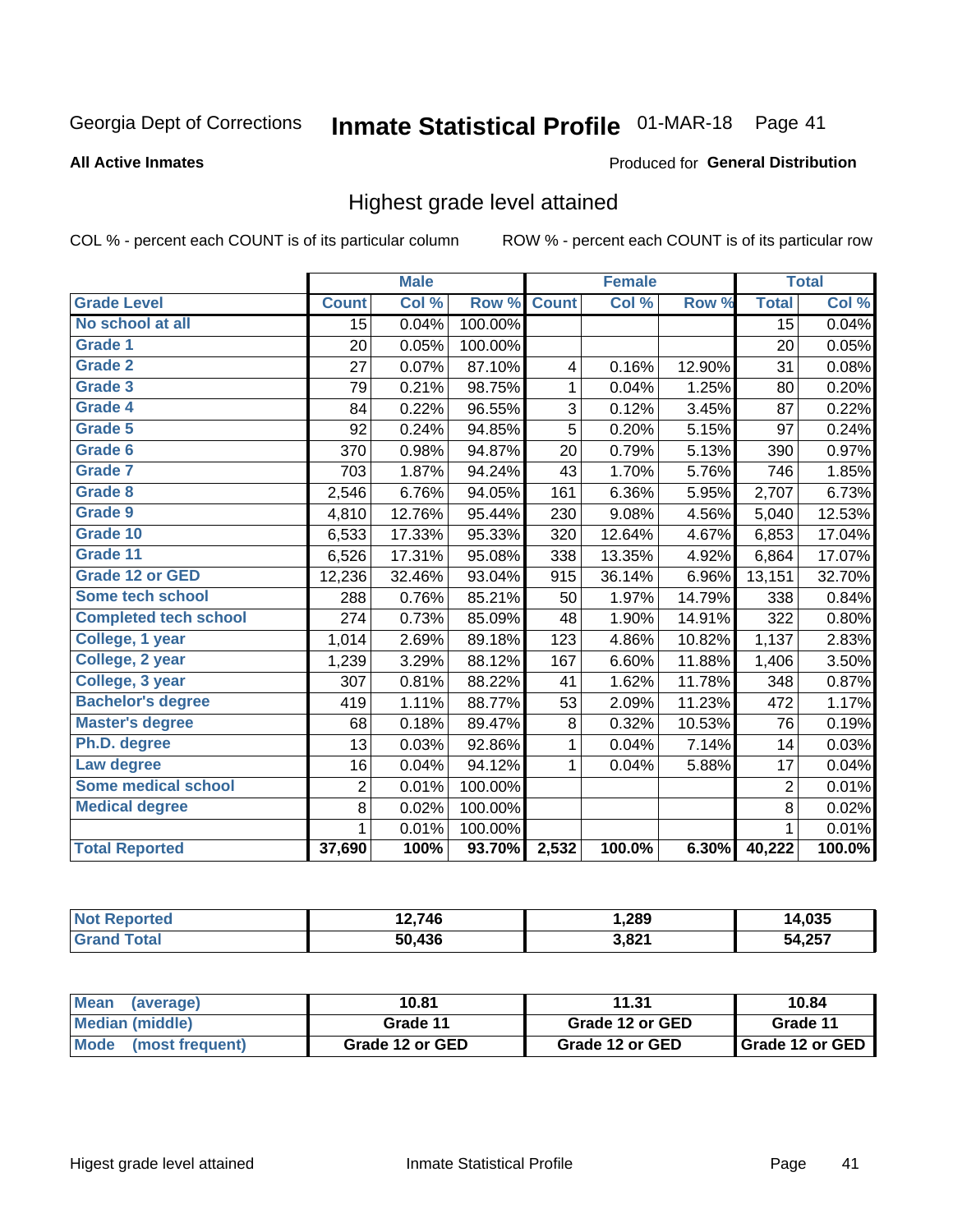# Inmate Statistical Profile 01-MAR-18 Page 41

#### **All Active Inmates**

#### Produced for General Distribution

### Highest grade level attained

COL % - percent each COUNT is of its particular column

|                              |                 | <b>Male</b> |         |              | <b>Female</b> |        |                 | <b>Total</b> |
|------------------------------|-----------------|-------------|---------|--------------|---------------|--------|-----------------|--------------|
| <b>Grade Level</b>           | <b>Count</b>    | Col %       | Row %   | <b>Count</b> | Col %         | Row %  | <b>Total</b>    | Col %        |
| No school at all             | $\overline{15}$ | 0.04%       | 100.00% |              |               |        | $\overline{15}$ | 0.04%        |
| <b>Grade 1</b>               | 20              | 0.05%       | 100.00% |              |               |        | 20              | 0.05%        |
| <b>Grade 2</b>               | 27              | 0.07%       | 87.10%  | 4            | 0.16%         | 12.90% | 31              | 0.08%        |
| Grade 3                      | 79              | 0.21%       | 98.75%  | $\mathbf{1}$ | 0.04%         | 1.25%  | 80              | 0.20%        |
| <b>Grade 4</b>               | 84              | 0.22%       | 96.55%  | 3            | 0.12%         | 3.45%  | 87              | 0.22%        |
| <b>Grade 5</b>               | 92              | 0.24%       | 94.85%  | 5            | 0.20%         | 5.15%  | 97              | 0.24%        |
| Grade 6                      | 370             | 0.98%       | 94.87%  | 20           | 0.79%         | 5.13%  | 390             | 0.97%        |
| <b>Grade 7</b>               | 703             | 1.87%       | 94.24%  | 43           | 1.70%         | 5.76%  | 746             | 1.85%        |
| Grade 8                      | 2,546           | 6.76%       | 94.05%  | 161          | 6.36%         | 5.95%  | 2,707           | 6.73%        |
| Grade 9                      | 4,810           | 12.76%      | 95.44%  | 230          | 9.08%         | 4.56%  | 5,040           | 12.53%       |
| Grade 10                     | 6,533           | 17.33%      | 95.33%  | 320          | 12.64%        | 4.67%  | 6,853           | 17.04%       |
| Grade 11                     | 6,526           | 17.31%      | 95.08%  | 338          | 13.35%        | 4.92%  | 6,864           | 17.07%       |
| <b>Grade 12 or GED</b>       | 12,236          | 32.46%      | 93.04%  | 915          | 36.14%        | 6.96%  | 13,151          | 32.70%       |
| <b>Some tech school</b>      | 288             | 0.76%       | 85.21%  | 50           | 1.97%         | 14.79% | 338             | 0.84%        |
| <b>Completed tech school</b> | 274             | 0.73%       | 85.09%  | 48           | 1.90%         | 14.91% | 322             | 0.80%        |
| College, 1 year              | 1,014           | 2.69%       | 89.18%  | 123          | 4.86%         | 10.82% | 1,137           | 2.83%        |
| College, 2 year              | 1,239           | 3.29%       | 88.12%  | 167          | 6.60%         | 11.88% | 1,406           | 3.50%        |
| College, 3 year              | 307             | 0.81%       | 88.22%  | 41           | 1.62%         | 11.78% | 348             | 0.87%        |
| <b>Bachelor's degree</b>     | 419             | 1.11%       | 88.77%  | 53           | 2.09%         | 11.23% | 472             | 1.17%        |
| <b>Master's degree</b>       | 68              | 0.18%       | 89.47%  | 8            | 0.32%         | 10.53% | 76              | 0.19%        |
| Ph.D. degree                 | 13              | 0.03%       | 92.86%  | 1            | 0.04%         | 7.14%  | 14              | 0.03%        |
| Law degree                   | 16              | 0.04%       | 94.12%  | $\mathbf{1}$ | 0.04%         | 5.88%  | 17              | 0.04%        |
| <b>Some medical school</b>   | $\overline{2}$  | 0.01%       | 100.00% |              |               |        | $\overline{2}$  | 0.01%        |
| <b>Medical degree</b>        | 8               | 0.02%       | 100.00% |              |               |        | 8               | 0.02%        |
|                              | 1               | 0.01%       | 100.00% |              |               |        | $\mathbf{1}$    | 0.01%        |
| <b>Total Reported</b>        | 37,690          | 100%        | 93.70%  | 2,532        | 100.0%        | 6.30%  | 40,222          | 100.0%       |

| 2.746             | 289،،           | $\sim$<br>.U35      |
|-------------------|-----------------|---------------------|
| $\sqrt{2}$<br>БΛ. | 2.821<br>∍,o∠ . | 257<br>יי<br>ו טבי, |

| Mean<br>(average)    | 10.81           | 11.31           | 10.84           |
|----------------------|-----------------|-----------------|-----------------|
| Median (middle)      | Grade 11        | Grade 12 or GED | Grade 11        |
| Mode (most frequent) | Grade 12 or GED | Grade 12 or GED | Grade 12 or GED |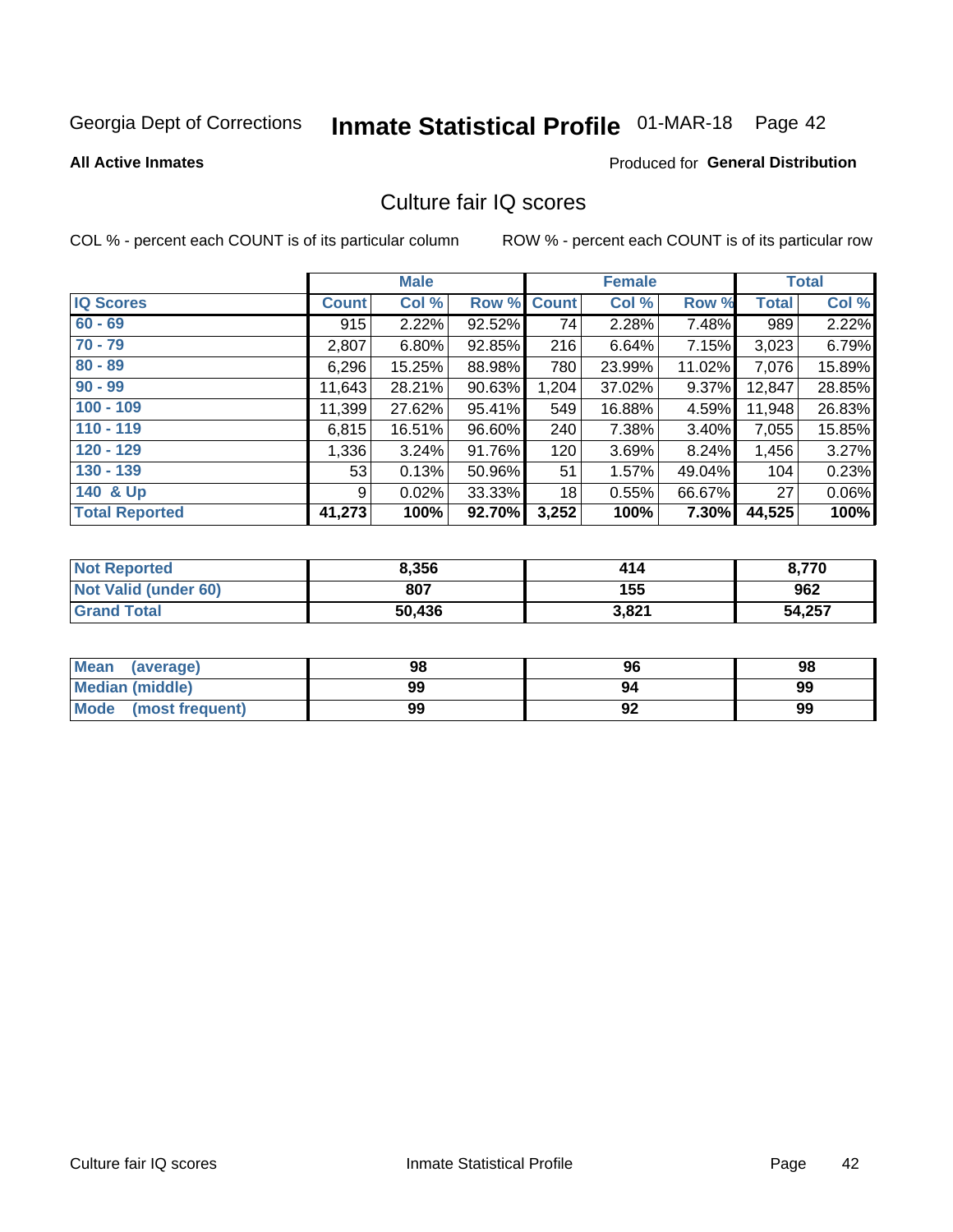# Inmate Statistical Profile 01-MAR-18 Page 42

**All Active Inmates** 

#### **Produced for General Distribution**

### Culture fair IQ scores

COL % - percent each COUNT is of its particular column

|                       |              | <b>Male</b> |             |       | <b>Female</b> |          |              | <b>Total</b> |
|-----------------------|--------------|-------------|-------------|-------|---------------|----------|--------------|--------------|
| <b>IQ Scores</b>      | <b>Count</b> | Col %       | Row % Count |       | Col %         | Row %    | <b>Total</b> | Col %        |
| $60 - 69$             | 915          | 2.22%       | 92.52%      | 74    | 2.28%         | 7.48%    | 989          | 2.22%        |
| $70 - 79$             | 2,807        | 6.80%       | 92.85%      | 216   | 6.64%         | 7.15%    | 3,023        | 6.79%        |
| $80 - 89$             | 6,296        | 15.25%      | 88.98%      | 780   | 23.99%        | 11.02%   | 7,076        | 15.89%       |
| $90 - 99$             | 11,643       | 28.21%      | 90.63%      | 1,204 | 37.02%        | 9.37%    | 12,847       | 28.85%       |
| $100 - 109$           | 11,399       | 27.62%      | 95.41%      | 549   | 16.88%        | 4.59%    | 11,948       | 26.83%       |
| $110 - 119$           | 6,815        | 16.51%      | 96.60%      | 240   | 7.38%         | 3.40%    | 7,055        | 15.85%       |
| $120 - 129$           | 1,336        | 3.24%       | 91.76%      | 120   | 3.69%         | 8.24%    | 1,456        | 3.27%        |
| $130 - 139$           | 53           | 0.13%       | 50.96%      | 51    | 1.57%         | 49.04%   | 104          | 0.23%        |
| 140 & Up              | 9            | 0.02%       | 33.33%      | 18    | 0.55%         | 66.67%   | 27           | 0.06%        |
| <b>Total Reported</b> | 41,273       | 100%        | 92.70%      | 3,252 | 100%          | $7.30\%$ | 44,525       | 100%         |

| <b>Not Reported</b>         | 8,356  | 414   | 8,770  |
|-----------------------------|--------|-------|--------|
| <b>Not Valid (under 60)</b> | 807    | 155   | 962    |
| <b>Grand Total</b>          | 50,436 | 3,821 | 54,257 |

| <b>Mean</b><br>(average) | 98 | 96                | 98 |
|--------------------------|----|-------------------|----|
| Median (middle)          | 99 | 94                | 99 |
| Mode<br>(most frequent)  | 99 | $\mathbf{a}$<br>∍ | 99 |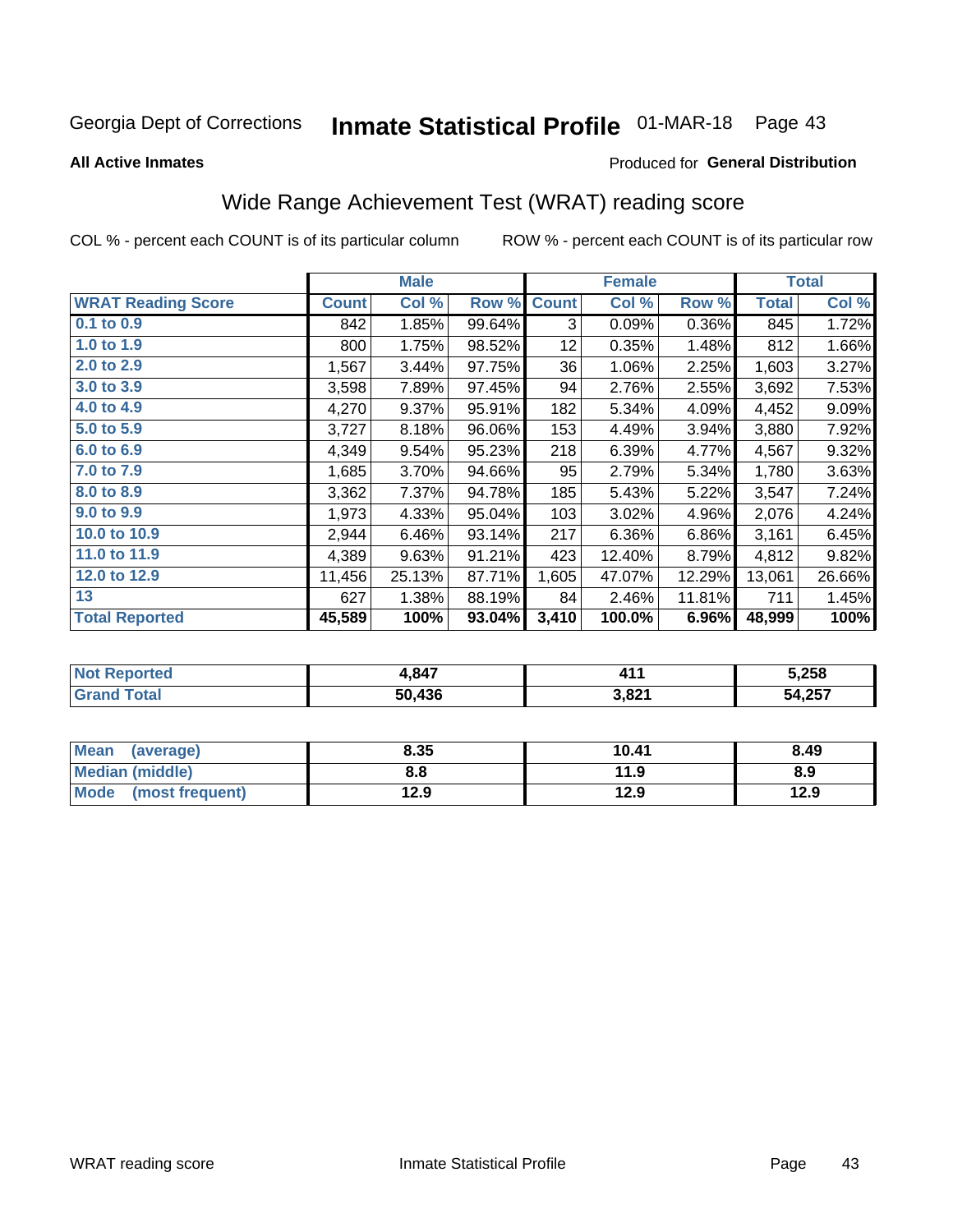# Inmate Statistical Profile 01-MAR-18 Page 43

**All Active Inmates** 

#### Produced for General Distribution

### Wide Range Achievement Test (WRAT) reading score

COL % - percent each COUNT is of its particular column

|                           |              | <b>Male</b> |        |                 | <b>Female</b> |        |              | <b>Total</b> |
|---------------------------|--------------|-------------|--------|-----------------|---------------|--------|--------------|--------------|
| <b>WRAT Reading Score</b> | <b>Count</b> | Col %       | Row %  | <b>Count</b>    | Col %         | Row %  | <b>Total</b> | Col %        |
| $0.1$ to $0.9$            | 842          | 1.85%       | 99.64% | 3               | 0.09%         | 0.36%  | 845          | 1.72%        |
| 1.0 to 1.9                | 800          | 1.75%       | 98.52% | 12 <sub>2</sub> | 0.35%         | 1.48%  | 812          | 1.66%        |
| 2.0 to 2.9                | 1,567        | 3.44%       | 97.75% | 36              | 1.06%         | 2.25%  | 1,603        | 3.27%        |
| 3.0 to 3.9                | 3,598        | 7.89%       | 97.45% | 94              | 2.76%         | 2.55%  | 3,692        | 7.53%        |
| 4.0 to 4.9                | 4,270        | $9.37\%$    | 95.91% | 182             | 5.34%         | 4.09%  | 4,452        | 9.09%        |
| 5.0 to 5.9                | 3,727        | 8.18%       | 96.06% | 153             | 4.49%         | 3.94%  | 3,880        | 7.92%        |
| 6.0 to 6.9                | 4,349        | 9.54%       | 95.23% | 218             | 6.39%         | 4.77%  | 4,567        | 9.32%        |
| 7.0 to 7.9                | 1,685        | 3.70%       | 94.66% | 95              | 2.79%         | 5.34%  | 1,780        | 3.63%        |
| 8.0 to 8.9                | 3,362        | 7.37%       | 94.78% | 185             | 5.43%         | 5.22%  | 3,547        | 7.24%        |
| 9.0 to 9.9                | 1,973        | 4.33%       | 95.04% | 103             | 3.02%         | 4.96%  | 2,076        | 4.24%        |
| 10.0 to 10.9              | 2,944        | 6.46%       | 93.14% | 217             | 6.36%         | 6.86%  | 3,161        | 6.45%        |
| 11.0 to 11.9              | 4,389        | 9.63%       | 91.21% | 423             | 12.40%        | 8.79%  | 4,812        | 9.82%        |
| 12.0 to 12.9              | 11,456       | 25.13%      | 87.71% | 1,605           | 47.07%        | 12.29% | 13,061       | 26.66%       |
| 13                        | 627          | 1.38%       | 88.19% | 84              | 2.46%         | 11.81% | 711          | 1.45%        |
| <b>Total Reported</b>     | 45,589       | 100%        | 93.04% | 3,410           | 100.0%        | 6.96%  | 48,999       | 100%         |

| <b>orted</b><br>NOT I<br>кемо | 1,847  | 4 A                    | 5,258  |
|-------------------------------|--------|------------------------|--------|
| <b>Total</b>                  | 50,436 | <b>2.021</b><br>ാ.ഠ∠ . | 54,257 |

| <b>Mean</b><br>(average)       | 8.35 | 10.41 | 8.49 |
|--------------------------------|------|-------|------|
| <b>Median (middle)</b>         | 8.8  | 11.9  | 8.9  |
| <b>Mode</b><br>(most frequent) | 12.9 | 12.9  | 12.9 |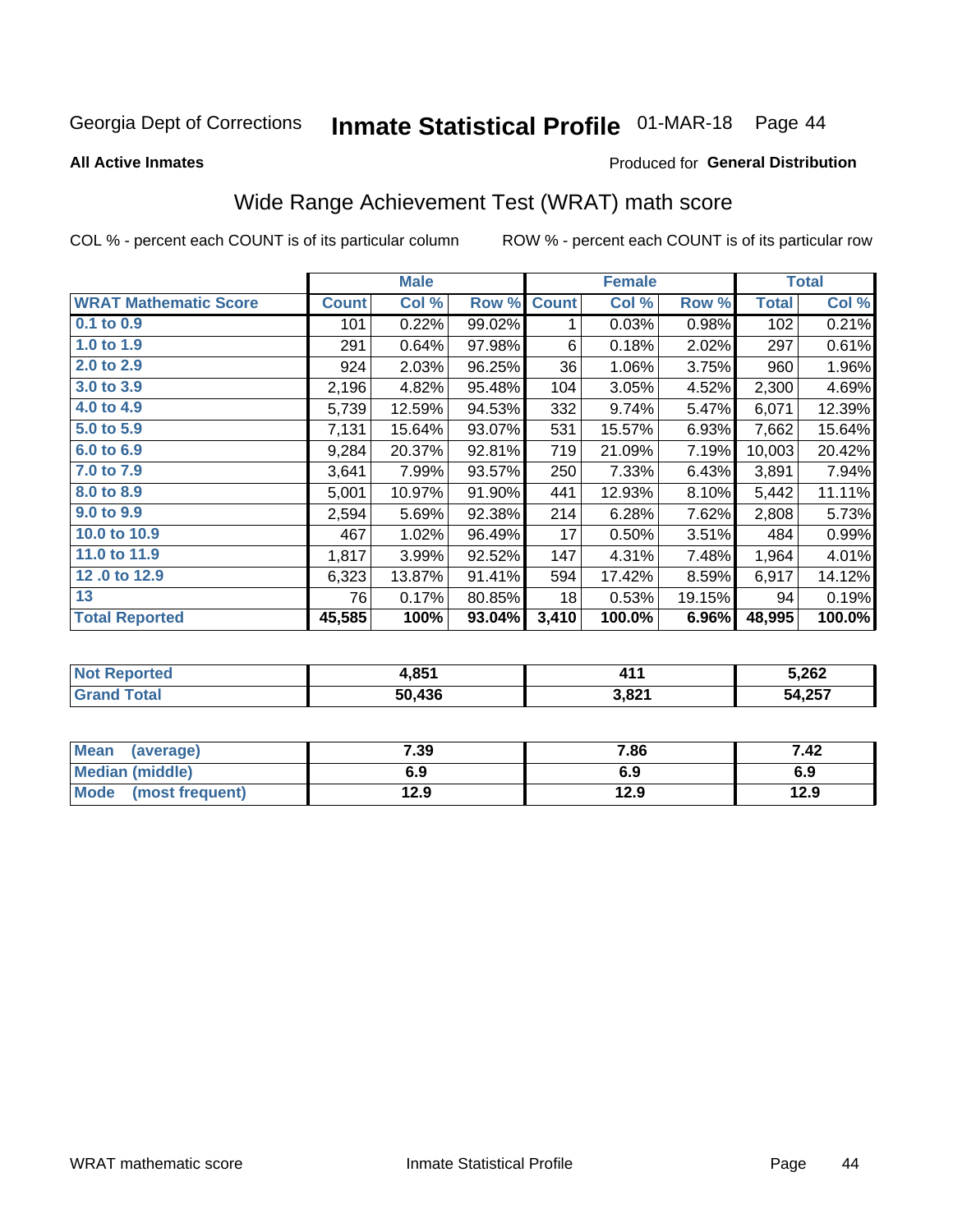# Inmate Statistical Profile 01-MAR-18 Page 44

**All Active Inmates** 

#### **Produced for General Distribution**

## Wide Range Achievement Test (WRAT) math score

COL % - percent each COUNT is of its particular column

|                              |              | <b>Male</b> |        |              | <b>Female</b> |        |              | <b>Total</b> |
|------------------------------|--------------|-------------|--------|--------------|---------------|--------|--------------|--------------|
| <b>WRAT Mathematic Score</b> | <b>Count</b> | Col %       | Row %  | <b>Count</b> | Col %         | Row %  | <b>Total</b> | Col %        |
| $0.1$ to $0.9$               | 101          | 0.22%       | 99.02% | 1            | 0.03%         | 0.98%  | 102          | 0.21%        |
| 1.0 to 1.9                   | 291          | 0.64%       | 97.98% | 6            | 0.18%         | 2.02%  | 297          | 0.61%        |
| 2.0 to 2.9                   | 924          | 2.03%       | 96.25% | 36           | 1.06%         | 3.75%  | 960          | 1.96%        |
| 3.0 to 3.9                   | 2,196        | 4.82%       | 95.48% | 104          | 3.05%         | 4.52%  | 2,300        | 4.69%        |
| 4.0 to 4.9                   | 5,739        | 12.59%      | 94.53% | 332          | 9.74%         | 5.47%  | 6,071        | 12.39%       |
| 5.0 to 5.9                   | 7,131        | 15.64%      | 93.07% | 531          | 15.57%        | 6.93%  | 7,662        | 15.64%       |
| 6.0 to 6.9                   | 9,284        | 20.37%      | 92.81% | 719          | 21.09%        | 7.19%  | 10,003       | 20.42%       |
| 7.0 to 7.9                   | 3,641        | 7.99%       | 93.57% | 250          | 7.33%         | 6.43%  | 3,891        | 7.94%        |
| 8.0 to 8.9                   | 5,001        | 10.97%      | 91.90% | 441          | 12.93%        | 8.10%  | 5,442        | 11.11%       |
| 9.0 to 9.9                   | 2,594        | 5.69%       | 92.38% | 214          | 6.28%         | 7.62%  | 2,808        | 5.73%        |
| 10.0 to 10.9                 | 467          | 1.02%       | 96.49% | 17           | 0.50%         | 3.51%  | 484          | 0.99%        |
| 11.0 to 11.9                 | 1,817        | 3.99%       | 92.52% | 147          | 4.31%         | 7.48%  | 1,964        | 4.01%        |
| 12.0 to 12.9                 | 6,323        | 13.87%      | 91.41% | 594          | 17.42%        | 8.59%  | 6,917        | 14.12%       |
| 13                           | 76           | 0.17%       | 80.85% | 18           | 0.53%         | 19.15% | 94           | 0.19%        |
| <b>Total Reported</b>        | 45,585       | 100%        | 93.04% | 3,410        | 100.0%        | 6.96%  | 48,995       | 100.0%       |

| <b>Not Reported</b> | 4,851  | л - 1 | 5,262  |
|---------------------|--------|-------|--------|
| <b>Grand Total</b>  | 50.436 | 3,821 | 54,257 |

| Mean (average)       | 7.39 | 7.86 | 7.42 |
|----------------------|------|------|------|
| Median (middle)      | 6.9  | 6.9  | 6.9  |
| Mode (most frequent) | 12.9 | 12.9 | 12.9 |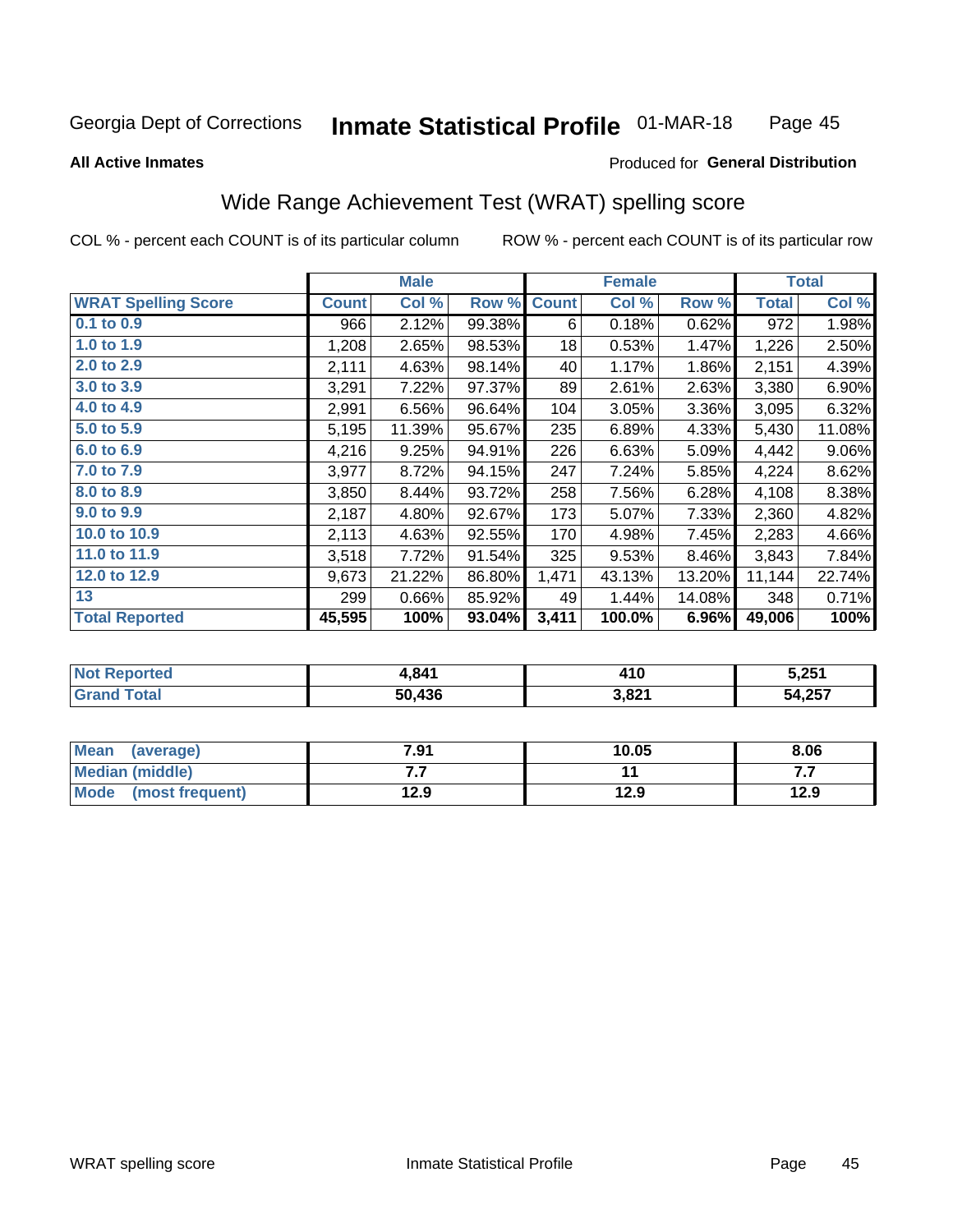#### **Inmate Statistical Profile 01-MAR-18** Page 45

#### **All Active Inmates**

#### Produced for General Distribution

### Wide Range Achievement Test (WRAT) spelling score

COL % - percent each COUNT is of its particular column

|                            |              | <b>Male</b> |        |              | <b>Female</b> |        |              | <b>Total</b> |
|----------------------------|--------------|-------------|--------|--------------|---------------|--------|--------------|--------------|
| <b>WRAT Spelling Score</b> | <b>Count</b> | Col %       | Row %  | <b>Count</b> | Col %         | Row %  | <b>Total</b> | Col %        |
| 0.1 to 0.9                 | 966          | 2.12%       | 99.38% | 6            | 0.18%         | 0.62%  | 972          | 1.98%        |
| 1.0 to 1.9                 | 1,208        | 2.65%       | 98.53% | 18           | 0.53%         | 1.47%  | 1,226        | 2.50%        |
| 2.0 to 2.9                 | 2,111        | 4.63%       | 98.14% | 40           | 1.17%         | 1.86%  | 2,151        | 4.39%        |
| 3.0 to 3.9                 | 3,291        | 7.22%       | 97.37% | 89           | 2.61%         | 2.63%  | 3,380        | 6.90%        |
| 4.0 to 4.9                 | 2,991        | 6.56%       | 96.64% | 104          | 3.05%         | 3.36%  | 3,095        | 6.32%        |
| 5.0 to 5.9                 | 5,195        | 11.39%      | 95.67% | 235          | 6.89%         | 4.33%  | 5,430        | 11.08%       |
| 6.0 to 6.9                 | 4,216        | 9.25%       | 94.91% | 226          | 6.63%         | 5.09%  | 4,442        | $9.06\%$     |
| 7.0 to 7.9                 | 3,977        | 8.72%       | 94.15% | 247          | 7.24%         | 5.85%  | 4,224        | 8.62%        |
| 8.0 to 8.9                 | 3,850        | 8.44%       | 93.72% | 258          | 7.56%         | 6.28%  | 4,108        | 8.38%        |
| 9.0 to 9.9                 | 2,187        | 4.80%       | 92.67% | 173          | 5.07%         | 7.33%  | 2,360        | 4.82%        |
| 10.0 to 10.9               | 2,113        | 4.63%       | 92.55% | 170          | 4.98%         | 7.45%  | 2,283        | 4.66%        |
| 11.0 to 11.9               | 3,518        | 7.72%       | 91.54% | 325          | 9.53%         | 8.46%  | 3,843        | 7.84%        |
| 12.0 to 12.9               | 9,673        | 21.22%      | 86.80% | 1,471        | 43.13%        | 13.20% | 11,144       | 22.74%       |
| 13                         | 299          | 0.66%       | 85.92% | 49           | 1.44%         | 14.08% | 348          | 0.71%        |
| <b>Total Reported</b>      | 45,595       | 100%        | 93.04% | 3,411        | 100.0%        | 6.96%  | 49,006       | 100%         |

| <b>ortea</b><br>NO1 | 4,841  | 410   | 5,251  |
|---------------------|--------|-------|--------|
| $T$ otol $T$<br>Grz | 50.436 | 3,821 | 54,257 |

| <b>Mean</b><br>(average) | 7.91 | 10.05 | 8.06 |
|--------------------------|------|-------|------|
| Median (middle)          | .    |       | .    |
| Mode (most frequent)     | 12.9 | 12.9  | 12.9 |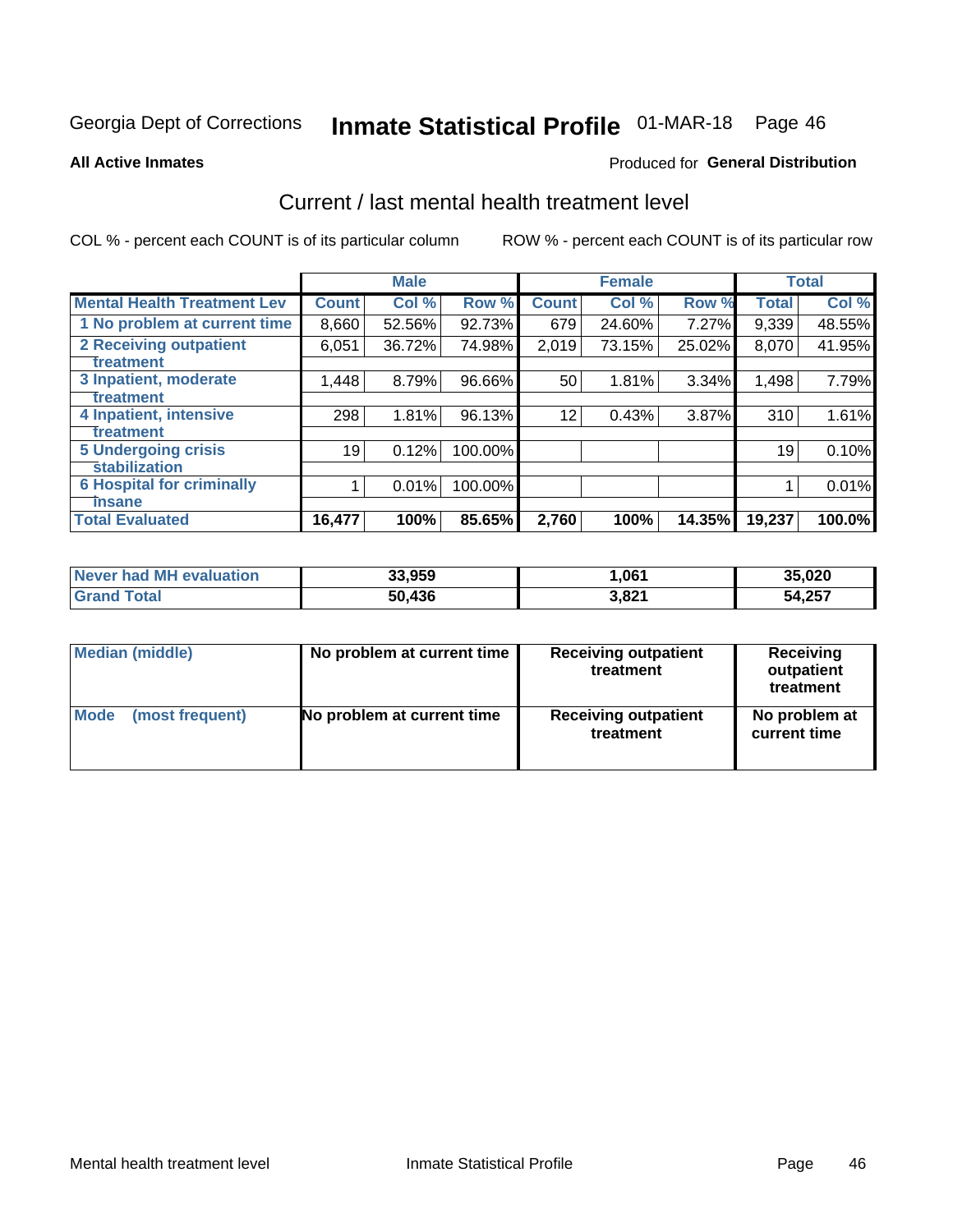# Inmate Statistical Profile 01-MAR-18 Page 46

#### **All Active Inmates**

#### Produced for General Distribution

### Current / last mental health treatment level

COL % - percent each COUNT is of its particular column

|                                    |              | <b>Male</b> |         |              | <b>Female</b> |           |              | <b>Total</b> |
|------------------------------------|--------------|-------------|---------|--------------|---------------|-----------|--------------|--------------|
| <b>Mental Health Treatment Lev</b> | <b>Count</b> | Col %       | Row %   | <b>Count</b> | Col%          | Row %     | <b>Total</b> | Col %        |
| 1 No problem at current time       | 8,660        | 52.56%      | 92.73%  | 679          | 24.60%        | 7.27%     | 9,339        | 48.55%       |
| <b>2 Receiving outpatient</b>      | 6,051        | 36.72%      | 74.98%  | 2,019        | 73.15%        | 25.02%    | 8,070        | 41.95%       |
| <b>Treatment</b>                   |              |             |         |              |               |           |              |              |
| 3 Inpatient, moderate              | 1,448        | 8.79%       | 96.66%  | 50           | 1.81%         | 3.34%     | 1,498        | 7.79%        |
| <b>Treatment</b>                   |              |             |         |              |               |           |              |              |
| 4 Inpatient, intensive             | 298          | 1.81%       | 96.13%  | 12           | 0.43%         | 3.87%     | 310          | 1.61%        |
| <b>Treatment</b>                   |              |             |         |              |               |           |              |              |
| <b>5 Undergoing crisis</b>         | 19           | 0.12%       | 100.00% |              |               |           | 19           | 0.10%        |
| <b>Stabilization</b>               |              |             |         |              |               |           |              |              |
| <b>6 Hospital for criminally</b>   |              | 0.01%       | 100.00% |              |               |           |              | 0.01%        |
| <b>Tinsane</b>                     |              |             |         |              |               |           |              |              |
| <b>Total Evaluated</b>             | 16,477       | 100%        | 85.65%  | 2,760        | 100%          | $14.35\%$ | 19,237       | 100.0%       |

| Never had MH evaluation | 33,959 | ,061  | 35,020 |
|-------------------------|--------|-------|--------|
| $\tau$ otal<br>∣Grand ˈ | 50,436 | 3,821 | 54,257 |

| Median (middle) | No problem at current time | <b>Receiving outpatient</b><br>treatment | <b>Receiving</b><br>outpatient<br>treatment |
|-----------------|----------------------------|------------------------------------------|---------------------------------------------|
| <b>Mode</b>     | No problem at current time | <b>Receiving outpatient</b>              | No problem at                               |
| (most frequent) |                            | treatment                                | current time                                |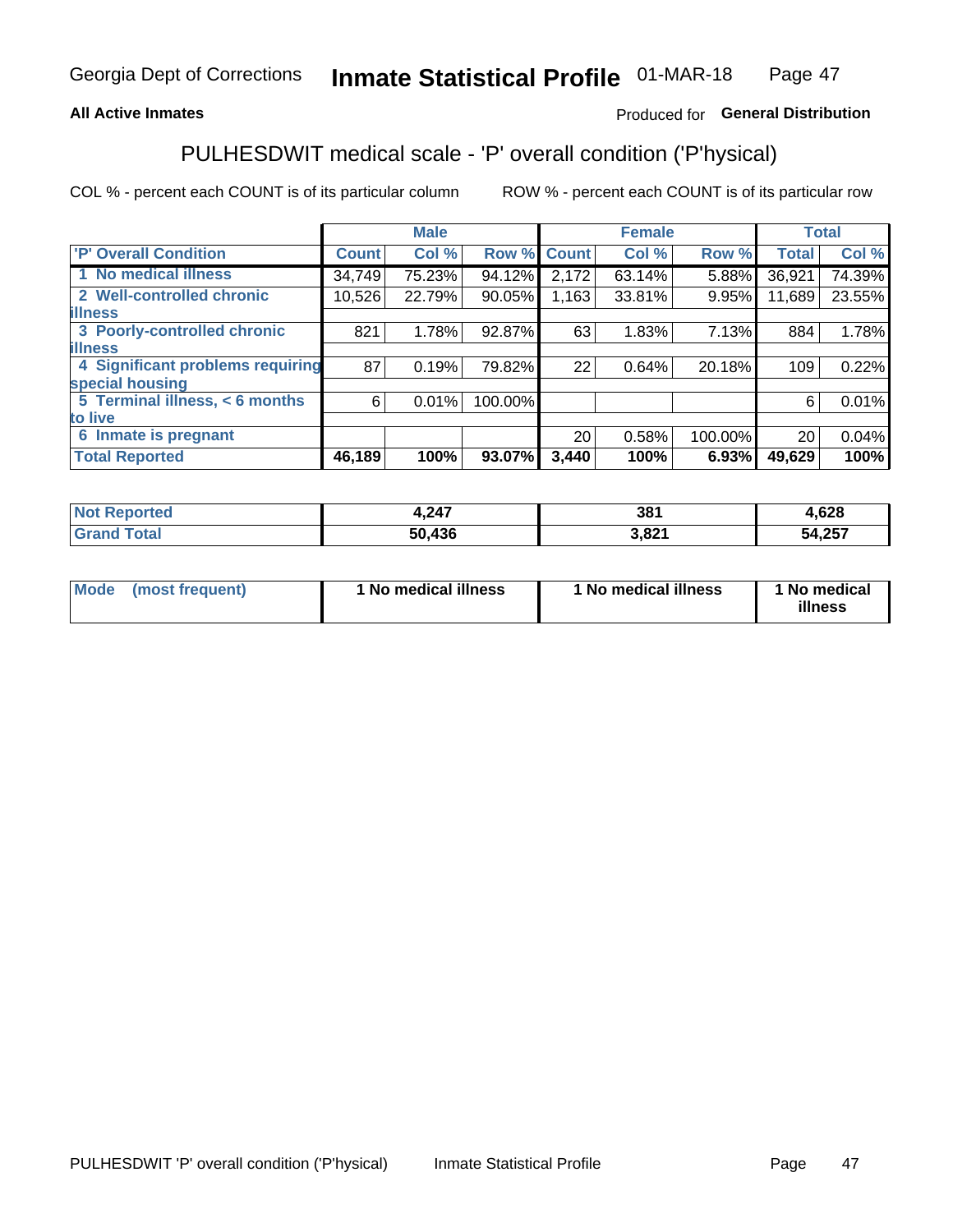#### **All Active Inmates**

### Produced for General Distribution

## PULHESDWIT medical scale - 'P' overall condition ('P'hysical)

COL % - percent each COUNT is of its particular column

|                                  |              | <b>Male</b> |         |              | <b>Female</b> |         |                 | <b>Total</b> |
|----------------------------------|--------------|-------------|---------|--------------|---------------|---------|-----------------|--------------|
| 'P' Overall Condition            | <b>Count</b> | Col %       | Row %   | <b>Count</b> | Col %         | Row %   | <b>Total</b>    | Col %        |
| 1 No medical illness             | 34,749       | 75.23%      | 94.12%  | 2,172        | 63.14%        | 5.88%   | 36,921          | 74.39%       |
| 2 Well-controlled chronic        | 10,526       | 22.79%      | 90.05%  | 1,163        | 33.81%        | 9.95%   | 11,689          | 23.55%       |
| <b>lillness</b>                  |              |             |         |              |               |         |                 |              |
| 3 Poorly-controlled chronic      | 821          | 1.78%       | 92.87%  | 63           | 1.83%         | 7.13%   | 884             | 1.78%        |
| <b>lillness</b>                  |              |             |         |              |               |         |                 |              |
| 4 Significant problems requiring | 87           | 0.19%       | 79.82%  | 22           | 0.64%         | 20.18%  | 109             | 0.22%        |
| special housing                  |              |             |         |              |               |         |                 |              |
| 5 Terminal illness, < 6 months   | 6            | 0.01%       | 100.00% |              |               |         | 6               | 0.01%        |
| to live                          |              |             |         |              |               |         |                 |              |
| 6 Inmate is pregnant             |              |             |         | 20           | 0.58%         | 100.00% | 20 <sup>1</sup> | 0.04%        |
| <b>Total Reported</b>            | 46,189       | 100%        | 93.07%  | 3,440        | 100%          | 6.93%   | 49,629          | 100%         |

| тео | .247      | 38'          | coo<br>,ס∠ס         |
|-----|-----------|--------------|---------------------|
|     | 100<br>л. | 2001 -<br>__ | 257<br>54<br>J4,ZJ1 |

| Mode | (most frequent) | 1 No medical illness | 1 No medical illness | 1 No medical<br>illness |
|------|-----------------|----------------------|----------------------|-------------------------|
|------|-----------------|----------------------|----------------------|-------------------------|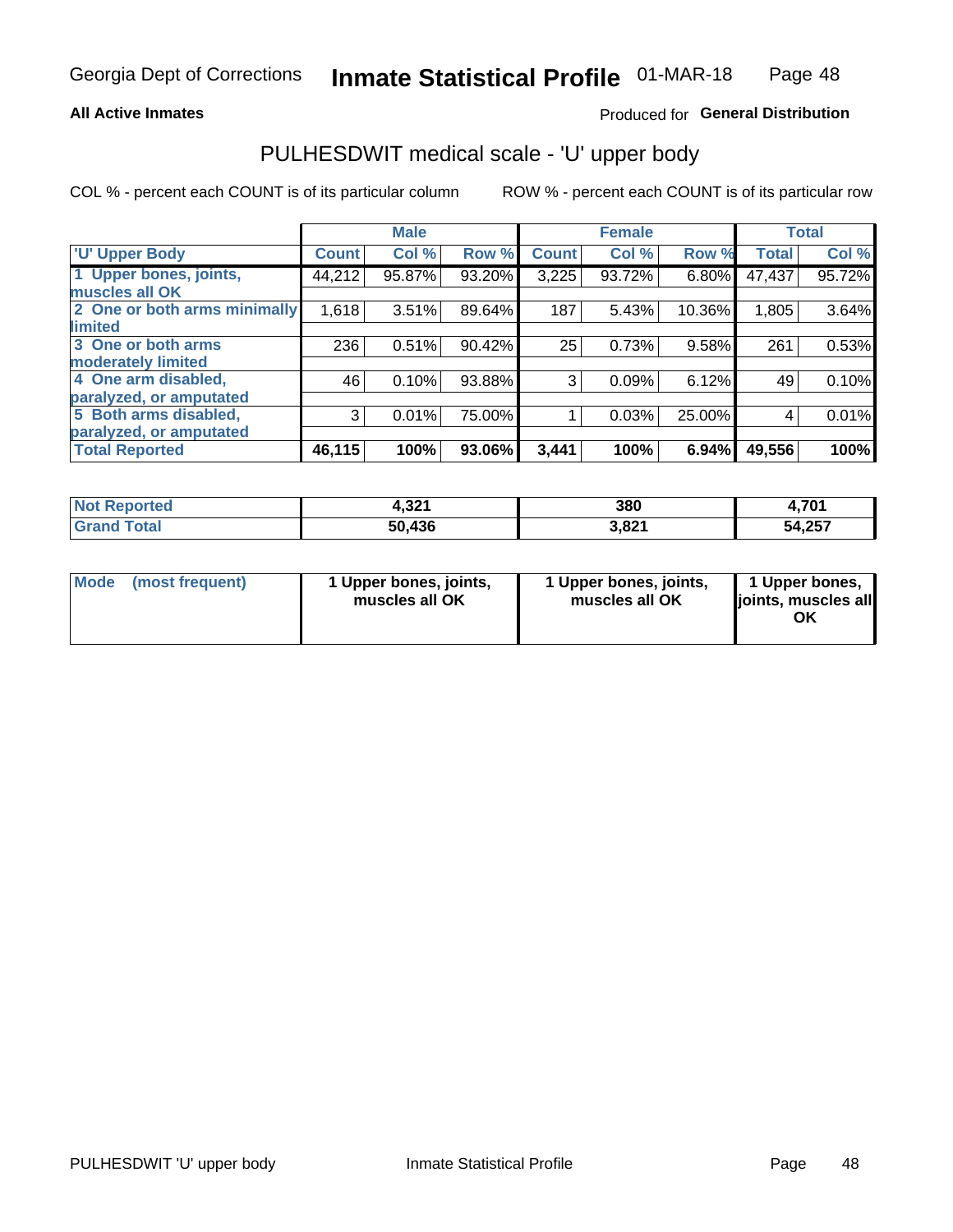#### **All Active Inmates**

### Produced for General Distribution

## PULHESDWIT medical scale - 'U' upper body

COL % - percent each COUNT is of its particular column

|                              |                    | <b>Male</b> |        |              | <b>Female</b> |        |              | <b>Total</b> |
|------------------------------|--------------------|-------------|--------|--------------|---------------|--------|--------------|--------------|
| <b>U' Upper Body</b>         | Count <sup>1</sup> | Col %       | Row %  | <b>Count</b> | Col %         | Row %  | <b>Total</b> | Col %        |
| 1 Upper bones, joints,       | 44,212             | 95.87%      | 93.20% | 3,225        | 93.72%        | 6.80%  | 47,437       | 95.72%       |
| muscles all OK               |                    |             |        |              |               |        |              |              |
| 2 One or both arms minimally | 1,618              | 3.51%       | 89.64% | 187          | 5.43%         | 10.36% | 1,805        | 3.64%        |
| limited                      |                    |             |        |              |               |        |              |              |
| 3 One or both arms           | 236                | 0.51%       | 90.42% | 25           | 0.73%         | 9.58%  | 261          | 0.53%        |
| <b>moderately limited</b>    |                    |             |        |              |               |        |              |              |
| 4 One arm disabled,          | 46                 | 0.10%       | 93.88% | 3            | 0.09%         | 6.12%  | 49           | 0.10%        |
| paralyzed, or amputated      |                    |             |        |              |               |        |              |              |
| 5 Both arms disabled,        | 3                  | 0.01%       | 75.00% |              | 0.03%         | 25.00% | 4            | 0.01%        |
| paralyzed, or amputated      |                    |             |        |              |               |        |              |              |
| <b>Total Reported</b>        | 46,115             | 100%        | 93.06% | 3,441        | 100%          | 6.94%  | 49,556       | 100%         |

| <b>Not Reported</b> | 221<br>4.JZ | 380   | 4,701  |
|---------------------|-------------|-------|--------|
| <b>Grand Total</b>  | 50,436      | 3,821 | 54,257 |

| Mode (most frequent) | 1 Upper bones, joints,<br>muscles all OK | 1 Upper bones, joints,<br>muscles all OK | 1 Upper bones,<br>joints, muscles all<br>ΟK |
|----------------------|------------------------------------------|------------------------------------------|---------------------------------------------|
|----------------------|------------------------------------------|------------------------------------------|---------------------------------------------|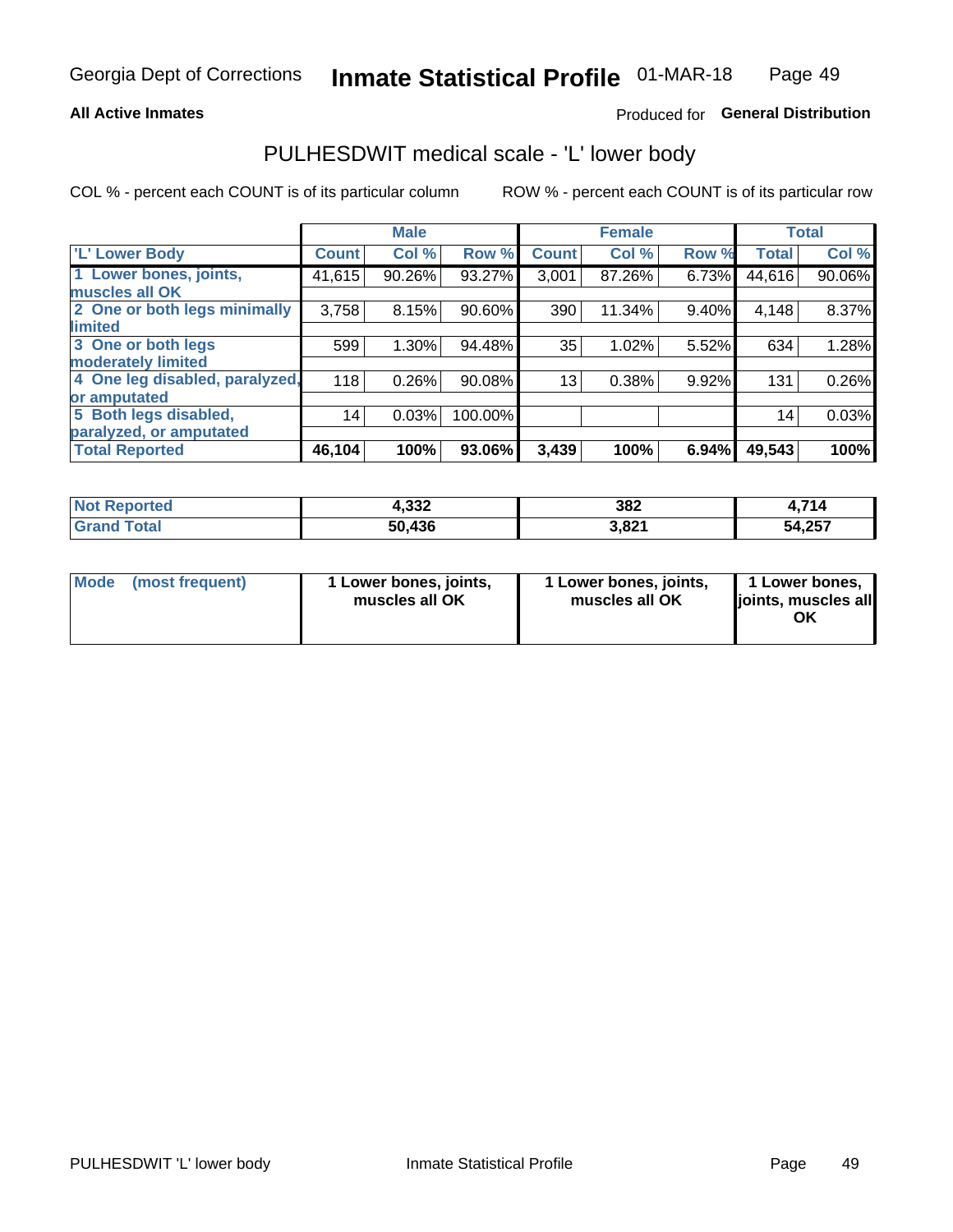#### **All Active Inmates**

### Produced for General Distribution

### PULHESDWIT medical scale - 'L' lower body

COL % - percent each COUNT is of its particular column

|                                |              | <b>Male</b> |           |              | <b>Female</b> |       |              | <b>Total</b> |
|--------------------------------|--------------|-------------|-----------|--------------|---------------|-------|--------------|--------------|
| 'L' Lower Body                 | <b>Count</b> | Col %       | Row %     | <b>Count</b> | Col %         | Row % | <b>Total</b> | Col %        |
| 1 Lower bones, joints,         | 41,615       | 90.26%      | 93.27%    | 3,001        | 87.26%        | 6.73% | 44,616       | 90.06%       |
| muscles all OK                 |              |             |           |              |               |       |              |              |
| 2 One or both legs minimally   | 3,758        | 8.15%       | 90.60%    | 390          | 11.34%        | 9.40% | 4,148        | 8.37%        |
| limited                        |              |             |           |              |               |       |              |              |
| 3 One or both legs             | 599          | 1.30%       | 94.48%    | 35           | 1.02%         | 5.52% | 634          | 1.28%        |
| moderately limited             |              |             |           |              |               |       |              |              |
| 4 One leg disabled, paralyzed, | 118          | 0.26%       | 90.08%    | 13           | 0.38%         | 9.92% | 131          | 0.26%        |
| or amputated                   |              |             |           |              |               |       |              |              |
| 5 Both legs disabled,          | 14           | 0.03%       | 100.00%   |              |               |       | 14           | 0.03%        |
| paralyzed, or amputated        |              |             |           |              |               |       |              |              |
| <b>Total Reported</b>          | 46,104       | 100%        | $93.06\%$ | 3,439        | 100%          | 6.94% | 49,543       | 100%         |

| <b>Not Reported</b>   | ົດດດ<br>4.JJZ | 382   | .714   |
|-----------------------|---------------|-------|--------|
| <b>Total</b><br>Grand | 50,436        | 3,821 | 54,257 |

|  | Mode (most frequent) | 1 Lower bones, joints,<br>muscles all OK | 1 Lower bones, joints,<br>muscles all OK | 1 Lower bones,<br>joints, muscles all<br>ΟK |
|--|----------------------|------------------------------------------|------------------------------------------|---------------------------------------------|
|--|----------------------|------------------------------------------|------------------------------------------|---------------------------------------------|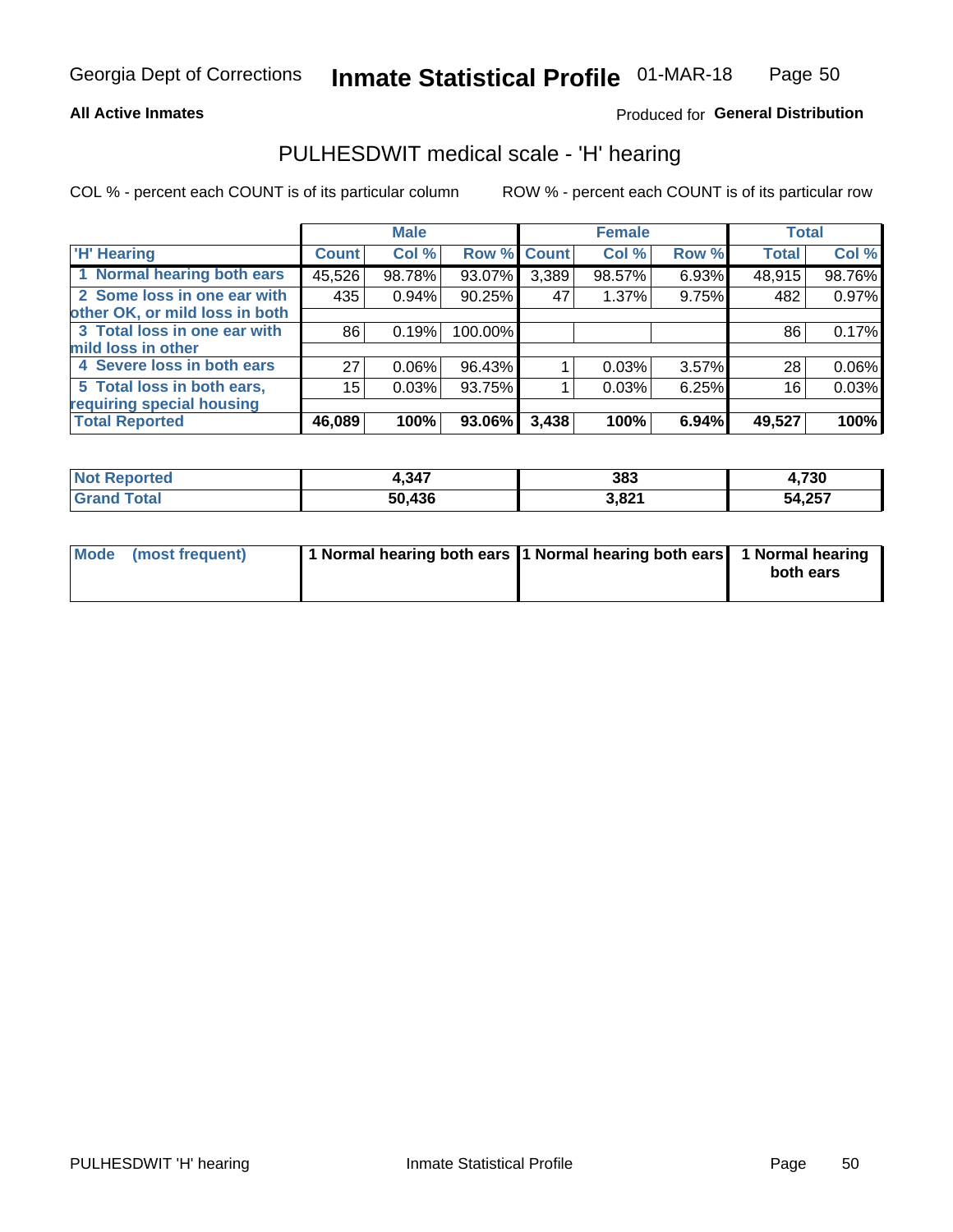#### **All Active Inmates**

### Produced for General Distribution

### PULHESDWIT medical scale - 'H' hearing

COL % - percent each COUNT is of its particular column

|                                |              | <b>Male</b> |                    |       | <b>Female</b> |       | <b>Total</b> |          |
|--------------------------------|--------------|-------------|--------------------|-------|---------------|-------|--------------|----------|
| <b>H' Hearing</b>              | <b>Count</b> | Col %       | <b>Row % Count</b> |       | Col %         | Row % | <b>Total</b> | Col %    |
| 1 Normal hearing both ears     | 45,526       | 98.78%      | 93.07%             | 3,389 | 98.57%        | 6.93% | 48,915       | 98.76%   |
| 2 Some loss in one ear with    | 435          | 0.94%       | 90.25%             | 47    | 1.37%         | 9.75% | 482          | 0.97%    |
| other OK, or mild loss in both |              |             |                    |       |               |       |              |          |
| 3 Total loss in one ear with   | 86           | 0.19%       | 100.00%            |       |               |       | 86           | 0.17%    |
| mild loss in other             |              |             |                    |       |               |       |              |          |
| 4 Severe loss in both ears     | 27           | 0.06%       | 96.43%             |       | 0.03%         | 3.57% | 28           | $0.06\%$ |
| 5 Total loss in both ears,     | 15           | 0.03%       | 93.75%             |       | 0.03%         | 6.25% | 16           | 0.03%    |
| requiring special housing      |              |             |                    |       |               |       |              |          |
| <b>Total Reported</b>          | 46,089       | 100%        | 93.06%             | 3,438 | 100%          | 6.94% | 49,527       | 100%     |

| <b>Not Renc</b><br>ື∩rted | 217<br>4.94. | 383   | .730   |
|---------------------------|--------------|-------|--------|
| Total                     | 50,436       | 3,821 | 54,257 |

| Mode (most frequent) | 1 Normal hearing both ears 11 Normal hearing both ears 1 Normal hearing | both ears |
|----------------------|-------------------------------------------------------------------------|-----------|
|                      |                                                                         |           |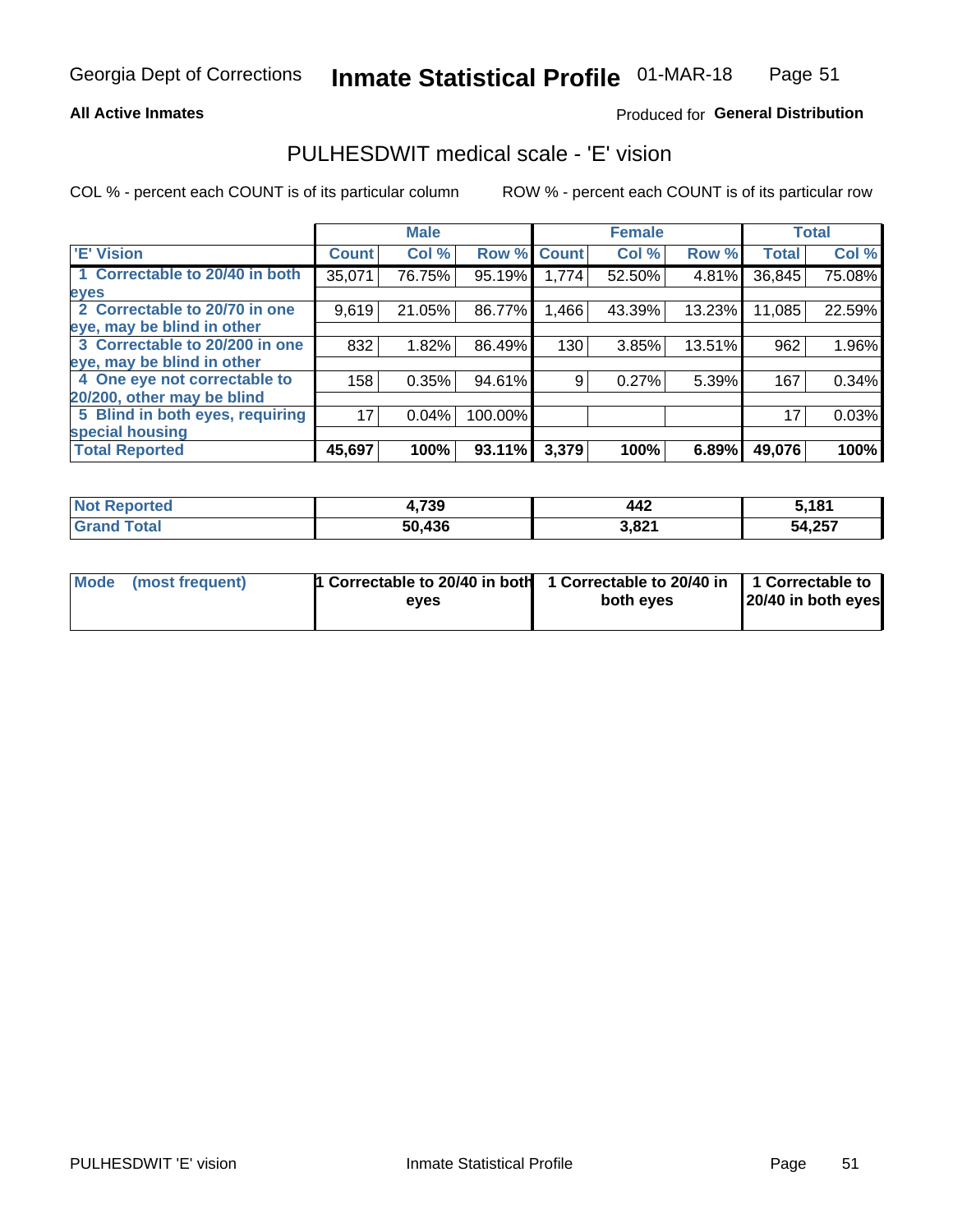#### **All Active Inmates**

### Produced for General Distribution

### PULHESDWIT medical scale - 'E' vision

COL % - percent each COUNT is of its particular column

|                                 |              | <b>Male</b> |         |              | <b>Female</b> |        |              | <b>Total</b> |
|---------------------------------|--------------|-------------|---------|--------------|---------------|--------|--------------|--------------|
| <b>E' Vision</b>                | <b>Count</b> | Col %       | Row %   | <b>Count</b> | Col %         | Row %  | <b>Total</b> | Col %        |
| 1 Correctable to 20/40 in both  | 35,071       | 76.75%      | 95.19%  | 1,774        | 52.50%        | 4.81%  | 36,845       | 75.08%       |
| eyes                            |              |             |         |              |               |        |              |              |
| 2 Correctable to 20/70 in one   | 9,619        | 21.05%      | 86.77%  | .466         | 43.39%        | 13.23% | 11,085       | 22.59%       |
| eye, may be blind in other      |              |             |         |              |               |        |              |              |
| 3 Correctable to 20/200 in one  | 832          | 1.82%       | 86.49%  | 130          | 3.85%         | 13.51% | 962          | 1.96%        |
| eye, may be blind in other      |              |             |         |              |               |        |              |              |
| 4 One eye not correctable to    | 158          | 0.35%       | 94.61%  | 9.           | 0.27%         | 5.39%  | 167          | 0.34%        |
| 20/200, other may be blind      |              |             |         |              |               |        |              |              |
| 5 Blind in both eyes, requiring | 17           | 0.04%       | 100.00% |              |               |        | 17           | 0.03%        |
| special housing                 |              |             |         |              |               |        |              |              |
| <b>Total Reported</b>           | 45,697       | 100%        | 93.11%  | 3,379        | 100%          | 6.89%  | 49,076       | 100%         |

| <b>Not</b><br>morted ∴ | 4,739      | 442   | 5,181  |
|------------------------|------------|-------|--------|
| <b>Total</b>           | .436<br>50 | 3,821 | 54,257 |

| Mode (most frequent) | 1 Correctable to 20/40 in both<br>eves | 1 Correctable to 20/40 in   1 Correctable to  <br>both eves | 20/40 in both eyes |
|----------------------|----------------------------------------|-------------------------------------------------------------|--------------------|
|                      |                                        |                                                             |                    |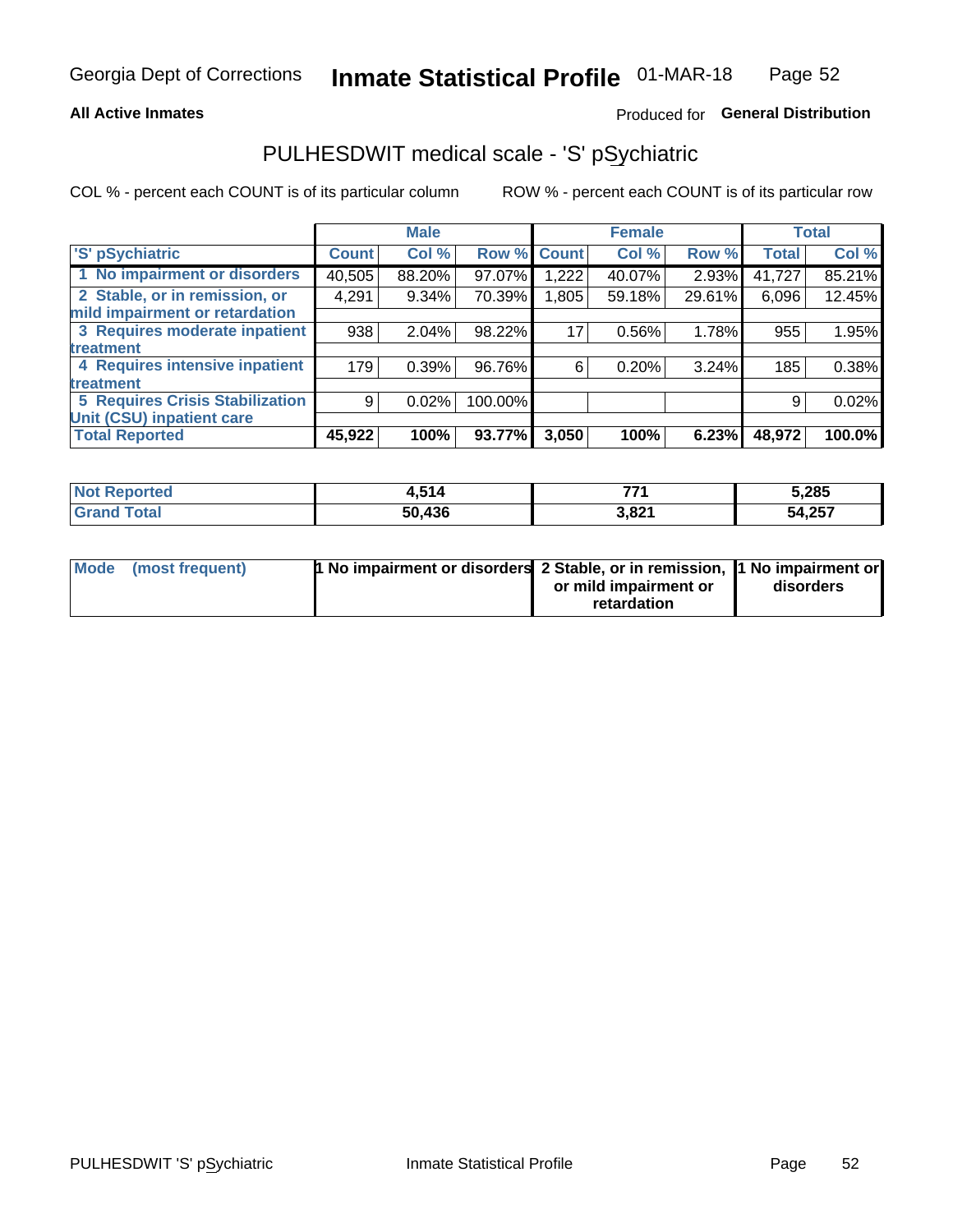#### **All Active Inmates**

### Produced for General Distribution

## PULHESDWIT medical scale - 'S' pSychiatric

COL % - percent each COUNT is of its particular column

|                                        |              | <b>Male</b> |         |             | <b>Female</b> |          |              | <b>Total</b> |
|----------------------------------------|--------------|-------------|---------|-------------|---------------|----------|--------------|--------------|
| 'S' pSychiatric                        | <b>Count</b> | Col %       |         | Row % Count | Col %         | Row %    | <b>Total</b> | Col %        |
| 1 No impairment or disorders           | 40,505       | 88.20%      | 97.07%  | .222        | 40.07%        | $2.93\%$ | 41,727       | 85.21%       |
| 2 Stable, or in remission, or          | 4,291        | $9.34\%$    | 70.39%  | 1,805       | 59.18%        | 29.61%   | 6,096        | 12.45%       |
| mild impairment or retardation         |              |             |         |             |               |          |              |              |
| 3 Requires moderate inpatient          | 938          | 2.04%       | 98.22%  | 17          | 0.56%         | 1.78%    | 955          | 1.95%        |
| treatment                              |              |             |         |             |               |          |              |              |
| 4 Requires intensive inpatient         | 179          | 0.39%       | 96.76%  | 6           | 0.20%         | 3.24%    | 185          | 0.38%        |
| treatment                              |              |             |         |             |               |          |              |              |
| <b>5 Requires Crisis Stabilization</b> | 9            | 0.02%       | 100.00% |             |               |          | 9            | 0.02%        |
| Unit (CSU) inpatient care              |              |             |         |             |               |          |              |              |
| <b>Total Reported</b>                  | 45,922       | 100%        | 93.77%  | 3,050       | 100%          | 6.23%    | 48,972       | 100.0%       |

| <b>Not Reported</b> | 4,514  | フフィ   | 5,285  |
|---------------------|--------|-------|--------|
| Total<br>' Grand    | 50,436 | 3,821 | 54,257 |

| Mode (most frequent) | <b>1 No impairment or disorders 2 Stable, or in remission, 1 No impairment or</b> |                       |           |
|----------------------|-----------------------------------------------------------------------------------|-----------------------|-----------|
|                      |                                                                                   | or mild impairment or | disorders |
|                      |                                                                                   | retardation           |           |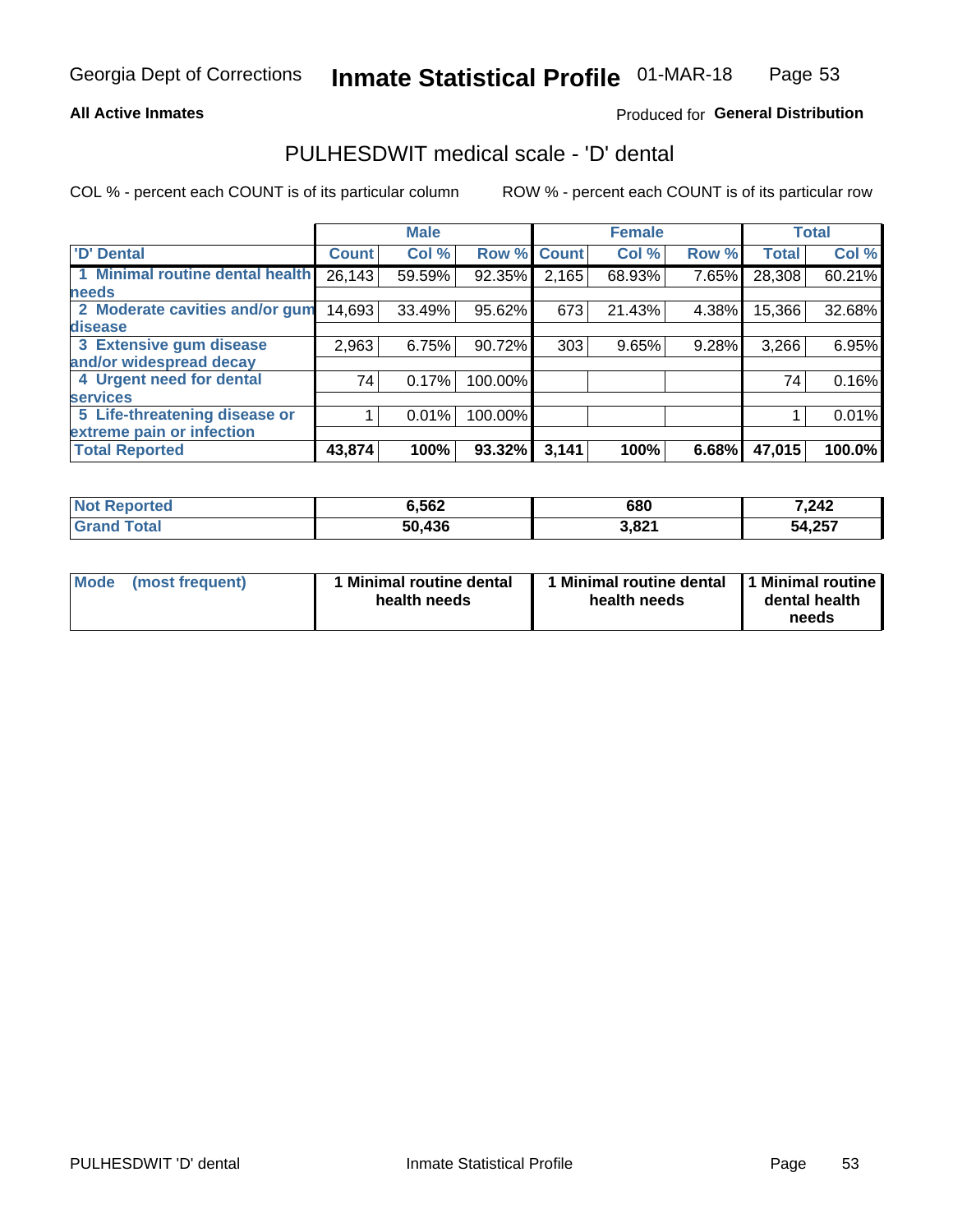#### **All Active Inmates**

### Produced for General Distribution

### PULHESDWIT medical scale - 'D' dental

COL % - percent each COUNT is of its particular column

|                                 |              | <b>Male</b> |         |              | <b>Female</b> |       |              | <b>Total</b> |
|---------------------------------|--------------|-------------|---------|--------------|---------------|-------|--------------|--------------|
| <b>D'</b> Dental                | <b>Count</b> | Col %       | Row %   | <b>Count</b> | Col %         | Row % | <b>Total</b> | Col %        |
| 1 Minimal routine dental health | 26,143       | 59.59%      | 92.35%  | 2,165        | 68.93%        | 7.65% | 28,308       | 60.21%       |
| <b>needs</b>                    |              |             |         |              |               |       |              |              |
| 2 Moderate cavities and/or gum  | 14,693       | 33.49%      | 95.62%  | 673          | 21.43%        | 4.38% | 15,366       | 32.68%       |
| disease                         |              |             |         |              |               |       |              |              |
| 3 Extensive gum disease         | 2,963        | 6.75%       | 90.72%  | 303          | 9.65%         | 9.28% | 3,266        | 6.95%        |
| and/or widespread decay         |              |             |         |              |               |       |              |              |
| 4 Urgent need for dental        | 74           | 0.17%       | 100.00% |              |               |       | 74           | 0.16%        |
| <b>services</b>                 |              |             |         |              |               |       |              |              |
| 5 Life-threatening disease or   |              | 0.01%       | 100.00% |              |               |       |              | 0.01%        |
| extreme pain or infection       |              |             |         |              |               |       |              |              |
| <b>Total Reported</b>           | 43,874       | 100%        | 93.32%  | 3,141        | 100%          | 6.68% | 47,015       | 100.0%       |

| <b>Not Reported</b> | 6,562  | 680   | 7,242  |
|---------------------|--------|-------|--------|
| Total<br>'Grand     | 50,436 | 3,821 | 54,257 |

| Mode<br><b>Minimal routine dental</b><br>(most frequent)<br>health needs | 1 Minimal routine dental<br>health needs | 1 Minimal routine<br>dental health<br>needs |
|--------------------------------------------------------------------------|------------------------------------------|---------------------------------------------|
|--------------------------------------------------------------------------|------------------------------------------|---------------------------------------------|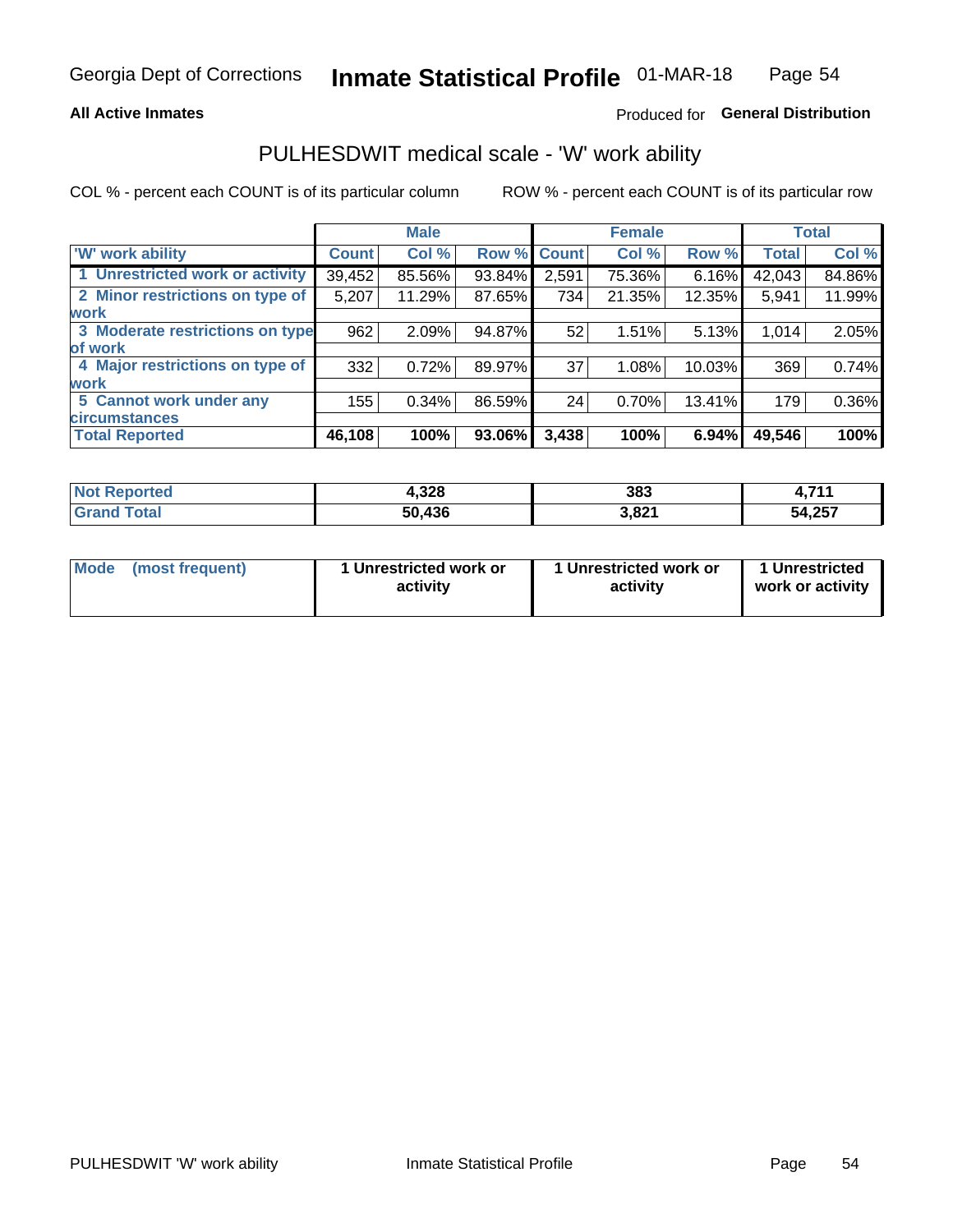#### **All Active Inmates**

### Produced for General Distribution

### PULHESDWIT medical scale - 'W' work ability

COL % - percent each COUNT is of its particular column

|                                 |              | <b>Male</b> |        |             | <b>Female</b> |        |              | <b>Total</b> |
|---------------------------------|--------------|-------------|--------|-------------|---------------|--------|--------------|--------------|
| <b>W' work ability</b>          | <b>Count</b> | Col %       |        | Row % Count | Col %         | Row %  | <b>Total</b> | Col %        |
| 1 Unrestricted work or activity | 39,452       | 85.56%      | 93.84% | 2,591       | 75.36%        | 6.16%  | 42,043       | 84.86%       |
| 2 Minor restrictions on type of | 5,207        | 11.29%      | 87.65% | 734         | 21.35%        | 12.35% | 5,941        | 11.99%       |
| <b>work</b>                     |              |             |        |             |               |        |              |              |
| 3 Moderate restrictions on type | 962          | 2.09%       | 94.87% | 52          | 1.51%         | 5.13%  | 1,014        | 2.05%        |
| lof work                        |              |             |        |             |               |        |              |              |
| 4 Major restrictions on type of | 332          | 0.72%       | 89.97% | 37          | 1.08%         | 10.03% | 369          | 0.74%        |
| <b>work</b>                     |              |             |        |             |               |        |              |              |
| 5 Cannot work under any         | 155          | 0.34%       | 86.59% | 24          | 0.70%         | 13.41% | 179          | 0.36%        |
| <b>circumstances</b>            |              |             |        |             |               |        |              |              |
| <b>Total Reported</b>           | 46,108       | 100%        | 93.06% | 3,438       | 100%          | 6.94%  | 49,546       | 100%         |

| <b>Not Reported</b>          | 4,328  | 383   | <b>744</b> |
|------------------------------|--------|-------|------------|
| <b>Total</b><br><b>Grand</b> | 50,436 | 3,821 | 54,257     |

| Mode            | 1 Unrestricted work or | 1 Unrestricted work or | 1 Unrestricted   |
|-----------------|------------------------|------------------------|------------------|
| (most frequent) | activity               | activity               | work or activity |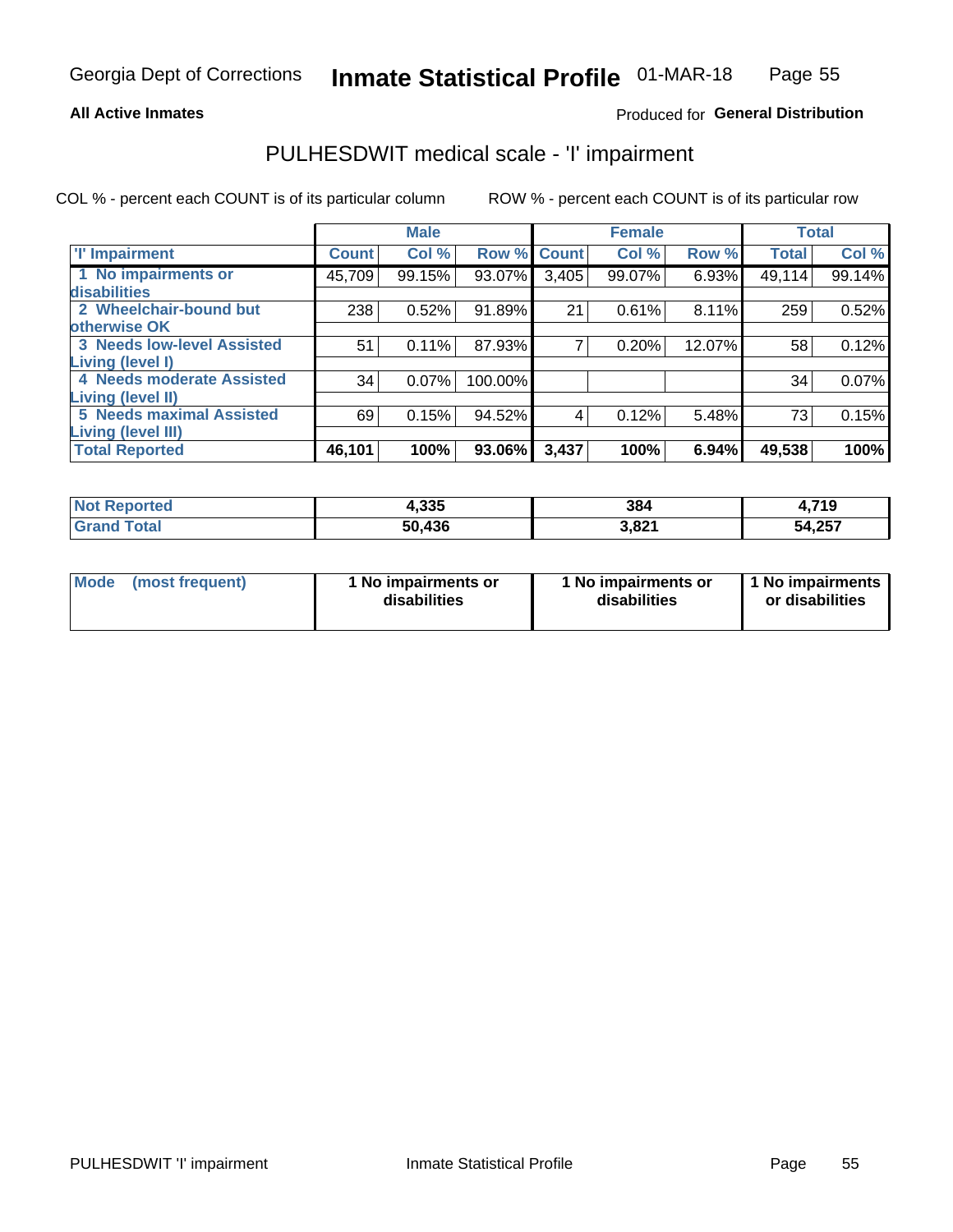#### **All Active Inmates**

### Produced for General Distribution

## PULHESDWIT medical scale - 'I' impairment

COL % - percent each COUNT is of its particular column

|                                   |              | <b>Male</b> |         |             | <b>Female</b> |        |              | <b>Total</b> |
|-----------------------------------|--------------|-------------|---------|-------------|---------------|--------|--------------|--------------|
| <b>T' Impairment</b>              | <b>Count</b> | Col %       |         | Row % Count | Col %         | Row %  | <b>Total</b> | Col %        |
| 1 No impairments or               | 45,709       | 99.15%      | 93.07%  | 3,405       | 99.07%        | 6.93%  | 49,114       | 99.14%       |
| disabilities                      |              |             |         |             |               |        |              |              |
| 2 Wheelchair-bound but            | 238          | 0.52%       | 91.89%  | 21          | 0.61%         | 8.11%  | 259          | 0.52%        |
| otherwise OK                      |              |             |         |             |               |        |              |              |
| <b>3 Needs low-level Assisted</b> | 51           | 0.11%       | 87.93%  | 7           | 0.20%         | 12.07% | 58           | 0.12%        |
| Living (level I)                  |              |             |         |             |               |        |              |              |
| 4 Needs moderate Assisted         | 34           | 0.07%       | 100.00% |             |               |        | 34           | 0.07%        |
| <b>Living (level II)</b>          |              |             |         |             |               |        |              |              |
| <b>5 Needs maximal Assisted</b>   | 69           | 0.15%       | 94.52%  | 4           | 0.12%         | 5.48%  | 73           | 0.15%        |
| Living (level III)                |              |             |         |             |               |        |              |              |
| <b>Total Reported</b>             | 46,101       | 100%        | 93.06%  | 3,437       | 100%          | 6.94%  | 49,538       | 100%         |

| <b>ported</b> | 4,335  | 384             | ,719   |
|---------------|--------|-----------------|--------|
| <b>Total</b>  | 50,436 | . 001<br>J.OZ I | 54,257 |

| Mode | (most frequent) | 1 No impairments or<br>disabilities | 1 No impairments or<br>disabilities | 1 No impairments<br>or disabilities |
|------|-----------------|-------------------------------------|-------------------------------------|-------------------------------------|
|------|-----------------|-------------------------------------|-------------------------------------|-------------------------------------|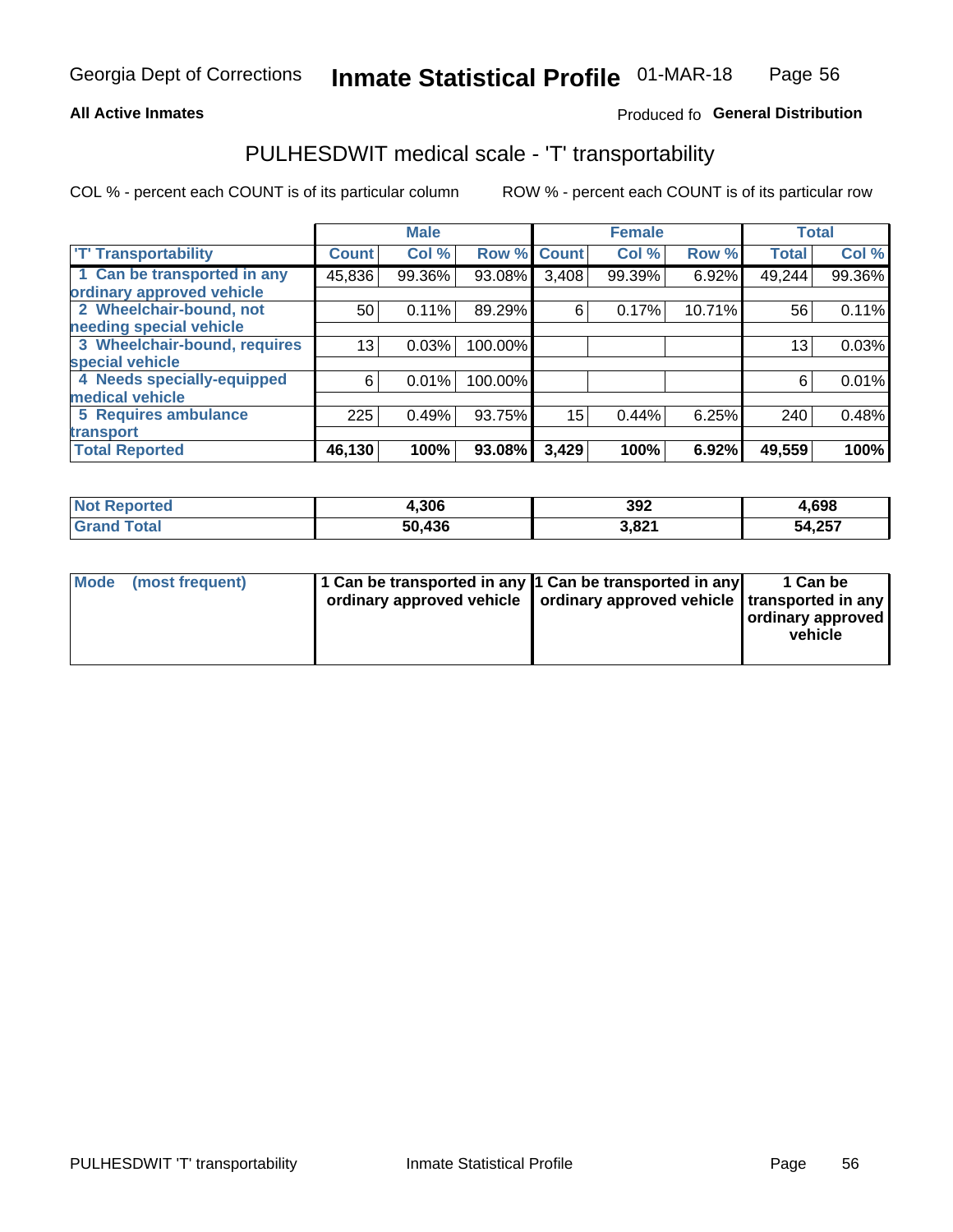#### **All Active Inmates**

### Produced fo General Distribution

### PULHESDWIT medical scale - 'T' transportability

COL % - percent each COUNT is of its particular column

|                              |              | <b>Male</b> |         |              | <b>Female</b> |        |              | <b>Total</b> |
|------------------------------|--------------|-------------|---------|--------------|---------------|--------|--------------|--------------|
| <b>T' Transportability</b>   | <b>Count</b> | Col %       | Row %   | <b>Count</b> | Col %         | Row %  | <b>Total</b> | Col %        |
| 1 Can be transported in any  | 45,836       | 99.36%      | 93.08%  | 3,408        | 99.39%        | 6.92%  | 49,244       | 99.36%       |
| ordinary approved vehicle    |              |             |         |              |               |        |              |              |
| 2 Wheelchair-bound, not      | 50           | 0.11%       | 89.29%  | 6            | 0.17%         | 10.71% | 56           | 0.11%        |
| needing special vehicle      |              |             |         |              |               |        |              |              |
| 3 Wheelchair-bound, requires | 13           | 0.03%       | 100.00% |              |               |        | 13           | 0.03%        |
| special vehicle              |              |             |         |              |               |        |              |              |
| 4 Needs specially-equipped   | 6            | 0.01%       | 100.00% |              |               |        | 6            | 0.01%        |
| medical vehicle              |              |             |         |              |               |        |              |              |
| <b>5 Requires ambulance</b>  | 225          | 0.49%       | 93.75%  | 15           | 0.44%         | 6.25%  | 240          | 0.48%        |
| transport                    |              |             |         |              |               |        |              |              |
| <b>Total Reported</b>        | 46, 130      | 100%        | 93.08%  | 3,429        | 100%          | 6.92%  | 49,559       | 100%         |

| <b>Not</b><br>Reported | 4,306  | 392   | 4,698  |
|------------------------|--------|-------|--------|
| Total                  | 50.436 | 3,821 | 54,257 |

|  | Mode (most frequent) | 1 Can be transported in any 1 Can be transported in any<br>ordinary approved vehicle   ordinary approved vehicle   transported in any |  | 1 Can be<br>  ordinary approved  <br>vehicle |
|--|----------------------|---------------------------------------------------------------------------------------------------------------------------------------|--|----------------------------------------------|
|--|----------------------|---------------------------------------------------------------------------------------------------------------------------------------|--|----------------------------------------------|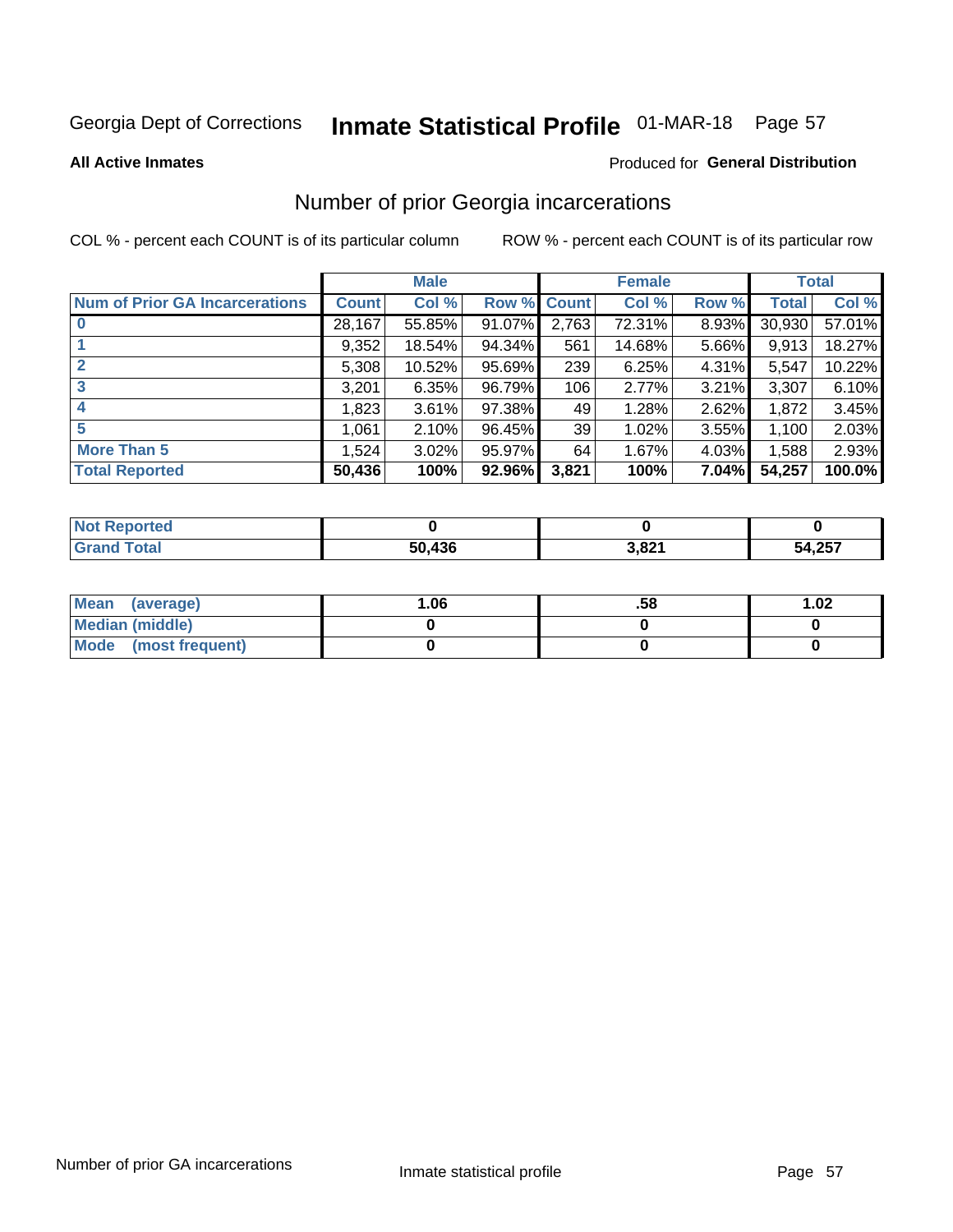# Inmate Statistical Profile 01-MAR-18 Page 57

**All Active Inmates** 

#### Produced for General Distribution

### Number of prior Georgia incarcerations

COL % - percent each COUNT is of its particular column

|                                       |              | <b>Male</b> |             |       | <b>Female</b> |       |        | <b>Total</b> |
|---------------------------------------|--------------|-------------|-------------|-------|---------------|-------|--------|--------------|
| <b>Num of Prior GA Incarcerations</b> | <b>Count</b> | Col %       | Row % Count |       | Col %         | Row % | Total  | Col %        |
|                                       | 28,167       | 55.85%      | 91.07%      | 2,763 | 72.31%        | 8.93% | 30,930 | 57.01%       |
|                                       | 9,352        | 18.54%      | 94.34%      | 561   | 14.68%        | 5.66% | 9,913  | 18.27%       |
| $\overline{2}$                        | 5,308        | 10.52%      | 95.69%      | 239   | 6.25%         | 4.31% | 5,547  | 10.22%       |
| 3                                     | 3,201        | 6.35%       | 96.79%      | 106   | 2.77%         | 3.21% | 3,307  | 6.10%        |
| $\boldsymbol{4}$                      | 1,823        | 3.61%       | 97.38%      | 49    | 1.28%         | 2.62% | 1,872  | 3.45%        |
| 5                                     | 1,061        | 2.10%       | 96.45%      | 39    | 1.02%         | 3.55% | 1,100  | 2.03%        |
| <b>More Than 5</b>                    | 1,524        | 3.02%       | 95.97%      | 64    | 1.67%         | 4.03% | 1,588  | 2.93%        |
| <b>Total Reported</b>                 | 50,436       | 100%        | 92.96%      | 3,821 | 100%          | 7.04% | 54,257 | 100.0%       |

| orted<br>NO            |        |       |             |
|------------------------|--------|-------|-------------|
| ota <sub>l</sub><br>Gr | 50,436 | 3,821 | 4,257<br>54 |

| Mean (average)         | .06 | .58 | 1.02 |
|------------------------|-----|-----|------|
| <b>Median (middle)</b> |     |     |      |
| Mode (most frequent)   |     |     |      |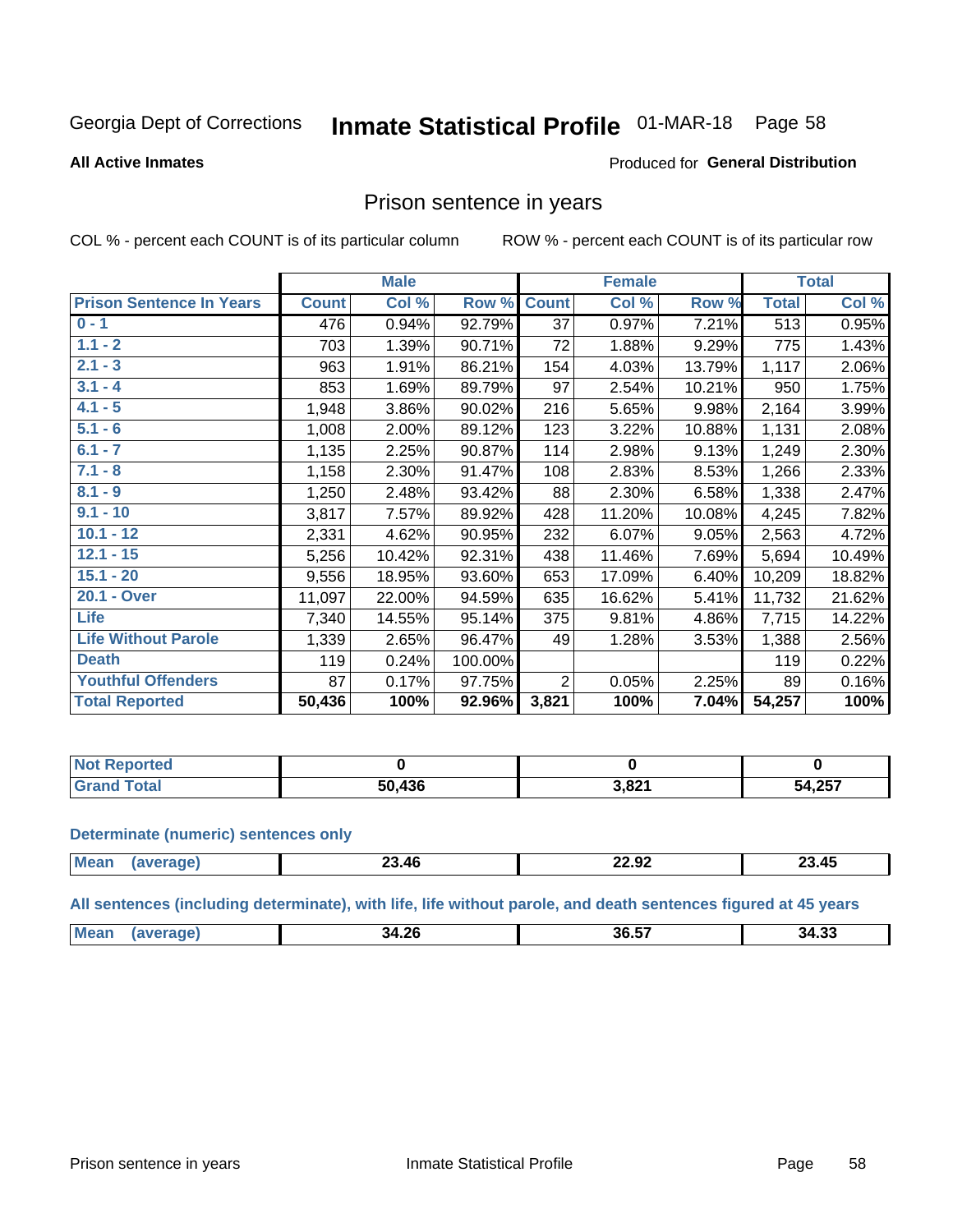## Inmate Statistical Profile 01-MAR-18 Page 58

#### **All Active Inmates**

#### Produced for General Distribution

### Prison sentence in years

COL % - percent each COUNT is of its particular column

ROW % - percent each COUNT is of its particular row

|                                 |              | <b>Male</b> |         |                 | <b>Female</b> |        |              | <b>Total</b> |
|---------------------------------|--------------|-------------|---------|-----------------|---------------|--------|--------------|--------------|
| <b>Prison Sentence In Years</b> | <b>Count</b> | Col %       | Row %   | <b>Count</b>    | Col %         | Row %  | <b>Total</b> | Col %        |
| $0 - 1$                         | 476          | 0.94%       | 92.79%  | $\overline{37}$ | 0.97%         | 7.21%  | 513          | 0.95%        |
| $1.1 - 2$                       | 703          | 1.39%       | 90.71%  | 72              | 1.88%         | 9.29%  | 775          | 1.43%        |
| $2.1 - 3$                       | 963          | 1.91%       | 86.21%  | 154             | 4.03%         | 13.79% | 1,117        | 2.06%        |
| $3.1 - 4$                       | 853          | 1.69%       | 89.79%  | 97              | 2.54%         | 10.21% | 950          | 1.75%        |
| $4.1 - 5$                       | 1,948        | 3.86%       | 90.02%  | 216             | 5.65%         | 9.98%  | 2,164        | 3.99%        |
| $5.1 - 6$                       | 1,008        | 2.00%       | 89.12%  | 123             | 3.22%         | 10.88% | 1,131        | 2.08%        |
| $6.1 - 7$                       | 1,135        | 2.25%       | 90.87%  | 114             | 2.98%         | 9.13%  | 1,249        | 2.30%        |
| $7.1 - 8$                       | 1,158        | 2.30%       | 91.47%  | 108             | 2.83%         | 8.53%  | 1,266        | 2.33%        |
| $8.1 - 9$                       | 1,250        | 2.48%       | 93.42%  | 88              | 2.30%         | 6.58%  | 1,338        | 2.47%        |
| $9.1 - 10$                      | 3,817        | 7.57%       | 89.92%  | 428             | 11.20%        | 10.08% | 4,245        | 7.82%        |
| $10.1 - 12$                     | 2,331        | 4.62%       | 90.95%  | 232             | 6.07%         | 9.05%  | 2,563        | 4.72%        |
| $12.1 - 15$                     | 5,256        | 10.42%      | 92.31%  | 438             | 11.46%        | 7.69%  | 5,694        | 10.49%       |
| $15.1 - 20$                     | 9,556        | 18.95%      | 93.60%  | 653             | 17.09%        | 6.40%  | 10,209       | 18.82%       |
| 20.1 - Over                     | 11,097       | 22.00%      | 94.59%  | 635             | 16.62%        | 5.41%  | 11,732       | 21.62%       |
| <b>Life</b>                     | 7,340        | 14.55%      | 95.14%  | 375             | 9.81%         | 4.86%  | 7,715        | 14.22%       |
| <b>Life Without Parole</b>      | 1,339        | 2.65%       | 96.47%  | 49              | 1.28%         | 3.53%  | 1,388        | 2.56%        |
| <b>Death</b>                    | 119          | 0.24%       | 100.00% |                 |               |        | 119          | 0.22%        |
| <b>Youthful Offenders</b>       | 87           | 0.17%       | 97.75%  | $\overline{2}$  | 0.05%         | 2.25%  | 89           | 0.16%        |
| <b>Total Reported</b>           | 50,436       | 100%        | 92.96%  | 3,821           | 100%          | 7.04%  | 54,257       | 100%         |

| <b>Not Reported</b> |             |       |                  |
|---------------------|-------------|-------|------------------|
| . Cart              | .436<br>הה. | 3,821 | 54 257<br>ו טברי |

#### **Determinate (numeric) sentences only**

| 'Mea<br>1100 | 3.46۔ | <br>. .<br>22.JZ | --<br>ـ 45.دـ |
|--------------|-------|------------------|---------------|
|              |       |                  |               |

All sentences (including determinate), with life, life without parole, and death sentences figured at 45 years

| Me: | 14.26<br>κд<br>____ | 36.57 | າາ<br>34.3ఎ |
|-----|---------------------|-------|-------------|
|     |                     |       |             |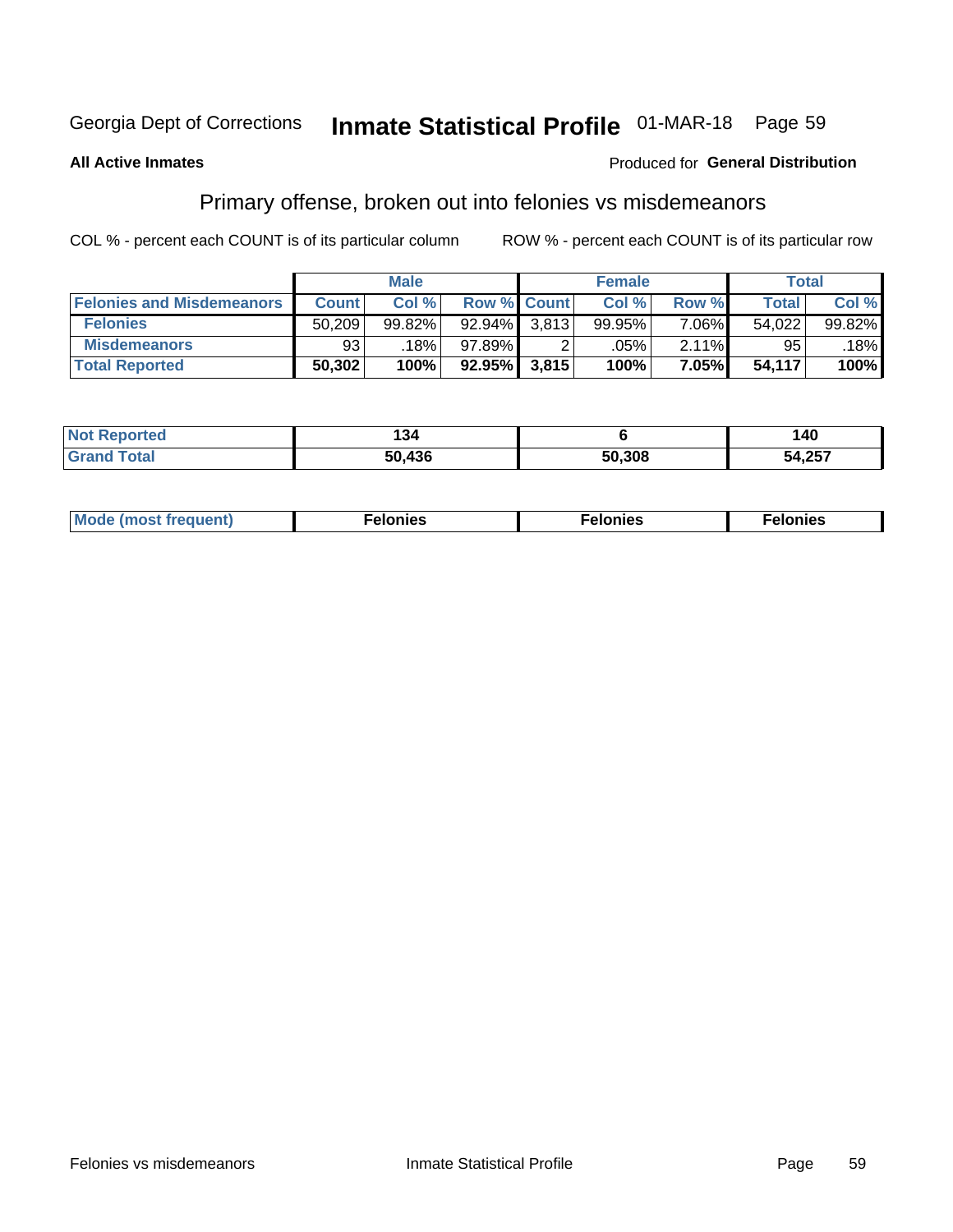## Inmate Statistical Profile 01-MAR-18 Page 59

#### **All Active Inmates**

#### Produced for General Distribution

### Primary offense, broken out into felonies vs misdemeanors

COL % - percent each COUNT is of its particular column

|                                  |              | <b>Male</b> |           |                    | <b>Female</b> |          | Total        |        |
|----------------------------------|--------------|-------------|-----------|--------------------|---------------|----------|--------------|--------|
| <b>Felonies and Misdemeanors</b> | <b>Count</b> | Col%        |           | <b>Row % Count</b> | Col%          | Row %    | <b>Total</b> | Col %  |
| <b>Felonies</b>                  | 50,209       | 99.82%      | 92.94%    | 3.813 <sub>1</sub> | 99.95%        | $7.06\%$ | 54,022       | 99.82% |
| <b>Misdemeanors</b>              | -93'         | 18%         | $97.89\%$ |                    | .05%          | 2.11%    | 95           | 18%    |
| <b>Total Reported</b>            | 50,302       | 100%        | $92.95\%$ | 3,815              | 100%          | 7.05%    | 54,117       | 100%   |

| <b>Not</b><br>Reported | 54 ا       |        | 40     |
|------------------------|------------|--------|--------|
| <b>Grand</b><br>™otal  | .436<br>5Λ | 50,308 | 54,257 |

| M      | .    | nes | onies |
|--------|------|-----|-------|
| nuenti | ____ | .   | .     |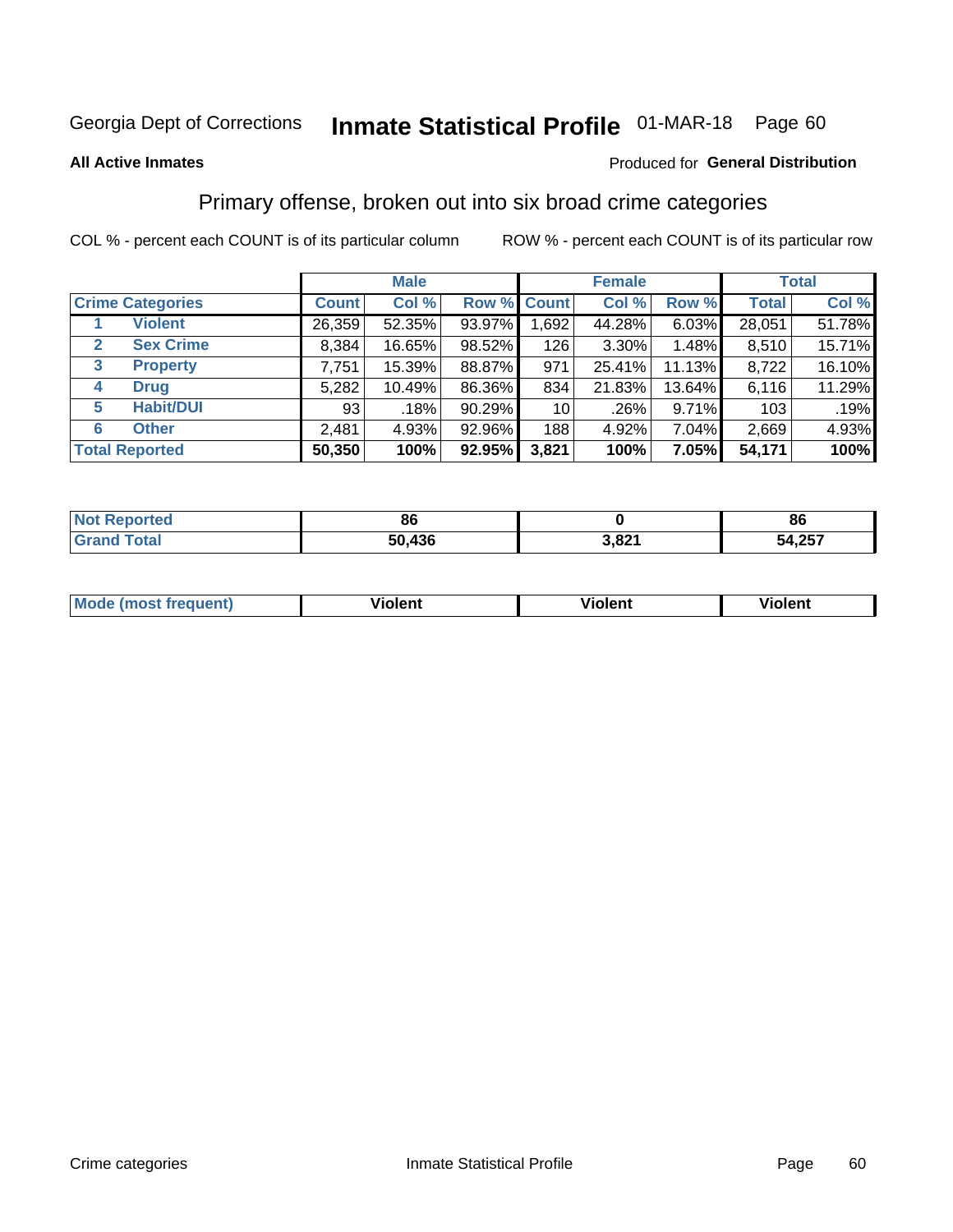## Inmate Statistical Profile 01-MAR-18 Page 60

#### **All Active Inmates**

#### Produced for General Distribution

### Primary offense, broken out into six broad crime categories

COL % - percent each COUNT is of its particular column

|                         |              | <b>Male</b> |        |                 | <b>Female</b> |          |              | <b>Total</b> |
|-------------------------|--------------|-------------|--------|-----------------|---------------|----------|--------------|--------------|
| <b>Crime Categories</b> | <b>Count</b> | Col %       |        | Row % Count     | Col %         | Row %    | <b>Total</b> | Col %        |
| <b>Violent</b>          | 26,359       | 52.35%      | 93.97% | 1,692           | 44.28%        | $6.03\%$ | 28,051       | 51.78%       |
| <b>Sex Crime</b><br>2   | 8,384        | 16.65%      | 98.52% | 126             | $3.30\%$      | 1.48%    | 8,510        | 15.71%       |
| 3<br><b>Property</b>    | 7,751        | 15.39%      | 88.87% | 971             | 25.41%        | 11.13%   | 8,722        | 16.10%       |
| <b>Drug</b><br>4        | 5,282        | 10.49%      | 86.36% | 834             | 21.83%        | 13.64%   | 6,116        | 11.29%       |
| <b>Habit/DUI</b><br>5   | 93           | .18%        | 90.29% | 10 <sub>1</sub> | .26%          | $9.71\%$ | 103          | .19%         |
| <b>Other</b><br>6       | 2,481        | 4.93%       | 92.96% | 188             | 4.92%         | 7.04%    | 2,669        | 4.93%        |
| <b>Total Reported</b>   | 50,350       | 100%        | 92.95% | 3,821           | 100%          | 7.05%    | 54,171       | 100%         |

| Reported<br><b>NOT</b> | 86     |                 | 86     |
|------------------------|--------|-----------------|--------|
| $F0$ tol<br>υιαι       | 50,436 | 2.021<br>ـ ⊾ס,כ | 54,257 |

| M | - --<br>100011 | .<br><b>VIOIGIIL</b> | 1.91311 |
|---|----------------|----------------------|---------|
|   |                |                      |         |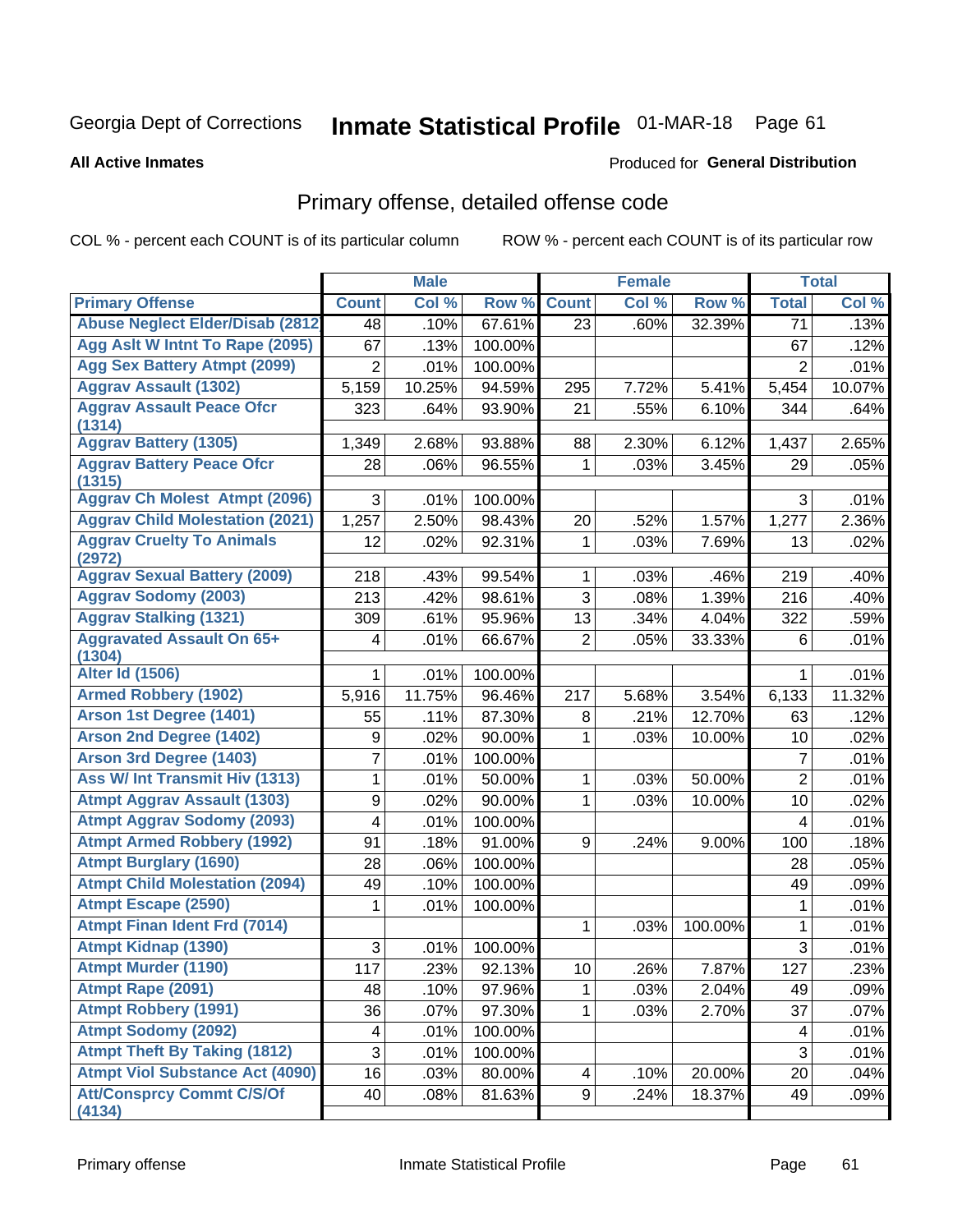# Inmate Statistical Profile 01-MAR-18 Page 61

#### **All Active Inmates**

#### Produced for General Distribution

## Primary offense, detailed offense code

COL % - percent each COUNT is of its particular column

|                                            |                | <b>Male</b> |         |                | <b>Female</b> |         |                  | <b>Total</b> |
|--------------------------------------------|----------------|-------------|---------|----------------|---------------|---------|------------------|--------------|
| <b>Primary Offense</b>                     | <b>Count</b>   | Col %       | Row %   | <b>Count</b>   | Col %         | Row %   | <b>Total</b>     | Col %        |
| <b>Abuse Neglect Elder/Disab (2812)</b>    | 48             | .10%        | 67.61%  | 23             | .60%          | 32.39%  | 71               | .13%         |
| Agg Aslt W Intnt To Rape (2095)            | 67             | .13%        | 100.00% |                |               |         | 67               | .12%         |
| <b>Agg Sex Battery Atmpt (2099)</b>        | $\overline{2}$ | .01%        | 100.00% |                |               |         | $\overline{2}$   | .01%         |
| <b>Aggrav Assault (1302)</b>               | 5,159          | 10.25%      | 94.59%  | 295            | 7.72%         | 5.41%   | 5,454            | 10.07%       |
| <b>Aggrav Assault Peace Ofcr</b><br>(1314) | 323            | .64%        | 93.90%  | 21             | .55%          | 6.10%   | 344              | .64%         |
| <b>Aggrav Battery (1305)</b>               | 1,349          | 2.68%       | 93.88%  | 88             | 2.30%         | 6.12%   | 1,437            | 2.65%        |
| <b>Aggrav Battery Peace Ofcr</b><br>(1315) | 28             | .06%        | 96.55%  | 1              | .03%          | 3.45%   | 29               | .05%         |
| <b>Aggrav Ch Molest Atmpt (2096)</b>       | 3              | .01%        | 100.00% |                |               |         | 3                | .01%         |
| <b>Aggrav Child Molestation (2021)</b>     | 1,257          | 2.50%       | 98.43%  | 20             | .52%          | 1.57%   | 1,277            | 2.36%        |
| <b>Aggrav Cruelty To Animals</b><br>(2972) | 12             | .02%        | 92.31%  | 1              | .03%          | 7.69%   | 13               | .02%         |
| <b>Aggrav Sexual Battery (2009)</b>        | 218            | .43%        | 99.54%  | 1              | .03%          | .46%    | 219              | .40%         |
| <b>Aggrav Sodomy (2003)</b>                | 213            | .42%        | 98.61%  | 3              | .08%          | 1.39%   | 216              | .40%         |
| <b>Aggrav Stalking (1321)</b>              | 309            | .61%        | 95.96%  | 13             | .34%          | 4.04%   | 322              | .59%         |
| <b>Aggravated Assault On 65+</b><br>(1304) | 4              | .01%        | 66.67%  | $\overline{2}$ | .05%          | 33.33%  | 6                | .01%         |
| <b>Alter Id (1506)</b>                     | 1              | .01%        | 100.00% |                |               |         | 1                | .01%         |
| <b>Armed Robbery (1902)</b>                | 5,916          | 11.75%      | 96.46%  | 217            | 5.68%         | 3.54%   | 6,133            | 11.32%       |
| Arson 1st Degree (1401)                    | 55             | .11%        | 87.30%  | 8              | .21%          | 12.70%  | 63               | .12%         |
| <b>Arson 2nd Degree (1402)</b>             | 9              | .02%        | 90.00%  | 1              | .03%          | 10.00%  | 10               | .02%         |
| <b>Arson 3rd Degree (1403)</b>             | 7              | .01%        | 100.00% |                |               |         | $\overline{7}$   | .01%         |
| <b>Ass W/ Int Transmit Hiv (1313)</b>      | 1              | .01%        | 50.00%  | 1              | .03%          | 50.00%  | $\overline{2}$   | .01%         |
| <b>Atmpt Aggrav Assault (1303)</b>         | 9              | .02%        | 90.00%  | 1              | .03%          | 10.00%  | 10               | .02%         |
| <b>Atmpt Aggrav Sodomy (2093)</b>          | 4              | .01%        | 100.00% |                |               |         | $\overline{4}$   | .01%         |
| <b>Atmpt Armed Robbery (1992)</b>          | 91             | .18%        | 91.00%  | 9              | .24%          | 9.00%   | 100              | .18%         |
| <b>Atmpt Burglary (1690)</b>               | 28             | .06%        | 100.00% |                |               |         | 28               | .05%         |
| <b>Atmpt Child Molestation (2094)</b>      | 49             | .10%        | 100.00% |                |               |         | 49               | .09%         |
| <b>Atmpt Escape (2590)</b>                 | 1              | .01%        | 100.00% |                |               |         | 1                | .01%         |
| <b>Atmpt Finan Ident Frd (7014)</b>        |                |             |         | 1              | .03%          | 100.00% | 1                | .01%         |
| <b>Atmpt Kidnap (1390)</b>                 | 3              | .01%        | 100.00% |                |               |         | 3                | .01%         |
| <b>Atmpt Murder (1190)</b>                 | 117            | .23%        | 92.13%  | 10             | .26%          | 7.87%   | $\overline{127}$ | .23%         |
| Atmpt Rape (2091)                          | 48             | .10%        | 97.96%  | 1              | .03%          | 2.04%   | 49               | .09%         |
| <b>Atmpt Robbery (1991)</b>                | 36             | .07%        | 97.30%  | 1              | .03%          | 2.70%   | 37               | .07%         |
| <b>Atmpt Sodomy (2092)</b>                 | 4              | .01%        | 100.00% |                |               |         | $\overline{4}$   | .01%         |
| <b>Atmpt Theft By Taking (1812)</b>        | 3              | .01%        | 100.00% |                |               |         | $\overline{3}$   | .01%         |
| <b>Atmpt Viol Substance Act (4090)</b>     | 16             | .03%        | 80.00%  | 4              | .10%          | 20.00%  | 20               | .04%         |
| <b>Att/Consprcy Commt C/S/Of</b><br>(4134) | 40             | .08%        | 81.63%  | 9              | .24%          | 18.37%  | 49               | .09%         |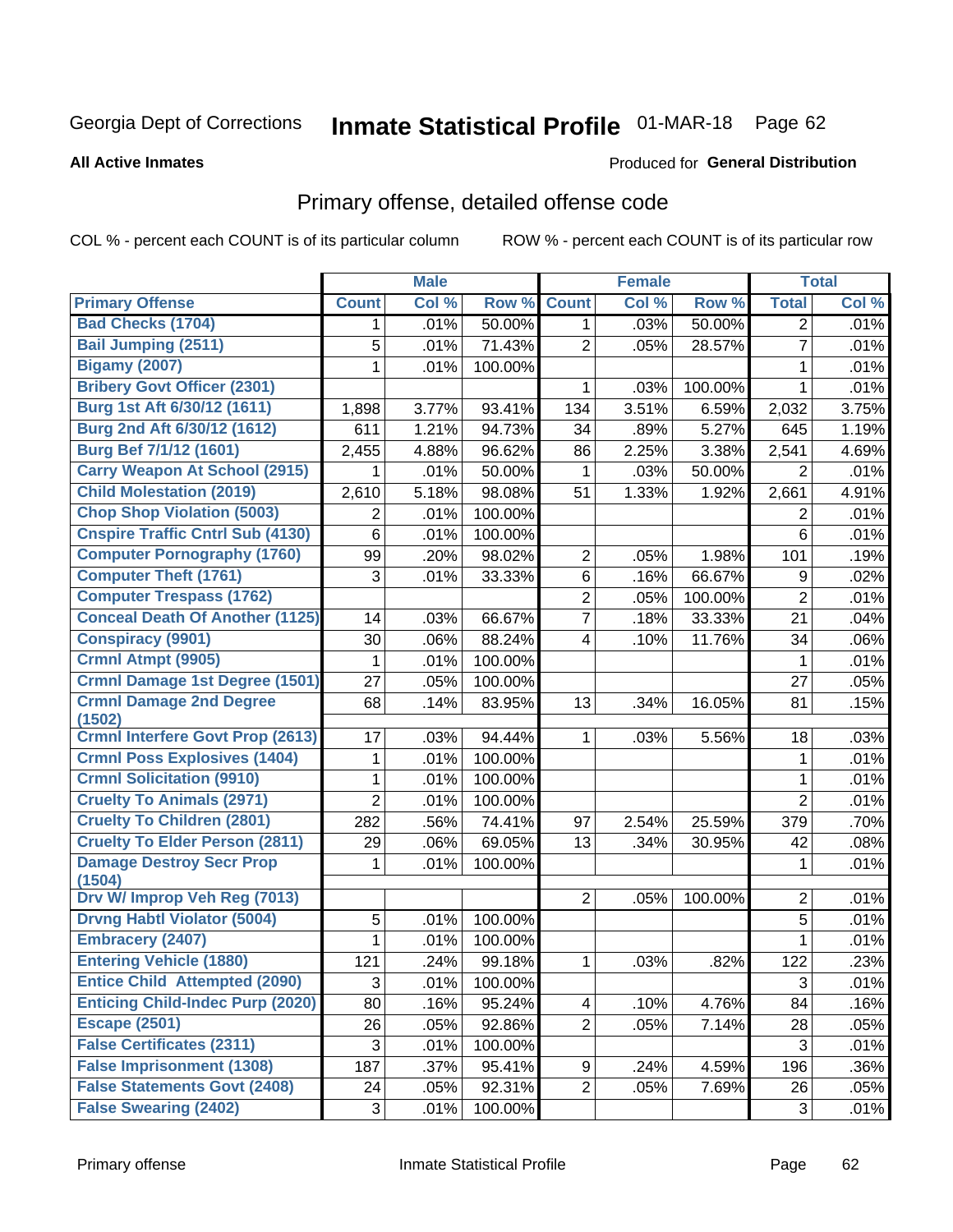# Inmate Statistical Profile 01-MAR-18 Page 62

#### **All Active Inmates**

#### Produced for General Distribution

## Primary offense, detailed offense code

COL % - percent each COUNT is of its particular column

|                                           |                | <b>Male</b> |                  |                | <b>Female</b> |         |                | <b>Total</b> |
|-------------------------------------------|----------------|-------------|------------------|----------------|---------------|---------|----------------|--------------|
| <b>Primary Offense</b>                    | <b>Count</b>   | Col %       | Row <sup>%</sup> | <b>Count</b>   | Col %         | Row %   | <b>Total</b>   | Col %        |
| <b>Bad Checks (1704)</b>                  | 1              | .01%        | 50.00%           | $\mathbf{1}$   | .03%          | 50.00%  | $\overline{2}$ | .01%         |
| <b>Bail Jumping (2511)</b>                | 5              | .01%        | 71.43%           | $\overline{2}$ | .05%          | 28.57%  | $\overline{7}$ | .01%         |
| <b>Bigamy (2007)</b>                      | 1              | .01%        | 100.00%          |                |               |         | 1              | .01%         |
| <b>Bribery Govt Officer (2301)</b>        |                |             |                  | 1              | .03%          | 100.00% | $\mathbf{1}$   | .01%         |
| Burg 1st Aft 6/30/12 (1611)               | 1,898          | 3.77%       | 93.41%           | 134            | 3.51%         | 6.59%   | 2,032          | 3.75%        |
| Burg 2nd Aft 6/30/12 (1612)               | 611            | 1.21%       | 94.73%           | 34             | .89%          | 5.27%   | 645            | 1.19%        |
| <b>Burg Bef 7/1/12 (1601)</b>             | 2,455          | 4.88%       | 96.62%           | 86             | 2.25%         | 3.38%   | 2,541          | 4.69%        |
| <b>Carry Weapon At School (2915)</b>      | 1              | .01%        | 50.00%           | 1              | .03%          | 50.00%  | $\overline{2}$ | .01%         |
| <b>Child Molestation (2019)</b>           | 2,610          | 5.18%       | 98.08%           | 51             | 1.33%         | 1.92%   | 2,661          | 4.91%        |
| <b>Chop Shop Violation (5003)</b>         | 2              | .01%        | 100.00%          |                |               |         | 2              | .01%         |
| <b>Cnspire Traffic Cntrl Sub (4130)</b>   | 6              | .01%        | 100.00%          |                |               |         | 6              | .01%         |
| <b>Computer Pornography (1760)</b>        | 99             | .20%        | 98.02%           | $\overline{2}$ | .05%          | 1.98%   | 101            | .19%         |
| <b>Computer Theft (1761)</b>              | 3              | .01%        | 33.33%           | 6              | .16%          | 66.67%  | 9              | .02%         |
| <b>Computer Trespass (1762)</b>           |                |             |                  | $\overline{2}$ | .05%          | 100.00% | $\overline{2}$ | .01%         |
| <b>Conceal Death Of Another (1125)</b>    | 14             | .03%        | 66.67%           | 7              | .18%          | 33.33%  | 21             | .04%         |
| <b>Conspiracy (9901)</b>                  | 30             | .06%        | 88.24%           | 4              | .10%          | 11.76%  | 34             | .06%         |
| Crmnl Atmpt (9905)                        | 1              | .01%        | 100.00%          |                |               |         | 1              | .01%         |
| <b>Crmnl Damage 1st Degree (1501)</b>     | 27             | .05%        | 100.00%          |                |               |         | 27             | .05%         |
| <b>Crmnl Damage 2nd Degree</b><br>(1502)  | 68             | .14%        | 83.95%           | 13             | .34%          | 16.05%  | 81             | .15%         |
| <b>Crmnl Interfere Govt Prop (2613)</b>   | 17             | .03%        | 94.44%           | 1              | .03%          | 5.56%   | 18             | .03%         |
| <b>Crmnl Poss Explosives (1404)</b>       | 1              | .01%        | 100.00%          |                |               |         | $\mathbf{1}$   | .01%         |
| <b>Crmnl Solicitation (9910)</b>          | $\mathbf{1}$   | .01%        | 100.00%          |                |               |         | $\mathbf 1$    | .01%         |
| <b>Cruelty To Animals (2971)</b>          | $\overline{2}$ | .01%        | 100.00%          |                |               |         | $\overline{2}$ | .01%         |
| <b>Cruelty To Children (2801)</b>         | 282            | .56%        | 74.41%           | 97             | 2.54%         | 25.59%  | 379            | .70%         |
| <b>Cruelty To Elder Person (2811)</b>     | 29             | .06%        | 69.05%           | 13             | .34%          | 30.95%  | 42             | .08%         |
| <b>Damage Destroy Secr Prop</b><br>(1504) | 1              | .01%        | 100.00%          |                |               |         | $\mathbf{1}$   | .01%         |
| Drv W/ Improp Veh Reg (7013)              |                |             |                  | $\overline{2}$ | .05%          | 100.00% | $\overline{2}$ | .01%         |
| <b>Drvng Habtl Violator (5004)</b>        | 5              | .01%        | 100.00%          |                |               |         | 5              | .01%         |
| <b>Embracery (2407)</b>                   | 1              | .01%        | 100.00%          |                |               |         | 1              | .01%         |
| <b>Entering Vehicle (1880)</b>            | 121            | .24%        | 99.18%           | 1.             | .03%          | .82%    | 122            | .23%         |
| <b>Entice Child Attempted (2090)</b>      | 3              | .01%        | 100.00%          |                |               |         | 3              | .01%         |
| <b>Enticing Child-Indec Purp (2020)</b>   | 80             | .16%        | 95.24%           | 4              | .10%          | 4.76%   | 84             | .16%         |
| <b>Escape (2501)</b>                      | 26             | .05%        | 92.86%           | $\overline{2}$ | .05%          | 7.14%   | 28             | .05%         |
| <b>False Certificates (2311)</b>          | 3              | .01%        | 100.00%          |                |               |         | 3              | .01%         |
| <b>False Imprisonment (1308)</b>          | 187            | .37%        | 95.41%           | 9              | .24%          | 4.59%   | 196            | $.36\%$      |
| <b>False Statements Govt (2408)</b>       | 24             | .05%        | 92.31%           | $\overline{2}$ | .05%          | 7.69%   | 26             | .05%         |
| <b>False Swearing (2402)</b>              | 3              | .01%        | 100.00%          |                |               |         | 3              | .01%         |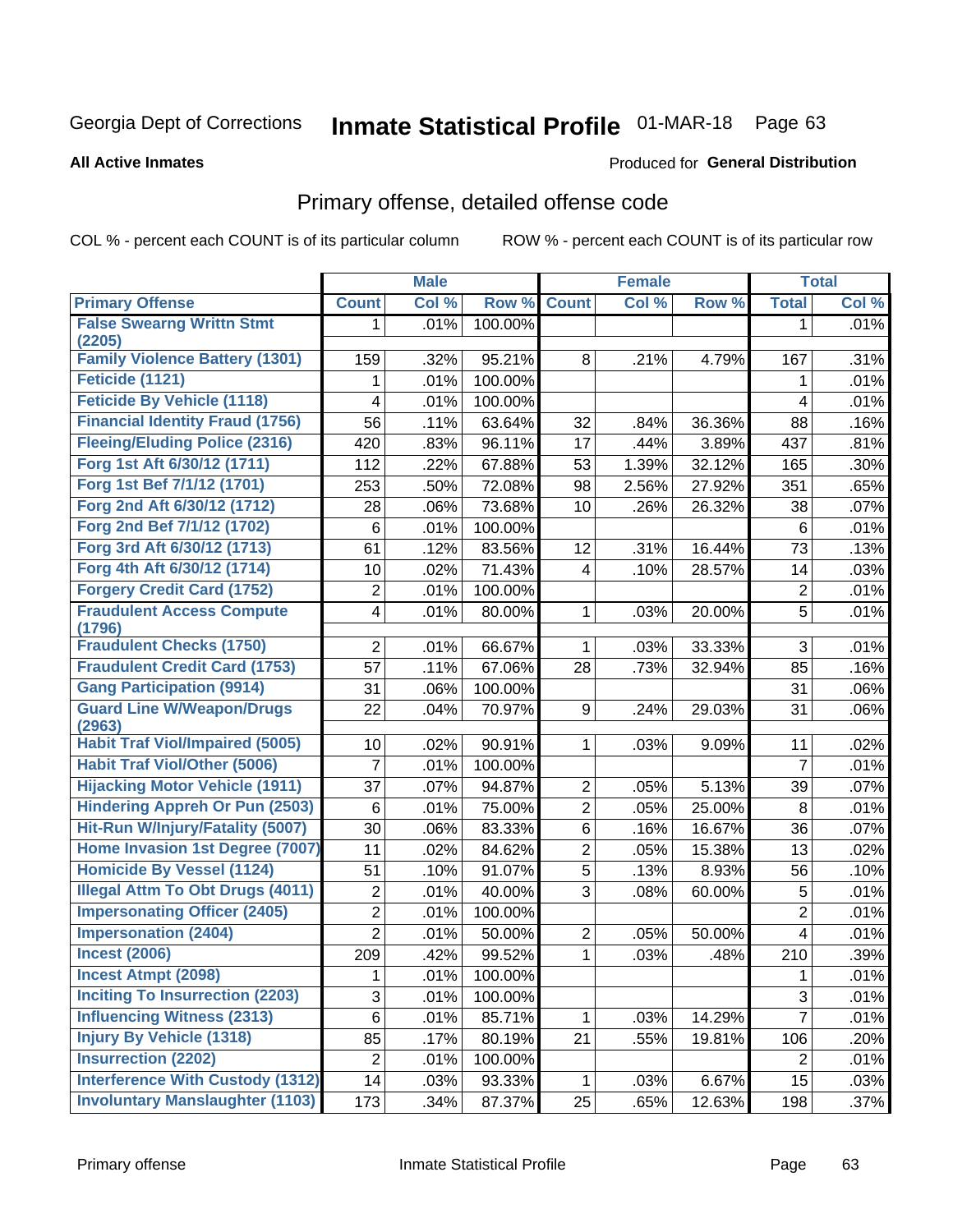# Inmate Statistical Profile 01-MAR-18 Page 63

#### **All Active Inmates**

#### Produced for General Distribution

## Primary offense, detailed offense code

COL % - percent each COUNT is of its particular column

|                                            |                         | <b>Male</b> |         |                | <b>Female</b> |        |                | <b>Total</b> |
|--------------------------------------------|-------------------------|-------------|---------|----------------|---------------|--------|----------------|--------------|
| <b>Primary Offense</b>                     | <b>Count</b>            | Col %       | Row %   | <b>Count</b>   | Col %         | Row %  | <b>Total</b>   | Col %        |
| <b>False Swearng Writtn Stmt</b>           | 1                       | .01%        | 100.00% |                |               |        | 1              | .01%         |
| (2205)                                     |                         |             |         |                |               |        |                |              |
| <b>Family Violence Battery (1301)</b>      | 159                     | .32%        | 95.21%  | 8              | .21%          | 4.79%  | 167            | .31%         |
| Feticide (1121)                            | 1                       | .01%        | 100.00% |                |               |        | 1              | .01%         |
| <b>Feticide By Vehicle (1118)</b>          | 4                       | .01%        | 100.00% |                |               |        | 4              | .01%         |
| <b>Financial Identity Fraud (1756)</b>     | 56                      | .11%        | 63.64%  | 32             | .84%          | 36.36% | 88             | .16%         |
| <b>Fleeing/Eluding Police (2316)</b>       | 420                     | .83%        | 96.11%  | 17             | .44%          | 3.89%  | 437            | .81%         |
| Forg 1st Aft 6/30/12 (1711)                | 112                     | .22%        | 67.88%  | 53             | 1.39%         | 32.12% | 165            | .30%         |
| Forg 1st Bef 7/1/12 (1701)                 | 253                     | .50%        | 72.08%  | 98             | 2.56%         | 27.92% | 351            | .65%         |
| Forg 2nd Aft 6/30/12 (1712)                | 28                      | .06%        | 73.68%  | 10             | .26%          | 26.32% | 38             | .07%         |
| Forg 2nd Bef 7/1/12 (1702)                 | $\,6$                   | .01%        | 100.00% |                |               |        | 6              | .01%         |
| Forg 3rd Aft 6/30/12 (1713)                | 61                      | .12%        | 83.56%  | 12             | .31%          | 16.44% | 73             | .13%         |
| Forg 4th Aft 6/30/12 (1714)                | 10                      | .02%        | 71.43%  | $\overline{4}$ | .10%          | 28.57% | 14             | .03%         |
| <b>Forgery Credit Card (1752)</b>          | $\overline{\mathbf{c}}$ | .01%        | 100.00% |                |               |        | 2              | .01%         |
| <b>Fraudulent Access Compute</b><br>(1796) | 4                       | .01%        | 80.00%  | $\mathbf{1}$   | .03%          | 20.00% | 5              | .01%         |
| <b>Fraudulent Checks (1750)</b>            | $\overline{2}$          | .01%        | 66.67%  | $\mathbf{1}$   | .03%          | 33.33% | 3              | .01%         |
| <b>Fraudulent Credit Card (1753)</b>       | 57                      | .11%        | 67.06%  | 28             | .73%          | 32.94% | 85             | .16%         |
| <b>Gang Participation (9914)</b>           | 31                      | .06%        | 100.00% |                |               |        | 31             | .06%         |
| <b>Guard Line W/Weapon/Drugs</b>           | 22                      | .04%        | 70.97%  | 9              | .24%          | 29.03% | 31             | .06%         |
| (2963)                                     |                         |             |         |                |               |        |                |              |
| <b>Habit Traf Viol/Impaired (5005)</b>     | 10                      | .02%        | 90.91%  | $\mathbf{1}$   | .03%          | 9.09%  | 11             | .02%         |
| <b>Habit Traf Viol/Other (5006)</b>        | 7                       | .01%        | 100.00% |                |               |        | $\overline{7}$ | .01%         |
| <b>Hijacking Motor Vehicle (1911)</b>      | 37                      | .07%        | 94.87%  | $\overline{2}$ | .05%          | 5.13%  | 39             | .07%         |
| <b>Hindering Appreh Or Pun (2503)</b>      | $\,6$                   | .01%        | 75.00%  | $\overline{2}$ | .05%          | 25.00% | 8              | .01%         |
| Hit-Run W/Injury/Fatality (5007)           | 30                      | .06%        | 83.33%  | 6              | .16%          | 16.67% | 36             | .07%         |
| Home Invasion 1st Degree (7007)            | 11                      | .02%        | 84.62%  | $\overline{2}$ | .05%          | 15.38% | 13             | .02%         |
| <b>Homicide By Vessel (1124)</b>           | 51                      | .10%        | 91.07%  | 5              | .13%          | 8.93%  | 56             | .10%         |
| <b>Illegal Attm To Obt Drugs (4011)</b>    | 2                       | .01%        | 40.00%  | 3              | .08%          | 60.00% | 5              | .01%         |
| <b>Impersonating Officer (2405)</b>        | $\overline{2}$          | .01%        | 100.00% |                |               |        | $\overline{2}$ | .01%         |
| <b>Impersonation (2404)</b>                | $\overline{2}$          | .01%        | 50.00%  | $\overline{2}$ | .05%          | 50.00% | 4              | .01%         |
| <b>Incest (2006)</b>                       | 209                     | .42%        | 99.52%  | $\mathbf{1}$   | .03%          | .48%   | 210            | .39%         |
| <b>Incest Atmpt (2098)</b>                 | 1                       | .01%        | 100.00% |                |               |        | 1              | .01%         |
| <b>Inciting To Insurrection (2203)</b>     | $\overline{3}$          | .01%        | 100.00% |                |               |        | 3              | .01%         |
| <b>Influencing Witness (2313)</b>          | 6                       | .01%        | 85.71%  | 1              | .03%          | 14.29% | $\overline{7}$ | .01%         |
| <b>Injury By Vehicle (1318)</b>            | 85                      | .17%        | 80.19%  | 21             | .55%          | 19.81% | 106            | .20%         |
| <b>Insurrection (2202)</b>                 | $\overline{\mathbf{c}}$ | .01%        | 100.00% |                |               |        | $\overline{2}$ | .01%         |
| <b>Interference With Custody (1312)</b>    | 14                      | .03%        | 93.33%  | $\mathbf{1}$   | .03%          | 6.67%  | 15             | .03%         |
| <b>Involuntary Manslaughter (1103)</b>     | 173                     | .34%        | 87.37%  | 25             | .65%          | 12.63% | 198            | .37%         |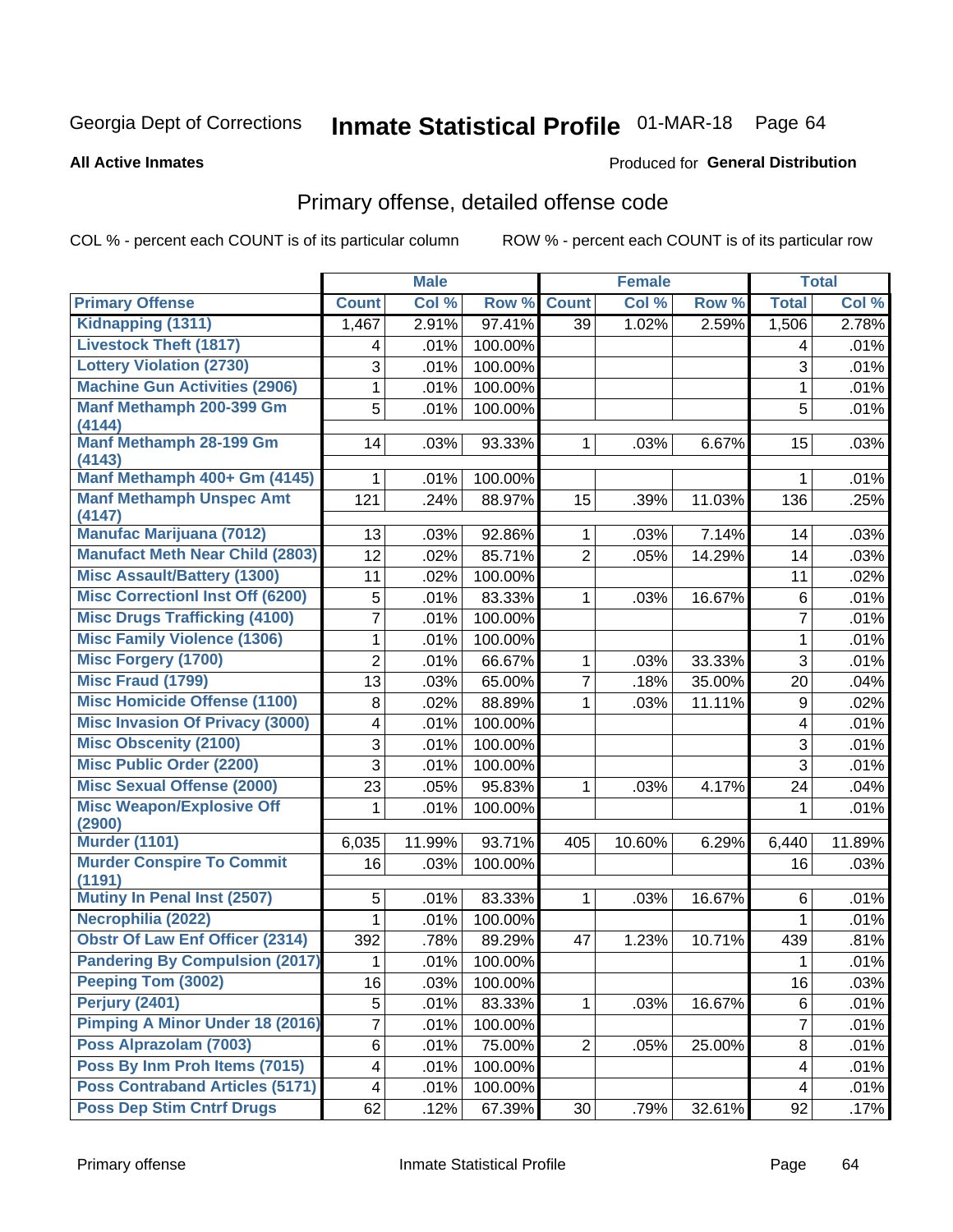# Inmate Statistical Profile 01-MAR-18 Page 64

#### **All Active Inmates**

#### Produced for General Distribution

## Primary offense, detailed offense code

COL % - percent each COUNT is of its particular column

|                                            |                | <b>Male</b> |         |                 | <b>Female</b> |        |                | <b>Total</b> |
|--------------------------------------------|----------------|-------------|---------|-----------------|---------------|--------|----------------|--------------|
| <b>Primary Offense</b>                     | <b>Count</b>   | Col %       | Row %   | <b>Count</b>    | Col %         | Row %  | <b>Total</b>   | Col %        |
| Kidnapping (1311)                          | 1,467          | 2.91%       | 97.41%  | $\overline{39}$ | 1.02%         | 2.59%  | 1,506          | 2.78%        |
| <b>Livestock Theft (1817)</b>              | 4              | .01%        | 100.00% |                 |               |        | 4              | .01%         |
| <b>Lottery Violation (2730)</b>            | 3              | .01%        | 100.00% |                 |               |        | 3              | .01%         |
| <b>Machine Gun Activities (2906)</b>       | 1              | .01%        | 100.00% |                 |               |        | $\mathbf{1}$   | .01%         |
| Manf Methamph 200-399 Gm                   | 5              | .01%        | 100.00% |                 |               |        | 5              | .01%         |
| (4144)                                     |                |             |         |                 |               |        |                |              |
| <b>Manf Methamph 28-199 Gm</b><br>(4143)   | 14             | .03%        | 93.33%  | $\mathbf{1}$    | .03%          | 6.67%  | 15             | .03%         |
| Manf Methamph 400+ Gm (4145)               | 1.             | .01%        | 100.00% |                 |               |        | 1              | .01%         |
| <b>Manf Methamph Unspec Amt</b>            | 121            | .24%        | 88.97%  | 15              | .39%          | 11.03% | 136            | .25%         |
| (4147)                                     |                |             |         |                 |               |        |                |              |
| <b>Manufac Marijuana (7012)</b>            | 13             | .03%        | 92.86%  | 1               | .03%          | 7.14%  | 14             | .03%         |
| <b>Manufact Meth Near Child (2803)</b>     | 12             | .02%        | 85.71%  | $\overline{2}$  | .05%          | 14.29% | 14             | .03%         |
| <b>Misc Assault/Battery (1300)</b>         | 11             | .02%        | 100.00% |                 |               |        | 11             | .02%         |
| <b>Misc Correctionl Inst Off (6200)</b>    | 5              | .01%        | 83.33%  | 1               | .03%          | 16.67% | $\,6\,$        | .01%         |
| <b>Misc Drugs Trafficking (4100)</b>       | 7              | .01%        | 100.00% |                 |               |        | $\overline{7}$ | .01%         |
| <b>Misc Family Violence (1306)</b>         | 1              | .01%        | 100.00% |                 |               |        | 1              | .01%         |
| <b>Misc Forgery (1700)</b>                 | $\overline{2}$ | .01%        | 66.67%  | 1               | .03%          | 33.33% | 3              | .01%         |
| Misc Fraud (1799)                          | 13             | .03%        | 65.00%  | $\overline{7}$  | .18%          | 35.00% | 20             | .04%         |
| <b>Misc Homicide Offense (1100)</b>        | 8              | .02%        | 88.89%  | 1               | .03%          | 11.11% | 9              | .02%         |
| <b>Misc Invasion Of Privacy (3000)</b>     | 4              | .01%        | 100.00% |                 |               |        | 4              | .01%         |
| <b>Misc Obscenity (2100)</b>               | 3              | .01%        | 100.00% |                 |               |        | 3              | .01%         |
| <b>Misc Public Order (2200)</b>            | 3              | .01%        | 100.00% |                 |               |        | 3              | .01%         |
| <b>Misc Sexual Offense (2000)</b>          | 23             | .05%        | 95.83%  | 1               | .03%          | 4.17%  | 24             | .04%         |
| <b>Misc Weapon/Explosive Off</b>           | 1              | .01%        | 100.00% |                 |               |        | 1              | .01%         |
| (2900)                                     |                |             |         |                 |               |        |                |              |
| <b>Murder (1101)</b>                       | 6,035          | 11.99%      | 93.71%  | 405             | 10.60%        | 6.29%  | 6,440          | 11.89%       |
| <b>Murder Conspire To Commit</b><br>(1191) | 16             | .03%        | 100.00% |                 |               |        | 16             | .03%         |
| <b>Mutiny In Penal Inst (2507)</b>         | 5              | .01%        | 83.33%  | 1               | .03%          | 16.67% | 6              | .01%         |
| Necrophilia (2022)                         | 1              | .01%        | 100.00% |                 |               |        | 1              | .01%         |
| <b>Obstr Of Law Enf Officer (2314)</b>     | 392            | .78%        | 89.29%  | 47              | 1.23%         | 10.71% | 439            | .81%         |
| <b>Pandering By Compulsion (2017)</b>      | 1              | .01%        | 100.00% |                 |               |        | 1              | .01%         |
| <b>Peeping Tom (3002)</b>                  | 16             | .03%        | 100.00% |                 |               |        | 16             | .03%         |
| Perjury (2401)                             | 5              | .01%        | 83.33%  | 1               | .03%          | 16.67% | 6              | .01%         |
| <b>Pimping A Minor Under 18 (2016)</b>     | 7              | .01%        | 100.00% |                 |               |        | 7              | .01%         |
| Poss Alprazolam (7003)                     | 6              | .01%        | 75.00%  | $\overline{2}$  | .05%          | 25.00% | 8              | .01%         |
| Poss By Inm Proh Items (7015)              | 4              | .01%        | 100.00% |                 |               |        | 4              | .01%         |
| <b>Poss Contraband Articles (5171)</b>     | 4              | .01%        | 100.00% |                 |               |        | 4              | .01%         |
| <b>Poss Dep Stim Cntrf Drugs</b>           | 62             | .12%        | 67.39%  | 30 <sup>°</sup> | .79%          | 32.61% | 92             | .17%         |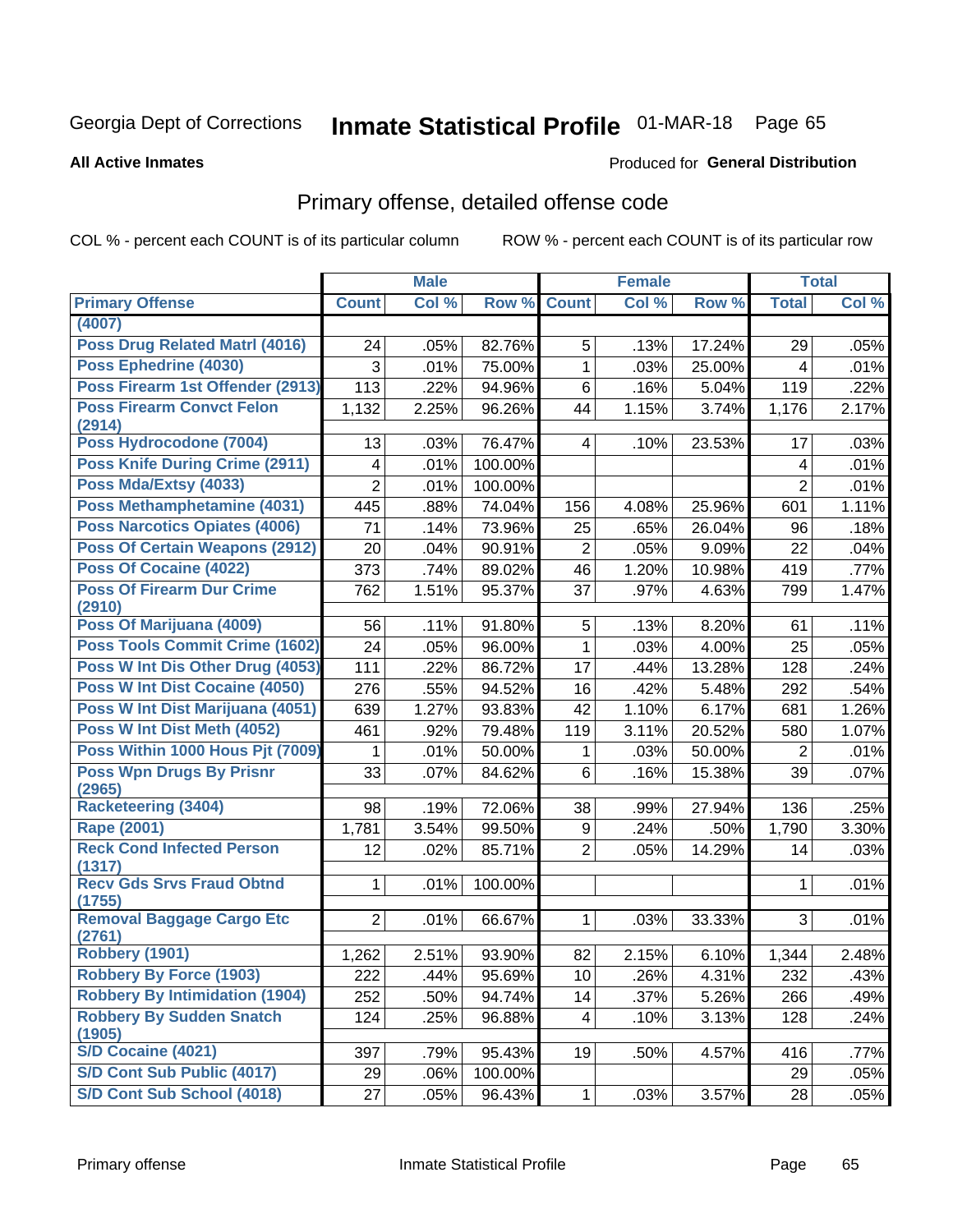# Inmate Statistical Profile 01-MAR-18 Page 65

#### **All Active Inmates**

#### Produced for General Distribution

## Primary offense, detailed offense code

COL % - percent each COUNT is of its particular column

|                                            |                | <b>Male</b> |         |                         | <b>Female</b> |        |                | <b>Total</b> |
|--------------------------------------------|----------------|-------------|---------|-------------------------|---------------|--------|----------------|--------------|
| <b>Primary Offense</b>                     | <b>Count</b>   | Col %       | Row %   | <b>Count</b>            | Col %         | Row %  | <b>Total</b>   | Col %        |
| (4007)                                     |                |             |         |                         |               |        |                |              |
| <b>Poss Drug Related Matrl (4016)</b>      | 24             | .05%        | 82.76%  | 5                       | .13%          | 17.24% | 29             | .05%         |
| Poss Ephedrine (4030)                      | 3              | .01%        | 75.00%  | 1                       | .03%          | 25.00% | 4              | .01%         |
| Poss Firearm 1st Offender (2913)           | 113            | .22%        | 94.96%  | 6                       | .16%          | 5.04%  | 119            | .22%         |
| <b>Poss Firearm Convct Felon</b>           | 1,132          | 2.25%       | 96.26%  | 44                      | 1.15%         | 3.74%  | 1,176          | 2.17%        |
| (2914)                                     |                |             |         |                         |               |        |                |              |
| Poss Hydrocodone (7004)                    | 13             | .03%        | 76.47%  | $\overline{4}$          | .10%          | 23.53% | 17             | .03%         |
| <b>Poss Knife During Crime (2911)</b>      | 4              | .01%        | 100.00% |                         |               |        | 4              | .01%         |
| Poss Mda/Extsy (4033)                      | $\overline{2}$ | .01%        | 100.00% |                         |               |        | $\overline{2}$ | .01%         |
| Poss Methamphetamine (4031)                | 445            | .88%        | 74.04%  | 156                     | 4.08%         | 25.96% | 601            | 1.11%        |
| <b>Poss Narcotics Opiates (4006)</b>       | 71             | .14%        | 73.96%  | 25                      | .65%          | 26.04% | 96             | .18%         |
| <b>Poss Of Certain Weapons (2912)</b>      | 20             | .04%        | 90.91%  | $\overline{c}$          | .05%          | 9.09%  | 22             | .04%         |
| Poss Of Cocaine (4022)                     | 373            | .74%        | 89.02%  | 46                      | 1.20%         | 10.98% | 419            | .77%         |
| <b>Poss Of Firearm Dur Crime</b><br>(2910) | 762            | 1.51%       | 95.37%  | 37                      | .97%          | 4.63%  | 799            | 1.47%        |
| Poss Of Marijuana (4009)                   | 56             | .11%        | 91.80%  | 5                       | .13%          | 8.20%  | 61             | .11%         |
| <b>Poss Tools Commit Crime (1602)</b>      | 24             | .05%        | 96.00%  | 1                       | .03%          | 4.00%  | 25             | .05%         |
| Poss W Int Dis Other Drug (4053)           | 111            | .22%        | 86.72%  | 17                      | .44%          | 13.28% | 128            | .24%         |
| Poss W Int Dist Cocaine (4050)             | 276            | .55%        | 94.52%  | 16                      | .42%          | 5.48%  | 292            | .54%         |
| Poss W Int Dist Marijuana (4051)           | 639            | 1.27%       | 93.83%  | 42                      | 1.10%         | 6.17%  | 681            | 1.26%        |
| Poss W Int Dist Meth (4052)                | 461            | .92%        | 79.48%  | 119                     | 3.11%         | 20.52% | 580            | 1.07%        |
| Poss Within 1000 Hous Pjt (7009)           | 1              | .01%        | 50.00%  | 1                       | .03%          | 50.00% | $\overline{2}$ | .01%         |
| <b>Poss Wpn Drugs By Prisnr</b>            | 33             | .07%        | 84.62%  | 6                       | .16%          | 15.38% | 39             | .07%         |
| (2965)                                     |                |             |         |                         |               |        |                |              |
| <b>Racketeering (3404)</b>                 | 98             | .19%        | 72.06%  | 38                      | .99%          | 27.94% | 136            | .25%         |
| <b>Rape (2001)</b>                         | 1,781          | 3.54%       | 99.50%  | 9                       | .24%          | .50%   | 1,790          | 3.30%        |
| <b>Reck Cond Infected Person</b><br>(1317) | 12             | .02%        | 85.71%  | $\overline{2}$          | .05%          | 14.29% | 14             | .03%         |
| <b>Recv Gds Srvs Fraud Obtnd</b>           | 1              | .01%        | 100.00% |                         |               |        | 1              | .01%         |
| (1755)<br><b>Removal Baggage Cargo Etc</b> | $\overline{2}$ | .01%        | 66.67%  | $\mathbf{1}$            | .03%          | 33.33% | 3              | .01%         |
| (2761)                                     |                |             |         |                         |               |        |                |              |
| <b>Robbery (1901)</b>                      | 1,262          | 2.51%       | 93.90%  | 82                      | 2.15%         | 6.10%  | 1,344          | 2.48%        |
| Robbery By Force (1903)                    | 222            | .44%        | 95.69%  | 10 <sub>1</sub>         | .26%          | 4.31%  | 232            | .43%         |
| <b>Robbery By Intimidation (1904)</b>      | 252            | .50%        | 94.74%  | 14                      | .37%          | 5.26%  | 266            | .49%         |
| <b>Robbery By Sudden Snatch</b>            | 124            | .25%        | 96.88%  | $\overline{\mathbf{4}}$ | .10%          | 3.13%  | 128            | .24%         |
| (1905)<br>S/D Cocaine (4021)               | 397            | .79%        | 95.43%  | 19                      | .50%          | 4.57%  | 416            | .77%         |
| S/D Cont Sub Public (4017)                 | 29             | .06%        | 100.00% |                         |               |        | 29             | .05%         |
| S/D Cont Sub School (4018)                 | 27             | .05%        | 96.43%  | $\mathbf{1}$            | .03%          | 3.57%  | 28             | .05%         |
|                                            |                |             |         |                         |               |        |                |              |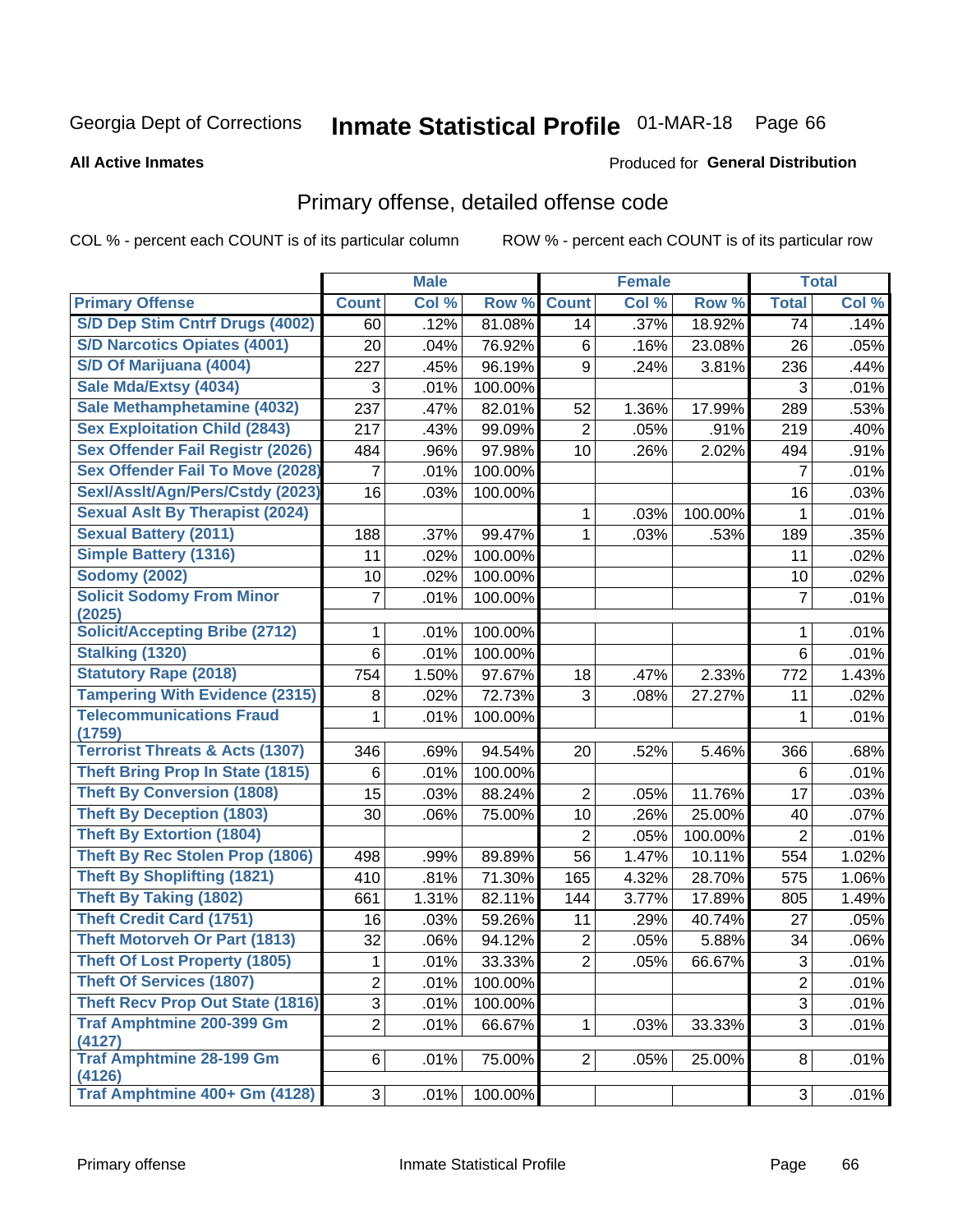# Inmate Statistical Profile 01-MAR-18 Page 66

#### **All Active Inmates**

#### Produced for General Distribution

## Primary offense, detailed offense code

COL % - percent each COUNT is of its particular column

|                                            |                | <b>Male</b> |         |                | <b>Female</b> |         |                | <b>Total</b> |
|--------------------------------------------|----------------|-------------|---------|----------------|---------------|---------|----------------|--------------|
| <b>Primary Offense</b>                     | <b>Count</b>   | Col %       | Row %   | <b>Count</b>   | Col %         | Row %   | <b>Total</b>   | Col %        |
| S/D Dep Stim Cntrf Drugs (4002)            | 60             | .12%        | 81.08%  | 14             | .37%          | 18.92%  | 74             | .14%         |
| <b>S/D Narcotics Opiates (4001)</b>        | 20             | .04%        | 76.92%  | 6              | .16%          | 23.08%  | 26             | .05%         |
| S/D Of Marijuana (4004)                    | 227            | .45%        | 96.19%  | 9              | .24%          | 3.81%   | 236            | .44%         |
| Sale Mda/Extsy (4034)                      | 3              | .01%        | 100.00% |                |               |         | 3              | .01%         |
| Sale Methamphetamine (4032)                | 237            | .47%        | 82.01%  | 52             | 1.36%         | 17.99%  | 289            | .53%         |
| <b>Sex Exploitation Child (2843)</b>       | 217            | .43%        | 99.09%  | $\overline{2}$ | .05%          | .91%    | 219            | .40%         |
| <b>Sex Offender Fail Registr (2026)</b>    | 484            | .96%        | 97.98%  | 10             | .26%          | 2.02%   | 494            | .91%         |
| <b>Sex Offender Fail To Move (2028)</b>    | 7              | .01%        | 100.00% |                |               |         | $\overline{7}$ | .01%         |
| Sexl/Asslt/Agn/Pers/Cstdy (2023)           | 16             | .03%        | 100.00% |                |               |         | 16             | .03%         |
| <b>Sexual Aslt By Therapist (2024)</b>     |                |             |         | 1              | .03%          | 100.00% | 1              | .01%         |
| <b>Sexual Battery (2011)</b>               | 188            | .37%        | 99.47%  | 1              | .03%          | .53%    | 189            | .35%         |
| Simple Battery (1316)                      | 11             | .02%        | 100.00% |                |               |         | 11             | .02%         |
| <b>Sodomy (2002)</b>                       | 10             | .02%        | 100.00% |                |               |         | 10             | .02%         |
| <b>Solicit Sodomy From Minor</b>           | 7              | .01%        | 100.00% |                |               |         | $\overline{7}$ | .01%         |
| (2025)                                     |                |             |         |                |               |         |                |              |
| <b>Solicit/Accepting Bribe (2712)</b>      | 1              | .01%        | 100.00% |                |               |         | 1              | .01%         |
| <b>Stalking (1320)</b>                     | 6              | .01%        | 100.00% |                |               |         | 6              | .01%         |
| <b>Statutory Rape (2018)</b>               | 754            | 1.50%       | 97.67%  | 18             | .47%          | 2.33%   | 772            | 1.43%        |
| <b>Tampering With Evidence (2315)</b>      | 8              | .02%        | 72.73%  | 3              | .08%          | 27.27%  | 11             | .02%         |
| <b>Telecommunications Fraud</b><br>(1759)  | 1              | .01%        | 100.00% |                |               |         | 1              | .01%         |
| <b>Terrorist Threats &amp; Acts (1307)</b> | 346            | .69%        | 94.54%  | 20             | .52%          | 5.46%   | 366            | .68%         |
| <b>Theft Bring Prop In State (1815)</b>    | 6              | .01%        | 100.00% |                |               |         | 6              | .01%         |
| <b>Theft By Conversion (1808)</b>          | 15             | .03%        | 88.24%  | 2              | .05%          | 11.76%  | 17             | .03%         |
| <b>Theft By Deception (1803)</b>           | 30             | .06%        | 75.00%  | 10             | .26%          | 25.00%  | 40             | .07%         |
| <b>Theft By Extortion (1804)</b>           |                |             |         | $\overline{2}$ | .05%          | 100.00% | $\overline{2}$ | .01%         |
| <b>Theft By Rec Stolen Prop (1806)</b>     | 498            | .99%        | 89.89%  | 56             | 1.47%         | 10.11%  | 554            | 1.02%        |
| <b>Theft By Shoplifting (1821)</b>         | 410            | .81%        | 71.30%  | 165            | 4.32%         | 28.70%  | 575            | 1.06%        |
| <b>Theft By Taking (1802)</b>              | 661            | 1.31%       | 82.11%  | 144            | 3.77%         | 17.89%  | 805            | 1.49%        |
| <b>Theft Credit Card (1751)</b>            | 16             | .03%        | 59.26%  | 11             | .29%          | 40.74%  | 27             | .05%         |
| <b>Theft Motorveh Or Part (1813)</b>       | 32             | .06%        | 94.12%  | $\overline{c}$ | .05%          | 5.88%   | 34             | .06%         |
| <b>Theft Of Lost Property (1805)</b>       | 1              | .01%        | 33.33%  | $\overline{2}$ | .05%          | 66.67%  | 3              | .01%         |
| <b>Theft Of Services (1807)</b>            | $\overline{2}$ | .01%        | 100.00% |                |               |         | $\overline{2}$ | .01%         |
| <b>Theft Recv Prop Out State (1816)</b>    | 3              | .01%        | 100.00% |                |               |         | 3              | .01%         |
| <b>Traf Amphtmine 200-399 Gm</b><br>(4127) | $\overline{2}$ | .01%        | 66.67%  | $\mathbf{1}$   | .03%          | 33.33%  | 3              | .01%         |
| <b>Traf Amphtmine 28-199 Gm</b><br>(4126)  | 6              | .01%        | 75.00%  | $\overline{2}$ | .05%          | 25.00%  | 8              | .01%         |
| Traf Amphtmine 400+ Gm (4128)              | 3              | .01%        | 100.00% |                |               |         | 3              | .01%         |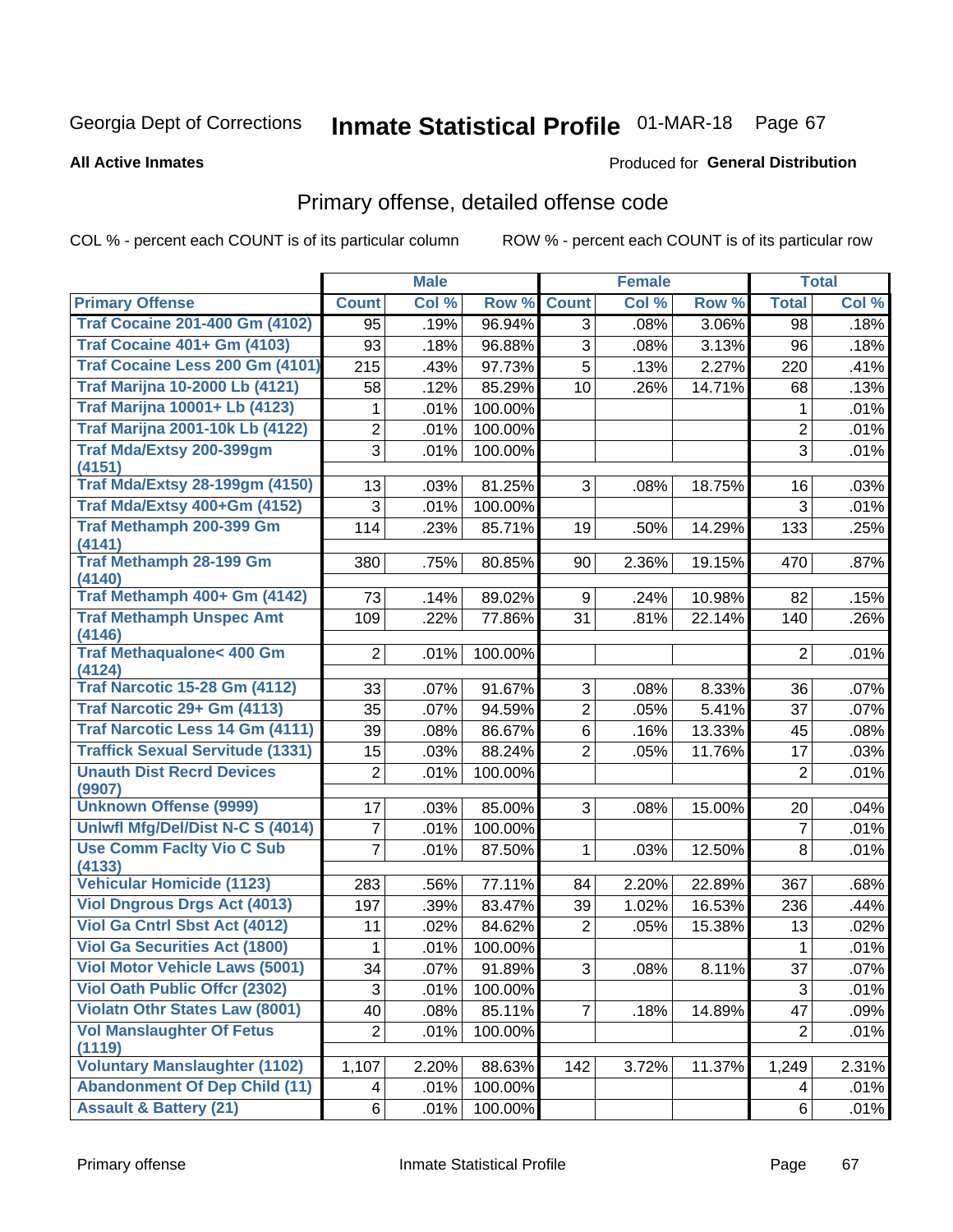# Inmate Statistical Profile 01-MAR-18 Page 67

**All Active Inmates** 

#### Produced for General Distribution

## Primary offense, detailed offense code

COL % - percent each COUNT is of its particular column

|                                            |                 | <b>Male</b> |         |                     | <b>Female</b> |        |                 | <b>Total</b> |
|--------------------------------------------|-----------------|-------------|---------|---------------------|---------------|--------|-----------------|--------------|
| <b>Primary Offense</b>                     | <b>Count</b>    | Col %       | Row %   | <b>Count</b>        | Col %         | Row %  | <b>Total</b>    | Col %        |
| <b>Traf Cocaine 201-400 Gm (4102)</b>      | 95              | .19%        | 96.94%  | 3                   | .08%          | 3.06%  | 98              | .18%         |
| <b>Traf Cocaine 401+ Gm (4103)</b>         | 93              | .18%        | 96.88%  | 3                   | .08%          | 3.13%  | 96              | .18%         |
| Traf Cocaine Less 200 Gm (4101)            | 215             | .43%        | 97.73%  | 5                   | .13%          | 2.27%  | 220             | .41%         |
| <b>Traf Marijna 10-2000 Lb (4121)</b>      | 58              | .12%        | 85.29%  | 10                  | .26%          | 14.71% | 68              | .13%         |
| <b>Traf Marijna 10001+ Lb (4123)</b>       | 1               | .01%        | 100.00% |                     |               |        | 1               | .01%         |
| <b>Traf Marijna 2001-10k Lb (4122)</b>     | 2               | .01%        | 100.00% |                     |               |        | $\overline{2}$  | .01%         |
| <b>Traf Mda/Extsy 200-399gm</b>            | 3               | .01%        | 100.00% |                     |               |        | 3               | .01%         |
| (4151)                                     |                 |             |         |                     |               |        |                 |              |
| <b>Traf Mda/Extsy 28-199gm (4150)</b>      | 13              | .03%        | 81.25%  | 3                   | .08%          | 18.75% | 16              | .03%         |
| Traf Mda/Extsy 400+Gm (4152)               | 3               | .01%        | 100.00% |                     |               |        | 3               | .01%         |
| Traf Methamph 200-399 Gm<br>(4141)         | 114             | .23%        | 85.71%  | 19                  | .50%          | 14.29% | 133             | .25%         |
| <b>Traf Methamph 28-199 Gm</b><br>(4140)   | 380             | .75%        | 80.85%  | 90                  | 2.36%         | 19.15% | 470             | .87%         |
| Traf Methamph 400+ Gm (4142)               | 73              | .14%        | 89.02%  | 9                   | .24%          | 10.98% | 82              | .15%         |
| <b>Traf Methamph Unspec Amt</b>            | 109             | .22%        | 77.86%  | 31                  | .81%          | 22.14% | 140             | .26%         |
| (4146)                                     |                 |             |         |                     |               |        |                 |              |
| Traf Methaqualone< 400 Gm<br>(4124)        | $\overline{2}$  | .01%        | 100.00% |                     |               |        | $\overline{2}$  | .01%         |
| <b>Traf Narcotic 15-28 Gm (4112)</b>       | 33              | .07%        | 91.67%  | 3                   | .08%          | 8.33%  | 36              | .07%         |
| Traf Narcotic 29+ Gm (4113)                | 35              | .07%        | 94.59%  | $\overline{2}$      | .05%          | 5.41%  | 37              | .07%         |
| Traf Narcotic Less 14 Gm (4111)            | 39              | .08%        | 86.67%  | 6                   | .16%          | 13.33% | 45              | .08%         |
| <b>Traffick Sexual Servitude (1331)</b>    | 15              | .03%        | 88.24%  | $\overline{2}$      | .05%          | 11.76% | 17              | .03%         |
| <b>Unauth Dist Recrd Devices</b>           | $\overline{2}$  | .01%        | 100.00% |                     |               |        | $\overline{2}$  | .01%         |
| (9907)                                     |                 |             |         |                     |               |        |                 |              |
| <b>Unknown Offense (9999)</b>              | 17              | .03%        | 85.00%  | 3                   | .08%          | 15.00% | 20              | .04%         |
| Uniwfl Mfg/Del/Dist N-C S (4014)           | 7               | .01%        | 100.00% |                     |               |        | $\overline{7}$  | .01%         |
| <b>Use Comm Facity Vio C Sub</b><br>(4133) | 7               | .01%        | 87.50%  | 1                   | .03%          | 12.50% | 8               | .01%         |
| <b>Vehicular Homicide (1123)</b>           | 283             | .56%        | 77.11%  | 84                  | 2.20%         | 22.89% | 367             | .68%         |
| <b>Viol Dngrous Drgs Act (4013)</b>        | 197             | .39%        | 83.47%  | 39                  | 1.02%         | 16.53% | 236             | .44%         |
| Viol Ga Cntrl Sbst Act (4012)              | 11              | .02%        | 84.62%  | 2                   | .05%          | 15.38% | 13              | .02%         |
| <b>Viol Ga Securities Act (1800)</b>       | 1               | .01%        | 100.00% |                     |               |        | 1               | .01%         |
| <b>Viol Motor Vehicle Laws (5001)</b>      | $\overline{34}$ | .07%        | 91.89%  | $\overline{\omega}$ | .08%          | 8.11%  | $\overline{37}$ | .07%         |
| <b>Viol Oath Public Offer (2302)</b>       | 3               | .01%        | 100.00% |                     |               |        | 3               | .01%         |
| <b>Violatn Othr States Law (8001)</b>      | 40              | .08%        | 85.11%  | $\overline{7}$      | .18%          | 14.89% | 47              | .09%         |
| <b>Vol Manslaughter Of Fetus</b>           | $\overline{2}$  | .01%        | 100.00% |                     |               |        | $\overline{2}$  | .01%         |
| (1119)                                     |                 |             |         |                     |               |        |                 |              |
| <b>Voluntary Manslaughter (1102)</b>       | 1,107           | 2.20%       | 88.63%  | 142                 | 3.72%         | 11.37% | 1,249           | 2.31%        |
| <b>Abandonment Of Dep Child (11)</b>       | 4               | .01%        | 100.00% |                     |               |        | 4               | .01%         |
| <b>Assault &amp; Battery (21)</b>          | $6\vert$        | .01%        | 100.00% |                     |               |        | 6               | .01%         |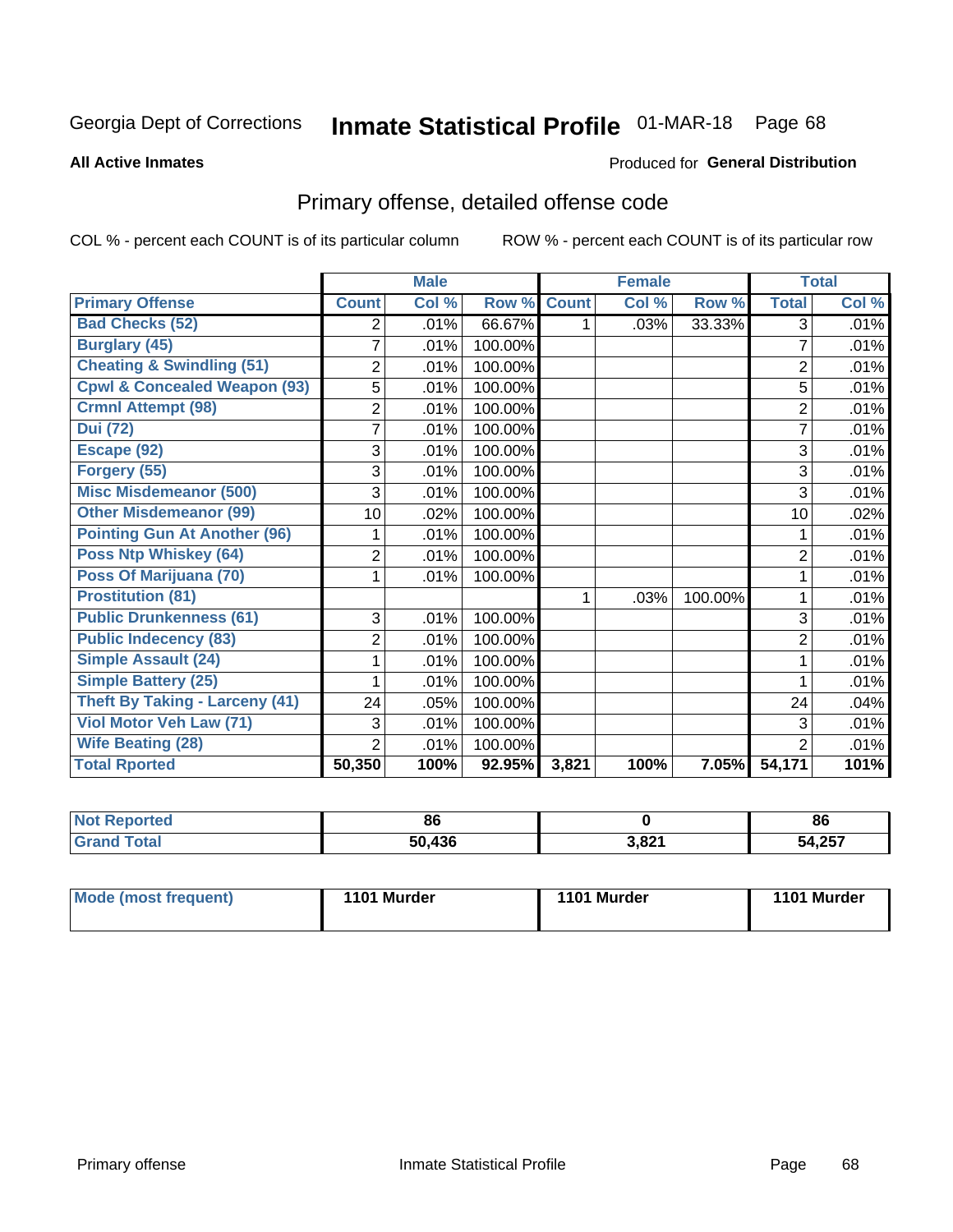# Inmate Statistical Profile 01-MAR-18 Page 68

**All Active Inmates** 

#### Produced for General Distribution

## Primary offense, detailed offense code

COL % - percent each COUNT is of its particular column

|                                         |                | <b>Male</b> |                  |              | <b>Female</b> |         |                | <b>Total</b> |
|-----------------------------------------|----------------|-------------|------------------|--------------|---------------|---------|----------------|--------------|
| <b>Primary Offense</b>                  | <b>Count</b>   | Col %       | Row <sup>%</sup> | <b>Count</b> | Col %         | Row %   | <b>Total</b>   | Col %        |
| <b>Bad Checks (52)</b>                  | 2              | .01%        | 66.67%           | 1            | .03%          | 33.33%  | 3              | .01%         |
| <b>Burglary (45)</b>                    | 7              | .01%        | 100.00%          |              |               |         | 7              | .01%         |
| <b>Cheating &amp; Swindling (51)</b>    | $\overline{2}$ | .01%        | 100.00%          |              |               |         | $\overline{2}$ | .01%         |
| <b>Cpwl &amp; Concealed Weapon (93)</b> | 5              | .01%        | 100.00%          |              |               |         | 5              | .01%         |
| <b>Crmnl Attempt (98)</b>               | $\overline{2}$ | .01%        | 100.00%          |              |               |         | $\overline{2}$ | .01%         |
| <b>Dui (72)</b>                         | 7              | .01%        | 100.00%          |              |               |         |                | .01%         |
| Escape (92)                             | 3              | .01%        | 100.00%          |              |               |         | 3              | .01%         |
| Forgery (55)                            | 3              | .01%        | 100.00%          |              |               |         | 3              | .01%         |
| <b>Misc Misdemeanor (500)</b>           | 3              | .01%        | 100.00%          |              |               |         | 3              | .01%         |
| <b>Other Misdemeanor (99)</b>           | 10             | .02%        | 100.00%          |              |               |         | 10             | .02%         |
| <b>Pointing Gun At Another (96)</b>     |                | .01%        | 100.00%          |              |               |         |                | .01%         |
| Poss Ntp Whiskey (64)                   | $\overline{2}$ | .01%        | 100.00%          |              |               |         | $\overline{2}$ | .01%         |
| Poss Of Marijuana (70)                  |                | .01%        | 100.00%          |              |               |         |                | .01%         |
| <b>Prostitution (81)</b>                |                |             |                  | 1            | .03%          | 100.00% | 1              | .01%         |
| <b>Public Drunkenness (61)</b>          | 3              | .01%        | 100.00%          |              |               |         | 3              | .01%         |
| <b>Public Indecency (83)</b>            | $\overline{2}$ | .01%        | 100.00%          |              |               |         | $\overline{2}$ | .01%         |
| <b>Simple Assault (24)</b>              |                | .01%        | 100.00%          |              |               |         |                | .01%         |
| <b>Simple Battery (25)</b>              |                | .01%        | 100.00%          |              |               |         |                | .01%         |
| <b>Theft By Taking - Larceny (41)</b>   | 24             | .05%        | 100.00%          |              |               |         | 24             | .04%         |
| Viol Motor Veh Law (71)                 | 3              | .01%        | 100.00%          |              |               |         | 3              | .01%         |
| <b>Wife Beating (28)</b>                | $\overline{2}$ | .01%        | 100.00%          |              |               |         | $\overline{2}$ | .01%         |
| <b>Total Rported</b>                    | 50,350         | 100%        | 92.95%           | 3,821        | 100%          | 7.05%   | 54,171         | 101%         |

| N<br>reu | 86  |       | 86       |
|----------|-----|-------|----------|
|          | 436 | 2011  | 1.25     |
|          | co. | $  -$ | י ט∡, די |

| <b>Mode (most frequent)</b> | 1101 Murder | 1101 Murder | 1101 Murder |
|-----------------------------|-------------|-------------|-------------|
|                             |             |             |             |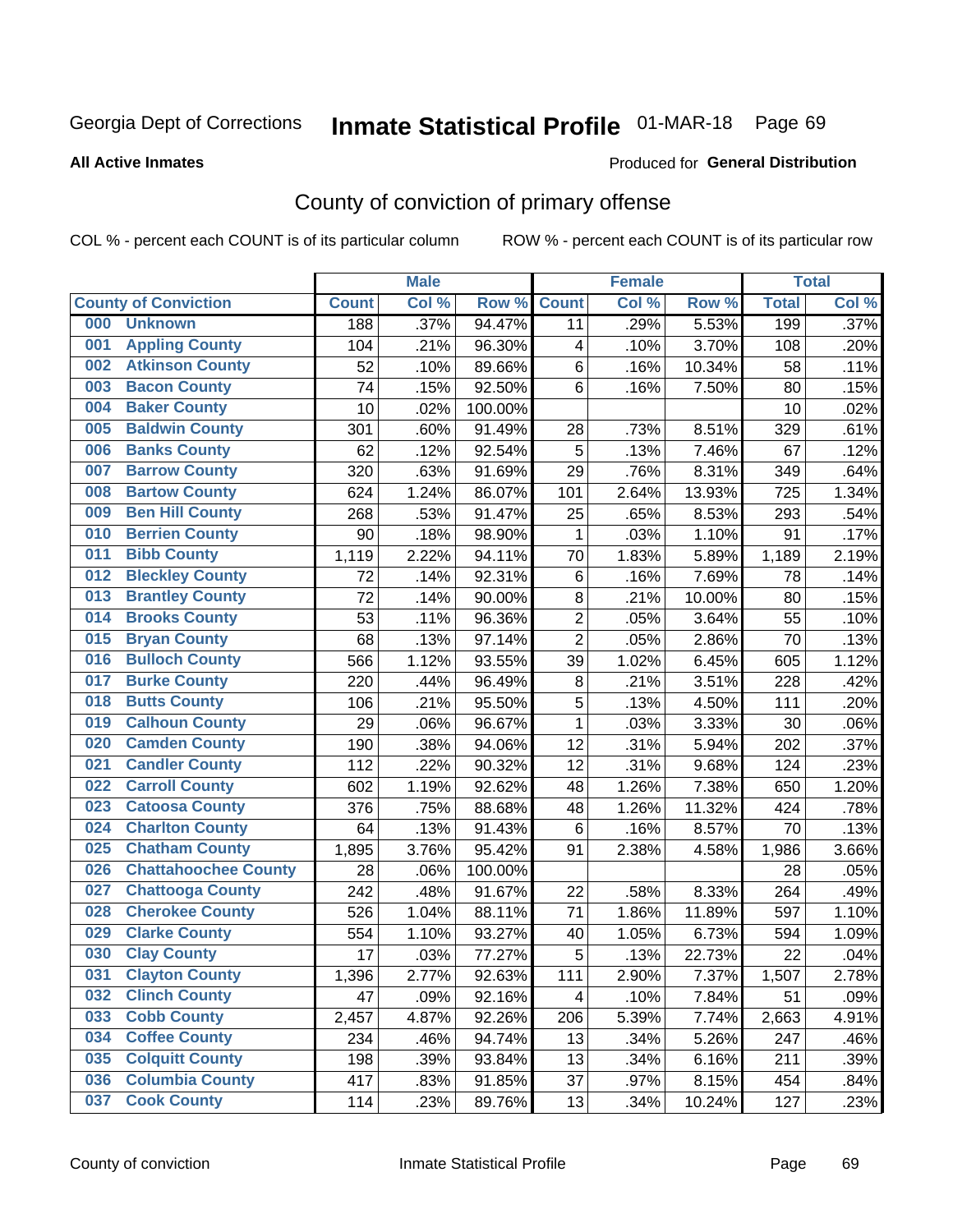## Inmate Statistical Profile 01-MAR-18 Page 69

**All Active Inmates** 

#### **Produced for General Distribution**

## County of conviction of primary offense

COL % - percent each COUNT is of its particular column

|                                    |              | <b>Male</b> |         |                | <b>Female</b> |        |              | <b>Total</b> |
|------------------------------------|--------------|-------------|---------|----------------|---------------|--------|--------------|--------------|
| <b>County of Conviction</b>        | <b>Count</b> | Col %       | Row %   | <b>Count</b>   | Col %         | Row %  | <b>Total</b> | Col %        |
| <b>Unknown</b><br>000              | 188          | .37%        | 94.47%  | 11             | .29%          | 5.53%  | 199          | .37%         |
| <b>Appling County</b><br>001       | 104          | .21%        | 96.30%  | 4              | .10%          | 3.70%  | 108          | .20%         |
| <b>Atkinson County</b><br>002      | 52           | .10%        | 89.66%  | 6              | .16%          | 10.34% | 58           | .11%         |
| <b>Bacon County</b><br>003         | 74           | .15%        | 92.50%  | 6              | .16%          | 7.50%  | 80           | .15%         |
| <b>Baker County</b><br>004         | 10           | .02%        | 100.00% |                |               |        | 10           | .02%         |
| <b>Baldwin County</b><br>005       | 301          | .60%        | 91.49%  | 28             | .73%          | 8.51%  | 329          | .61%         |
| <b>Banks County</b><br>006         | 62           | .12%        | 92.54%  | 5              | .13%          | 7.46%  | 67           | .12%         |
| <b>Barrow County</b><br>007        | 320          | .63%        | 91.69%  | 29             | .76%          | 8.31%  | 349          | .64%         |
| <b>Bartow County</b><br>008        | 624          | 1.24%       | 86.07%  | 101            | 2.64%         | 13.93% | 725          | 1.34%        |
| <b>Ben Hill County</b><br>009      | 268          | .53%        | 91.47%  | 25             | .65%          | 8.53%  | 293          | .54%         |
| <b>Berrien County</b><br>010       | 90           | .18%        | 98.90%  | 1              | .03%          | 1.10%  | 91           | .17%         |
| <b>Bibb County</b><br>011          | 1,119        | 2.22%       | 94.11%  | 70             | 1.83%         | 5.89%  | 1,189        | 2.19%        |
| <b>Bleckley County</b><br>012      | 72           | .14%        | 92.31%  | 6              | .16%          | 7.69%  | 78           | .14%         |
| <b>Brantley County</b><br>013      | 72           | .14%        | 90.00%  | 8              | .21%          | 10.00% | 80           | .15%         |
| <b>Brooks County</b><br>014        | 53           | .11%        | 96.36%  | $\overline{2}$ | .05%          | 3.64%  | 55           | .10%         |
| 015<br><b>Bryan County</b>         | 68           | .13%        | 97.14%  | $\overline{2}$ | .05%          | 2.86%  | 70           | .13%         |
| <b>Bulloch County</b><br>016       | 566          | 1.12%       | 93.55%  | 39             | 1.02%         | 6.45%  | 605          | 1.12%        |
| <b>Burke County</b><br>017         | 220          | $.44\%$     | 96.49%  | 8              | .21%          | 3.51%  | 228          | .42%         |
| <b>Butts County</b><br>018         | 106          | .21%        | 95.50%  | 5              | .13%          | 4.50%  | 111          | .20%         |
| <b>Calhoun County</b><br>019       | 29           | .06%        | 96.67%  | $\mathbf 1$    | .03%          | 3.33%  | 30           | .06%         |
| <b>Camden County</b><br>020        | 190          | .38%        | 94.06%  | 12             | .31%          | 5.94%  | 202          | .37%         |
| <b>Candler County</b><br>021       | 112          | .22%        | 90.32%  | 12             | .31%          | 9.68%  | 124          | .23%         |
| <b>Carroll County</b><br>022       | 602          | 1.19%       | 92.62%  | 48             | 1.26%         | 7.38%  | 650          | 1.20%        |
| <b>Catoosa County</b><br>023       | 376          | .75%        | 88.68%  | 48             | 1.26%         | 11.32% | 424          | .78%         |
| <b>Charlton County</b><br>024      | 64           | .13%        | 91.43%  | 6              | .16%          | 8.57%  | 70           | .13%         |
| 025<br><b>Chatham County</b>       | 1,895        | 3.76%       | 95.42%  | 91             | 2.38%         | 4.58%  | 1,986        | 3.66%        |
| <b>Chattahoochee County</b><br>026 | 28           | .06%        | 100.00% |                |               |        | 28           | .05%         |
| <b>Chattooga County</b><br>027     | 242          | .48%        | 91.67%  | 22             | .58%          | 8.33%  | 264          | .49%         |
| <b>Cherokee County</b><br>028      | 526          | 1.04%       | 88.11%  | 71             | 1.86%         | 11.89% | 597          | 1.10%        |
| <b>Clarke County</b><br>029        | 554          | 1.10%       | 93.27%  | 40             | 1.05%         | 6.73%  | 594          | 1.09%        |
| <b>Clay County</b><br>030          | 17           | .03%        | 77.27%  | 5              | .13%          | 22.73% | 22           | .04%         |
| 031<br><b>Clayton County</b>       | 1,396        | 2.77%       | 92.63%  | 111            | 2.90%         | 7.37%  | 1,507        | 2.78%        |
| <b>Clinch County</b><br>032        | 47           | .09%        | 92.16%  | 4              | .10%          | 7.84%  | 51           | .09%         |
| <b>Cobb County</b><br>033          | 2,457        | 4.87%       | 92.26%  | 206            | 5.39%         | 7.74%  | 2,663        | 4.91%        |
| <b>Coffee County</b><br>034        | 234          | .46%        | 94.74%  | 13             | .34%          | 5.26%  | 247          | .46%         |
| <b>Colquitt County</b><br>035      | 198          | .39%        | 93.84%  | 13             | .34%          | 6.16%  | 211          | .39%         |
| <b>Columbia County</b><br>036      | 417          | .83%        | 91.85%  | 37             | .97%          | 8.15%  | 454          | .84%         |
| <b>Cook County</b><br>037          | 114          | .23%        | 89.76%  | 13             | .34%          | 10.24% | 127          | .23%         |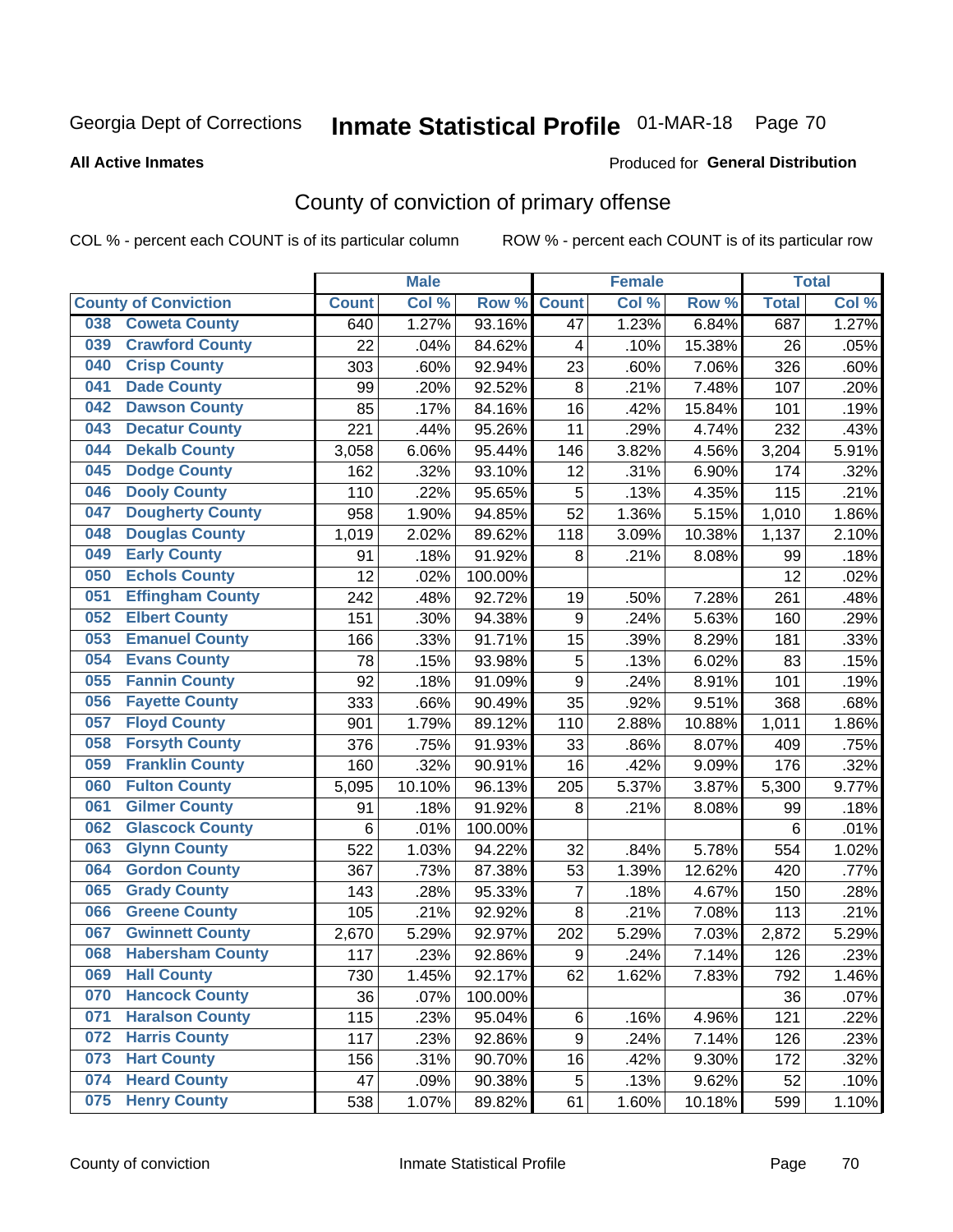## Inmate Statistical Profile 01-MAR-18 Page 70

#### **All Active Inmates**

#### **Produced for General Distribution**

## County of conviction of primary offense

COL % - percent each COUNT is of its particular column

|                                |                | <b>Male</b> |         |                  | <b>Female</b> |          |              | <b>Total</b> |
|--------------------------------|----------------|-------------|---------|------------------|---------------|----------|--------------|--------------|
| <b>County of Conviction</b>    | <b>Count</b>   | Col %       | Row %   | <b>Count</b>     | Col %         | Row %    | <b>Total</b> | Col %        |
| <b>Coweta County</b><br>038    | 640            | 1.27%       | 93.16%  | 47               | 1.23%         | 6.84%    | 687          | 1.27%        |
| <b>Crawford County</b><br>039  | 22             | .04%        | 84.62%  | 4                | .10%          | 15.38%   | 26           | .05%         |
| <b>Crisp County</b><br>040     | 303            | .60%        | 92.94%  | 23               | .60%          | 7.06%    | 326          | .60%         |
| <b>Dade County</b><br>041      | 99             | .20%        | 92.52%  | 8                | .21%          | 7.48%    | 107          | .20%         |
| <b>Dawson County</b><br>042    | 85             | .17%        | 84.16%  | 16               | .42%          | 15.84%   | 101          | .19%         |
| <b>Decatur County</b><br>043   | 221            | .44%        | 95.26%  | 11               | .29%          | 4.74%    | 232          | .43%         |
| <b>Dekalb County</b><br>044    | 3,058          | 6.06%       | 95.44%  | 146              | 3.82%         | 4.56%    | 3,204        | 5.91%        |
| <b>Dodge County</b><br>045     | 162            | .32%        | 93.10%  | 12               | .31%          | 6.90%    | 174          | .32%         |
| <b>Dooly County</b><br>046     | 110            | .22%        | 95.65%  | 5                | .13%          | 4.35%    | 115          | .21%         |
| <b>Dougherty County</b><br>047 | 958            | 1.90%       | 94.85%  | 52               | 1.36%         | 5.15%    | 1,010        | 1.86%        |
| <b>Douglas County</b><br>048   | 1,019          | 2.02%       | 89.62%  | 118              | 3.09%         | 10.38%   | 1,137        | 2.10%        |
| <b>Early County</b><br>049     | 91             | .18%        | 91.92%  | 8                | .21%          | 8.08%    | 99           | .18%         |
| <b>Echols County</b><br>050    | 12             | .02%        | 100.00% |                  |               |          | 12           | .02%         |
| 051<br><b>Effingham County</b> | 242            | .48%        | 92.72%  | 19               | .50%          | 7.28%    | 261          | .48%         |
| <b>Elbert County</b><br>052    | 151            | .30%        | 94.38%  | 9                | .24%          | 5.63%    | 160          | .29%         |
| <b>Emanuel County</b><br>053   | 166            | .33%        | 91.71%  | 15               | .39%          | 8.29%    | 181          | .33%         |
| <b>Evans County</b><br>054     | 78             | .15%        | 93.98%  | 5                | .13%          | 6.02%    | 83           | .15%         |
| <b>Fannin County</b><br>055    | 92             | .18%        | 91.09%  | 9                | .24%          | 8.91%    | 101          | .19%         |
| <b>Fayette County</b><br>056   | 333            | .66%        | 90.49%  | 35               | .92%          | 9.51%    | 368          | .68%         |
| <b>Floyd County</b><br>057     | 901            | 1.79%       | 89.12%  | 110              | 2.88%         | 10.88%   | 1,011        | 1.86%        |
| <b>Forsyth County</b><br>058   | 376            | .75%        | 91.93%  | 33               | .86%          | 8.07%    | 409          | .75%         |
| <b>Franklin County</b><br>059  | 160            | .32%        | 90.91%  | 16               | .42%          | 9.09%    | 176          | .32%         |
| <b>Fulton County</b><br>060    | 5,095          | 10.10%      | 96.13%  | 205              | 5.37%         | 3.87%    | 5,300        | 9.77%        |
| <b>Gilmer County</b><br>061    | 91             | .18%        | 91.92%  | 8                | .21%          | 8.08%    | 99           | .18%         |
| <b>Glascock County</b><br>062  | $6\phantom{1}$ | .01%        | 100.00% |                  |               |          | 6            | .01%         |
| 063<br><b>Glynn County</b>     | 522            | 1.03%       | 94.22%  | 32               | .84%          | 5.78%    | 554          | 1.02%        |
| <b>Gordon County</b><br>064    | 367            | .73%        | 87.38%  | 53               | 1.39%         | 12.62%   | 420          | .77%         |
| 065<br><b>Grady County</b>     | 143            | .28%        | 95.33%  | 7                | .18%          | 4.67%    | 150          | .28%         |
| <b>Greene County</b><br>066    | 105            | .21%        | 92.92%  | 8                | .21%          | 7.08%    | 113          | .21%         |
| <b>Gwinnett County</b><br>067  | 2,670          | 5.29%       | 92.97%  | 202              | 5.29%         | 7.03%    | 2,872        | 5.29%        |
| <b>Habersham County</b><br>068 | 117            | .23%        | 92.86%  | $\boldsymbol{9}$ | .24%          | 7.14%    | 126          | .23%         |
| 069<br><b>Hall County</b>      | 730            | 1.45%       | 92.17%  | 62               | 1.62%         | 7.83%    | 792          | 1.46%        |
| <b>Hancock County</b><br>070   | 36             | .07%        | 100.00% |                  |               |          | 36           | .07%         |
| <b>Haralson County</b><br>071  | 115            | .23%        | 95.04%  | 6                | .16%          | 4.96%    | 121          | .22%         |
| <b>Harris County</b><br>072    | 117            | .23%        | 92.86%  | 9                | .24%          | 7.14%    | 126          | .23%         |
| <b>Hart County</b><br>073      | 156            | .31%        | 90.70%  | 16               | .42%          | $9.30\%$ | 172          | .32%         |
| <b>Heard County</b><br>074     | 47             | .09%        | 90.38%  | 5                | .13%          | 9.62%    | 52           | .10%         |
| <b>Henry County</b><br>075     | 538            | 1.07%       | 89.82%  | 61               | 1.60%         | 10.18%   | 599          | 1.10%        |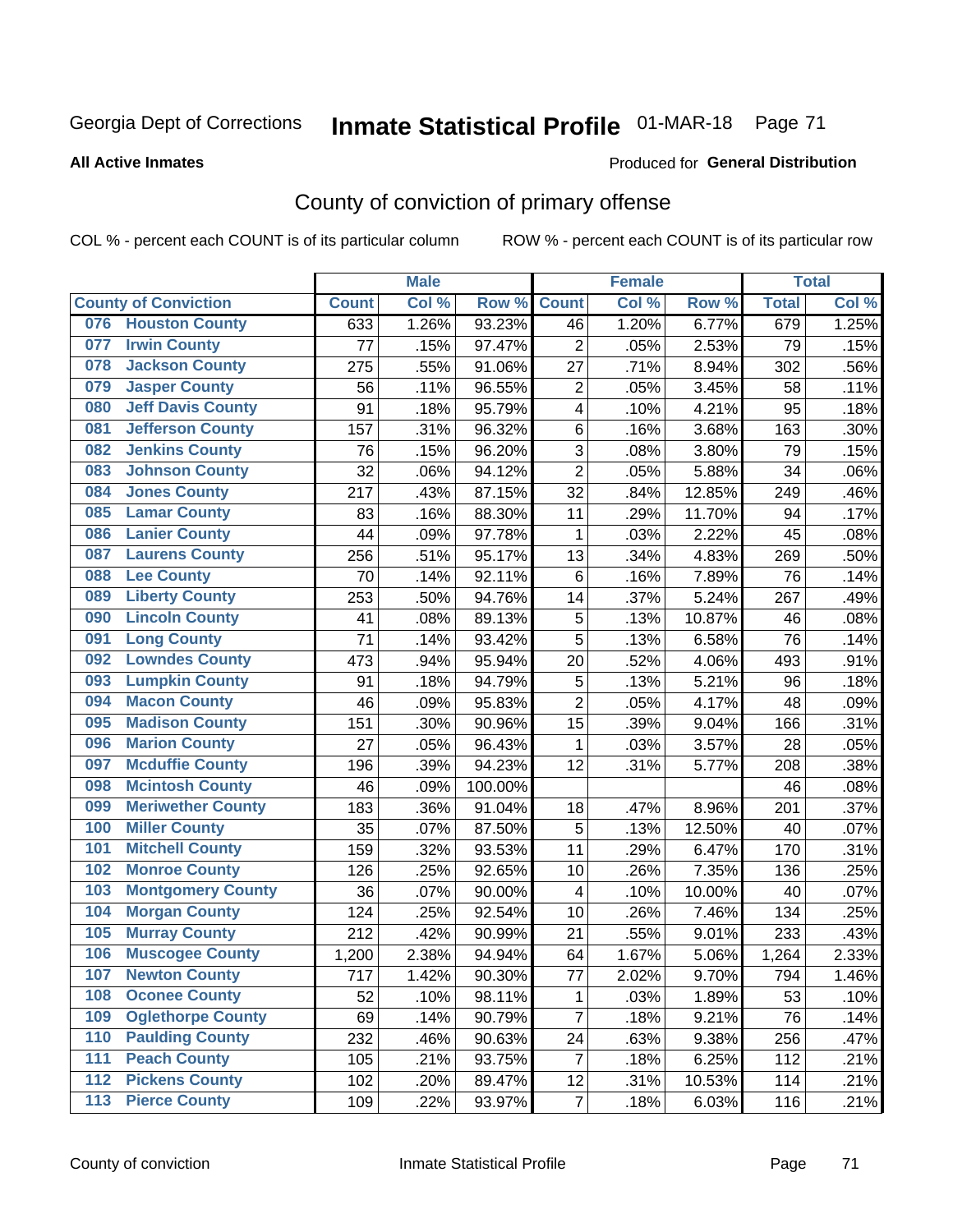# Inmate Statistical Profile 01-MAR-18 Page 71

#### **All Active Inmates**

#### Produced for General Distribution

## County of conviction of primary offense

COL % - percent each COUNT is of its particular column

|     |                             |              | <b>Male</b> |         |                         | <b>Female</b> |        |              | <b>Total</b> |
|-----|-----------------------------|--------------|-------------|---------|-------------------------|---------------|--------|--------------|--------------|
|     | <b>County of Conviction</b> | <b>Count</b> | Col %       | Row %   | <b>Count</b>            | Col %         | Row %  | <b>Total</b> | Col %        |
| 076 | <b>Houston County</b>       | 633          | 1.26%       | 93.23%  | 46                      | 1.20%         | 6.77%  | 679          | 1.25%        |
| 077 | <b>Irwin County</b>         | 77           | .15%        | 97.47%  | $\overline{2}$          | .05%          | 2.53%  | 79           | .15%         |
| 078 | <b>Jackson County</b>       | 275          | .55%        | 91.06%  | 27                      | .71%          | 8.94%  | 302          | .56%         |
| 079 | <b>Jasper County</b>        | 56           | .11%        | 96.55%  | $\mathbf 2$             | .05%          | 3.45%  | 58           | .11%         |
| 080 | <b>Jeff Davis County</b>    | 91           | .18%        | 95.79%  | 4                       | .10%          | 4.21%  | 95           | .18%         |
| 081 | <b>Jefferson County</b>     | 157          | .31%        | 96.32%  | $\,6$                   | .16%          | 3.68%  | 163          | .30%         |
| 082 | <b>Jenkins County</b>       | 76           | .15%        | 96.20%  | $\sqrt{3}$              | .08%          | 3.80%  | 79           | .15%         |
| 083 | <b>Johnson County</b>       | 32           | .06%        | 94.12%  | $\overline{2}$          | .05%          | 5.88%  | 34           | .06%         |
| 084 | <b>Jones County</b>         | 217          | .43%        | 87.15%  | 32                      | .84%          | 12.85% | 249          | .46%         |
| 085 | <b>Lamar County</b>         | 83           | .16%        | 88.30%  | 11                      | .29%          | 11.70% | 94           | .17%         |
| 086 | <b>Lanier County</b>        | 44           | .09%        | 97.78%  | 1                       | .03%          | 2.22%  | 45           | .08%         |
| 087 | <b>Laurens County</b>       | 256          | .51%        | 95.17%  | 13                      | .34%          | 4.83%  | 269          | .50%         |
| 088 | <b>Lee County</b>           | 70           | .14%        | 92.11%  | 6                       | .16%          | 7.89%  | 76           | .14%         |
| 089 | <b>Liberty County</b>       | 253          | .50%        | 94.76%  | 14                      | .37%          | 5.24%  | 267          | .49%         |
| 090 | <b>Lincoln County</b>       | 41           | .08%        | 89.13%  | $\mathbf 5$             | .13%          | 10.87% | 46           | .08%         |
| 091 | <b>Long County</b>          | 71           | .14%        | 93.42%  | 5                       | .13%          | 6.58%  | 76           | .14%         |
| 092 | <b>Lowndes County</b>       | 473          | .94%        | 95.94%  | 20                      | .52%          | 4.06%  | 493          | .91%         |
| 093 | <b>Lumpkin County</b>       | 91           | .18%        | 94.79%  | 5                       | .13%          | 5.21%  | 96           | .18%         |
| 094 | <b>Macon County</b>         | 46           | .09%        | 95.83%  | $\overline{2}$          | .05%          | 4.17%  | 48           | .09%         |
| 095 | <b>Madison County</b>       | 151          | .30%        | 90.96%  | 15                      | .39%          | 9.04%  | 166          | .31%         |
| 096 | <b>Marion County</b>        | 27           | .05%        | 96.43%  | $\mathbf{1}$            | .03%          | 3.57%  | 28           | .05%         |
| 097 | <b>Mcduffie County</b>      | 196          | .39%        | 94.23%  | 12                      | .31%          | 5.77%  | 208          | .38%         |
| 098 | <b>Mcintosh County</b>      | 46           | .09%        | 100.00% |                         |               |        | 46           | .08%         |
| 099 | <b>Meriwether County</b>    | 183          | .36%        | 91.04%  | 18                      | .47%          | 8.96%  | 201          | .37%         |
| 100 | <b>Miller County</b>        | 35           | .07%        | 87.50%  | $\mathbf 5$             | .13%          | 12.50% | 40           | .07%         |
| 101 | <b>Mitchell County</b>      | 159          | .32%        | 93.53%  | 11                      | .29%          | 6.47%  | 170          | .31%         |
| 102 | <b>Monroe County</b>        | 126          | .25%        | 92.65%  | 10                      | .26%          | 7.35%  | 136          | .25%         |
| 103 | <b>Montgomery County</b>    | 36           | .07%        | 90.00%  | $\overline{\mathbf{4}}$ | .10%          | 10.00% | 40           | .07%         |
| 104 | <b>Morgan County</b>        | 124          | .25%        | 92.54%  | 10                      | .26%          | 7.46%  | 134          | .25%         |
| 105 | <b>Murray County</b>        | 212          | .42%        | 90.99%  | 21                      | .55%          | 9.01%  | 233          | .43%         |
| 106 | <b>Muscogee County</b>      | 1,200        | 2.38%       | 94.94%  | 64                      | 1.67%         | 5.06%  | 1,264        | 2.33%        |
| 107 | <b>Newton County</b>        | 717          | 1.42%       | 90.30%  | 77                      | 2.02%         | 9.70%  | 794          | 1.46%        |
| 108 | <b>Oconee County</b>        | 52           | .10%        | 98.11%  | 1                       | .03%          | 1.89%  | 53           | .10%         |
| 109 | <b>Oglethorpe County</b>    | 69           | .14%        | 90.79%  | $\overline{7}$          | .18%          | 9.21%  | 76           | .14%         |
| 110 | <b>Paulding County</b>      | 232          | .46%        | 90.63%  | 24                      | .63%          | 9.38%  | 256          | .47%         |
| 111 | <b>Peach County</b>         | 105          | .21%        | 93.75%  | $\overline{7}$          | .18%          | 6.25%  | 112          | .21%         |
| 112 | <b>Pickens County</b>       | 102          | .20%        | 89.47%  | 12                      | .31%          | 10.53% | 114          | .21%         |
| 113 | <b>Pierce County</b>        | 109          | .22%        | 93.97%  | $\overline{7}$          | .18%          | 6.03%  | 116          | .21%         |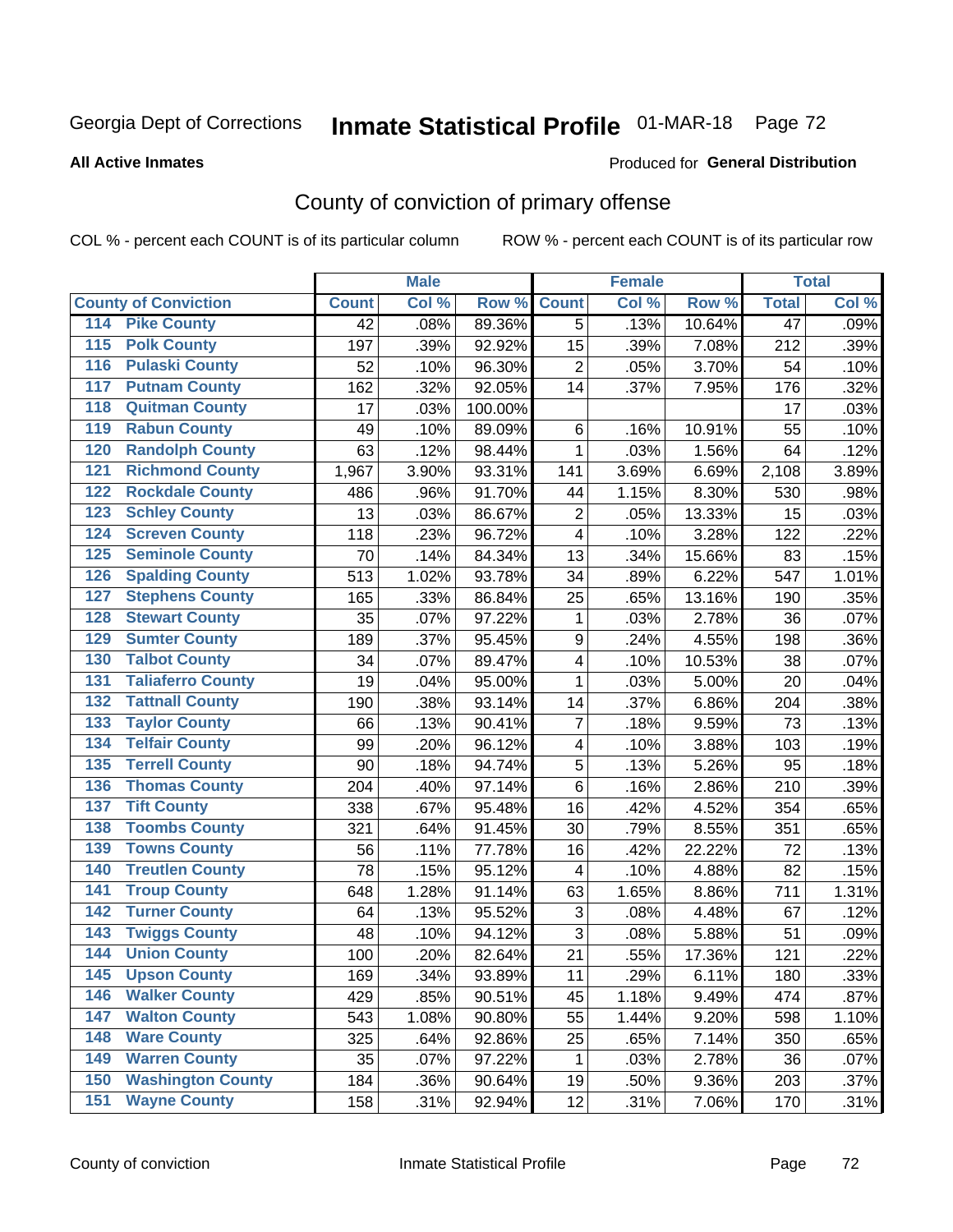# Inmate Statistical Profile 01-MAR-18 Page 72

#### **All Active Inmates**

#### **Produced for General Distribution**

## County of conviction of primary offense

COL % - percent each COUNT is of its particular column

|                                          |              | <b>Male</b> |         |                | <b>Female</b> |        |                 | <b>Total</b> |
|------------------------------------------|--------------|-------------|---------|----------------|---------------|--------|-----------------|--------------|
| <b>County of Conviction</b>              | <b>Count</b> | Col %       | Row %   | <b>Count</b>   | Col %         | Row %  | <b>Total</b>    | Col %        |
| <b>Pike County</b><br>114                | 42           | .08%        | 89.36%  | 5              | .13%          | 10.64% | $\overline{47}$ | .09%         |
| <b>Polk County</b><br>$\overline{115}$   | 197          | .39%        | 92.92%  | 15             | .39%          | 7.08%  | 212             | .39%         |
| <b>Pulaski County</b><br>116             | 52           | .10%        | 96.30%  | $\overline{2}$ | .05%          | 3.70%  | 54              | .10%         |
| <b>Putnam County</b><br>117              | 162          | .32%        | 92.05%  | 14             | .37%          | 7.95%  | 176             | .32%         |
| <b>Quitman County</b><br>118             | 17           | .03%        | 100.00% |                |               |        | 17              | .03%         |
| <b>Rabun County</b><br>119               | 49           | .10%        | 89.09%  | 6              | .16%          | 10.91% | 55              | .10%         |
| <b>Randolph County</b><br>120            | 63           | .12%        | 98.44%  | 1              | .03%          | 1.56%  | 64              | .12%         |
| <b>Richmond County</b><br>121            | 1,967        | 3.90%       | 93.31%  | 141            | 3.69%         | 6.69%  | 2,108           | 3.89%        |
| <b>Rockdale County</b><br>122            | 486          | .96%        | 91.70%  | 44             | 1.15%         | 8.30%  | 530             | .98%         |
| <b>Schley County</b><br>123              | 13           | .03%        | 86.67%  | $\overline{2}$ | .05%          | 13.33% | 15              | .03%         |
| <b>Screven County</b><br>124             | 118          | .23%        | 96.72%  | 4              | .10%          | 3.28%  | 122             | .22%         |
| <b>Seminole County</b><br>125            | 70           | .14%        | 84.34%  | 13             | .34%          | 15.66% | 83              | .15%         |
| <b>Spalding County</b><br>126            | 513          | 1.02%       | 93.78%  | 34             | .89%          | 6.22%  | 547             | 1.01%        |
| <b>Stephens County</b><br>127            | 165          | .33%        | 86.84%  | 25             | .65%          | 13.16% | 190             | .35%         |
| <b>Stewart County</b><br>128             | 35           | .07%        | 97.22%  | 1              | .03%          | 2.78%  | 36              | .07%         |
| <b>Sumter County</b><br>129              | 189          | .37%        | 95.45%  | 9              | .24%          | 4.55%  | 198             | .36%         |
| <b>Talbot County</b><br>130              | 34           | .07%        | 89.47%  | 4              | .10%          | 10.53% | 38              | .07%         |
| <b>Taliaferro County</b><br>131          | 19           | .04%        | 95.00%  | 1              | .03%          | 5.00%  | 20              | .04%         |
| <b>Tattnall County</b><br>132            | 190          | .38%        | 93.14%  | 14             | .37%          | 6.86%  | 204             | .38%         |
| <b>Taylor County</b><br>133              | 66           | .13%        | 90.41%  | $\overline{7}$ | .18%          | 9.59%  | 73              | .13%         |
| <b>Telfair County</b><br>134             | 99           | .20%        | 96.12%  | 4              | .10%          | 3.88%  | 103             | .19%         |
| <b>Terrell County</b><br>135             | 90           | .18%        | 94.74%  | 5              | .13%          | 5.26%  | 95              | .18%         |
| <b>Thomas County</b><br>136              | 204          | .40%        | 97.14%  | $6\phantom{1}$ | .16%          | 2.86%  | 210             | .39%         |
| <b>Tift County</b><br>137                | 338          | .67%        | 95.48%  | 16             | .42%          | 4.52%  | 354             | .65%         |
| <b>Toombs County</b><br>138              | 321          | .64%        | 91.45%  | 30             | .79%          | 8.55%  | 351             | .65%         |
| <b>Towns County</b><br>139               | 56           | .11%        | 77.78%  | 16             | .42%          | 22.22% | 72              | .13%         |
| <b>Treutlen County</b><br>140            | 78           | .15%        | 95.12%  | 4              | .10%          | 4.88%  | 82              | .15%         |
| <b>Troup County</b><br>141               | 648          | 1.28%       | 91.14%  | 63             | 1.65%         | 8.86%  | 711             | 1.31%        |
| <b>Turner County</b><br>142              | 64           | .13%        | 95.52%  | 3              | .08%          | 4.48%  | 67              | .12%         |
| <b>Twiggs County</b><br>$\overline{143}$ | 48           | .10%        | 94.12%  | 3              | .08%          | 5.88%  | 51              | .09%         |
| <b>Union County</b><br>144               | 100          | .20%        | 82.64%  | 21             | .55%          | 17.36% | 121             | .22%         |
| 145<br><b>Upson County</b>               | 169          | .34%        | 93.89%  | 11             | .29%          | 6.11%  | 180             | .33%         |
| <b>Walker County</b><br>146              | 429          | .85%        | 90.51%  | 45             | 1.18%         | 9.49%  | 474             | .87%         |
| <b>Walton County</b><br>147              | 543          | 1.08%       | 90.80%  | 55             | 1.44%         | 9.20%  | 598             | 1.10%        |
| <b>Ware County</b><br>148                | 325          | .64%        | 92.86%  | 25             | .65%          | 7.14%  | 350             | .65%         |
| <b>Warren County</b><br>149              | 35           | .07%        | 97.22%  | 1              | .03%          | 2.78%  | 36              | .07%         |
| <b>Washington County</b><br>150          | 184          | .36%        | 90.64%  | 19             | .50%          | 9.36%  | 203             | .37%         |
| <b>Wayne County</b><br>151               | 158          | .31%        | 92.94%  | 12             | .31%          | 7.06%  | 170             | .31%         |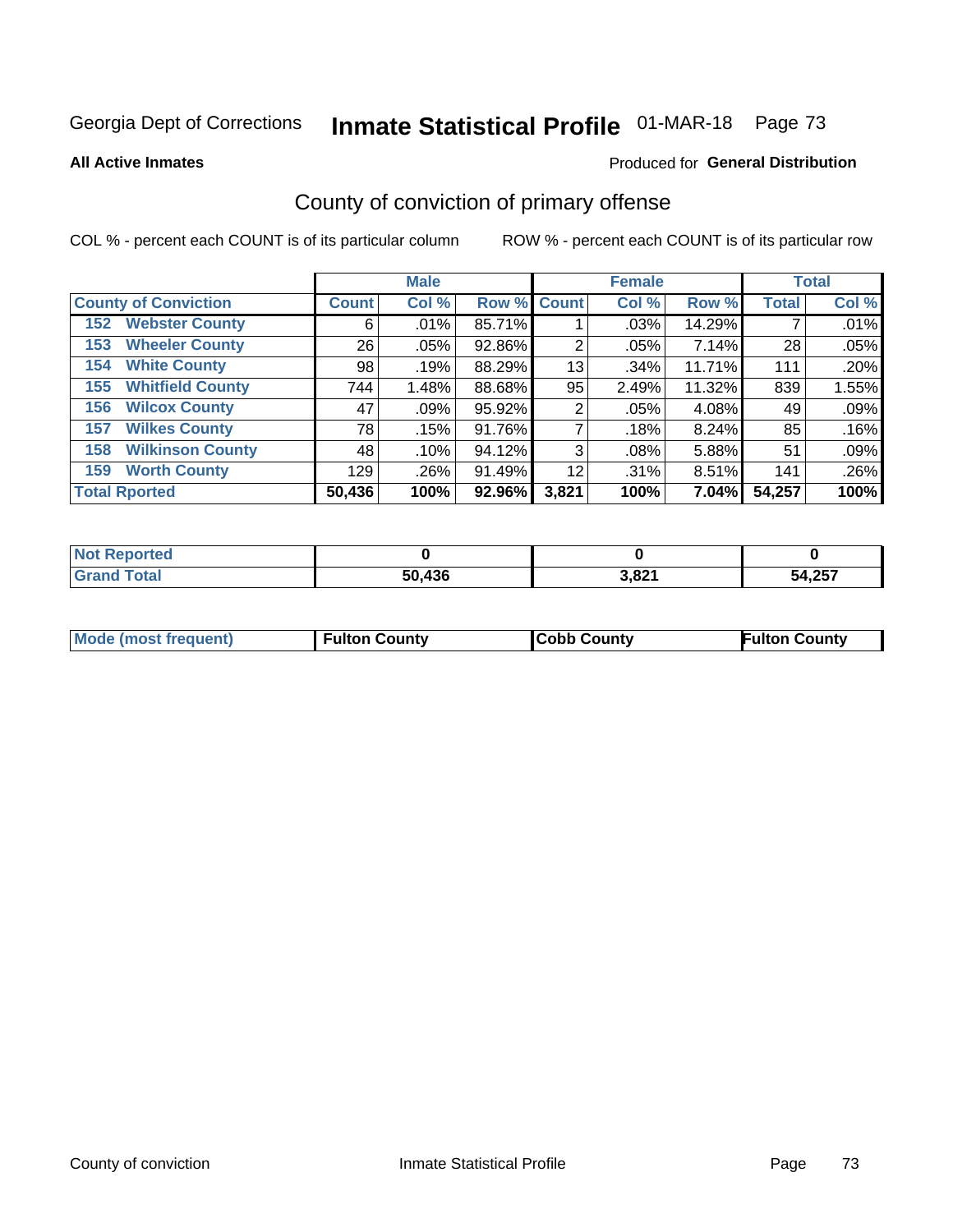# Inmate Statistical Profile 01-MAR-18 Page 73

**All Active Inmates** 

#### Produced for General Distribution

## County of conviction of primary offense

COL % - percent each COUNT is of its particular column

|                                |              | <b>Male</b> |             |       | <b>Female</b> |        |              | <b>Total</b> |
|--------------------------------|--------------|-------------|-------------|-------|---------------|--------|--------------|--------------|
| <b>County of Conviction</b>    | <b>Count</b> | Col %       | Row % Count |       | Col %         | Row %  | <b>Total</b> | Col %        |
| <b>Webster County</b><br>152   | 6            | .01%        | 85.71%      |       | .03%          | 14.29% |              | .01%         |
| <b>Wheeler County</b><br>153   | 26           | .05%        | 92.86%      | 2     | .05%          | 7.14%  | 28           | .05%         |
| <b>White County</b><br>154     | 98           | .19%        | 88.29%      | 13    | .34%          | 11.71% | 111          | .20%         |
| <b>Whitfield County</b><br>155 | 744          | 1.48%       | 88.68%      | 95    | 2.49%         | 11.32% | 839          | 1.55%        |
| <b>Wilcox County</b><br>156    | 47           | $.09\%$     | 95.92%      | 2     | .05%          | 4.08%  | 49           | .09%         |
| <b>Wilkes County</b><br>157    | 78           | .15%        | 91.76%      |       | .18%          | 8.24%  | 85           | .16%         |
| <b>Wilkinson County</b><br>158 | 48           | .10%        | 94.12%      | 3     | .08%          | 5.88%  | 51           | .09%         |
| <b>Worth County</b><br>159     | 129          | .26%        | 91.49%      | 12    | .31%          | 8.51%  | 141          | .26%         |
| <b>Total Rported</b>           | 50,436       | 100%        | 92.96%      | 3,821 | 100%          | 7.04%I | 54,257       | 100%         |

| <b>Not Reported</b> |        |       |        |
|---------------------|--------|-------|--------|
| $\tau$ otar         | 50,436 | 3,821 | 54,257 |

| <b>Mode (most frequent)</b> | <b>Fulton County</b> | <b>ICobb County</b> | <b>Fulton County</b> |
|-----------------------------|----------------------|---------------------|----------------------|
|                             |                      |                     |                      |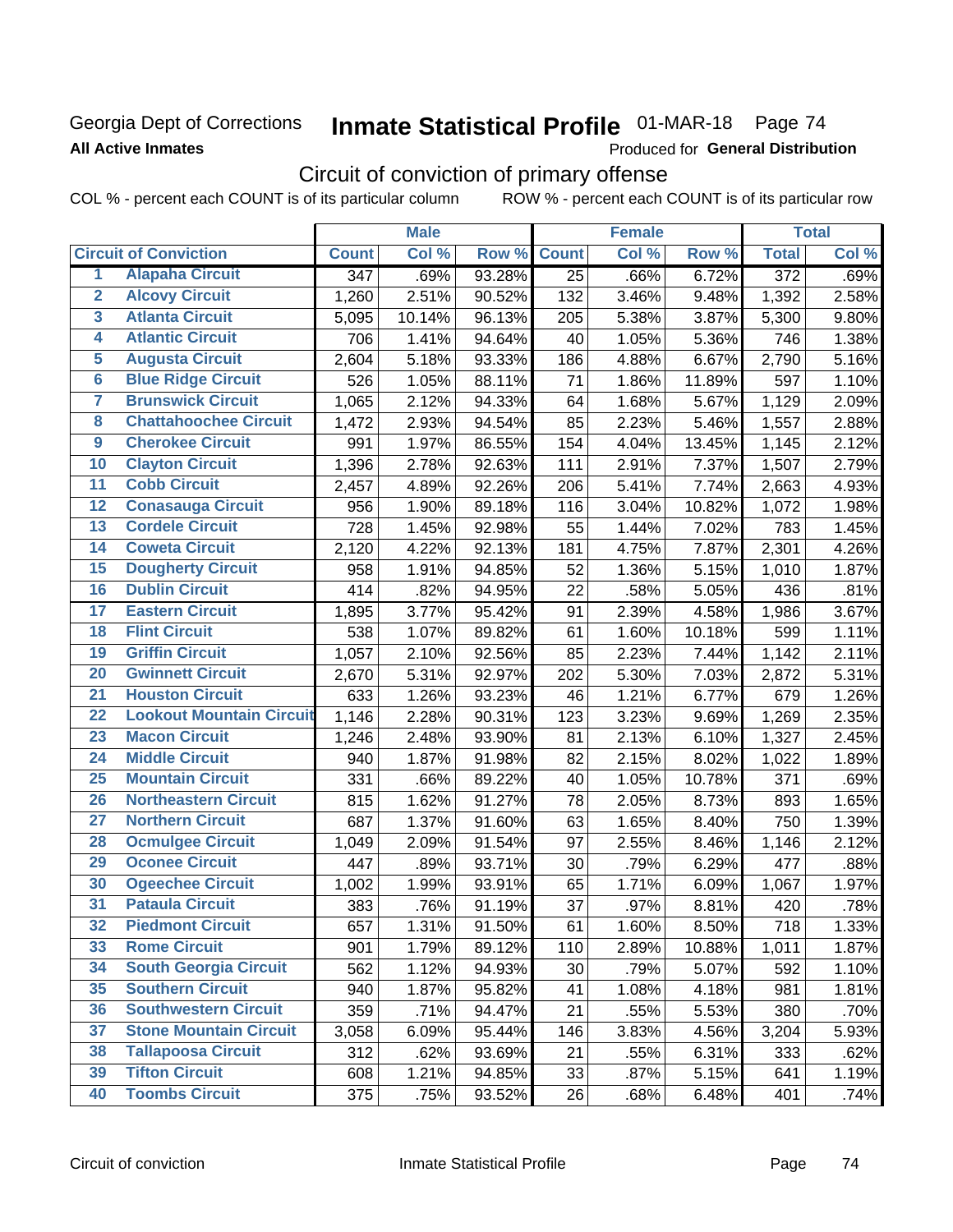### **Georgia Dept of Corrections All Active Inmates**

# Inmate Statistical Profile 01-MAR-18 Page 74

Produced for General Distribution

## Circuit of conviction of primary offense

COL % - percent each COUNT is of its particular column ROW % - percent each COUNT is of its particular row

|                         |                                 |                  | <b>Male</b> |        |                 | <b>Female</b> |        |                  | <b>Total</b> |
|-------------------------|---------------------------------|------------------|-------------|--------|-----------------|---------------|--------|------------------|--------------|
|                         | <b>Circuit of Conviction</b>    | <b>Count</b>     | Col %       | Row %  | <b>Count</b>    | Col %         | Row %  | <b>Total</b>     | Col %        |
| 1                       | <b>Alapaha Circuit</b>          | $\overline{347}$ | .69%        | 93.28% | $\overline{25}$ | .66%          | 6.72%  | $\overline{372}$ | .69%         |
| $\overline{2}$          | <b>Alcovy Circuit</b>           | 1,260            | 2.51%       | 90.52% | 132             | 3.46%         | 9.48%  | 1,392            | 2.58%        |
| $\overline{\mathbf{3}}$ | <b>Atlanta Circuit</b>          | 5,095            | 10.14%      | 96.13% | 205             | 5.38%         | 3.87%  | 5,300            | 9.80%        |
| 4                       | <b>Atlantic Circuit</b>         | 706              | 1.41%       | 94.64% | 40              | 1.05%         | 5.36%  | 746              | 1.38%        |
| $\overline{5}$          | <b>Augusta Circuit</b>          | 2,604            | 5.18%       | 93.33% | 186             | 4.88%         | 6.67%  | 2,790            | 5.16%        |
| $\overline{6}$          | <b>Blue Ridge Circuit</b>       | 526              | 1.05%       | 88.11% | 71              | 1.86%         | 11.89% | 597              | 1.10%        |
| $\overline{\mathbf{7}}$ | <b>Brunswick Circuit</b>        | 1,065            | 2.12%       | 94.33% | 64              | 1.68%         | 5.67%  | 1,129            | 2.09%        |
| $\overline{\mathbf{8}}$ | <b>Chattahoochee Circuit</b>    | 1,472            | 2.93%       | 94.54% | 85              | 2.23%         | 5.46%  | 1,557            | 2.88%        |
| $\overline{9}$          | <b>Cherokee Circuit</b>         | 991              | 1.97%       | 86.55% | 154             | 4.04%         | 13.45% | 1,145            | 2.12%        |
| 10                      | <b>Clayton Circuit</b>          | 1,396            | 2.78%       | 92.63% | 111             | 2.91%         | 7.37%  | 1,507            | 2.79%        |
| $\overline{11}$         | <b>Cobb Circuit</b>             | 2,457            | 4.89%       | 92.26% | 206             | 5.41%         | 7.74%  | 2,663            | 4.93%        |
| $\overline{12}$         | <b>Conasauga Circuit</b>        | 956              | 1.90%       | 89.18% | 116             | 3.04%         | 10.82% | 1,072            | 1.98%        |
| 13                      | <b>Cordele Circuit</b>          | 728              | 1.45%       | 92.98% | 55              | 1.44%         | 7.02%  | 783              | 1.45%        |
| $\overline{14}$         | <b>Coweta Circuit</b>           | 2,120            | 4.22%       | 92.13% | 181             | 4.75%         | 7.87%  | 2,301            | 4.26%        |
| 15                      | <b>Dougherty Circuit</b>        | 958              | 1.91%       | 94.85% | 52              | 1.36%         | 5.15%  | 1,010            | 1.87%        |
| 16                      | <b>Dublin Circuit</b>           | 414              | .82%        | 94.95% | 22              | .58%          | 5.05%  | 436              | .81%         |
| 17                      | <b>Eastern Circuit</b>          | 1,895            | 3.77%       | 95.42% | 91              | 2.39%         | 4.58%  | 1,986            | 3.67%        |
| 18                      | <b>Flint Circuit</b>            | 538              | 1.07%       | 89.82% | 61              | 1.60%         | 10.18% | 599              | 1.11%        |
| 19                      | <b>Griffin Circuit</b>          | 1,057            | 2.10%       | 92.56% | 85              | 2.23%         | 7.44%  | 1,142            | 2.11%        |
| 20                      | <b>Gwinnett Circuit</b>         | 2,670            | 5.31%       | 92.97% | 202             | 5.30%         | 7.03%  | 2,872            | 5.31%        |
| $\overline{21}$         | <b>Houston Circuit</b>          | 633              | 1.26%       | 93.23% | 46              | 1.21%         | 6.77%  | 679              | 1.26%        |
| $\overline{22}$         | <b>Lookout Mountain Circuit</b> | 1,146            | 2.28%       | 90.31% | 123             | 3.23%         | 9.69%  | 1,269            | 2.35%        |
| 23                      | <b>Macon Circuit</b>            | 1,246            | 2.48%       | 93.90% | 81              | 2.13%         | 6.10%  | 1,327            | 2.45%        |
| $\overline{24}$         | <b>Middle Circuit</b>           | 940              | 1.87%       | 91.98% | 82              | 2.15%         | 8.02%  | 1,022            | 1.89%        |
| 25                      | <b>Mountain Circuit</b>         | 331              | .66%        | 89.22% | 40              | 1.05%         | 10.78% | 371              | .69%         |
| 26                      | <b>Northeastern Circuit</b>     | 815              | 1.62%       | 91.27% | 78              | 2.05%         | 8.73%  | 893              | 1.65%        |
| $\overline{27}$         | <b>Northern Circuit</b>         | 687              | 1.37%       | 91.60% | 63              | 1.65%         | 8.40%  | 750              | 1.39%        |
| 28                      | <b>Ocmulgee Circuit</b>         | 1,049            | 2.09%       | 91.54% | 97              | 2.55%         | 8.46%  | 1,146            | 2.12%        |
| 29                      | <b>Oconee Circuit</b>           | 447              | .89%        | 93.71% | 30              | .79%          | 6.29%  | 477              | .88%         |
| 30                      | <b>Ogeechee Circuit</b>         | 1,002            | 1.99%       | 93.91% | 65              | 1.71%         | 6.09%  | 1,067            | 1.97%        |
| $\overline{31}$         | <b>Pataula Circuit</b>          | 383              | .76%        | 91.19% | 37              | .97%          | 8.81%  | 420              | .78%         |
| 32                      | <b>Piedmont Circuit</b>         | 657              | 1.31%       | 91.50% | 61              | 1.60%         | 8.50%  | 718              | 1.33%        |
| 33                      | <b>Rome Circuit</b>             | 901              | 1.79%       | 89.12% | 110             | 2.89%         | 10.88% | 1,011            | 1.87%        |
| 34                      | <b>South Georgia Circuit</b>    | 562              | 1.12%       | 94.93% | 30              | .79%          | 5.07%  | 592              | 1.10%        |
| 35                      | <b>Southern Circuit</b>         | 940              | 1.87%       | 95.82% | 41              | 1.08%         | 4.18%  | 981              | 1.81%        |
| 36                      | <b>Southwestern Circuit</b>     | 359              | .71%        | 94.47% | 21              | .55%          | 5.53%  | 380              | .70%         |
| 37                      | <b>Stone Mountain Circuit</b>   | 3,058            | 6.09%       | 95.44% | 146             | 3.83%         | 4.56%  | 3,204            | 5.93%        |
| 38                      | <b>Tallapoosa Circuit</b>       | 312              | .62%        | 93.69% | 21              | .55%          | 6.31%  | 333              | .62%         |
| 39                      | <b>Tifton Circuit</b>           | 608              | 1.21%       | 94.85% | 33              | .87%          | 5.15%  | 641              | 1.19%        |
| 40                      | <b>Toombs Circuit</b>           | 375              | .75%        | 93.52% | 26              | .68%          | 6.48%  | 401              | .74%         |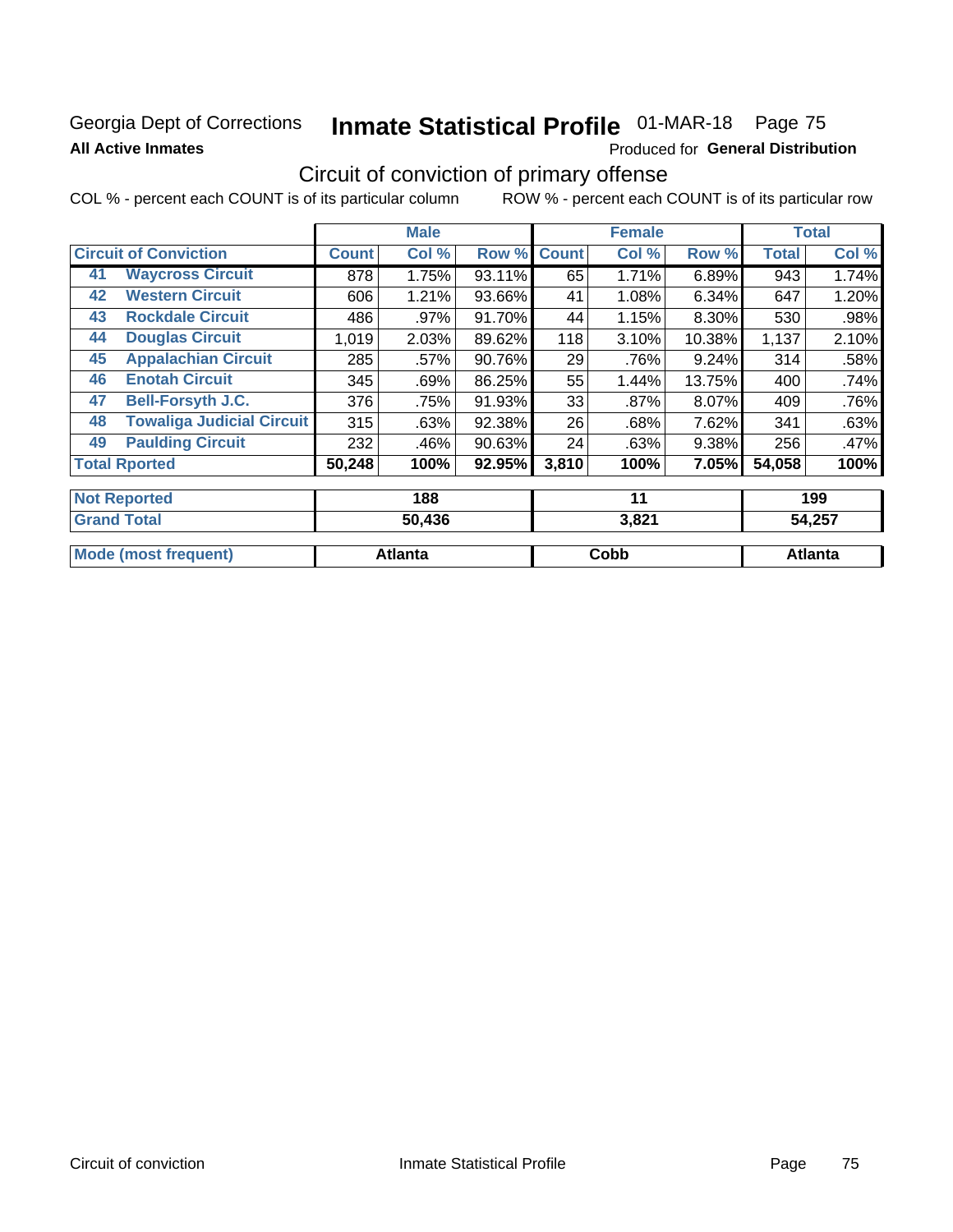### **Georgia Dept of Corrections All Active Inmates**

# Inmate Statistical Profile 01-MAR-18 Page 75

Produced for General Distribution

## Circuit of conviction of primary offense

COL % - percent each COUNT is of its particular column ROW % - percent each COUNT is of its particular row

|    |                                  |        | <b>Male</b> |        |              | <b>Female</b> |        |              | <b>Total</b> |
|----|----------------------------------|--------|-------------|--------|--------------|---------------|--------|--------------|--------------|
|    | <b>Circuit of Conviction</b>     |        | Col %       | Row %  | <b>Count</b> | Col %         | Row %  | <b>Total</b> | Col %        |
| 41 | <b>Waycross Circuit</b>          | 878    | 1.75%       | 93.11% | 65           | 1.71%         | 6.89%  | 943          | 1.74%        |
| 42 | <b>Western Circuit</b>           | 606    | 1.21%       | 93.66% | 41           | 1.08%         | 6.34%  | 647          | 1.20%        |
| 43 | <b>Rockdale Circuit</b>          | 486    | .97%        | 91.70% | 44           | 1.15%         | 8.30%  | 530          | .98%         |
| 44 | <b>Douglas Circuit</b>           | 1,019  | 2.03%       | 89.62% | 118          | 3.10%         | 10.38% | 1,137        | 2.10%        |
| 45 | <b>Appalachian Circuit</b>       | 285    | .57%        | 90.76% | 29           | .76%          | 9.24%  | 314          | .58%         |
| 46 | <b>Enotah Circuit</b>            | 345    | .69%        | 86.25% | 55           | 1.44%         | 13.75% | 400          | .74%         |
| 47 | <b>Bell-Forsyth J.C.</b>         | 376    | .75%        | 91.93% | 33           | .87%          | 8.07%  | 409          | .76%         |
| 48 | <b>Towaliga Judicial Circuit</b> | 315    | .63%        | 92.38% | 26           | .68%          | 7.62%  | 341          | .63%         |
| 49 | <b>Paulding Circuit</b>          | 232    | .46%        | 90.63% | 24           | .63%          | 9.38%  | 256          | .47%         |
|    | <b>Total Rported</b>             | 50,248 | 100%        | 92.95% | 3,810        | 100%          | 7.05%  | 54,058       | 100%         |
|    | <b>Not Reported</b>              |        | 188         |        |              | 11            |        |              | 199          |
|    |                                  |        |             |        |              |               |        |              |              |

| <b>Total</b><br>' Grand     | 50,436         | 3,821 | 54,257  |  |
|-----------------------------|----------------|-------|---------|--|
| <b>Mode (most frequent)</b> | <b>Atlanta</b> | Cobb  | Atlanta |  |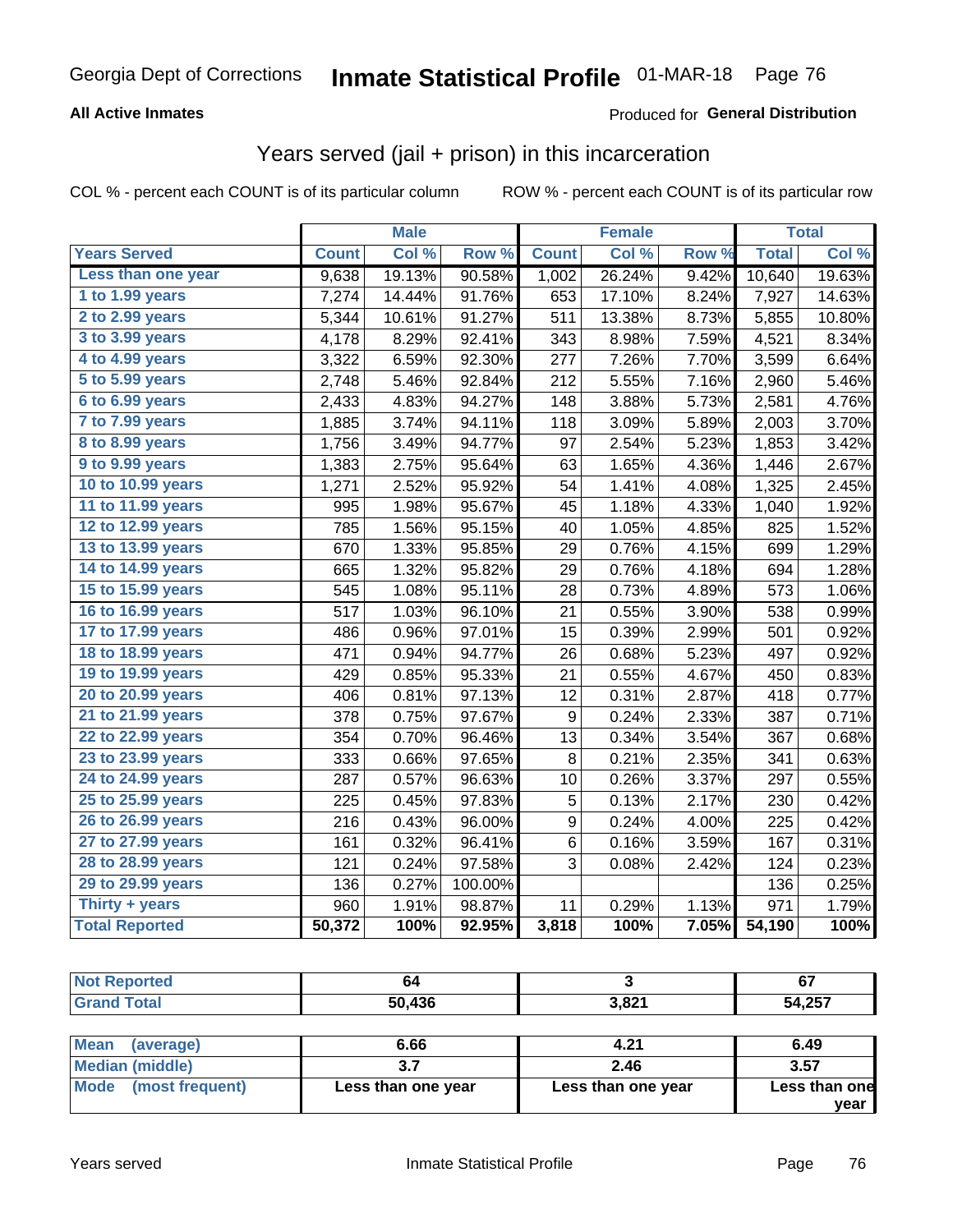#### **All Active Inmates**

#### Produced for **General Distribution**

### Years served (jail + prison) in this incarceration

|                       |              | <b>Male</b> |         |                  | <b>Female</b> |       |              | <b>Total</b> |
|-----------------------|--------------|-------------|---------|------------------|---------------|-------|--------------|--------------|
| <b>Years Served</b>   | <b>Count</b> | Col %       | Row %   | <b>Count</b>     | Col %         | Row % | <b>Total</b> | Col %        |
| Less than one year    | 9,638        | 19.13%      | 90.58%  | 1,002            | 26.24%        | 9.42% | 10,640       | 19.63%       |
| 1 to 1.99 years       | 7,274        | 14.44%      | 91.76%  | 653              | 17.10%        | 8.24% | 7,927        | 14.63%       |
| 2 to 2.99 years       | 5,344        | 10.61%      | 91.27%  | 511              | 13.38%        | 8.73% | 5,855        | 10.80%       |
| 3 to 3.99 years       | 4,178        | 8.29%       | 92.41%  | 343              | 8.98%         | 7.59% | 4,521        | 8.34%        |
| 4 to 4.99 years       | 3,322        | 6.59%       | 92.30%  | 277              | 7.26%         | 7.70% | 3,599        | 6.64%        |
| 5 to 5.99 years       | 2,748        | 5.46%       | 92.84%  | 212              | 5.55%         | 7.16% | 2,960        | 5.46%        |
| 6 to 6.99 years       | 2,433        | 4.83%       | 94.27%  | 148              | 3.88%         | 5.73% | 2,581        | 4.76%        |
| 7 to 7.99 years       | 1,885        | 3.74%       | 94.11%  | 118              | 3.09%         | 5.89% | 2,003        | 3.70%        |
| 8 to 8.99 years       | 1,756        | 3.49%       | 94.77%  | 97               | 2.54%         | 5.23% | 1,853        | 3.42%        |
| 9 to 9.99 years       | 1,383        | 2.75%       | 95.64%  | 63               | 1.65%         | 4.36% | 1,446        | 2.67%        |
| 10 to 10.99 years     | 1,271        | 2.52%       | 95.92%  | 54               | 1.41%         | 4.08% | 1,325        | 2.45%        |
| 11 to 11.99 years     | 995          | 1.98%       | 95.67%  | 45               | 1.18%         | 4.33% | 1,040        | 1.92%        |
| 12 to 12.99 years     | 785          | 1.56%       | 95.15%  | 40               | 1.05%         | 4.85% | 825          | 1.52%        |
| 13 to 13.99 years     | 670          | 1.33%       | 95.85%  | 29               | 0.76%         | 4.15% | 699          | 1.29%        |
| 14 to 14.99 years     | 665          | 1.32%       | 95.82%  | 29               | 0.76%         | 4.18% | 694          | 1.28%        |
| 15 to 15.99 years     | 545          | 1.08%       | 95.11%  | 28               | 0.73%         | 4.89% | 573          | 1.06%        |
| 16 to 16.99 years     | 517          | 1.03%       | 96.10%  | 21               | 0.55%         | 3.90% | 538          | 0.99%        |
| 17 to 17.99 years     | 486          | 0.96%       | 97.01%  | 15               | 0.39%         | 2.99% | 501          | 0.92%        |
| 18 to 18.99 years     | 471          | 0.94%       | 94.77%  | 26               | 0.68%         | 5.23% | 497          | 0.92%        |
| 19 to 19.99 years     | 429          | 0.85%       | 95.33%  | 21               | 0.55%         | 4.67% | 450          | 0.83%        |
| 20 to 20.99 years     | 406          | 0.81%       | 97.13%  | 12               | 0.31%         | 2.87% | 418          | 0.77%        |
| 21 to 21.99 years     | 378          | 0.75%       | 97.67%  | 9                | 0.24%         | 2.33% | 387          | 0.71%        |
| 22 to 22.99 years     | 354          | 0.70%       | 96.46%  | 13               | 0.34%         | 3.54% | 367          | 0.68%        |
| 23 to 23.99 years     | 333          | 0.66%       | 97.65%  | 8                | 0.21%         | 2.35% | 341          | 0.63%        |
| 24 to 24.99 years     | 287          | 0.57%       | 96.63%  | 10               | 0.26%         | 3.37% | 297          | 0.55%        |
| 25 to 25.99 years     | 225          | 0.45%       | 97.83%  | 5                | 0.13%         | 2.17% | 230          | 0.42%        |
| 26 to 26.99 years     | 216          | 0.43%       | 96.00%  | $\boldsymbol{9}$ | 0.24%         | 4.00% | 225          | 0.42%        |
| 27 to 27.99 years     | 161          | 0.32%       | 96.41%  | $\,6$            | 0.16%         | 3.59% | 167          | $0.31\%$     |
| 28 to 28.99 years     | 121          | 0.24%       | 97.58%  | 3                | 0.08%         | 2.42% | 124          | 0.23%        |
| 29 to 29.99 years     | 136          | 0.27%       | 100.00% |                  |               |       | 136          | 0.25%        |
| Thirty + years        | 960          | 1.91%       | 98.87%  | 11               | 0.29%         | 1.13% | 971          | 1.79%        |
| <b>Total Reported</b> | 50,372       | 100%        | 92.95%  | 3,818            | 100%          | 7.05% | 54,190       | 100%         |

| <b>rtea</b><br><b>N</b> | 04     |                | cэ<br>$\mathbf{v}$ |
|-------------------------|--------|----------------|--------------------|
| <b>Total</b>            | 50,436 | 2021<br>J,O∠ ⊾ | 54,257             |
|                         |        |                |                    |

| <b>Mean</b><br>(average) | 6.66               | 4.21               | 6.49          |
|--------------------------|--------------------|--------------------|---------------|
| <b>Median (middle)</b>   |                    | 2.46               | 3.57          |
| Mode (most frequent)     | Less than one year | Less than one year | Less than one |
|                          |                    |                    | year          |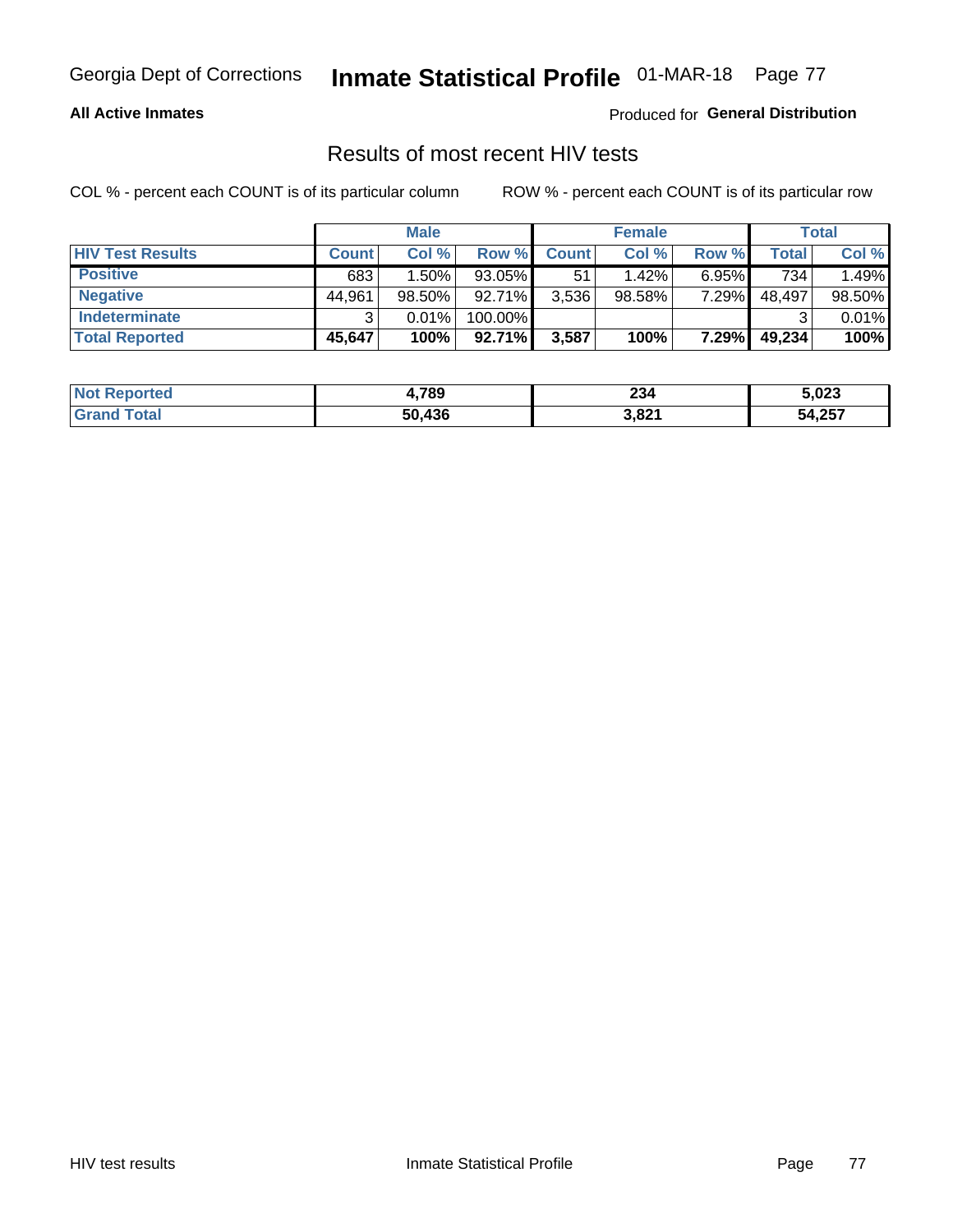#### **All Active Inmates**

Produced for **General Distribution**

### Results of most recent HIV tests

|                         |              | <b>Male</b> |           |              | <b>Female</b> |          |        | Total  |
|-------------------------|--------------|-------------|-----------|--------------|---------------|----------|--------|--------|
| <b>HIV Test Results</b> | <b>Count</b> | Col %       | Row %I    | <b>Count</b> | Col %         | Row %    | Total  | Col %  |
| <b>Positive</b>         | 683          | 1.50%       | 93.05%    | 51           | 1.42%         | $6.95\%$ | 734    | 1.49%  |
| <b>Negative</b>         | 44,961       | $98.50\%$   | 92.71%    | 3,536        | $98.58\%$     | 7.29%    | 48,497 | 98.50% |
| <b>Indeterminate</b>    |              | 0.01%       | 100.00%   |              |               |          |        | 0.01%  |
| <b>Total Reported</b>   | 45,647       | 100%        | $92.71\%$ | 3,587        | 100%          | 7.29%    | 49,234 | 100%   |

| <b>Not Reported</b> | 4,789  | 234   | 5,023  |
|---------------------|--------|-------|--------|
| Гоtal               | 50,436 | 3,821 | 54,257 |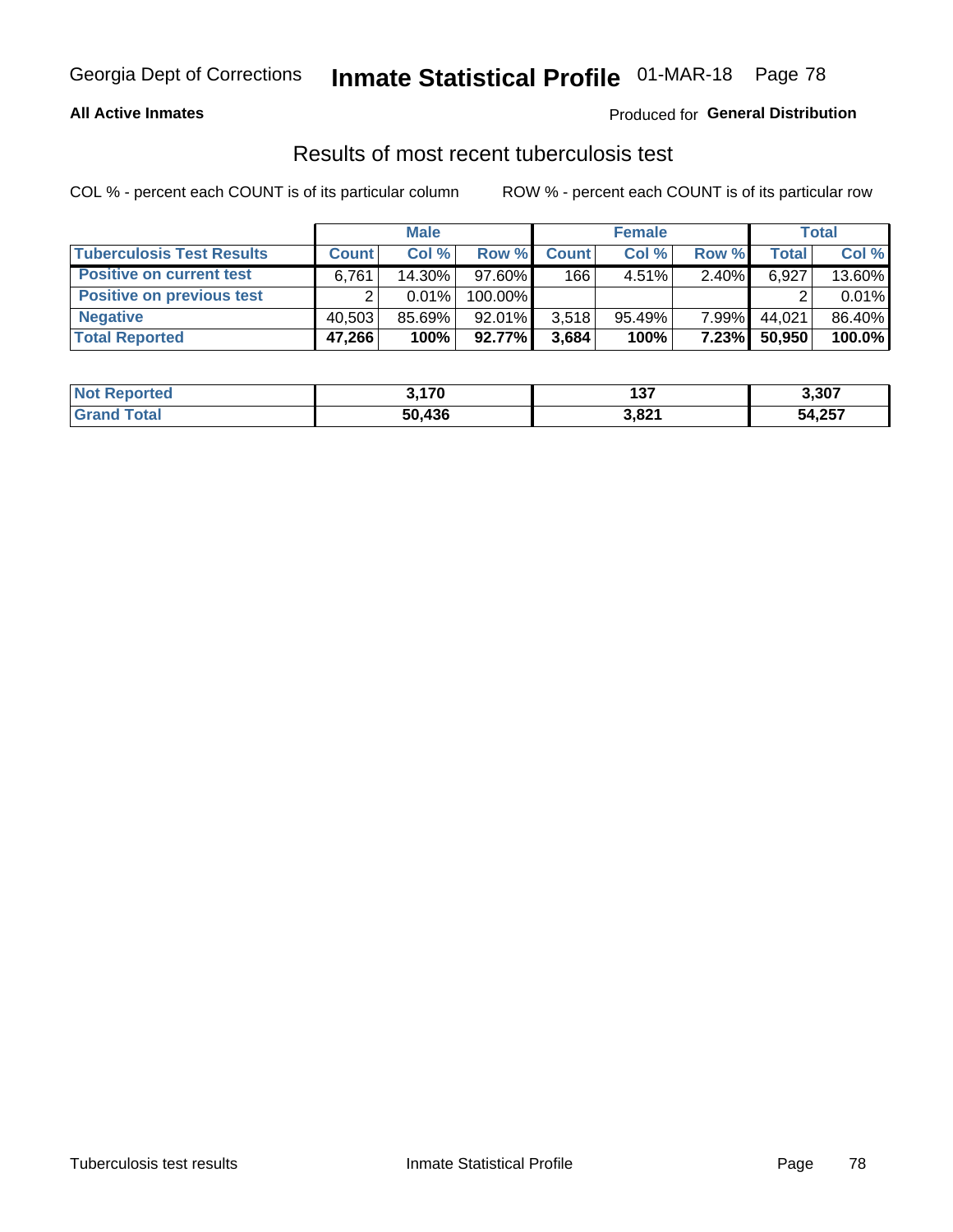#### **All Active Inmates**

#### Produced for **General Distribution**

### Results of most recent tuberculosis test

|                                  |              | <b>Male</b> |           |              | <b>Female</b> |              |              | Total  |
|----------------------------------|--------------|-------------|-----------|--------------|---------------|--------------|--------------|--------|
| <b>Tuberculosis Test Results</b> | <b>Count</b> | Col%        | Row %     | <b>Count</b> | Col%          | Row %        | <b>Total</b> | Col %  |
| <b>Positive on current test</b>  | 6,761        | 14.30%      | $97.60\%$ | 166          | $4.51\%$      | 2.40%        | 6,927        | 13.60% |
| <b>Positive on previous test</b> | ◠            | 0.01%       | 100.00%   |              |               |              |              | 0.01%  |
| <b>Negative</b>                  | 40.503       | 85.69%      | $92.01\%$ | 3,518        | 95.49%        | $7.99\%$     | 44.021       | 86.40% |
| <b>Total Reported</b>            | 47,266       | 100%        | 92.77%    | 3,684        | 100%          | <b>7.23%</b> | 50,950       | 100.0% |

| <b>Not Reported</b>          | 3.170  | 497<br>וטו | 3,307  |
|------------------------------|--------|------------|--------|
| <b>Total</b><br><b>Grand</b> | 50,436 | 3,821      | 54,257 |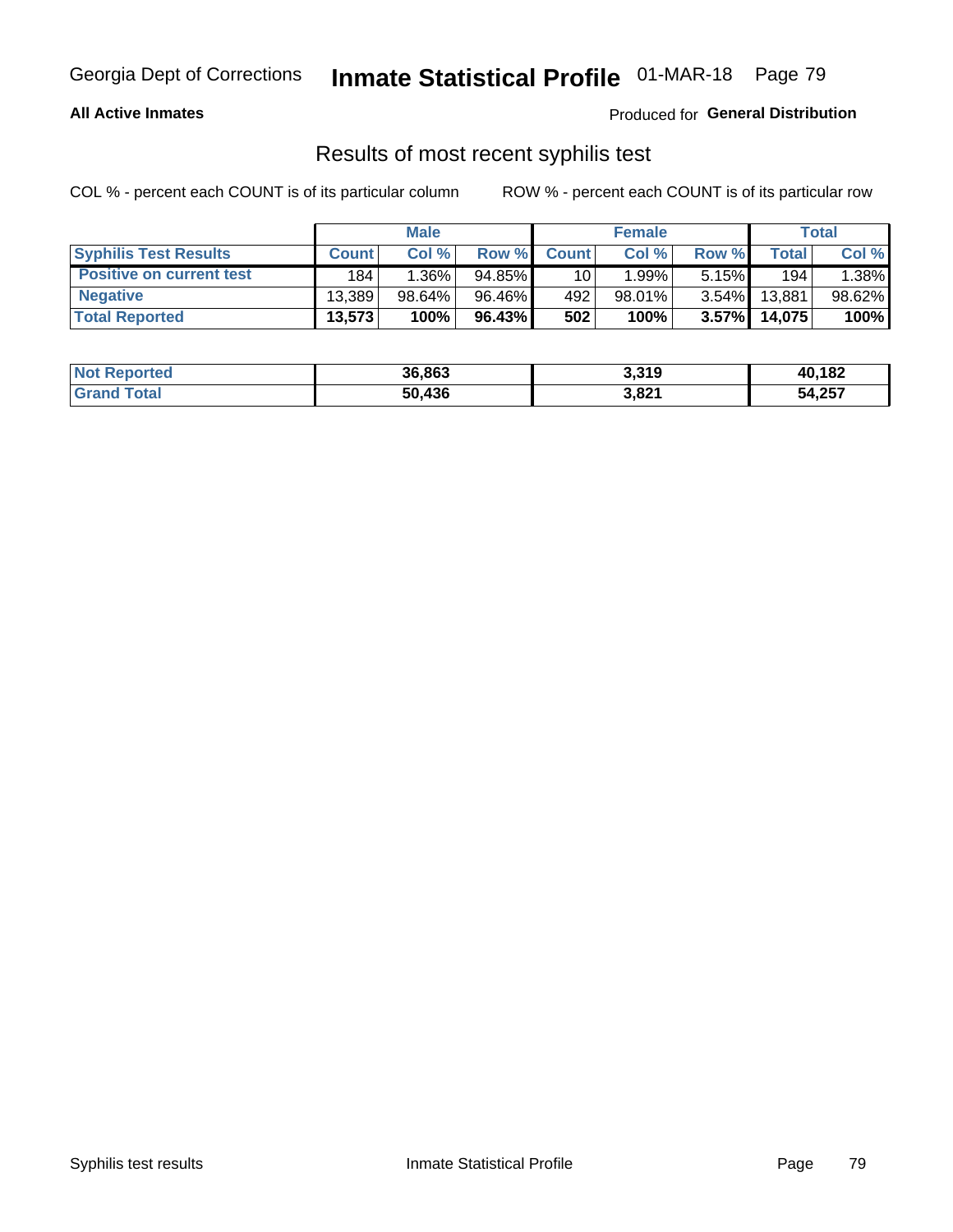#### **All Active Inmates**

Produced for **General Distribution**

### Results of most recent syphilis test

|                                 |              | <b>Male</b> |           |                 | <b>Female</b> |          |        | Total  |
|---------------------------------|--------------|-------------|-----------|-----------------|---------------|----------|--------|--------|
| <b>Syphilis Test Results</b>    | <b>Count</b> | Col%        | Row %     | <b>Count</b>    | Col %         | Row %    | Total  | Col %  |
| <b>Positive on current test</b> | 184          | $1.36\%$    | $94.85\%$ | 10 <sub>1</sub> | 1.99%」        | 5.15%    | 194    | 1.38%  |
| <b>Negative</b>                 | 13.389       | 98.64%      | 96.46%    | 492             | $98.01\%$     | $3.54\%$ | 13,881 | 98.62% |
| <b>Total Reported</b>           | 13,573       | 100%        | 96.43%    | 502             | 100%          | $3.57\%$ | 14,075 | 100%   |

| <b>Not Reported</b> | 36,863 | 3,319 | 40,182 |
|---------------------|--------|-------|--------|
| <b>Grand Total</b>  | 50.436 | 3,821 | 54,257 |